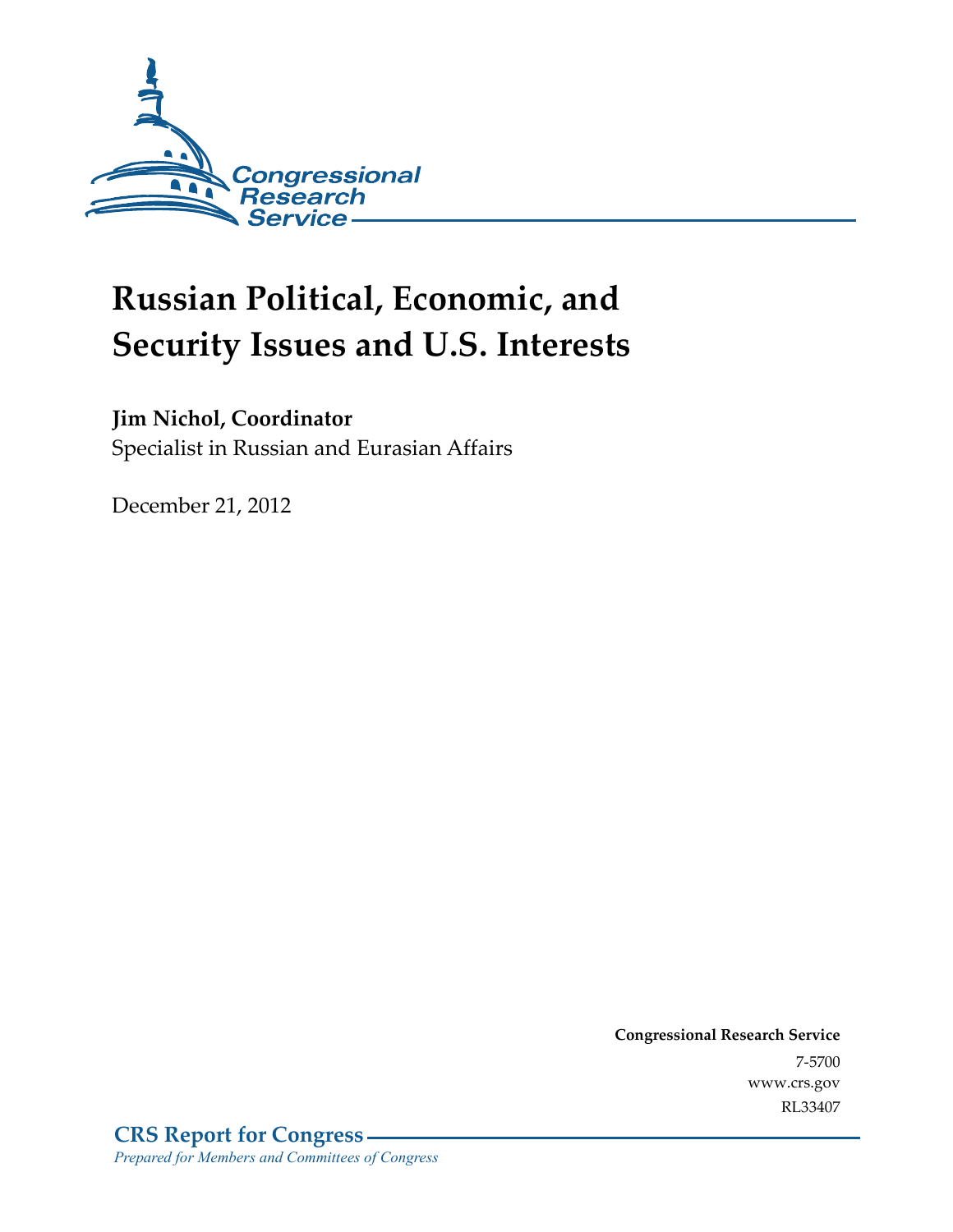

# **Russian Political, Economic, and Security Issues and U.S. Interests**

**Jim Nichol, Coordinator** 

Specialist in Russian and Eurasian Affairs

December 21, 2012

**Congressional Research Service**  7-5700 www.crs.gov RL33407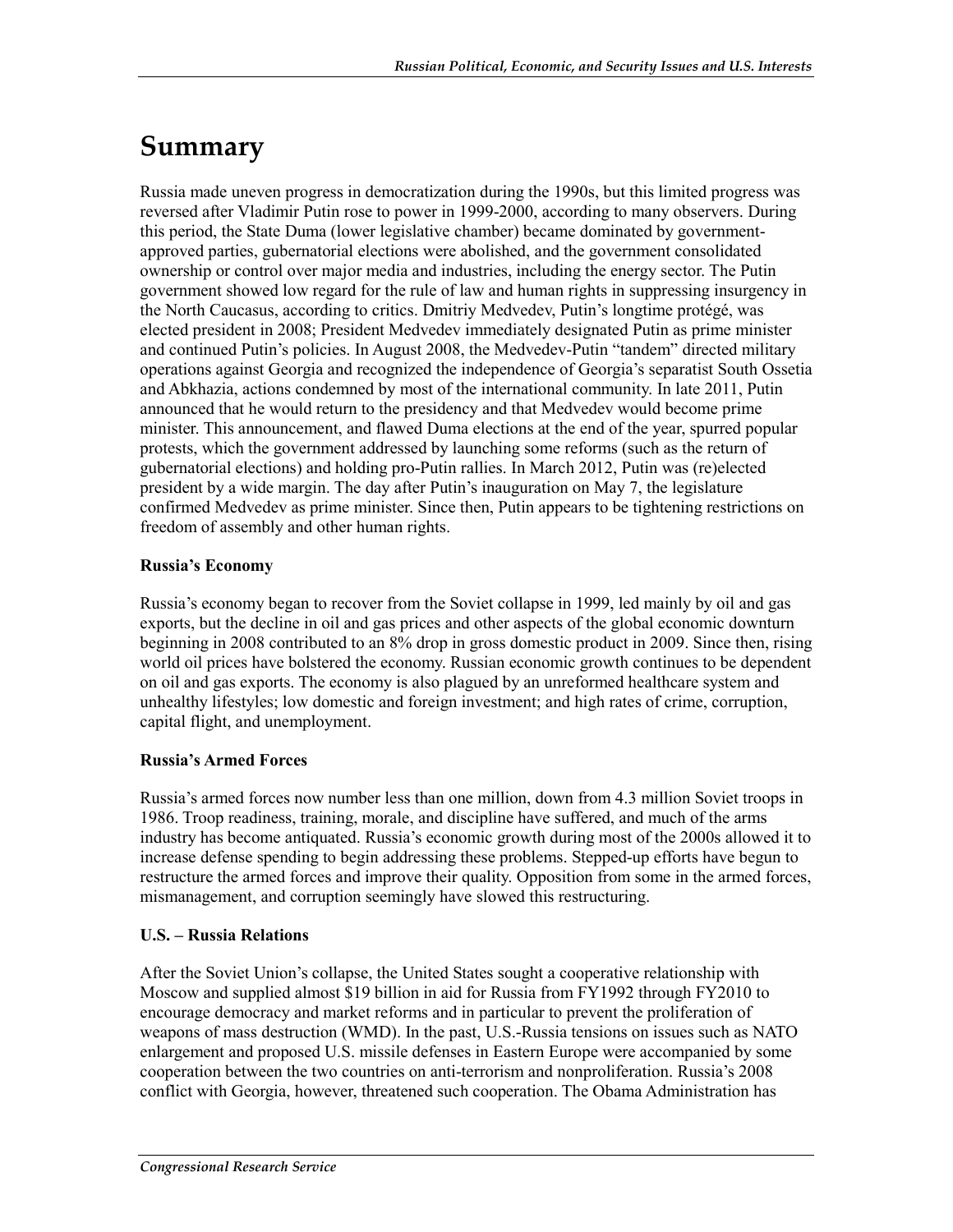## **Summary**

Russia made uneven progress in democratization during the 1990s, but this limited progress was reversed after Vladimir Putin rose to power in 1999-2000, according to many observers. During this period, the State Duma (lower legislative chamber) became dominated by governmentapproved parties, gubernatorial elections were abolished, and the government consolidated ownership or control over major media and industries, including the energy sector. The Putin government showed low regard for the rule of law and human rights in suppressing insurgency in the North Caucasus, according to critics. Dmitriy Medvedev, Putin's longtime protégé, was elected president in 2008; President Medvedev immediately designated Putin as prime minister and continued Putin's policies. In August 2008, the Medvedev-Putin "tandem" directed military operations against Georgia and recognized the independence of Georgia's separatist South Ossetia and Abkhazia, actions condemned by most of the international community. In late 2011, Putin announced that he would return to the presidency and that Medvedev would become prime minister. This announcement, and flawed Duma elections at the end of the year, spurred popular protests, which the government addressed by launching some reforms (such as the return of gubernatorial elections) and holding pro-Putin rallies. In March 2012, Putin was (re)elected president by a wide margin. The day after Putin's inauguration on May 7, the legislature confirmed Medvedev as prime minister. Since then, Putin appears to be tightening restrictions on freedom of assembly and other human rights.

#### **Russia's Economy**

Russia's economy began to recover from the Soviet collapse in 1999, led mainly by oil and gas exports, but the decline in oil and gas prices and other aspects of the global economic downturn beginning in 2008 contributed to an 8% drop in gross domestic product in 2009. Since then, rising world oil prices have bolstered the economy. Russian economic growth continues to be dependent on oil and gas exports. The economy is also plagued by an unreformed healthcare system and unhealthy lifestyles; low domestic and foreign investment; and high rates of crime, corruption, capital flight, and unemployment.

#### **Russia's Armed Forces**

Russia's armed forces now number less than one million, down from 4.3 million Soviet troops in 1986. Troop readiness, training, morale, and discipline have suffered, and much of the arms industry has become antiquated. Russia's economic growth during most of the 2000s allowed it to increase defense spending to begin addressing these problems. Stepped-up efforts have begun to restructure the armed forces and improve their quality. Opposition from some in the armed forces, mismanagement, and corruption seemingly have slowed this restructuring.

#### **U.S. – Russia Relations**

After the Soviet Union's collapse, the United States sought a cooperative relationship with Moscow and supplied almost \$19 billion in aid for Russia from FY1992 through FY2010 to encourage democracy and market reforms and in particular to prevent the proliferation of weapons of mass destruction (WMD). In the past, U.S.-Russia tensions on issues such as NATO enlargement and proposed U.S. missile defenses in Eastern Europe were accompanied by some cooperation between the two countries on anti-terrorism and nonproliferation. Russia's 2008 conflict with Georgia, however, threatened such cooperation. The Obama Administration has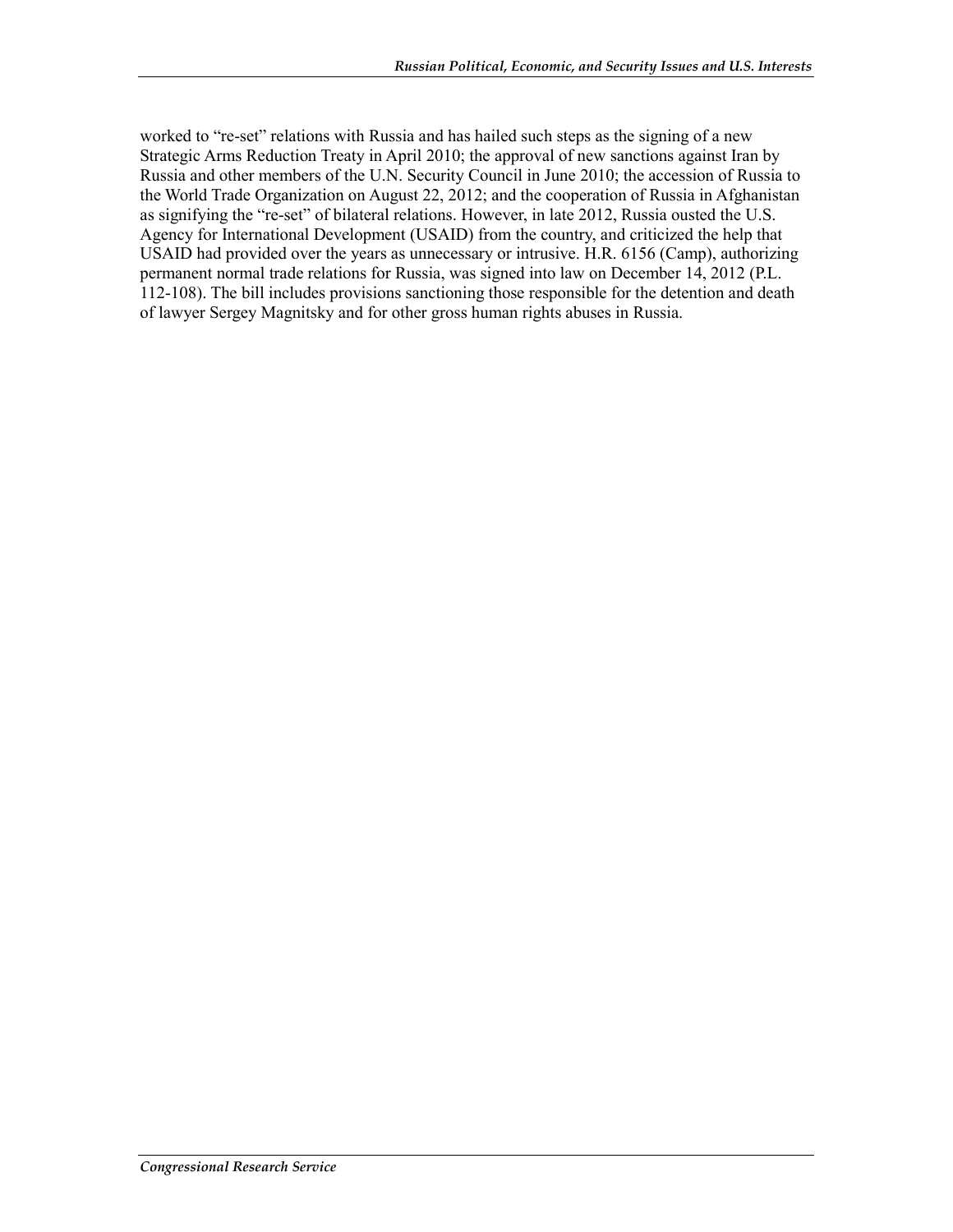worked to "re-set" relations with Russia and has hailed such steps as the signing of a new Strategic Arms Reduction Treaty in April 2010; the approval of new sanctions against Iran by Russia and other members of the U.N. Security Council in June 2010; the accession of Russia to the World Trade Organization on August 22, 2012; and the cooperation of Russia in Afghanistan as signifying the "re-set" of bilateral relations. However, in late 2012, Russia ousted the U.S. Agency for International Development (USAID) from the country, and criticized the help that USAID had provided over the years as unnecessary or intrusive. H.R. 6156 (Camp), authorizing permanent normal trade relations for Russia, was signed into law on December 14, 2012 (P.L. 112-108). The bill includes provisions sanctioning those responsible for the detention and death of lawyer Sergey Magnitsky and for other gross human rights abuses in Russia.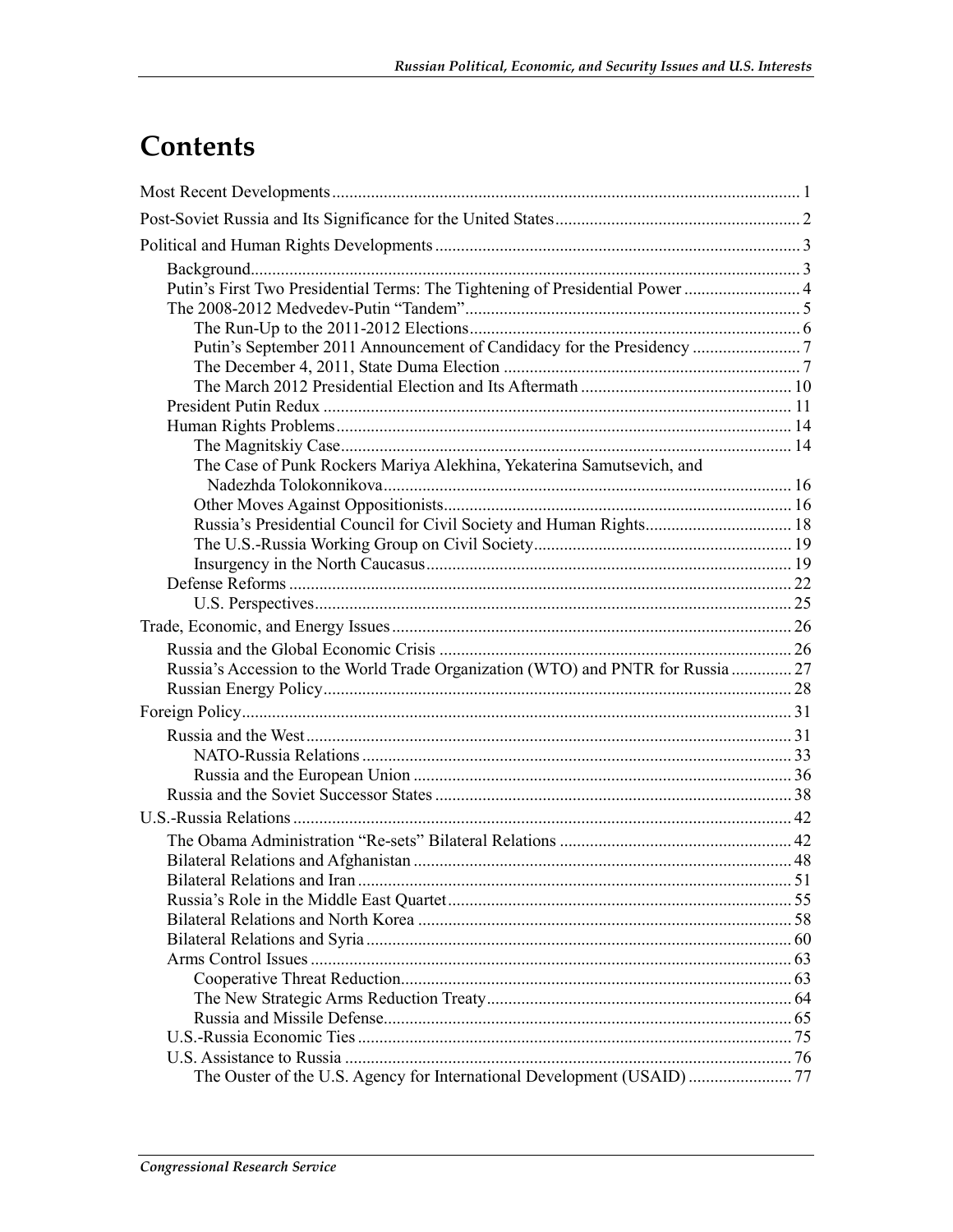## Contents

| Putin's First Two Presidential Terms: The Tightening of Presidential Power  4    |  |
|----------------------------------------------------------------------------------|--|
|                                                                                  |  |
|                                                                                  |  |
|                                                                                  |  |
|                                                                                  |  |
|                                                                                  |  |
|                                                                                  |  |
|                                                                                  |  |
|                                                                                  |  |
| The Case of Punk Rockers Mariya Alekhina, Yekaterina Samutsevich, and            |  |
|                                                                                  |  |
|                                                                                  |  |
| Russia's Presidential Council for Civil Society and Human Rights 18              |  |
|                                                                                  |  |
|                                                                                  |  |
|                                                                                  |  |
|                                                                                  |  |
|                                                                                  |  |
|                                                                                  |  |
| Russia's Accession to the World Trade Organization (WTO) and PNTR for Russia  27 |  |
|                                                                                  |  |
|                                                                                  |  |
|                                                                                  |  |
|                                                                                  |  |
|                                                                                  |  |
|                                                                                  |  |
|                                                                                  |  |
|                                                                                  |  |
|                                                                                  |  |
|                                                                                  |  |
|                                                                                  |  |
|                                                                                  |  |
|                                                                                  |  |
|                                                                                  |  |
|                                                                                  |  |
|                                                                                  |  |
|                                                                                  |  |
|                                                                                  |  |
|                                                                                  |  |
|                                                                                  |  |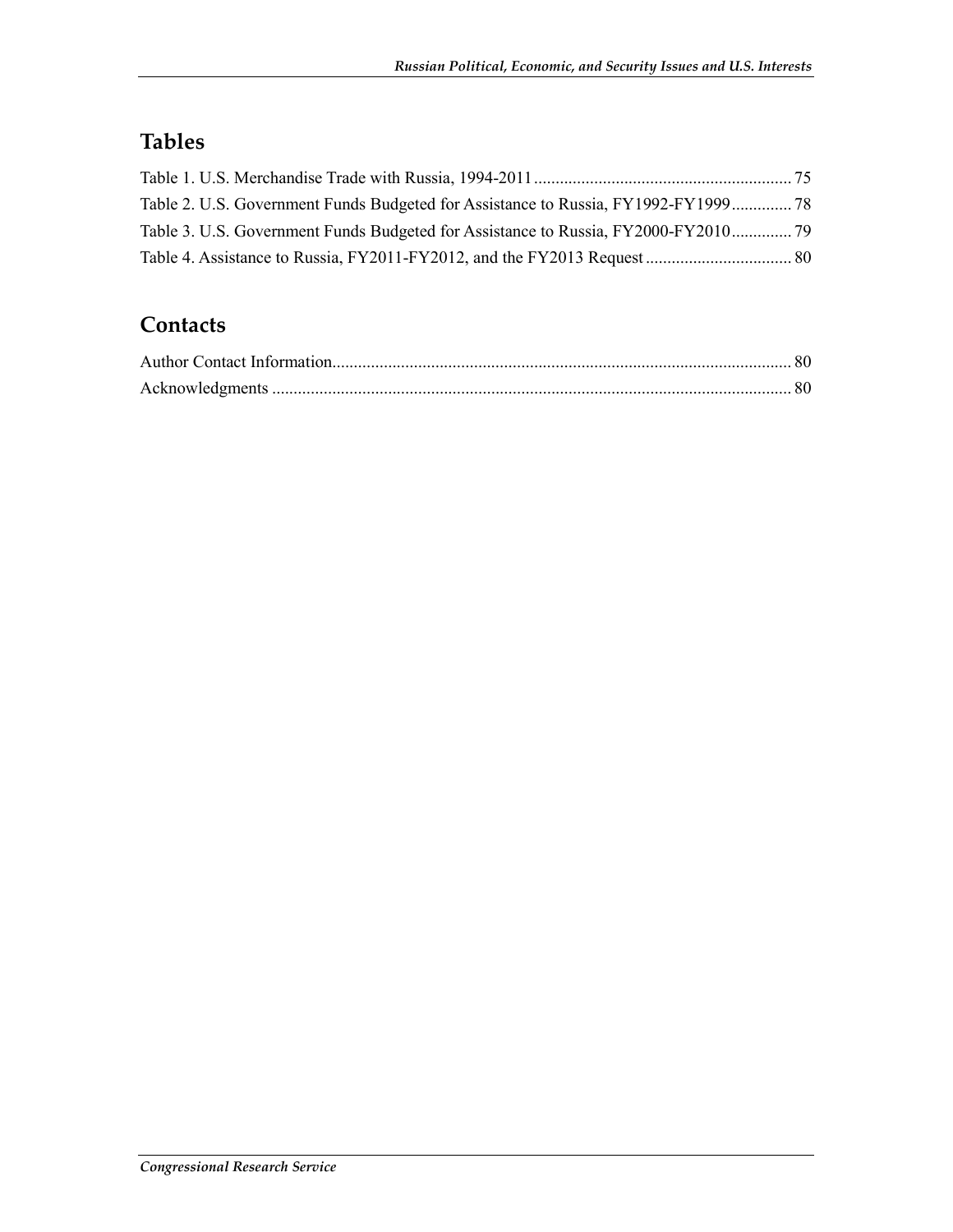## **Tables**

| Table 3. U.S. Government Funds Budgeted for Assistance to Russia, FY2000-FY2010 |  |
|---------------------------------------------------------------------------------|--|
|                                                                                 |  |

### **Contacts**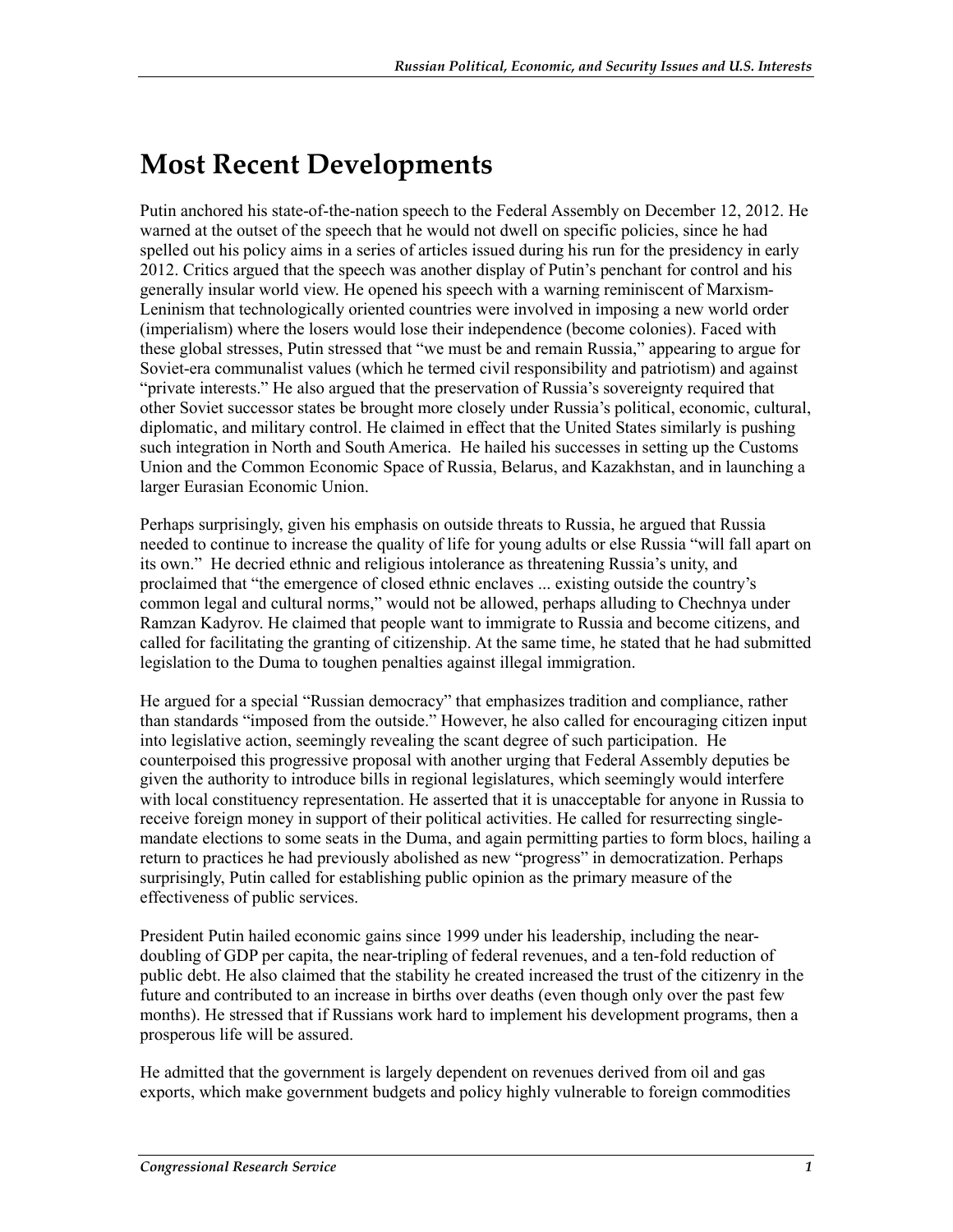## **Most Recent Developments**

Putin anchored his state-of-the-nation speech to the Federal Assembly on December 12, 2012. He warned at the outset of the speech that he would not dwell on specific policies, since he had spelled out his policy aims in a series of articles issued during his run for the presidency in early 2012. Critics argued that the speech was another display of Putin's penchant for control and his generally insular world view. He opened his speech with a warning reminiscent of Marxism-Leninism that technologically oriented countries were involved in imposing a new world order (imperialism) where the losers would lose their independence (become colonies). Faced with these global stresses, Putin stressed that "we must be and remain Russia," appearing to argue for Soviet-era communalist values (which he termed civil responsibility and patriotism) and against "private interests." He also argued that the preservation of Russia's sovereignty required that other Soviet successor states be brought more closely under Russia's political, economic, cultural, diplomatic, and military control. He claimed in effect that the United States similarly is pushing such integration in North and South America. He hailed his successes in setting up the Customs Union and the Common Economic Space of Russia, Belarus, and Kazakhstan, and in launching a larger Eurasian Economic Union.

Perhaps surprisingly, given his emphasis on outside threats to Russia, he argued that Russia needed to continue to increase the quality of life for young adults or else Russia "will fall apart on its own." He decried ethnic and religious intolerance as threatening Russia's unity, and proclaimed that "the emergence of closed ethnic enclaves ... existing outside the country's common legal and cultural norms," would not be allowed, perhaps alluding to Chechnya under Ramzan Kadyrov. He claimed that people want to immigrate to Russia and become citizens, and called for facilitating the granting of citizenship. At the same time, he stated that he had submitted legislation to the Duma to toughen penalties against illegal immigration.

He argued for a special "Russian democracy" that emphasizes tradition and compliance, rather than standards "imposed from the outside." However, he also called for encouraging citizen input into legislative action, seemingly revealing the scant degree of such participation. He counterpoised this progressive proposal with another urging that Federal Assembly deputies be given the authority to introduce bills in regional legislatures, which seemingly would interfere with local constituency representation. He asserted that it is unacceptable for anyone in Russia to receive foreign money in support of their political activities. He called for resurrecting singlemandate elections to some seats in the Duma, and again permitting parties to form blocs, hailing a return to practices he had previously abolished as new "progress" in democratization. Perhaps surprisingly, Putin called for establishing public opinion as the primary measure of the effectiveness of public services.

President Putin hailed economic gains since 1999 under his leadership, including the neardoubling of GDP per capita, the near-tripling of federal revenues, and a ten-fold reduction of public debt. He also claimed that the stability he created increased the trust of the citizenry in the future and contributed to an increase in births over deaths (even though only over the past few months). He stressed that if Russians work hard to implement his development programs, then a prosperous life will be assured.

He admitted that the government is largely dependent on revenues derived from oil and gas exports, which make government budgets and policy highly vulnerable to foreign commodities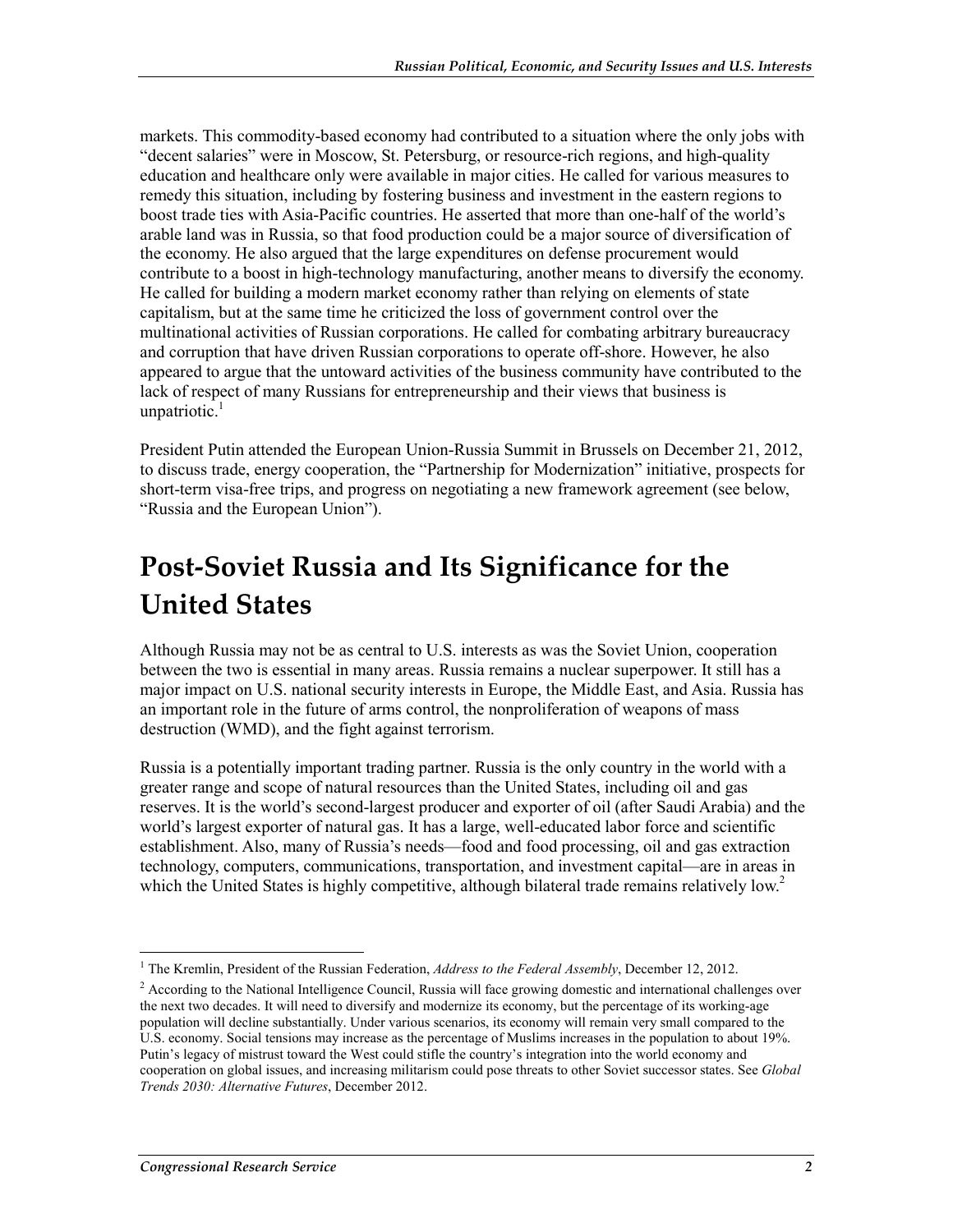markets. This commodity-based economy had contributed to a situation where the only jobs with "decent salaries" were in Moscow, St. Petersburg, or resource-rich regions, and high-quality education and healthcare only were available in major cities. He called for various measures to remedy this situation, including by fostering business and investment in the eastern regions to boost trade ties with Asia-Pacific countries. He asserted that more than one-half of the world's arable land was in Russia, so that food production could be a major source of diversification of the economy. He also argued that the large expenditures on defense procurement would contribute to a boost in high-technology manufacturing, another means to diversify the economy. He called for building a modern market economy rather than relying on elements of state capitalism, but at the same time he criticized the loss of government control over the multinational activities of Russian corporations. He called for combating arbitrary bureaucracy and corruption that have driven Russian corporations to operate off-shore. However, he also appeared to argue that the untoward activities of the business community have contributed to the lack of respect of many Russians for entrepreneurship and their views that business is unpatriotic. $1$ 

President Putin attended the European Union-Russia Summit in Brussels on December 21, 2012, to discuss trade, energy cooperation, the "Partnership for Modernization" initiative, prospects for short-term visa-free trips, and progress on negotiating a new framework agreement (see below, "Russia and the European Union").

## **Post-Soviet Russia and Its Significance for the United States**

Although Russia may not be as central to U.S. interests as was the Soviet Union, cooperation between the two is essential in many areas. Russia remains a nuclear superpower. It still has a major impact on U.S. national security interests in Europe, the Middle East, and Asia. Russia has an important role in the future of arms control, the nonproliferation of weapons of mass destruction (WMD), and the fight against terrorism.

Russia is a potentially important trading partner. Russia is the only country in the world with a greater range and scope of natural resources than the United States, including oil and gas reserves. It is the world's second-largest producer and exporter of oil (after Saudi Arabia) and the world's largest exporter of natural gas. It has a large, well-educated labor force and scientific establishment. Also, many of Russia's needs—food and food processing, oil and gas extraction technology, computers, communications, transportation, and investment capital—are in areas in which the United States is highly competitive, although bilateral trade remains relatively low.<sup>2</sup>

<sup>&</sup>lt;sup>1</sup> The Kremlin, President of the Russian Federation, *Address to the Federal Assembly*, December 12, 2012.

<sup>&</sup>lt;sup>2</sup> According to the National Intelligence Council, Russia will face growing domestic and international challenges over the next two decades. It will need to diversify and modernize its economy, but the percentage of its working-age population will decline substantially. Under various scenarios, its economy will remain very small compared to the U.S. economy. Social tensions may increase as the percentage of Muslims increases in the population to about 19%. Putin's legacy of mistrust toward the West could stifle the country's integration into the world economy and cooperation on global issues, and increasing militarism could pose threats to other Soviet successor states. See *Global Trends 2030: Alternative Futures*, December 2012.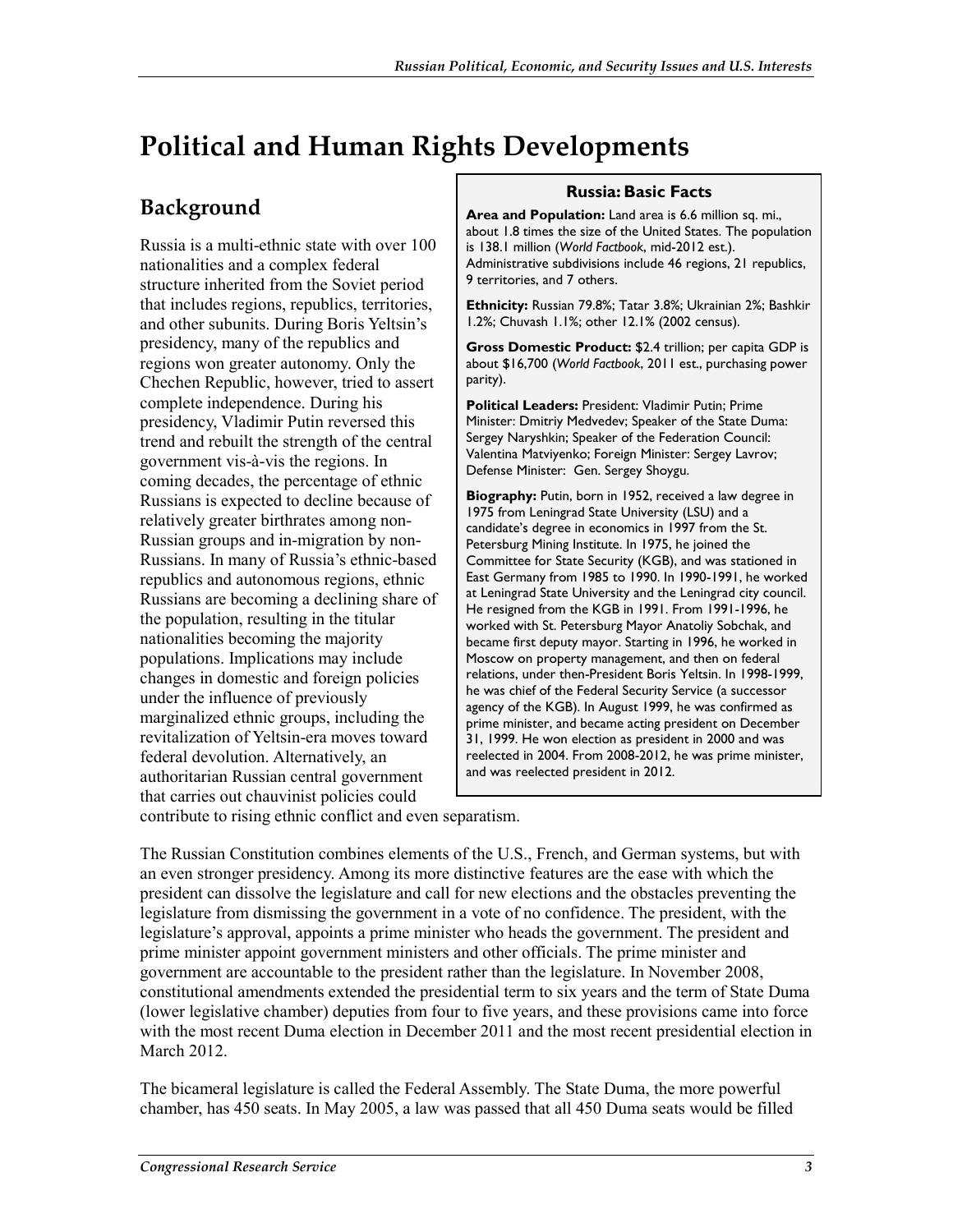## **Political and Human Rights Developments**

## **Background**

Russia is a multi-ethnic state with over 100 nationalities and a complex federal structure inherited from the Soviet period that includes regions, republics, territories, and other subunits. During Boris Yeltsin's presidency, many of the republics and regions won greater autonomy. Only the Chechen Republic, however, tried to assert complete independence. During his presidency, Vladimir Putin reversed this trend and rebuilt the strength of the central government vis-à-vis the regions. In coming decades, the percentage of ethnic Russians is expected to decline because of relatively greater birthrates among non-Russian groups and in-migration by non-Russians. In many of Russia's ethnic-based republics and autonomous regions, ethnic Russians are becoming a declining share of the population, resulting in the titular nationalities becoming the majority populations. Implications may include changes in domestic and foreign policies under the influence of previously marginalized ethnic groups, including the revitalization of Yeltsin-era moves toward federal devolution. Alternatively, an authoritarian Russian central government that carries out chauvinist policies could

#### **Russia: Basic Facts**

**Area and Population:** Land area is 6.6 million sq. mi., about 1.8 times the size of the United States. The population is 138.1 million (*World Factbook*, mid-2012 est.). Administrative subdivisions include 46 regions, 21 republics, 9 territories, and 7 others.

**Ethnicity:** Russian 79.8%; Tatar 3.8%; Ukrainian 2%; Bashkir 1.2%; Chuvash 1.1%; other 12.1% (2002 census).

**Gross Domestic Product:** \$2.4 trillion; per capita GDP is about \$16,700 (*World Factbook*, 2011 est., purchasing power parity).

**Political Leaders:** President: Vladimir Putin; Prime Minister: Dmitriy Medvedev; Speaker of the State Duma: Sergey Naryshkin; Speaker of the Federation Council: Valentina Matviyenko; Foreign Minister: Sergey Lavrov; Defense Minister: Gen. Sergey Shoygu.

**Biography:** Putin, born in 1952, received a law degree in 1975 from Leningrad State University (LSU) and a candidate's degree in economics in 1997 from the St. Petersburg Mining Institute. In 1975, he joined the Committee for State Security (KGB), and was stationed in East Germany from 1985 to 1990. In 1990-1991, he worked at Leningrad State University and the Leningrad city council. He resigned from the KGB in 1991. From 1991-1996, he worked with St. Petersburg Mayor Anatoliy Sobchak, and became first deputy mayor. Starting in 1996, he worked in Moscow on property management, and then on federal relations, under then-President Boris Yeltsin. In 1998-1999, he was chief of the Federal Security Service (a successor agency of the KGB). In August 1999, he was confirmed as prime minister, and became acting president on December 31, 1999. He won election as president in 2000 and was reelected in 2004. From 2008-2012, he was prime minister, and was reelected president in 2012.

contribute to rising ethnic conflict and even separatism.

The Russian Constitution combines elements of the U.S., French, and German systems, but with an even stronger presidency. Among its more distinctive features are the ease with which the president can dissolve the legislature and call for new elections and the obstacles preventing the legislature from dismissing the government in a vote of no confidence. The president, with the legislature's approval, appoints a prime minister who heads the government. The president and prime minister appoint government ministers and other officials. The prime minister and government are accountable to the president rather than the legislature. In November 2008, constitutional amendments extended the presidential term to six years and the term of State Duma (lower legislative chamber) deputies from four to five years, and these provisions came into force with the most recent Duma election in December 2011 and the most recent presidential election in March 2012.

The bicameral legislature is called the Federal Assembly. The State Duma, the more powerful chamber, has 450 seats. In May 2005, a law was passed that all 450 Duma seats would be filled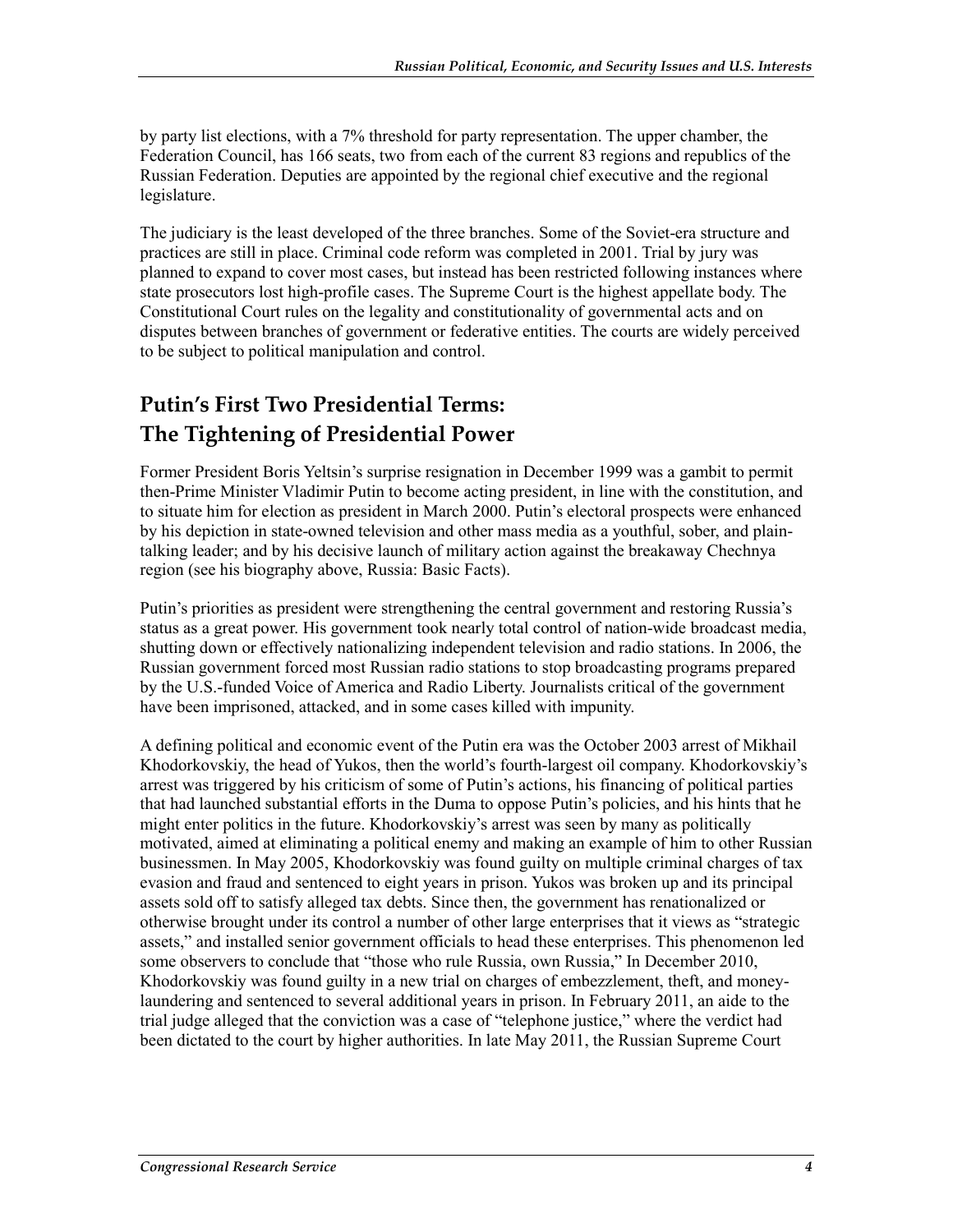by party list elections, with a 7% threshold for party representation. The upper chamber, the Federation Council, has 166 seats, two from each of the current 83 regions and republics of the Russian Federation. Deputies are appointed by the regional chief executive and the regional legislature.

The judiciary is the least developed of the three branches. Some of the Soviet-era structure and practices are still in place. Criminal code reform was completed in 2001. Trial by jury was planned to expand to cover most cases, but instead has been restricted following instances where state prosecutors lost high-profile cases. The Supreme Court is the highest appellate body. The Constitutional Court rules on the legality and constitutionality of governmental acts and on disputes between branches of government or federative entities. The courts are widely perceived to be subject to political manipulation and control.

## **Putin's First Two Presidential Terms: The Tightening of Presidential Power**

Former President Boris Yeltsin's surprise resignation in December 1999 was a gambit to permit then-Prime Minister Vladimir Putin to become acting president, in line with the constitution, and to situate him for election as president in March 2000. Putin's electoral prospects were enhanced by his depiction in state-owned television and other mass media as a youthful, sober, and plaintalking leader; and by his decisive launch of military action against the breakaway Chechnya region (see his biography above, Russia: Basic Facts).

Putin's priorities as president were strengthening the central government and restoring Russia's status as a great power. His government took nearly total control of nation-wide broadcast media, shutting down or effectively nationalizing independent television and radio stations. In 2006, the Russian government forced most Russian radio stations to stop broadcasting programs prepared by the U.S.-funded Voice of America and Radio Liberty. Journalists critical of the government have been imprisoned, attacked, and in some cases killed with impunity.

A defining political and economic event of the Putin era was the October 2003 arrest of Mikhail Khodorkovskiy, the head of Yukos, then the world's fourth-largest oil company. Khodorkovskiy's arrest was triggered by his criticism of some of Putin's actions, his financing of political parties that had launched substantial efforts in the Duma to oppose Putin's policies, and his hints that he might enter politics in the future. Khodorkovskiy's arrest was seen by many as politically motivated, aimed at eliminating a political enemy and making an example of him to other Russian businessmen. In May 2005, Khodorkovskiy was found guilty on multiple criminal charges of tax evasion and fraud and sentenced to eight years in prison. Yukos was broken up and its principal assets sold off to satisfy alleged tax debts. Since then, the government has renationalized or otherwise brought under its control a number of other large enterprises that it views as "strategic assets," and installed senior government officials to head these enterprises. This phenomenon led some observers to conclude that "those who rule Russia, own Russia," In December 2010, Khodorkovskiy was found guilty in a new trial on charges of embezzlement, theft, and moneylaundering and sentenced to several additional years in prison. In February 2011, an aide to the trial judge alleged that the conviction was a case of "telephone justice," where the verdict had been dictated to the court by higher authorities. In late May 2011, the Russian Supreme Court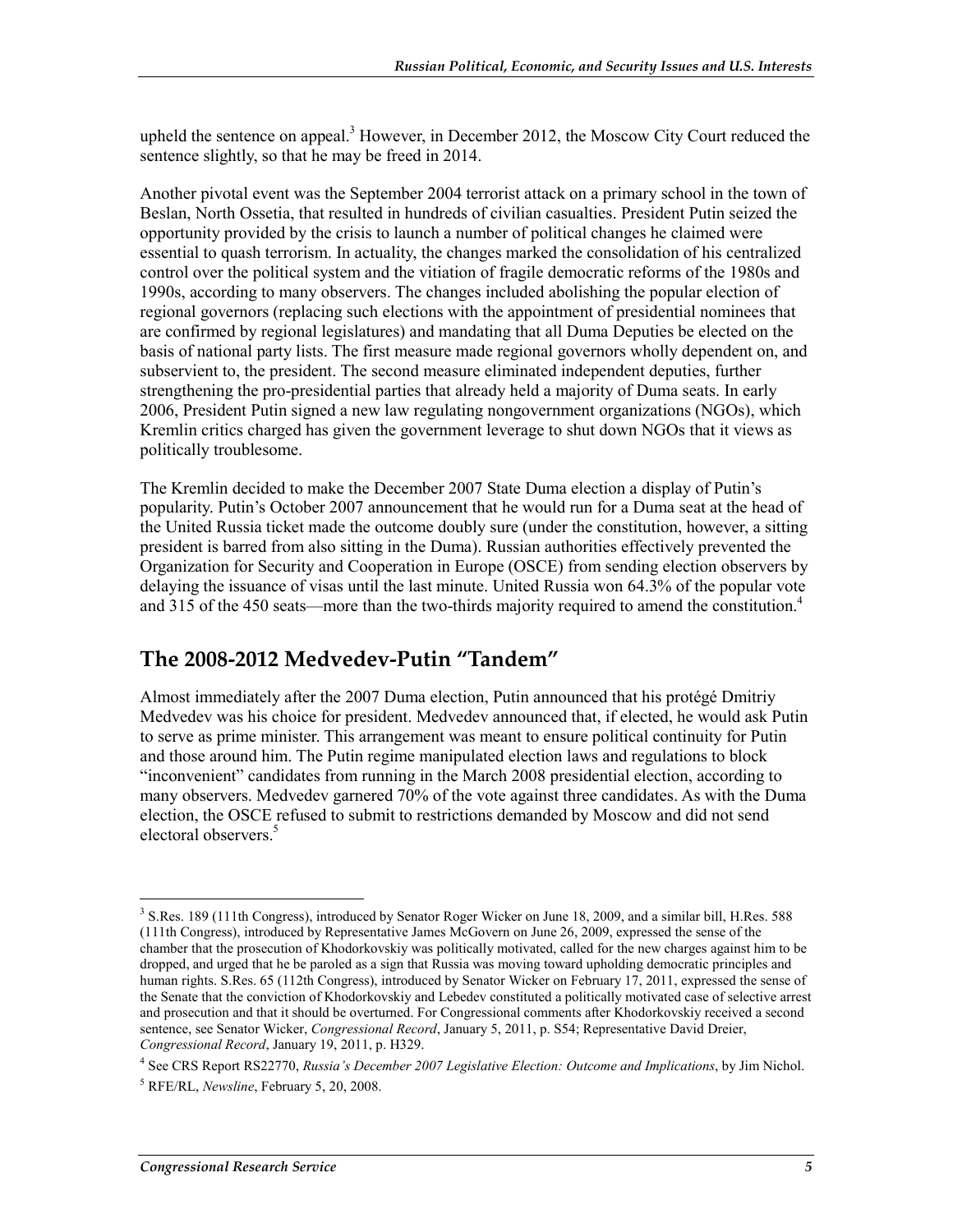upheld the sentence on appeal. $3$  However, in December 2012, the Moscow City Court reduced the sentence slightly, so that he may be freed in 2014.

Another pivotal event was the September 2004 terrorist attack on a primary school in the town of Beslan, North Ossetia, that resulted in hundreds of civilian casualties. President Putin seized the opportunity provided by the crisis to launch a number of political changes he claimed were essential to quash terrorism. In actuality, the changes marked the consolidation of his centralized control over the political system and the vitiation of fragile democratic reforms of the 1980s and 1990s, according to many observers. The changes included abolishing the popular election of regional governors (replacing such elections with the appointment of presidential nominees that are confirmed by regional legislatures) and mandating that all Duma Deputies be elected on the basis of national party lists. The first measure made regional governors wholly dependent on, and subservient to, the president. The second measure eliminated independent deputies, further strengthening the pro-presidential parties that already held a majority of Duma seats. In early 2006, President Putin signed a new law regulating nongovernment organizations (NGOs), which Kremlin critics charged has given the government leverage to shut down NGOs that it views as politically troublesome.

The Kremlin decided to make the December 2007 State Duma election a display of Putin's popularity. Putin's October 2007 announcement that he would run for a Duma seat at the head of the United Russia ticket made the outcome doubly sure (under the constitution, however, a sitting president is barred from also sitting in the Duma). Russian authorities effectively prevented the Organization for Security and Cooperation in Europe (OSCE) from sending election observers by delaying the issuance of visas until the last minute. United Russia won 64.3% of the popular vote and  $315$  of the 450 seats—more than the two-thirds majority required to amend the constitution.<sup>4</sup>

### **The 2008-2012 Medvedev-Putin "Tandem"**

Almost immediately after the 2007 Duma election, Putin announced that his protégé Dmitriy Medvedev was his choice for president. Medvedev announced that, if elected, he would ask Putin to serve as prime minister. This arrangement was meant to ensure political continuity for Putin and those around him. The Putin regime manipulated election laws and regulations to block "inconvenient" candidates from running in the March 2008 presidential election, according to many observers. Medvedev garnered 70% of the vote against three candidates. As with the Duma election, the OSCE refused to submit to restrictions demanded by Moscow and did not send electoral observers<sup>5</sup>

<u>.</u>

<sup>&</sup>lt;sup>3</sup> S.Res. 189 (111th Congress), introduced by Senator Roger Wicker on June 18, 2009, and a similar bill, H.Res. 588 (111th Congress), introduced by Representative James McGovern on June 26, 2009, expressed the sense of the chamber that the prosecution of Khodorkovskiy was politically motivated, called for the new charges against him to be dropped, and urged that he be paroled as a sign that Russia was moving toward upholding democratic principles and human rights. S.Res. 65 (112th Congress), introduced by Senator Wicker on February 17, 2011, expressed the sense of the Senate that the conviction of Khodorkovskiy and Lebedev constituted a politically motivated case of selective arrest and prosecution and that it should be overturned. For Congressional comments after Khodorkovskiy received a second sentence, see Senator Wicker, *Congressional Record*, January 5, 2011, p. S54; Representative David Dreier, *Congressional Record*, January 19, 2011, p. H329.

<sup>4</sup> See CRS Report RS22770, *Russia's December 2007 Legislative Election: Outcome and Implications*, by Jim Nichol. 5 RFE/RL, *Newsline*, February 5, 20, 2008.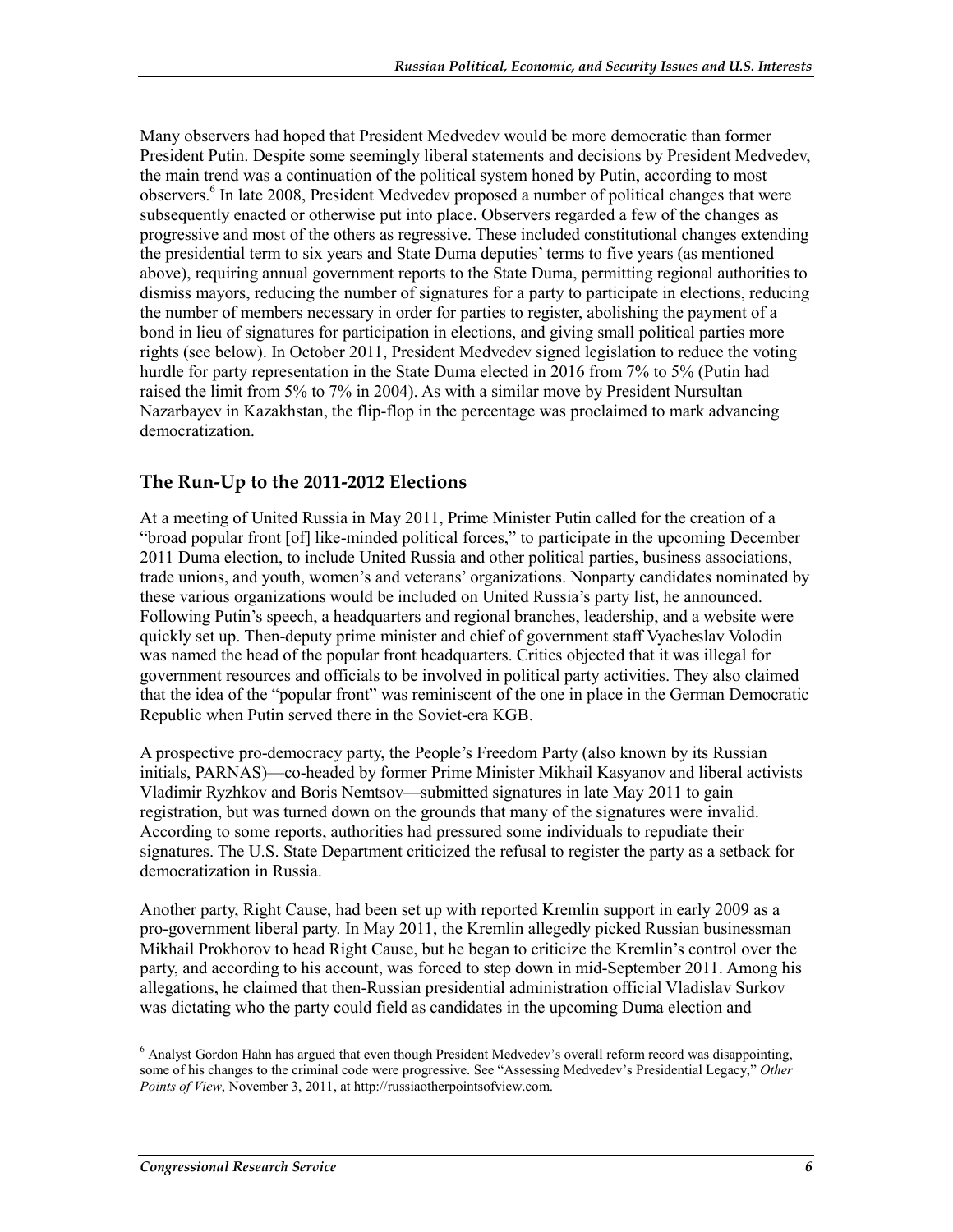Many observers had hoped that President Medvedev would be more democratic than former President Putin. Despite some seemingly liberal statements and decisions by President Medvedev, the main trend was a continuation of the political system honed by Putin, according to most observers.<sup>6</sup> In late 2008, President Medvedev proposed a number of political changes that were subsequently enacted or otherwise put into place. Observers regarded a few of the changes as progressive and most of the others as regressive. These included constitutional changes extending the presidential term to six years and State Duma deputies' terms to five years (as mentioned above), requiring annual government reports to the State Duma, permitting regional authorities to dismiss mayors, reducing the number of signatures for a party to participate in elections, reducing the number of members necessary in order for parties to register, abolishing the payment of a bond in lieu of signatures for participation in elections, and giving small political parties more rights (see below). In October 2011, President Medvedev signed legislation to reduce the voting hurdle for party representation in the State Duma elected in 2016 from 7% to 5% (Putin had raised the limit from 5% to 7% in 2004). As with a similar move by President Nursultan Nazarbayev in Kazakhstan, the flip-flop in the percentage was proclaimed to mark advancing democratization.

#### **The Run-Up to the 2011-2012 Elections**

At a meeting of United Russia in May 2011, Prime Minister Putin called for the creation of a "broad popular front [of] like-minded political forces," to participate in the upcoming December 2011 Duma election, to include United Russia and other political parties, business associations, trade unions, and youth, women's and veterans' organizations. Nonparty candidates nominated by these various organizations would be included on United Russia's party list, he announced. Following Putin's speech, a headquarters and regional branches, leadership, and a website were quickly set up. Then-deputy prime minister and chief of government staff Vyacheslav Volodin was named the head of the popular front headquarters. Critics objected that it was illegal for government resources and officials to be involved in political party activities. They also claimed that the idea of the "popular front" was reminiscent of the one in place in the German Democratic Republic when Putin served there in the Soviet-era KGB.

A prospective pro-democracy party, the People's Freedom Party (also known by its Russian initials, PARNAS)—co-headed by former Prime Minister Mikhail Kasyanov and liberal activists Vladimir Ryzhkov and Boris Nemtsov—submitted signatures in late May 2011 to gain registration, but was turned down on the grounds that many of the signatures were invalid. According to some reports, authorities had pressured some individuals to repudiate their signatures. The U.S. State Department criticized the refusal to register the party as a setback for democratization in Russia.

Another party, Right Cause, had been set up with reported Kremlin support in early 2009 as a pro-government liberal party. In May 2011, the Kremlin allegedly picked Russian businessman Mikhail Prokhorov to head Right Cause, but he began to criticize the Kremlin's control over the party, and according to his account, was forced to step down in mid-September 2011. Among his allegations, he claimed that then-Russian presidential administration official Vladislav Surkov was dictating who the party could field as candidates in the upcoming Duma election and

 6 Analyst Gordon Hahn has argued that even though President Medvedev's overall reform record was disappointing, some of his changes to the criminal code were progressive. See "Assessing Medvedev's Presidential Legacy," *Other Points of View*, November 3, 2011, at http://russiaotherpointsofview.com.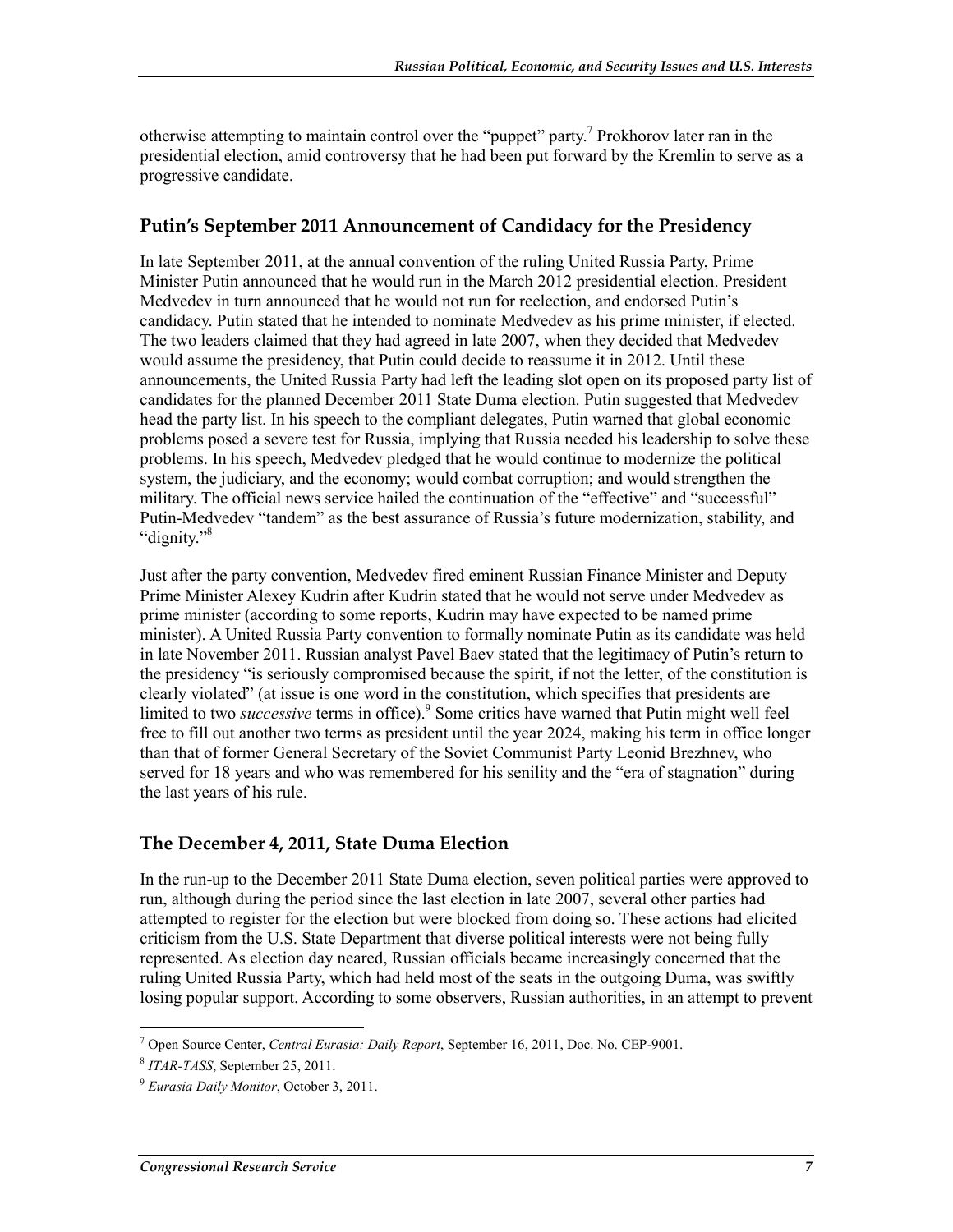otherwise attempting to maintain control over the "puppet" party.<sup>7</sup> Prokhorov later ran in the presidential election, amid controversy that he had been put forward by the Kremlin to serve as a progressive candidate.

#### **Putin's September 2011 Announcement of Candidacy for the Presidency**

In late September 2011, at the annual convention of the ruling United Russia Party, Prime Minister Putin announced that he would run in the March 2012 presidential election. President Medvedev in turn announced that he would not run for reelection, and endorsed Putin's candidacy. Putin stated that he intended to nominate Medvedev as his prime minister, if elected. The two leaders claimed that they had agreed in late 2007, when they decided that Medvedev would assume the presidency, that Putin could decide to reassume it in 2012. Until these announcements, the United Russia Party had left the leading slot open on its proposed party list of candidates for the planned December 2011 State Duma election. Putin suggested that Medvedev head the party list. In his speech to the compliant delegates, Putin warned that global economic problems posed a severe test for Russia, implying that Russia needed his leadership to solve these problems. In his speech, Medvedev pledged that he would continue to modernize the political system, the judiciary, and the economy; would combat corruption; and would strengthen the military. The official news service hailed the continuation of the "effective" and "successful" Putin-Medvedev "tandem" as the best assurance of Russia's future modernization, stability, and "dignity."8

Just after the party convention, Medvedev fired eminent Russian Finance Minister and Deputy Prime Minister Alexey Kudrin after Kudrin stated that he would not serve under Medvedev as prime minister (according to some reports, Kudrin may have expected to be named prime minister). A United Russia Party convention to formally nominate Putin as its candidate was held in late November 2011. Russian analyst Pavel Baev stated that the legitimacy of Putin's return to the presidency "is seriously compromised because the spirit, if not the letter, of the constitution is clearly violated" (at issue is one word in the constitution, which specifies that presidents are limited to two *successive* terms in office).<sup>9</sup> Some critics have warned that Putin might well feel free to fill out another two terms as president until the year 2024, making his term in office longer than that of former General Secretary of the Soviet Communist Party Leonid Brezhnev, who served for 18 years and who was remembered for his senility and the "era of stagnation" during the last years of his rule.

#### **The December 4, 2011, State Duma Election**

In the run-up to the December 2011 State Duma election, seven political parties were approved to run, although during the period since the last election in late 2007, several other parties had attempted to register for the election but were blocked from doing so. These actions had elicited criticism from the U.S. State Department that diverse political interests were not being fully represented. As election day neared, Russian officials became increasingly concerned that the ruling United Russia Party, which had held most of the seats in the outgoing Duma, was swiftly losing popular support. According to some observers, Russian authorities, in an attempt to prevent

<sup>7</sup> Open Source Center, *Central Eurasia: Daily Report*, September 16, 2011, Doc. No. CEP-9001.

<sup>8</sup> *ITAR-TASS*, September 25, 2011.

<sup>9</sup> *Eurasia Daily Monitor*, October 3, 2011.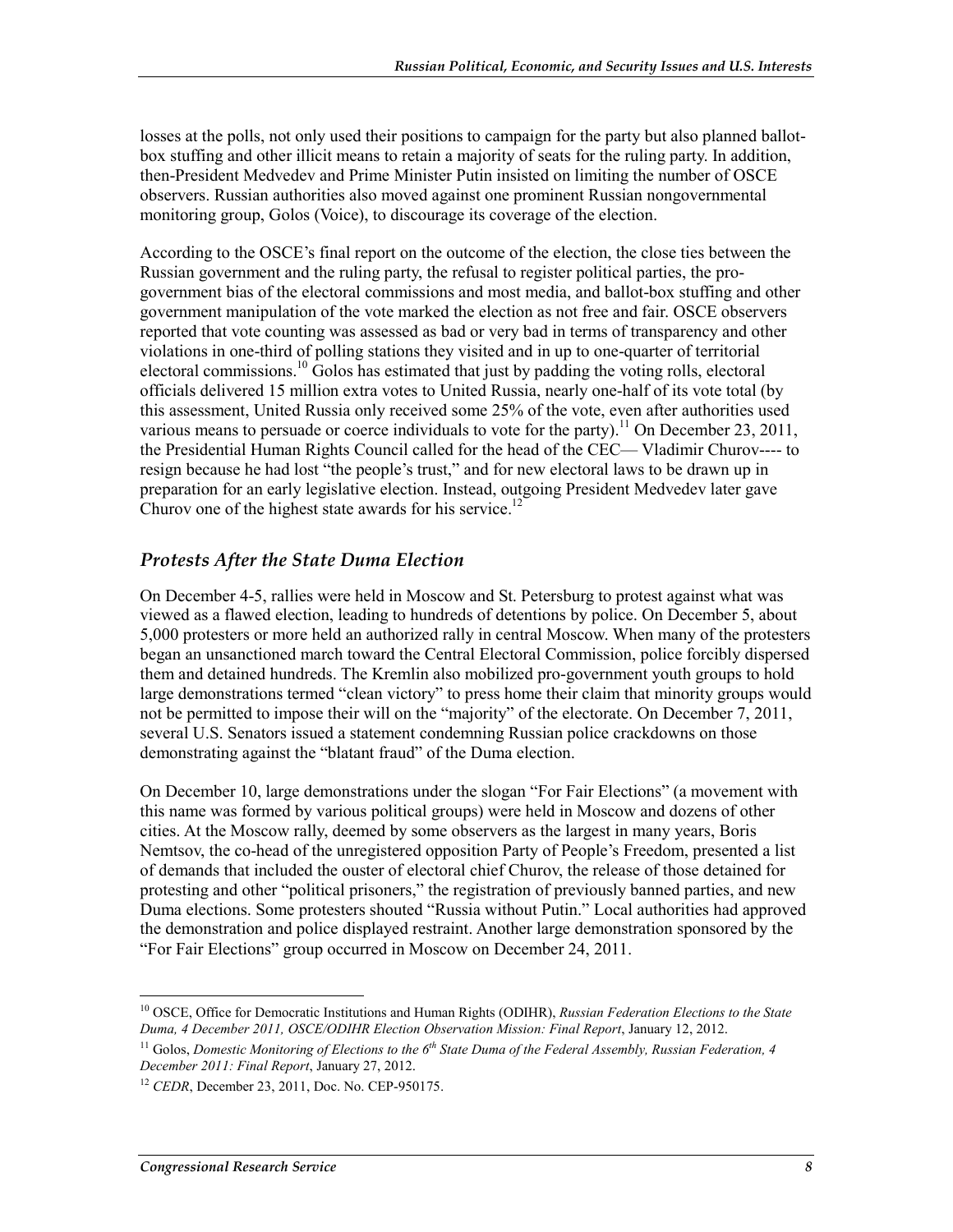losses at the polls, not only used their positions to campaign for the party but also planned ballotbox stuffing and other illicit means to retain a majority of seats for the ruling party. In addition, then-President Medvedev and Prime Minister Putin insisted on limiting the number of OSCE observers. Russian authorities also moved against one prominent Russian nongovernmental monitoring group, Golos (Voice), to discourage its coverage of the election.

According to the OSCE's final report on the outcome of the election, the close ties between the Russian government and the ruling party, the refusal to register political parties, the progovernment bias of the electoral commissions and most media, and ballot-box stuffing and other government manipulation of the vote marked the election as not free and fair. OSCE observers reported that vote counting was assessed as bad or very bad in terms of transparency and other violations in one-third of polling stations they visited and in up to one-quarter of territorial electoral commissions.10 Golos has estimated that just by padding the voting rolls, electoral officials delivered 15 million extra votes to United Russia, nearly one-half of its vote total (by this assessment, United Russia only received some 25% of the vote, even after authorities used various means to persuade or coerce individuals to vote for the party).<sup>11</sup> On December 23, 2011, the Presidential Human Rights Council called for the head of the CEC— Vladimir Churov---- to resign because he had lost "the people's trust," and for new electoral laws to be drawn up in preparation for an early legislative election. Instead, outgoing President Medvedev later gave Churov one of the highest state awards for his service.<sup>12</sup>

#### *Protests After the State Duma Election*

On December 4-5, rallies were held in Moscow and St. Petersburg to protest against what was viewed as a flawed election, leading to hundreds of detentions by police. On December 5, about 5,000 protesters or more held an authorized rally in central Moscow. When many of the protesters began an unsanctioned march toward the Central Electoral Commission, police forcibly dispersed them and detained hundreds. The Kremlin also mobilized pro-government youth groups to hold large demonstrations termed "clean victory" to press home their claim that minority groups would not be permitted to impose their will on the "majority" of the electorate. On December 7, 2011, several U.S. Senators issued a statement condemning Russian police crackdowns on those demonstrating against the "blatant fraud" of the Duma election.

On December 10, large demonstrations under the slogan "For Fair Elections" (a movement with this name was formed by various political groups) were held in Moscow and dozens of other cities. At the Moscow rally, deemed by some observers as the largest in many years, Boris Nemtsov, the co-head of the unregistered opposition Party of People's Freedom, presented a list of demands that included the ouster of electoral chief Churov, the release of those detained for protesting and other "political prisoners," the registration of previously banned parties, and new Duma elections. Some protesters shouted "Russia without Putin." Local authorities had approved the demonstration and police displayed restraint. Another large demonstration sponsored by the "For Fair Elections" group occurred in Moscow on December 24, 2011.

<sup>1</sup> 10 OSCE, Office for Democratic Institutions and Human Rights (ODIHR), *Russian Federation Elections to the State Duma, 4 December 2011, OSCE/ODIHR Election Observation Mission: Final Report*, January 12, 2012.

<sup>11</sup> Golos, *Domestic Monitoring of Elections to the 6th State Duma of the Federal Assembly, Russian Federation, 4 December 2011: Final Report*, January 27, 2012.

<sup>12</sup> *CEDR*, December 23, 2011, Doc. No. CEP-950175.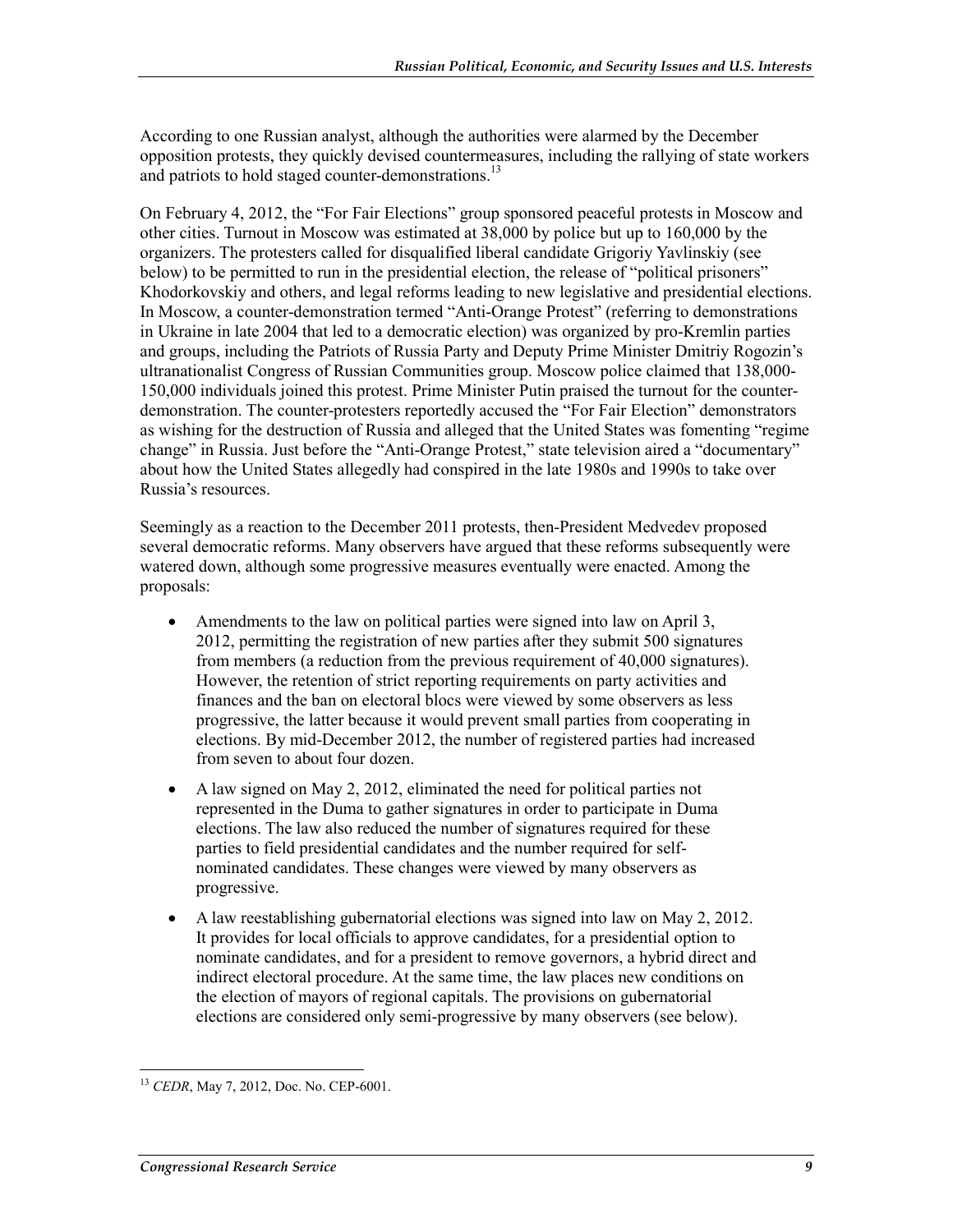According to one Russian analyst, although the authorities were alarmed by the December opposition protests, they quickly devised countermeasures, including the rallying of state workers and patriots to hold staged counter-demonstrations.<sup>13</sup>

On February 4, 2012, the "For Fair Elections" group sponsored peaceful protests in Moscow and other cities. Turnout in Moscow was estimated at 38,000 by police but up to 160,000 by the organizers. The protesters called for disqualified liberal candidate Grigoriy Yavlinskiy (see below) to be permitted to run in the presidential election, the release of "political prisoners" Khodorkovskiy and others, and legal reforms leading to new legislative and presidential elections. In Moscow, a counter-demonstration termed "Anti-Orange Protest" (referring to demonstrations in Ukraine in late 2004 that led to a democratic election) was organized by pro-Kremlin parties and groups, including the Patriots of Russia Party and Deputy Prime Minister Dmitriy Rogozin's ultranationalist Congress of Russian Communities group. Moscow police claimed that 138,000- 150,000 individuals joined this protest. Prime Minister Putin praised the turnout for the counterdemonstration. The counter-protesters reportedly accused the "For Fair Election" demonstrators as wishing for the destruction of Russia and alleged that the United States was fomenting "regime change" in Russia. Just before the "Anti-Orange Protest," state television aired a "documentary" about how the United States allegedly had conspired in the late 1980s and 1990s to take over Russia's resources.

Seemingly as a reaction to the December 2011 protests, then-President Medvedev proposed several democratic reforms. Many observers have argued that these reforms subsequently were watered down, although some progressive measures eventually were enacted. Among the proposals:

- Amendments to the law on political parties were signed into law on April 3, 2012, permitting the registration of new parties after they submit 500 signatures from members (a reduction from the previous requirement of 40,000 signatures). However, the retention of strict reporting requirements on party activities and finances and the ban on electoral blocs were viewed by some observers as less progressive, the latter because it would prevent small parties from cooperating in elections. By mid-December 2012, the number of registered parties had increased from seven to about four dozen.
- A law signed on May 2, 2012, eliminated the need for political parties not represented in the Duma to gather signatures in order to participate in Duma elections. The law also reduced the number of signatures required for these parties to field presidential candidates and the number required for selfnominated candidates. These changes were viewed by many observers as progressive.
- A law reestablishing gubernatorial elections was signed into law on May 2, 2012. It provides for local officials to approve candidates, for a presidential option to nominate candidates, and for a president to remove governors, a hybrid direct and indirect electoral procedure. At the same time, the law places new conditions on the election of mayors of regional capitals. The provisions on gubernatorial elections are considered only semi-progressive by many observers (see below).

<sup>&</sup>lt;u>.</u> <sup>13</sup> *CEDR*, May 7, 2012, Doc. No. CEP-6001.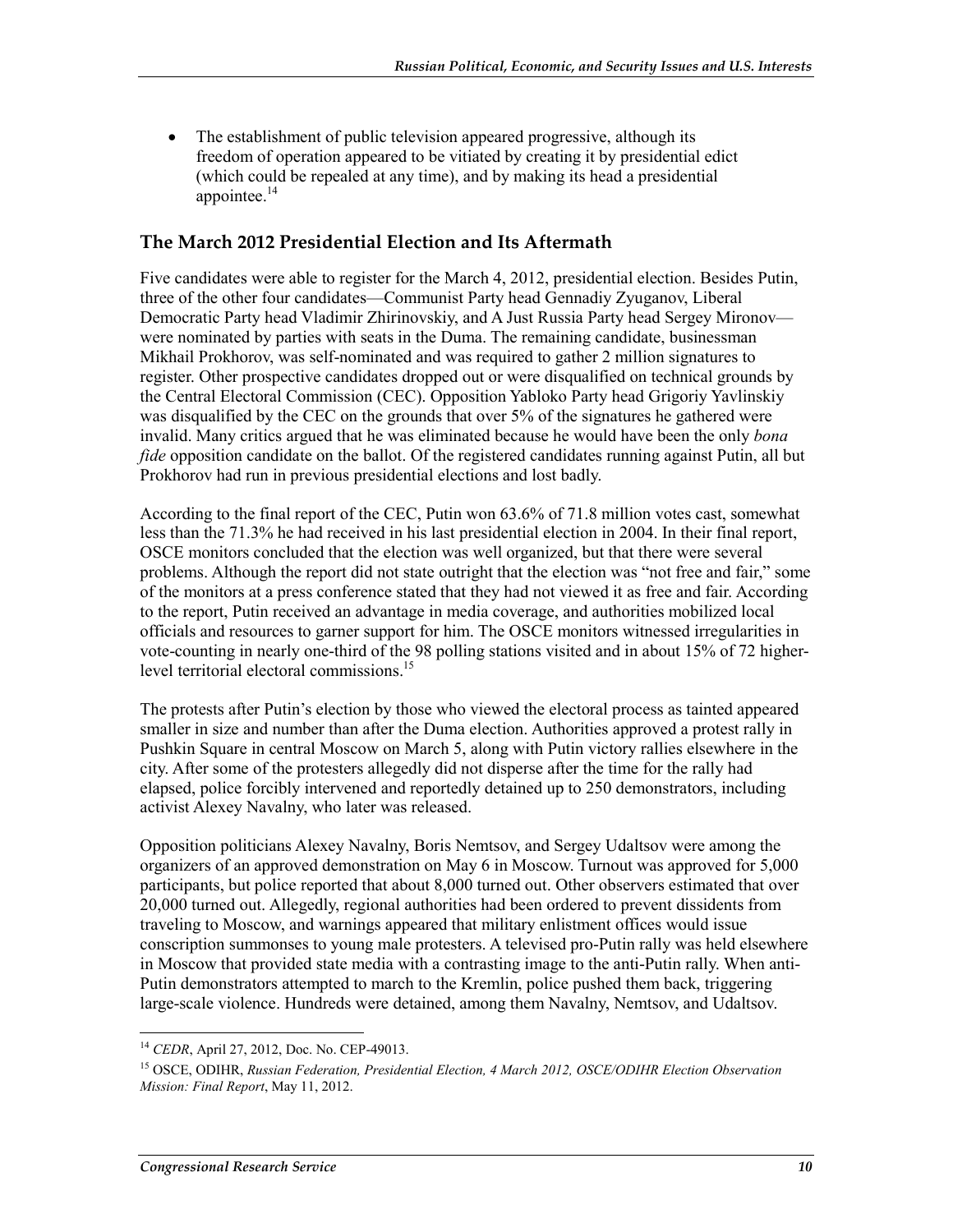• The establishment of public television appeared progressive, although its freedom of operation appeared to be vitiated by creating it by presidential edict (which could be repealed at any time), and by making its head a presidential appointee. $14$ 

#### **The March 2012 Presidential Election and Its Aftermath**

Five candidates were able to register for the March 4, 2012, presidential election. Besides Putin, three of the other four candidates—Communist Party head Gennadiy Zyuganov, Liberal Democratic Party head Vladimir Zhirinovskiy, and A Just Russia Party head Sergey Mironov were nominated by parties with seats in the Duma. The remaining candidate, businessman Mikhail Prokhorov, was self-nominated and was required to gather 2 million signatures to register. Other prospective candidates dropped out or were disqualified on technical grounds by the Central Electoral Commission (CEC). Opposition Yabloko Party head Grigoriy Yavlinskiy was disqualified by the CEC on the grounds that over 5% of the signatures he gathered were invalid. Many critics argued that he was eliminated because he would have been the only *bona fide* opposition candidate on the ballot. Of the registered candidates running against Putin, all but Prokhorov had run in previous presidential elections and lost badly.

According to the final report of the CEC, Putin won 63.6% of 71.8 million votes cast, somewhat less than the 71.3% he had received in his last presidential election in 2004. In their final report, OSCE monitors concluded that the election was well organized, but that there were several problems. Although the report did not state outright that the election was "not free and fair," some of the monitors at a press conference stated that they had not viewed it as free and fair. According to the report, Putin received an advantage in media coverage, and authorities mobilized local officials and resources to garner support for him. The OSCE monitors witnessed irregularities in vote-counting in nearly one-third of the 98 polling stations visited and in about 15% of 72 higherlevel territorial electoral commissions.<sup>15</sup>

The protests after Putin's election by those who viewed the electoral process as tainted appeared smaller in size and number than after the Duma election. Authorities approved a protest rally in Pushkin Square in central Moscow on March 5, along with Putin victory rallies elsewhere in the city. After some of the protesters allegedly did not disperse after the time for the rally had elapsed, police forcibly intervened and reportedly detained up to 250 demonstrators, including activist Alexey Navalny, who later was released.

Opposition politicians Alexey Navalny, Boris Nemtsov, and Sergey Udaltsov were among the organizers of an approved demonstration on May 6 in Moscow. Turnout was approved for 5,000 participants, but police reported that about 8,000 turned out. Other observers estimated that over 20,000 turned out. Allegedly, regional authorities had been ordered to prevent dissidents from traveling to Moscow, and warnings appeared that military enlistment offices would issue conscription summonses to young male protesters. A televised pro-Putin rally was held elsewhere in Moscow that provided state media with a contrasting image to the anti-Putin rally. When anti-Putin demonstrators attempted to march to the Kremlin, police pushed them back, triggering large-scale violence. Hundreds were detained, among them Navalny, Nemtsov, and Udaltsov.

<sup>14</sup> *CEDR*, April 27, 2012, Doc. No. CEP-49013.

<sup>15</sup> OSCE, ODIHR, *Russian Federation, Presidential Election, 4 March 2012, OSCE/ODIHR Election Observation Mission: Final Report*, May 11, 2012.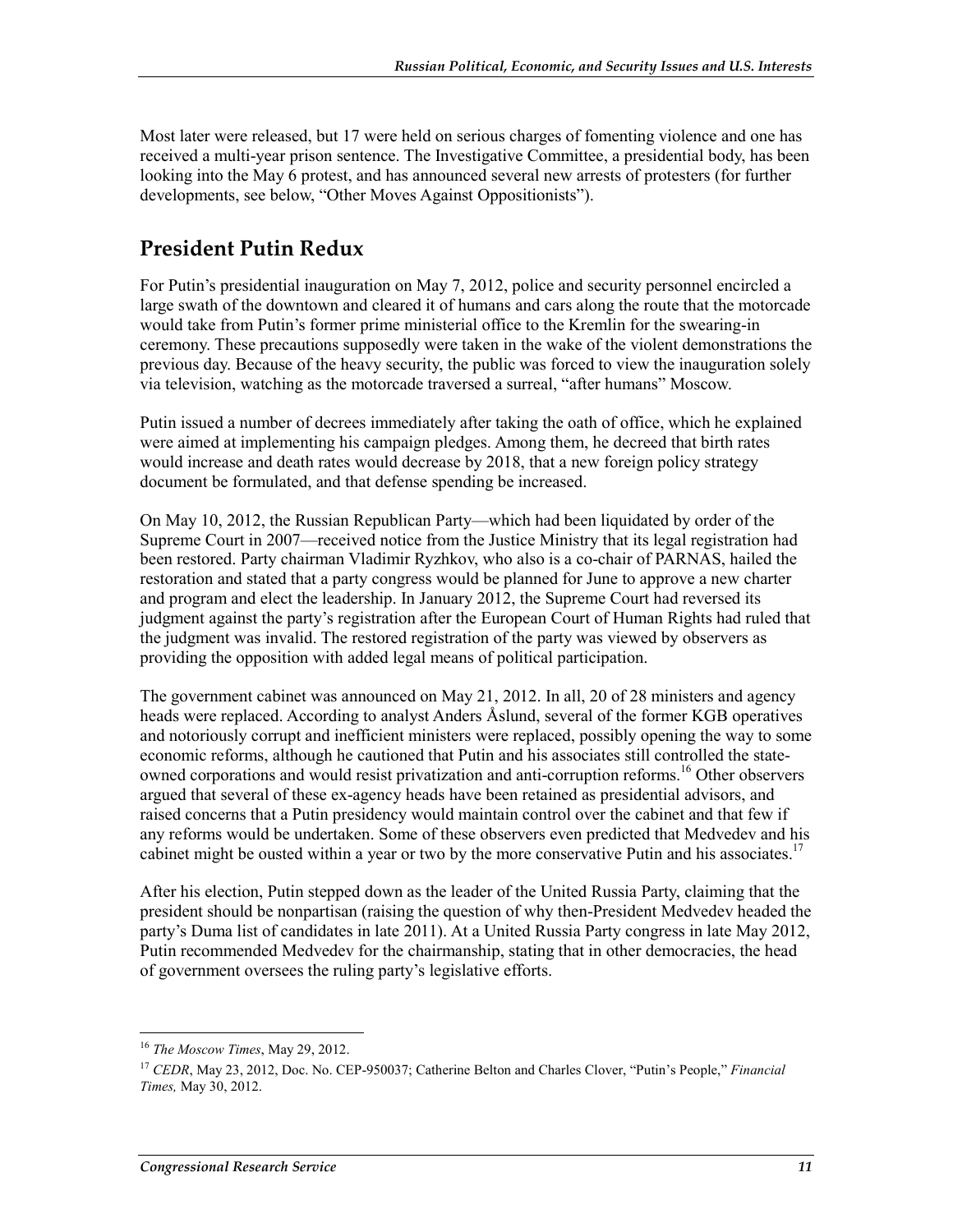Most later were released, but 17 were held on serious charges of fomenting violence and one has received a multi-year prison sentence. The Investigative Committee, a presidential body, has been looking into the May 6 protest, and has announced several new arrests of protesters (for further developments, see below, "Other Moves Against Oppositionists").

## **President Putin Redux**

For Putin's presidential inauguration on May 7, 2012, police and security personnel encircled a large swath of the downtown and cleared it of humans and cars along the route that the motorcade would take from Putin's former prime ministerial office to the Kremlin for the swearing-in ceremony. These precautions supposedly were taken in the wake of the violent demonstrations the previous day. Because of the heavy security, the public was forced to view the inauguration solely via television, watching as the motorcade traversed a surreal, "after humans" Moscow.

Putin issued a number of decrees immediately after taking the oath of office, which he explained were aimed at implementing his campaign pledges. Among them, he decreed that birth rates would increase and death rates would decrease by 2018, that a new foreign policy strategy document be formulated, and that defense spending be increased.

On May 10, 2012, the Russian Republican Party—which had been liquidated by order of the Supreme Court in 2007—received notice from the Justice Ministry that its legal registration had been restored. Party chairman Vladimir Ryzhkov, who also is a co-chair of PARNAS, hailed the restoration and stated that a party congress would be planned for June to approve a new charter and program and elect the leadership. In January 2012, the Supreme Court had reversed its judgment against the party's registration after the European Court of Human Rights had ruled that the judgment was invalid. The restored registration of the party was viewed by observers as providing the opposition with added legal means of political participation.

The government cabinet was announced on May 21, 2012. In all, 20 of 28 ministers and agency heads were replaced. According to analyst Anders Åslund, several of the former KGB operatives and notoriously corrupt and inefficient ministers were replaced, possibly opening the way to some economic reforms, although he cautioned that Putin and his associates still controlled the stateowned corporations and would resist privatization and anti-corruption reforms.<sup>16</sup> Other observers argued that several of these ex-agency heads have been retained as presidential advisors, and raised concerns that a Putin presidency would maintain control over the cabinet and that few if any reforms would be undertaken. Some of these observers even predicted that Medvedev and his cabinet might be ousted within a year or two by the more conservative Putin and his associates.<sup>17</sup>

After his election, Putin stepped down as the leader of the United Russia Party, claiming that the president should be nonpartisan (raising the question of why then-President Medvedev headed the party's Duma list of candidates in late 2011). At a United Russia Party congress in late May 2012, Putin recommended Medvedev for the chairmanship, stating that in other democracies, the head of government oversees the ruling party's legislative efforts.

<sup>16</sup> *The Moscow Times*, May 29, 2012.

<sup>17</sup> *CEDR*, May 23, 2012, Doc. No. CEP-950037; Catherine Belton and Charles Clover, "Putin's People," *Financial Times,* May 30, 2012.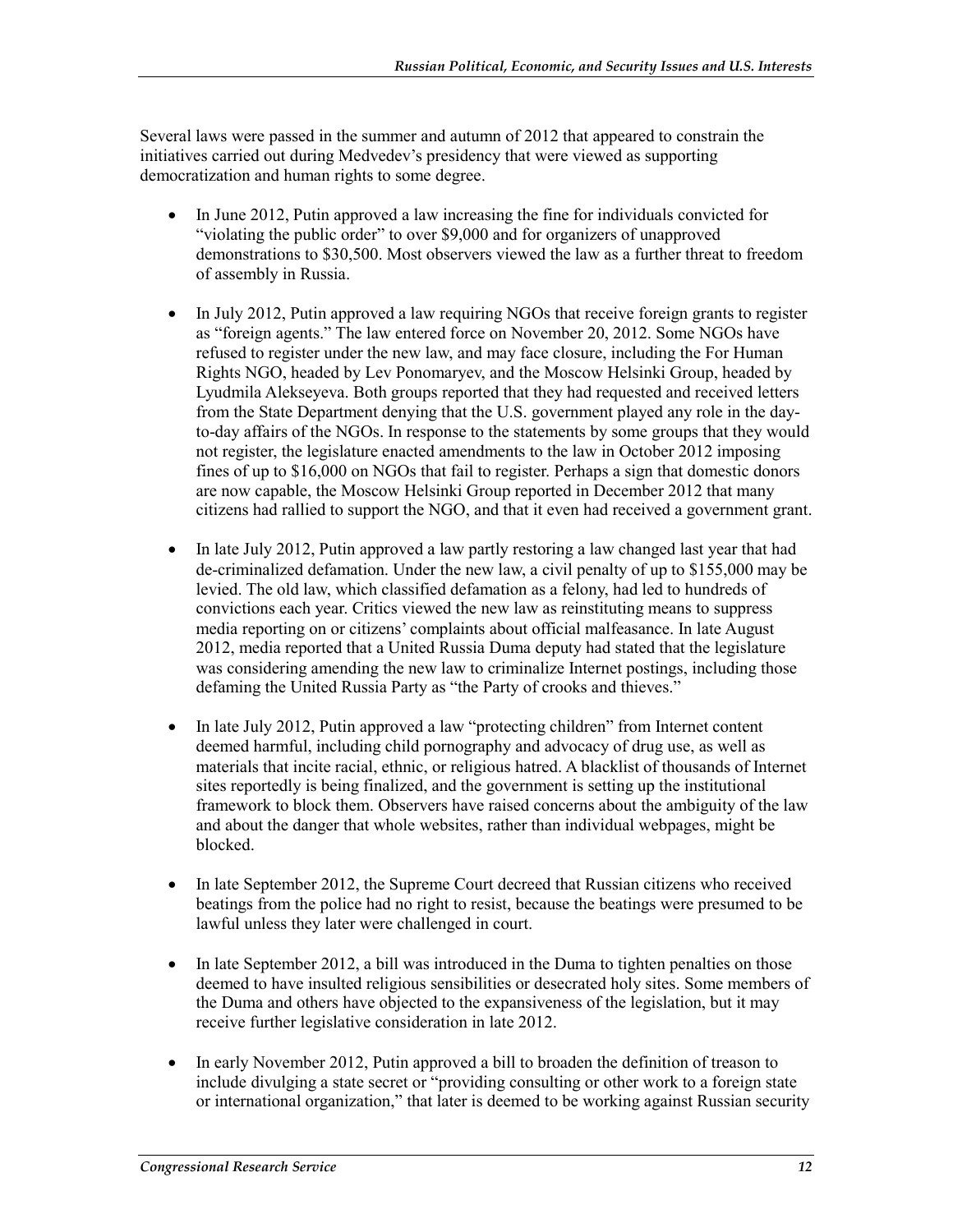Several laws were passed in the summer and autumn of 2012 that appeared to constrain the initiatives carried out during Medvedev's presidency that were viewed as supporting democratization and human rights to some degree.

- In June 2012, Putin approved a law increasing the fine for individuals convicted for "violating the public order" to over \$9,000 and for organizers of unapproved demonstrations to \$30,500. Most observers viewed the law as a further threat to freedom of assembly in Russia.
- In July 2012, Putin approved a law requiring NGOs that receive foreign grants to register as "foreign agents." The law entered force on November 20, 2012. Some NGOs have refused to register under the new law, and may face closure, including the For Human Rights NGO, headed by Lev Ponomaryev, and the Moscow Helsinki Group, headed by Lyudmila Alekseyeva. Both groups reported that they had requested and received letters from the State Department denying that the U.S. government played any role in the dayto-day affairs of the NGOs. In response to the statements by some groups that they would not register, the legislature enacted amendments to the law in October 2012 imposing fines of up to \$16,000 on NGOs that fail to register. Perhaps a sign that domestic donors are now capable, the Moscow Helsinki Group reported in December 2012 that many citizens had rallied to support the NGO, and that it even had received a government grant.
- In late July 2012, Putin approved a law partly restoring a law changed last year that had de-criminalized defamation. Under the new law, a civil penalty of up to \$155,000 may be levied. The old law, which classified defamation as a felony, had led to hundreds of convictions each year. Critics viewed the new law as reinstituting means to suppress media reporting on or citizens' complaints about official malfeasance. In late August 2012, media reported that a United Russia Duma deputy had stated that the legislature was considering amending the new law to criminalize Internet postings, including those defaming the United Russia Party as "the Party of crooks and thieves."
- In late July 2012, Putin approved a law "protecting children" from Internet content deemed harmful, including child pornography and advocacy of drug use, as well as materials that incite racial, ethnic, or religious hatred. A blacklist of thousands of Internet sites reportedly is being finalized, and the government is setting up the institutional framework to block them. Observers have raised concerns about the ambiguity of the law and about the danger that whole websites, rather than individual webpages, might be blocked.
- In late September 2012, the Supreme Court decreed that Russian citizens who received beatings from the police had no right to resist, because the beatings were presumed to be lawful unless they later were challenged in court.
- In late September 2012, a bill was introduced in the Duma to tighten penalties on those deemed to have insulted religious sensibilities or desecrated holy sites. Some members of the Duma and others have objected to the expansiveness of the legislation, but it may receive further legislative consideration in late 2012.
- In early November 2012, Putin approved a bill to broaden the definition of treason to include divulging a state secret or "providing consulting or other work to a foreign state or international organization," that later is deemed to be working against Russian security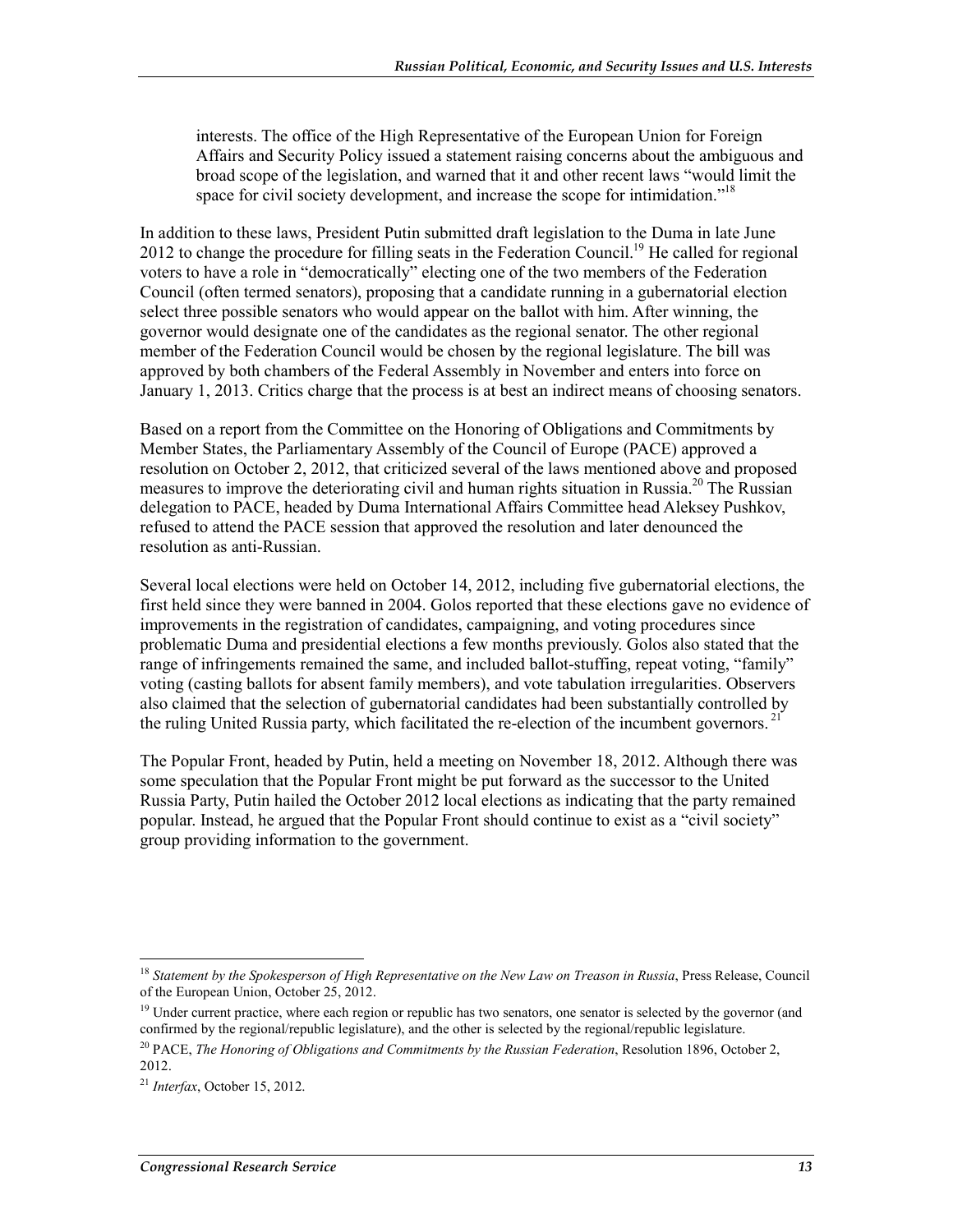interests. The office of the High Representative of the European Union for Foreign Affairs and Security Policy issued a statement raising concerns about the ambiguous and broad scope of the legislation, and warned that it and other recent laws "would limit the space for civil society development, and increase the scope for intimidation."<sup>18</sup>

In addition to these laws, President Putin submitted draft legislation to the Duma in late June 2012 to change the procedure for filling seats in the Federation Council.<sup>19</sup> He called for regional voters to have a role in "democratically" electing one of the two members of the Federation Council (often termed senators), proposing that a candidate running in a gubernatorial election select three possible senators who would appear on the ballot with him. After winning, the governor would designate one of the candidates as the regional senator. The other regional member of the Federation Council would be chosen by the regional legislature. The bill was approved by both chambers of the Federal Assembly in November and enters into force on January 1, 2013. Critics charge that the process is at best an indirect means of choosing senators.

Based on a report from the Committee on the Honoring of Obligations and Commitments by Member States, the Parliamentary Assembly of the Council of Europe (PACE) approved a resolution on October 2, 2012, that criticized several of the laws mentioned above and proposed measures to improve the deteriorating civil and human rights situation in Russia.<sup>20</sup> The Russian delegation to PACE, headed by Duma International Affairs Committee head Aleksey Pushkov, refused to attend the PACE session that approved the resolution and later denounced the resolution as anti-Russian.

Several local elections were held on October 14, 2012, including five gubernatorial elections, the first held since they were banned in 2004. Golos reported that these elections gave no evidence of improvements in the registration of candidates, campaigning, and voting procedures since problematic Duma and presidential elections a few months previously. Golos also stated that the range of infringements remained the same, and included ballot-stuffing, repeat voting, "family" voting (casting ballots for absent family members), and vote tabulation irregularities. Observers also claimed that the selection of gubernatorial candidates had been substantially controlled by the ruling United Russia party, which facilitated the re-election of the incumbent governors.<sup>21</sup>

The Popular Front, headed by Putin, held a meeting on November 18, 2012. Although there was some speculation that the Popular Front might be put forward as the successor to the United Russia Party, Putin hailed the October 2012 local elections as indicating that the party remained popular. Instead, he argued that the Popular Front should continue to exist as a "civil society" group providing information to the government.

<sup>&</sup>lt;sup>18</sup> Statement by the Spokesperson of High Representative on the New Law on Treason in Russia, Press Release, Council of the European Union, October 25, 2012.

 $<sup>19</sup>$  Under current practice, where each region or republic has two senators, one senator is selected by the governor (and</sup> confirmed by the regional/republic legislature), and the other is selected by the regional/republic legislature.

<sup>&</sup>lt;sup>20</sup> PACE, *The Honoring of Obligations and Commitments by the Russian Federation*, Resolution 1896, October 2, 2012.

<sup>21</sup> *Interfax*, October 15, 2012.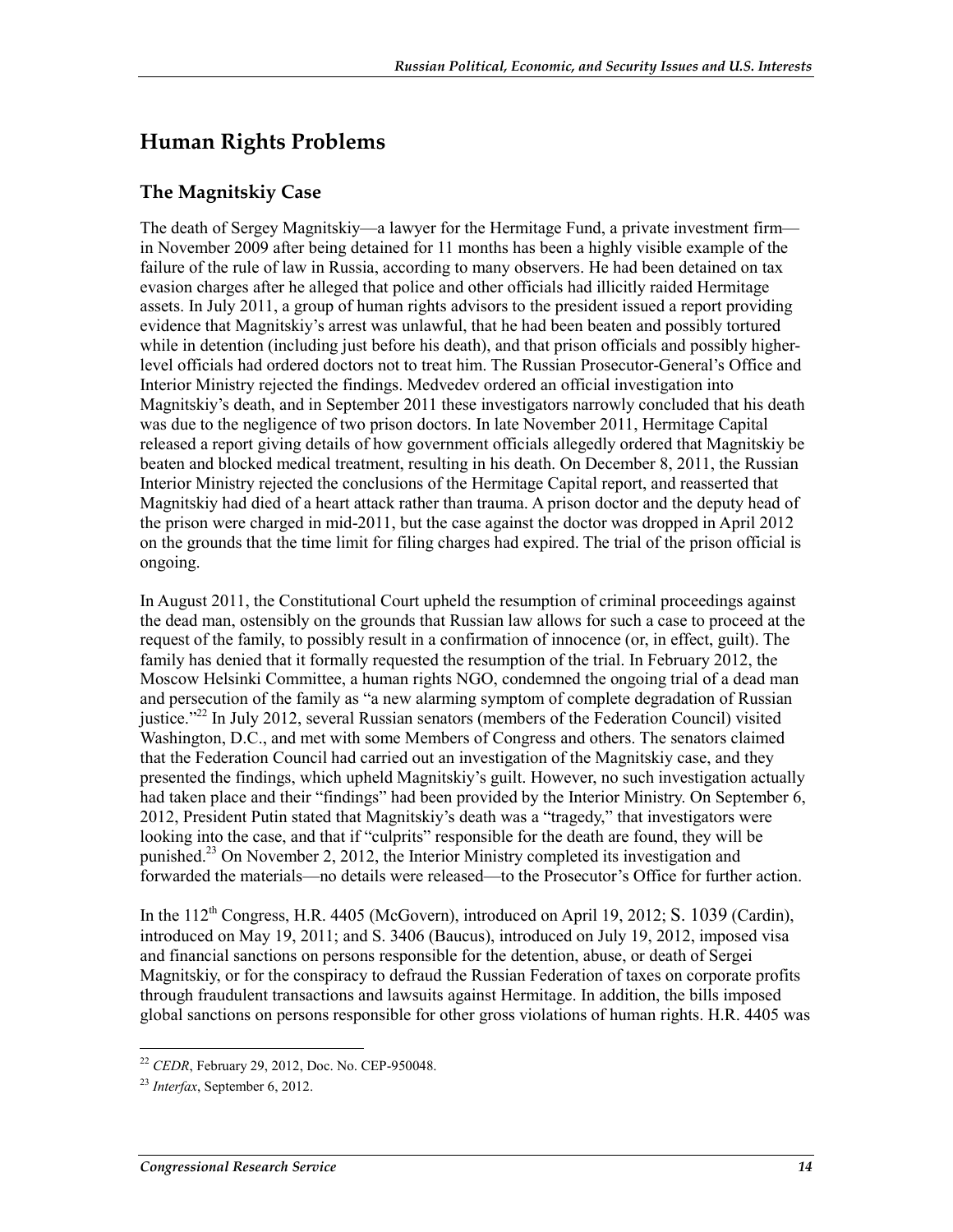### **Human Rights Problems**

#### **The Magnitskiy Case**

The death of Sergey Magnitskiy—a lawyer for the Hermitage Fund, a private investment firm in November 2009 after being detained for 11 months has been a highly visible example of the failure of the rule of law in Russia, according to many observers. He had been detained on tax evasion charges after he alleged that police and other officials had illicitly raided Hermitage assets. In July 2011, a group of human rights advisors to the president issued a report providing evidence that Magnitskiy's arrest was unlawful, that he had been beaten and possibly tortured while in detention (including just before his death), and that prison officials and possibly higherlevel officials had ordered doctors not to treat him. The Russian Prosecutor-General's Office and Interior Ministry rejected the findings. Medvedev ordered an official investigation into Magnitskiy's death, and in September 2011 these investigators narrowly concluded that his death was due to the negligence of two prison doctors. In late November 2011, Hermitage Capital released a report giving details of how government officials allegedly ordered that Magnitskiy be beaten and blocked medical treatment, resulting in his death. On December 8, 2011, the Russian Interior Ministry rejected the conclusions of the Hermitage Capital report, and reasserted that Magnitskiy had died of a heart attack rather than trauma. A prison doctor and the deputy head of the prison were charged in mid-2011, but the case against the doctor was dropped in April 2012 on the grounds that the time limit for filing charges had expired. The trial of the prison official is ongoing.

In August 2011, the Constitutional Court upheld the resumption of criminal proceedings against the dead man, ostensibly on the grounds that Russian law allows for such a case to proceed at the request of the family, to possibly result in a confirmation of innocence (or, in effect, guilt). The family has denied that it formally requested the resumption of the trial. In February 2012, the Moscow Helsinki Committee, a human rights NGO, condemned the ongoing trial of a dead man and persecution of the family as "a new alarming symptom of complete degradation of Russian justice."<sup>22</sup> In July 2012, several Russian senators (members of the Federation Council) visited Washington, D.C., and met with some Members of Congress and others. The senators claimed that the Federation Council had carried out an investigation of the Magnitskiy case, and they presented the findings, which upheld Magnitskiy's guilt. However, no such investigation actually had taken place and their "findings" had been provided by the Interior Ministry. On September 6, 2012, President Putin stated that Magnitskiy's death was a "tragedy," that investigators were looking into the case, and that if "culprits" responsible for the death are found, they will be punished.<sup>23</sup> On November 2, 2012, the Interior Ministry completed its investigation and forwarded the materials—no details were released—to the Prosecutor's Office for further action.

In the  $112^{th}$  Congress, H.R. 4405 (McGovern), introduced on April 19, 2012; S. 1039 (Cardin), introduced on May 19, 2011; and S. 3406 (Baucus), introduced on July 19, 2012, imposed visa and financial sanctions on persons responsible for the detention, abuse, or death of Sergei Magnitskiy, or for the conspiracy to defraud the Russian Federation of taxes on corporate profits through fraudulent transactions and lawsuits against Hermitage. In addition, the bills imposed global sanctions on persons responsible for other gross violations of human rights. H.R. 4405 was

<sup>1</sup> <sup>22</sup> *CEDR*, February 29, 2012, Doc. No. CEP-950048.

<sup>23</sup> *Interfax*, September 6, 2012.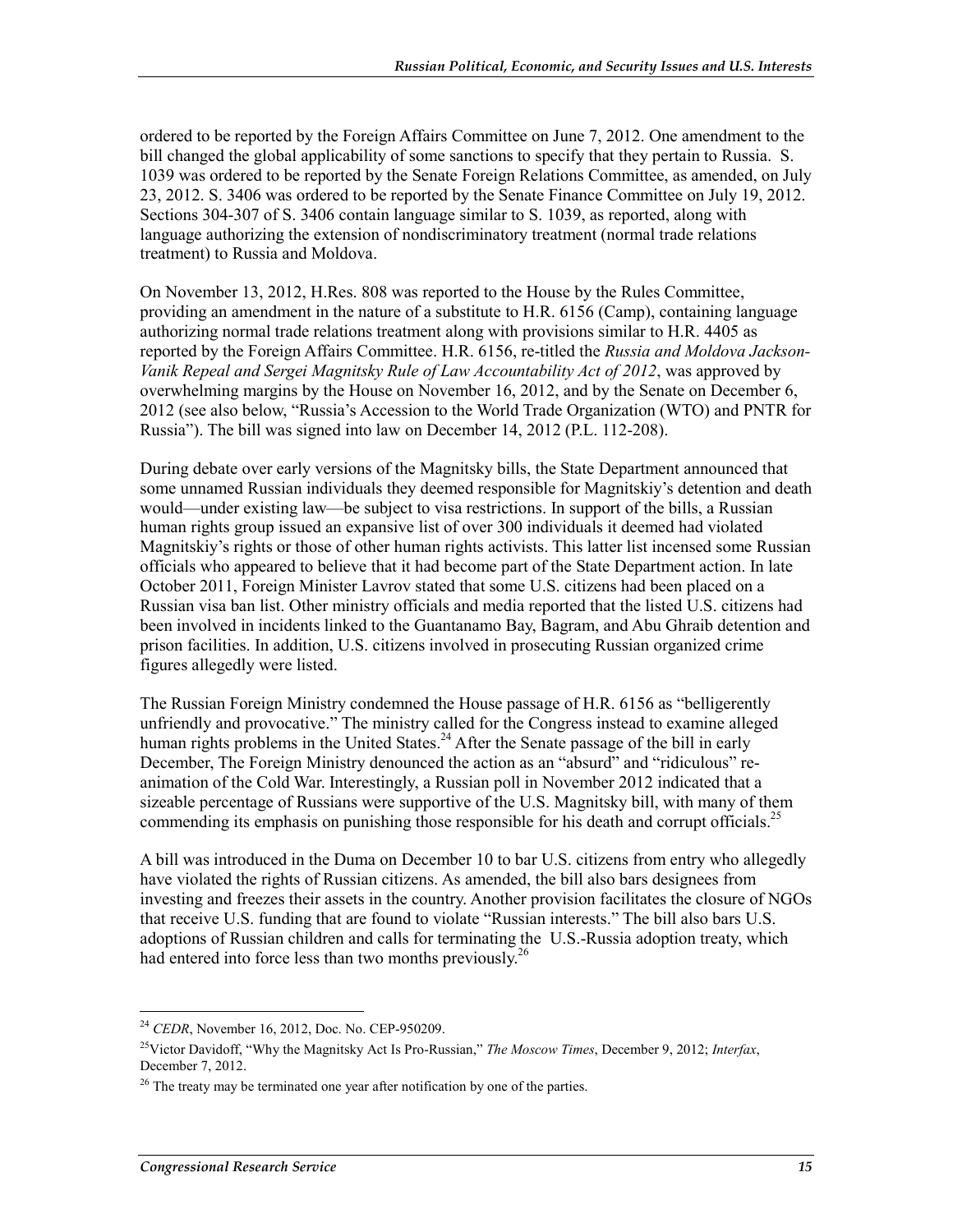ordered to be reported by the Foreign Affairs Committee on June 7, 2012. One amendment to the bill changed the global applicability of some sanctions to specify that they pertain to Russia. S. 1039 was ordered to be reported by the Senate Foreign Relations Committee, as amended, on July 23, 2012. S. 3406 was ordered to be reported by the Senate Finance Committee on July 19, 2012. Sections 304-307 of S. 3406 contain language similar to S. 1039, as reported, along with language authorizing the extension of nondiscriminatory treatment (normal trade relations treatment) to Russia and Moldova.

On November 13, 2012, H.Res. 808 was reported to the House by the Rules Committee, providing an amendment in the nature of a substitute to H.R. 6156 (Camp), containing language authorizing normal trade relations treatment along with provisions similar to H.R. 4405 as reported by the Foreign Affairs Committee. H.R. 6156, re-titled the *Russia and Moldova Jackson-Vanik Repeal and Sergei Magnitsky Rule of Law Accountability Act of 2012*, was approved by overwhelming margins by the House on November 16, 2012, and by the Senate on December 6, 2012 (see also below, "Russia's Accession to the World Trade Organization (WTO) and PNTR for Russia"). The bill was signed into law on December 14, 2012 (P.L. 112-208).

During debate over early versions of the Magnitsky bills, the State Department announced that some unnamed Russian individuals they deemed responsible for Magnitskiy's detention and death would—under existing law—be subject to visa restrictions. In support of the bills, a Russian human rights group issued an expansive list of over 300 individuals it deemed had violated Magnitskiy's rights or those of other human rights activists. This latter list incensed some Russian officials who appeared to believe that it had become part of the State Department action. In late October 2011, Foreign Minister Lavrov stated that some U.S. citizens had been placed on a Russian visa ban list. Other ministry officials and media reported that the listed U.S. citizens had been involved in incidents linked to the Guantanamo Bay, Bagram, and Abu Ghraib detention and prison facilities. In addition, U.S. citizens involved in prosecuting Russian organized crime figures allegedly were listed.

The Russian Foreign Ministry condemned the House passage of H.R. 6156 as "belligerently unfriendly and provocative." The ministry called for the Congress instead to examine alleged human rights problems in the United States.<sup>24</sup> After the Senate passage of the bill in early December, The Foreign Ministry denounced the action as an "absurd" and "ridiculous" reanimation of the Cold War. Interestingly, a Russian poll in November 2012 indicated that a sizeable percentage of Russians were supportive of the U.S. Magnitsky bill, with many of them commending its emphasis on punishing those responsible for his death and corrupt officials.<sup>25</sup>

A bill was introduced in the Duma on December 10 to bar U.S. citizens from entry who allegedly have violated the rights of Russian citizens. As amended, the bill also bars designees from investing and freezes their assets in the country. Another provision facilitates the closure of NGOs that receive U.S. funding that are found to violate "Russian interests." The bill also bars U.S. adoptions of Russian children and calls for terminating the U.S.-Russia adoption treaty, which had entered into force less than two months previously.<sup>26</sup>

<sup>&</sup>lt;sup>24</sup> *CEDR*, November 16, 2012, Doc. No. CEP-950209.

<sup>25</sup>Victor Davidoff, "Why the Magnitsky Act Is Pro-Russian," *The Moscow Times*, December 9, 2012; *Interfax*, December 7, 2012.

 $26$  The treaty may be terminated one year after notification by one of the parties.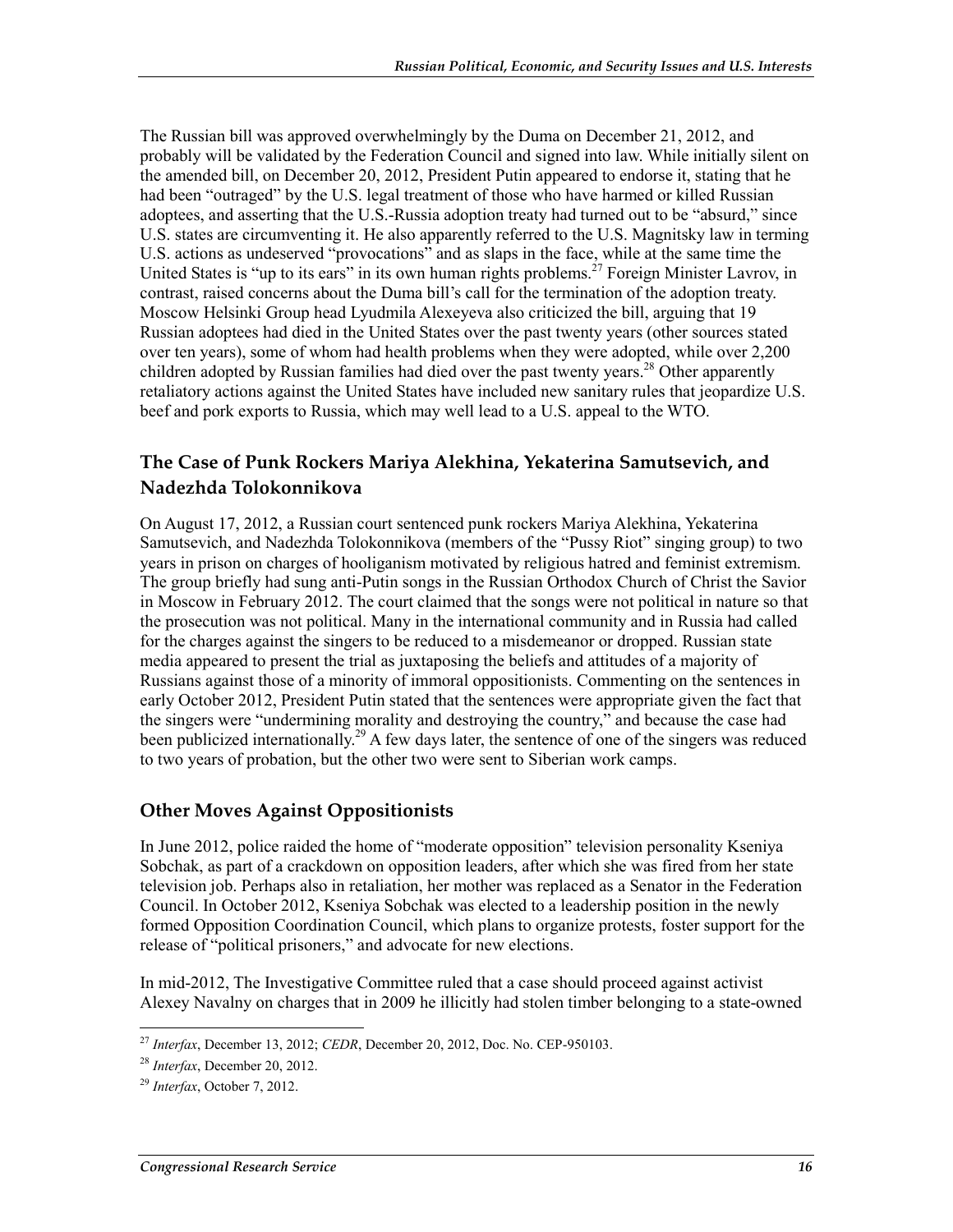The Russian bill was approved overwhelmingly by the Duma on December 21, 2012, and probably will be validated by the Federation Council and signed into law. While initially silent on the amended bill, on December 20, 2012, President Putin appeared to endorse it, stating that he had been "outraged" by the U.S. legal treatment of those who have harmed or killed Russian adoptees, and asserting that the U.S.-Russia adoption treaty had turned out to be "absurd," since U.S. states are circumventing it. He also apparently referred to the U.S. Magnitsky law in terming U.S. actions as undeserved "provocations" and as slaps in the face, while at the same time the United States is "up to its ears" in its own human rights problems.<sup>27</sup> Foreign Minister Lavrov, in contrast, raised concerns about the Duma bill's call for the termination of the adoption treaty. Moscow Helsinki Group head Lyudmila Alexeyeva also criticized the bill, arguing that 19 Russian adoptees had died in the United States over the past twenty years (other sources stated over ten years), some of whom had health problems when they were adopted, while over 2,200 children adopted by Russian families had died over the past twenty years.<sup>28</sup> Other apparently retaliatory actions against the United States have included new sanitary rules that jeopardize U.S. beef and pork exports to Russia, which may well lead to a U.S. appeal to the WTO.

#### **The Case of Punk Rockers Mariya Alekhina, Yekaterina Samutsevich, and Nadezhda Tolokonnikova**

On August 17, 2012, a Russian court sentenced punk rockers Mariya Alekhina, Yekaterina Samutsevich, and Nadezhda Tolokonnikova (members of the "Pussy Riot" singing group) to two years in prison on charges of hooliganism motivated by religious hatred and feminist extremism. The group briefly had sung anti-Putin songs in the Russian Orthodox Church of Christ the Savior in Moscow in February 2012. The court claimed that the songs were not political in nature so that the prosecution was not political. Many in the international community and in Russia had called for the charges against the singers to be reduced to a misdemeanor or dropped. Russian state media appeared to present the trial as juxtaposing the beliefs and attitudes of a majority of Russians against those of a minority of immoral oppositionists. Commenting on the sentences in early October 2012, President Putin stated that the sentences were appropriate given the fact that the singers were "undermining morality and destroying the country," and because the case had been publicized internationally.<sup>29</sup> A few days later, the sentence of one of the singers was reduced to two years of probation, but the other two were sent to Siberian work camps.

#### **Other Moves Against Oppositionists**

In June 2012, police raided the home of "moderate opposition" television personality Kseniya Sobchak, as part of a crackdown on opposition leaders, after which she was fired from her state television job. Perhaps also in retaliation, her mother was replaced as a Senator in the Federation Council. In October 2012, Kseniya Sobchak was elected to a leadership position in the newly formed Opposition Coordination Council, which plans to organize protests, foster support for the release of "political prisoners," and advocate for new elections.

In mid-2012, The Investigative Committee ruled that a case should proceed against activist Alexey Navalny on charges that in 2009 he illicitly had stolen timber belonging to a state-owned

<sup>27</sup> *Interfax*, December 13, 2012; *CEDR*, December 20, 2012, Doc. No. CEP-950103.

<sup>28</sup> *Interfax*, December 20, 2012.

<sup>29</sup> *Interfax*, October 7, 2012.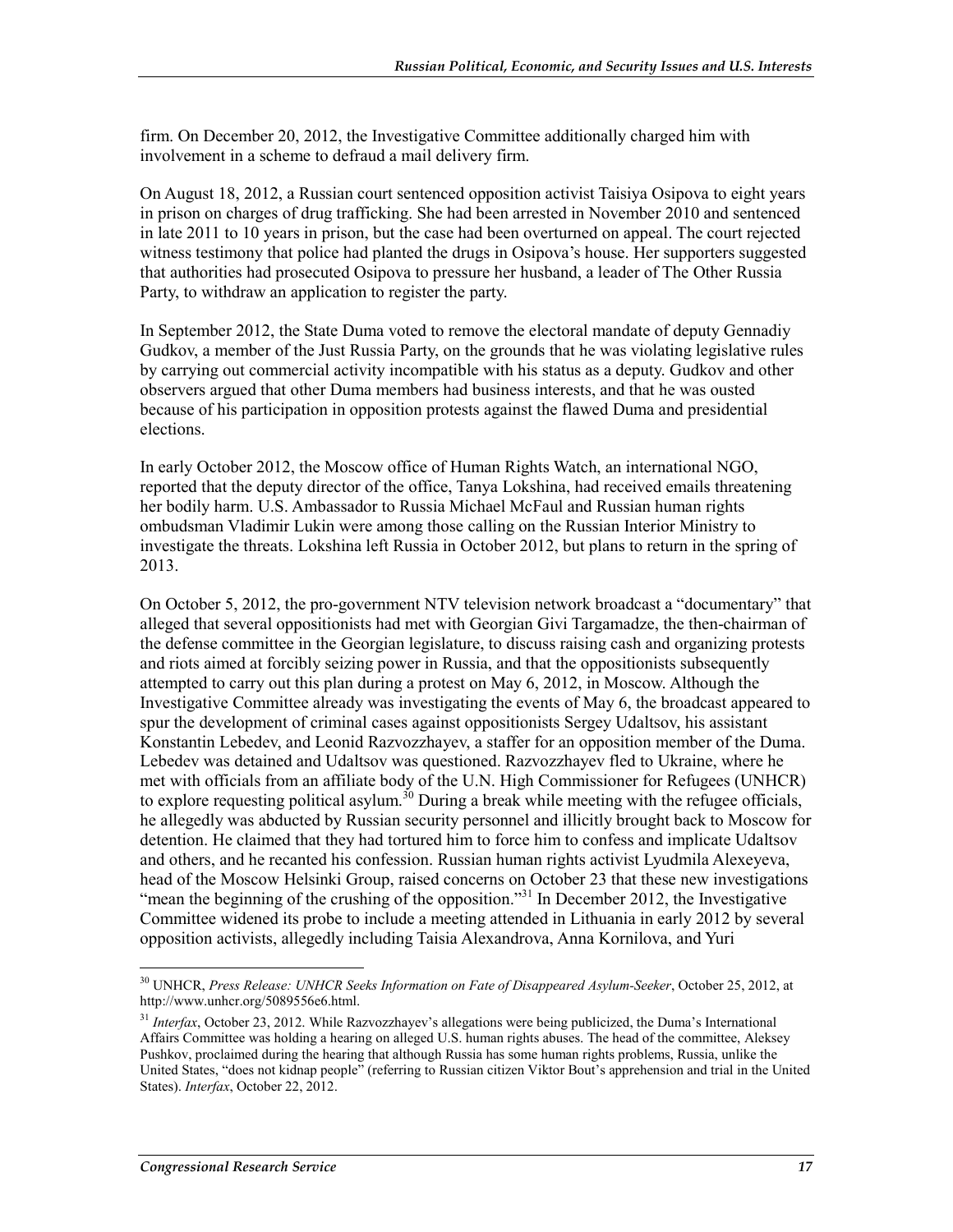firm. On December 20, 2012, the Investigative Committee additionally charged him with involvement in a scheme to defraud a mail delivery firm.

On August 18, 2012, a Russian court sentenced opposition activist Taisiya Osipova to eight years in prison on charges of drug trafficking. She had been arrested in November 2010 and sentenced in late 2011 to 10 years in prison, but the case had been overturned on appeal. The court rejected witness testimony that police had planted the drugs in Osipova's house. Her supporters suggested that authorities had prosecuted Osipova to pressure her husband, a leader of The Other Russia Party, to withdraw an application to register the party.

In September 2012, the State Duma voted to remove the electoral mandate of deputy Gennadiy Gudkov, a member of the Just Russia Party, on the grounds that he was violating legislative rules by carrying out commercial activity incompatible with his status as a deputy. Gudkov and other observers argued that other Duma members had business interests, and that he was ousted because of his participation in opposition protests against the flawed Duma and presidential elections.

In early October 2012, the Moscow office of Human Rights Watch, an international NGO, reported that the deputy director of the office, Tanya Lokshina, had received emails threatening her bodily harm. U.S. Ambassador to Russia Michael McFaul and Russian human rights ombudsman Vladimir Lukin were among those calling on the Russian Interior Ministry to investigate the threats. Lokshina left Russia in October 2012, but plans to return in the spring of 2013.

On October 5, 2012, the pro-government NTV television network broadcast a "documentary" that alleged that several oppositionists had met with Georgian Givi Targamadze, the then-chairman of the defense committee in the Georgian legislature, to discuss raising cash and organizing protests and riots aimed at forcibly seizing power in Russia, and that the oppositionists subsequently attempted to carry out this plan during a protest on May 6, 2012, in Moscow. Although the Investigative Committee already was investigating the events of May 6, the broadcast appeared to spur the development of criminal cases against oppositionists Sergey Udaltsov, his assistant Konstantin Lebedev, and Leonid Razvozzhayev, a staffer for an opposition member of the Duma. Lebedev was detained and Udaltsov was questioned. Razvozzhayev fled to Ukraine, where he met with officials from an affiliate body of the U.N. High Commissioner for Refugees (UNHCR) to explore requesting political asylum.<sup>30</sup> During a break while meeting with the refugee officials, he allegedly was abducted by Russian security personnel and illicitly brought back to Moscow for detention. He claimed that they had tortured him to force him to confess and implicate Udaltsov and others, and he recanted his confession. Russian human rights activist Lyudmila Alexeyeva, head of the Moscow Helsinki Group, raised concerns on October 23 that these new investigations "mean the beginning of the crushing of the opposition."<sup>31</sup> In December 2012, the Investigative Committee widened its probe to include a meeting attended in Lithuania in early 2012 by several opposition activists, allegedly including Taisia Alexandrova, Anna Kornilova, and Yuri

<sup>30</sup> UNHCR, *Press Release: UNHCR Seeks Information on Fate of Disappeared Asylum-Seeker*, October 25, 2012, at http://www.unhcr.org/5089556e6.html.

<sup>&</sup>lt;sup>31</sup> *Interfax*, October 23, 2012. While Razvozzhayev's allegations were being publicized, the Duma's International Affairs Committee was holding a hearing on alleged U.S. human rights abuses. The head of the committee, Aleksey Pushkov, proclaimed during the hearing that although Russia has some human rights problems, Russia, unlike the United States, "does not kidnap people" (referring to Russian citizen Viktor Bout's apprehension and trial in the United States). *Interfax*, October 22, 2012.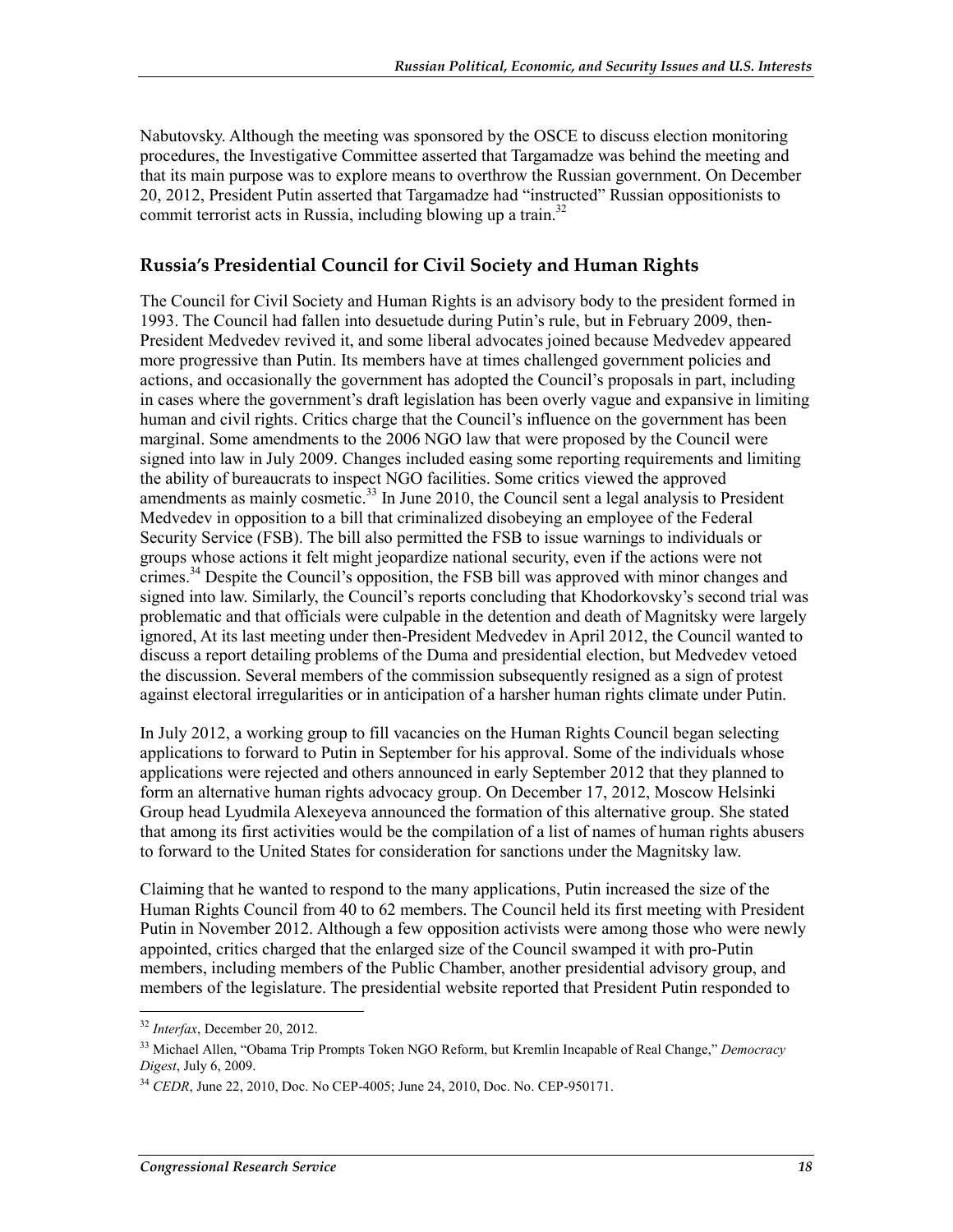Nabutovsky. Although the meeting was sponsored by the OSCE to discuss election monitoring procedures, the Investigative Committee asserted that Targamadze was behind the meeting and that its main purpose was to explore means to overthrow the Russian government. On December 20, 2012, President Putin asserted that Targamadze had "instructed" Russian oppositionists to commit terrorist acts in Russia, including blowing up a train.<sup>32</sup>

#### **Russia's Presidential Council for Civil Society and Human Rights**

The Council for Civil Society and Human Rights is an advisory body to the president formed in 1993. The Council had fallen into desuetude during Putin's rule, but in February 2009, then-President Medvedev revived it, and some liberal advocates joined because Medvedev appeared more progressive than Putin. Its members have at times challenged government policies and actions, and occasionally the government has adopted the Council's proposals in part, including in cases where the government's draft legislation has been overly vague and expansive in limiting human and civil rights. Critics charge that the Council's influence on the government has been marginal. Some amendments to the 2006 NGO law that were proposed by the Council were signed into law in July 2009. Changes included easing some reporting requirements and limiting the ability of bureaucrats to inspect NGO facilities. Some critics viewed the approved amendments as mainly cosmetic. $33$  In June 2010, the Council sent a legal analysis to President Medvedev in opposition to a bill that criminalized disobeying an employee of the Federal Security Service (FSB). The bill also permitted the FSB to issue warnings to individuals or groups whose actions it felt might jeopardize national security, even if the actions were not crimes.<sup>34</sup> Despite the Council's opposition, the FSB bill was approved with minor changes and signed into law. Similarly, the Council's reports concluding that Khodorkovsky's second trial was problematic and that officials were culpable in the detention and death of Magnitsky were largely ignored, At its last meeting under then-President Medvedev in April 2012, the Council wanted to discuss a report detailing problems of the Duma and presidential election, but Medvedev vetoed the discussion. Several members of the commission subsequently resigned as a sign of protest against electoral irregularities or in anticipation of a harsher human rights climate under Putin.

In July 2012, a working group to fill vacancies on the Human Rights Council began selecting applications to forward to Putin in September for his approval. Some of the individuals whose applications were rejected and others announced in early September 2012 that they planned to form an alternative human rights advocacy group. On December 17, 2012, Moscow Helsinki Group head Lyudmila Alexeyeva announced the formation of this alternative group. She stated that among its first activities would be the compilation of a list of names of human rights abusers to forward to the United States for consideration for sanctions under the Magnitsky law.

Claiming that he wanted to respond to the many applications, Putin increased the size of the Human Rights Council from 40 to 62 members. The Council held its first meeting with President Putin in November 2012. Although a few opposition activists were among those who were newly appointed, critics charged that the enlarged size of the Council swamped it with pro-Putin members, including members of the Public Chamber, another presidential advisory group, and members of the legislature. The presidential website reported that President Putin responded to

<sup>32</sup> *Interfax*, December 20, 2012.

<sup>33</sup> Michael Allen, "Obama Trip Prompts Token NGO Reform, but Kremlin Incapable of Real Change," *Democracy Digest*, July 6, 2009.

<sup>34</sup> *CEDR*, June 22, 2010, Doc. No CEP-4005; June 24, 2010, Doc. No. CEP-950171.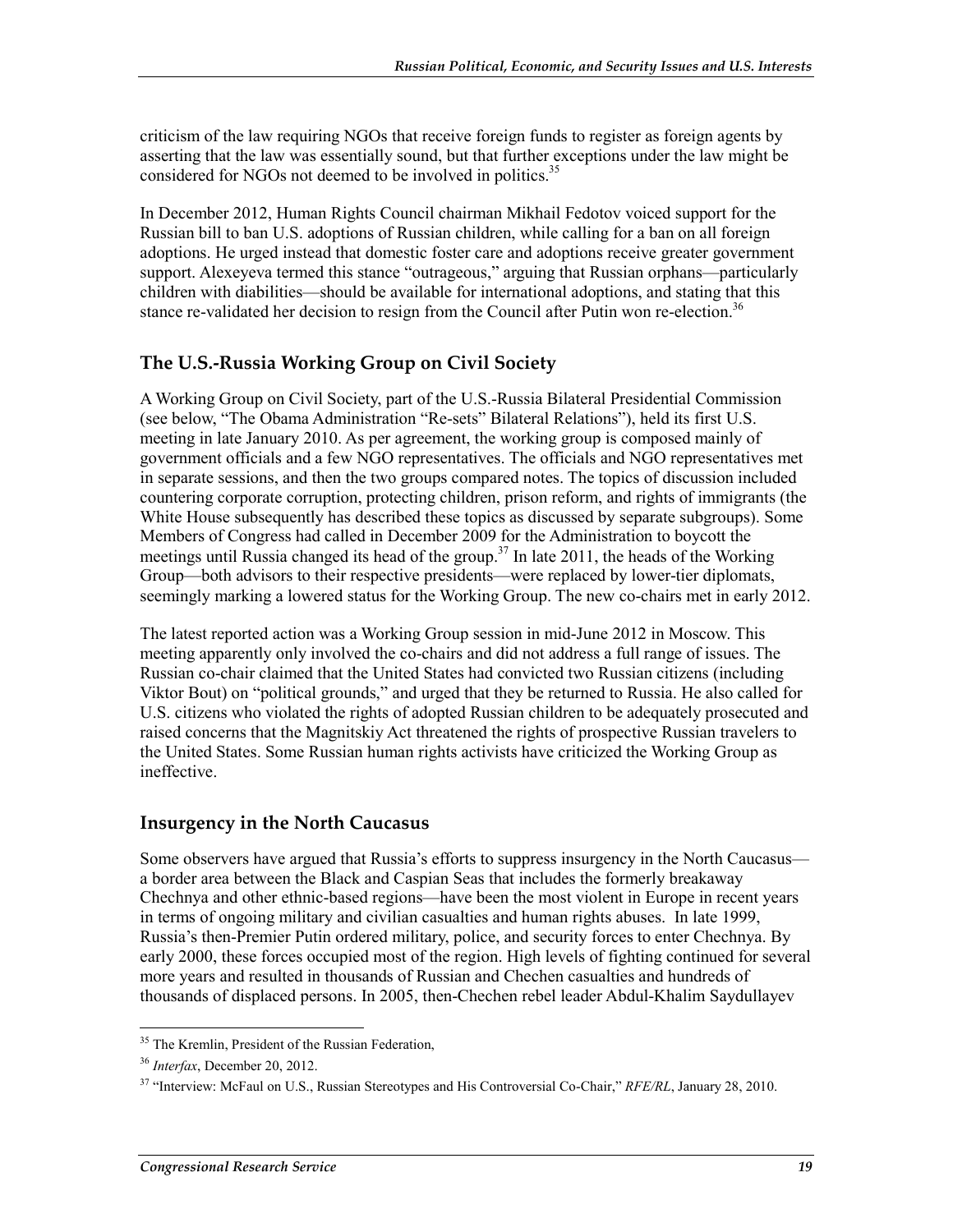criticism of the law requiring NGOs that receive foreign funds to register as foreign agents by asserting that the law was essentially sound, but that further exceptions under the law might be considered for NGOs not deemed to be involved in politics.<sup>35</sup>

In December 2012, Human Rights Council chairman Mikhail Fedotov voiced support for the Russian bill to ban U.S. adoptions of Russian children, while calling for a ban on all foreign adoptions. He urged instead that domestic foster care and adoptions receive greater government support. Alexeyeva termed this stance "outrageous," arguing that Russian orphans—particularly children with diabilities—should be available for international adoptions, and stating that this stance re-validated her decision to resign from the Council after Putin won re-election.<sup>36</sup>

#### **The U.S.-Russia Working Group on Civil Society**

A Working Group on Civil Society, part of the U.S.-Russia Bilateral Presidential Commission (see below, "The Obama Administration "Re-sets" Bilateral Relations"), held its first U.S. meeting in late January 2010. As per agreement, the working group is composed mainly of government officials and a few NGO representatives. The officials and NGO representatives met in separate sessions, and then the two groups compared notes. The topics of discussion included countering corporate corruption, protecting children, prison reform, and rights of immigrants (the White House subsequently has described these topics as discussed by separate subgroups). Some Members of Congress had called in December 2009 for the Administration to boycott the meetings until Russia changed its head of the group.<sup>37</sup> In late 2011, the heads of the Working Group—both advisors to their respective presidents—were replaced by lower-tier diplomats, seemingly marking a lowered status for the Working Group. The new co-chairs met in early 2012.

The latest reported action was a Working Group session in mid-June 2012 in Moscow. This meeting apparently only involved the co-chairs and did not address a full range of issues. The Russian co-chair claimed that the United States had convicted two Russian citizens (including Viktor Bout) on "political grounds," and urged that they be returned to Russia. He also called for U.S. citizens who violated the rights of adopted Russian children to be adequately prosecuted and raised concerns that the Magnitskiy Act threatened the rights of prospective Russian travelers to the United States. Some Russian human rights activists have criticized the Working Group as ineffective.

#### **Insurgency in the North Caucasus**

Some observers have argued that Russia's efforts to suppress insurgency in the North Caucasus a border area between the Black and Caspian Seas that includes the formerly breakaway Chechnya and other ethnic-based regions—have been the most violent in Europe in recent years in terms of ongoing military and civilian casualties and human rights abuses. In late 1999, Russia's then-Premier Putin ordered military, police, and security forces to enter Chechnya. By early 2000, these forces occupied most of the region. High levels of fighting continued for several more years and resulted in thousands of Russian and Chechen casualties and hundreds of thousands of displaced persons. In 2005, then-Chechen rebel leader Abdul-Khalim Saydullayev

<sup>1</sup> <sup>35</sup> The Kremlin, President of the Russian Federation,

<sup>36</sup> *Interfax*, December 20, 2012.

<sup>37 &</sup>quot;Interview: McFaul on U.S., Russian Stereotypes and His Controversial Co-Chair," *RFE/RL*, January 28, 2010.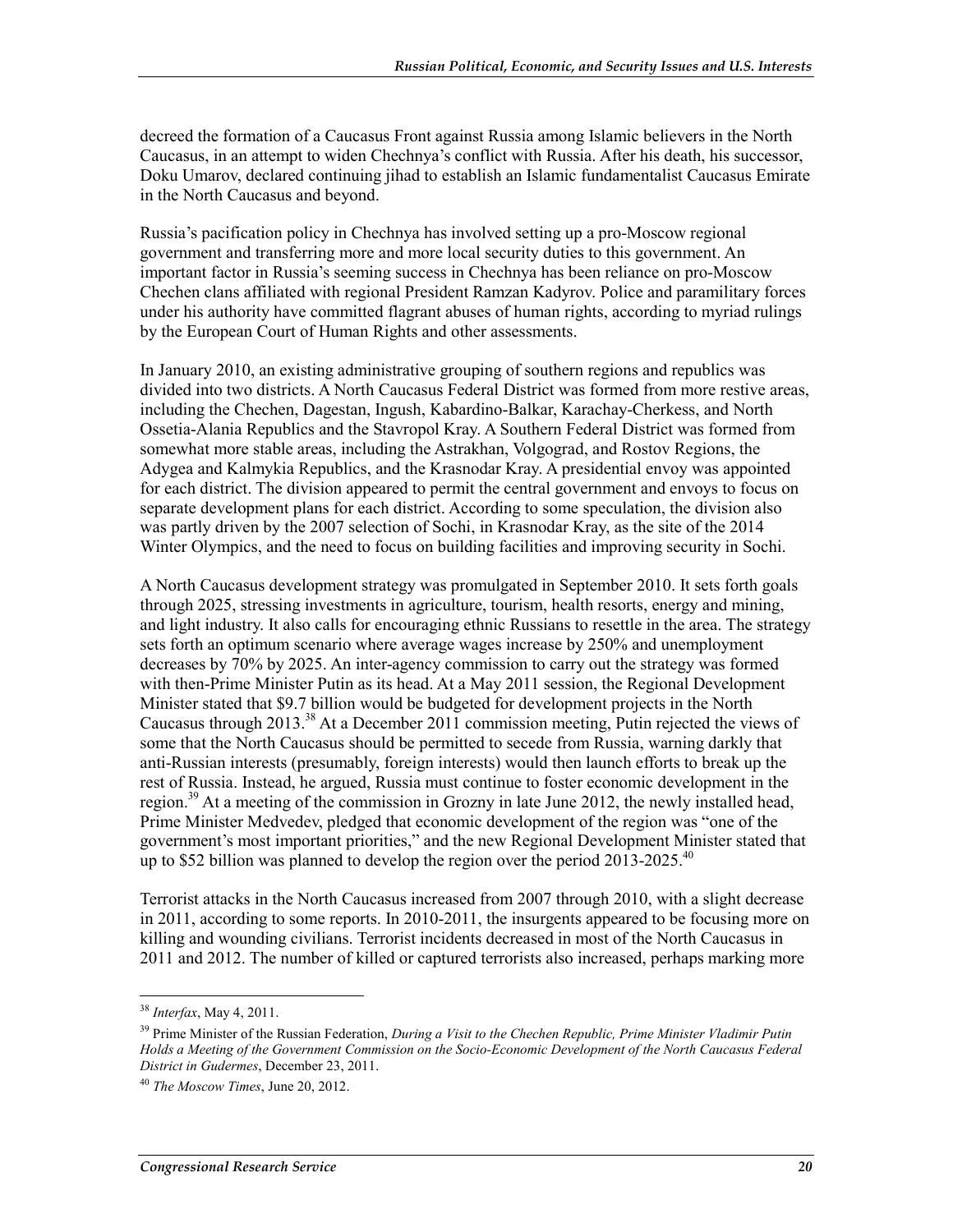decreed the formation of a Caucasus Front against Russia among Islamic believers in the North Caucasus, in an attempt to widen Chechnya's conflict with Russia. After his death, his successor, Doku Umarov, declared continuing jihad to establish an Islamic fundamentalist Caucasus Emirate in the North Caucasus and beyond.

Russia's pacification policy in Chechnya has involved setting up a pro-Moscow regional government and transferring more and more local security duties to this government. An important factor in Russia's seeming success in Chechnya has been reliance on pro-Moscow Chechen clans affiliated with regional President Ramzan Kadyrov. Police and paramilitary forces under his authority have committed flagrant abuses of human rights, according to myriad rulings by the European Court of Human Rights and other assessments.

In January 2010, an existing administrative grouping of southern regions and republics was divided into two districts. A North Caucasus Federal District was formed from more restive areas, including the Chechen, Dagestan, Ingush, Kabardino-Balkar, Karachay-Cherkess, and North Ossetia-Alania Republics and the Stavropol Kray. A Southern Federal District was formed from somewhat more stable areas, including the Astrakhan, Volgograd, and Rostov Regions, the Adygea and Kalmykia Republics, and the Krasnodar Kray. A presidential envoy was appointed for each district. The division appeared to permit the central government and envoys to focus on separate development plans for each district. According to some speculation, the division also was partly driven by the 2007 selection of Sochi, in Krasnodar Kray, as the site of the 2014 Winter Olympics, and the need to focus on building facilities and improving security in Sochi.

A North Caucasus development strategy was promulgated in September 2010. It sets forth goals through 2025, stressing investments in agriculture, tourism, health resorts, energy and mining, and light industry. It also calls for encouraging ethnic Russians to resettle in the area. The strategy sets forth an optimum scenario where average wages increase by 250% and unemployment decreases by 70% by 2025. An inter-agency commission to carry out the strategy was formed with then-Prime Minister Putin as its head. At a May 2011 session, the Regional Development Minister stated that \$9.7 billion would be budgeted for development projects in the North Caucasus through 2013.38 At a December 2011 commission meeting, Putin rejected the views of some that the North Caucasus should be permitted to secede from Russia, warning darkly that anti-Russian interests (presumably, foreign interests) would then launch efforts to break up the rest of Russia. Instead, he argued, Russia must continue to foster economic development in the region.<sup>39</sup> At a meeting of the commission in Grozny in late June 2012, the newly installed head, Prime Minister Medvedev, pledged that economic development of the region was "one of the government's most important priorities," and the new Regional Development Minister stated that up to \$52 billion was planned to develop the region over the period 2013-2025.<sup>40</sup>

Terrorist attacks in the North Caucasus increased from 2007 through 2010, with a slight decrease in 2011, according to some reports. In 2010-2011, the insurgents appeared to be focusing more on killing and wounding civilians. Terrorist incidents decreased in most of the North Caucasus in 2011 and 2012. The number of killed or captured terrorists also increased, perhaps marking more

<sup>38</sup> *Interfax*, May 4, 2011.

<sup>39</sup> Prime Minister of the Russian Federation, *During a Visit to the Chechen Republic, Prime Minister Vladimir Putin Holds a Meeting of the Government Commission on the Socio-Economic Development of the North Caucasus Federal District in Gudermes*, December 23, 2011.

<sup>40</sup> *The Moscow Times*, June 20, 2012.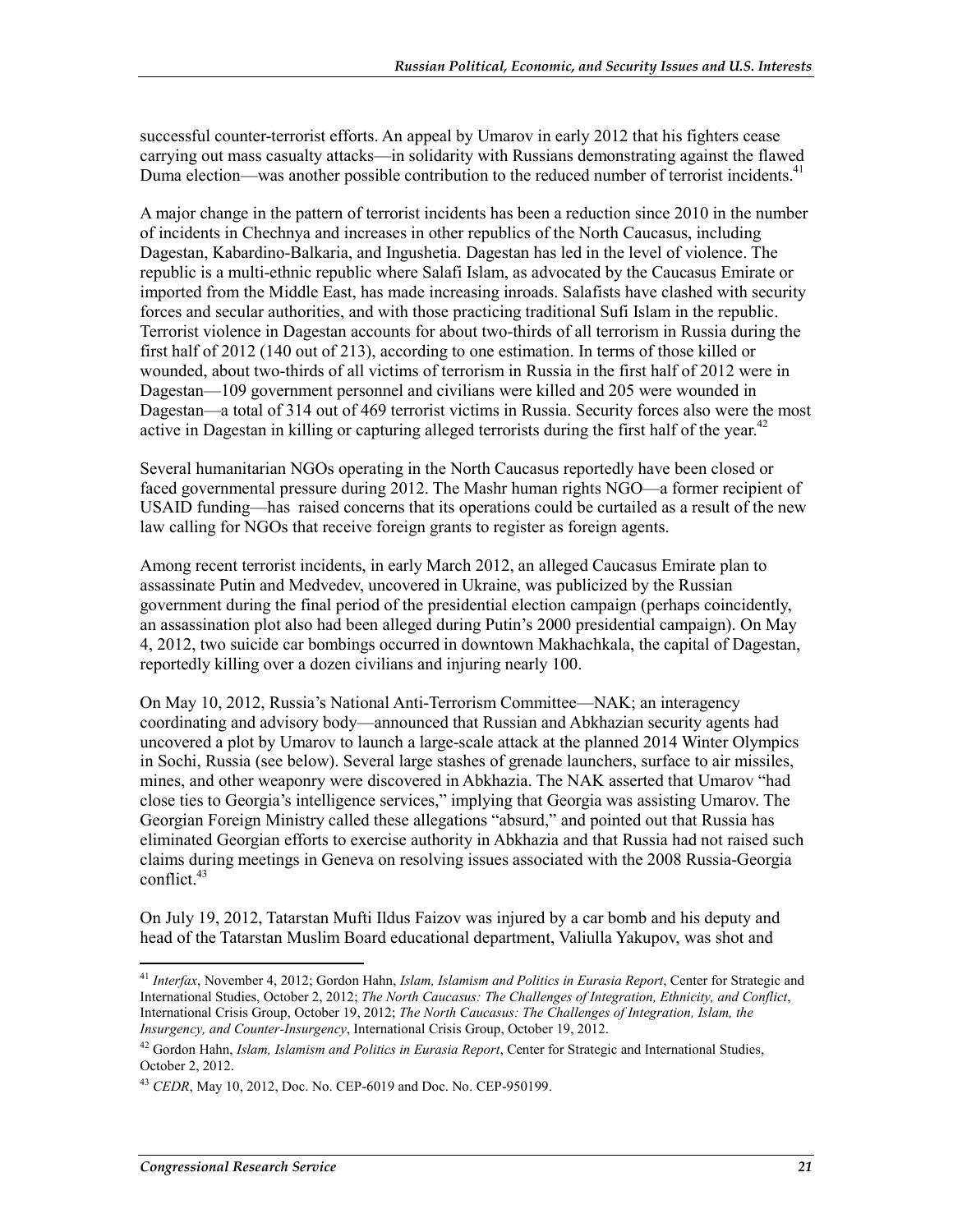successful counter-terrorist efforts. An appeal by Umarov in early 2012 that his fighters cease carrying out mass casualty attacks—in solidarity with Russians demonstrating against the flawed Duma election—was another possible contribution to the reduced number of terrorist incidents.<sup>41</sup>

A major change in the pattern of terrorist incidents has been a reduction since 2010 in the number of incidents in Chechnya and increases in other republics of the North Caucasus, including Dagestan, Kabardino-Balkaria, and Ingushetia. Dagestan has led in the level of violence. The republic is a multi-ethnic republic where Salafi Islam, as advocated by the Caucasus Emirate or imported from the Middle East, has made increasing inroads. Salafists have clashed with security forces and secular authorities, and with those practicing traditional Sufi Islam in the republic. Terrorist violence in Dagestan accounts for about two-thirds of all terrorism in Russia during the first half of 2012 (140 out of 213), according to one estimation. In terms of those killed or wounded, about two-thirds of all victims of terrorism in Russia in the first half of 2012 were in Dagestan—109 government personnel and civilians were killed and 205 were wounded in Dagestan—a total of 314 out of 469 terrorist victims in Russia. Security forces also were the most active in Dagestan in killing or capturing alleged terrorists during the first half of the year.<sup>42</sup>

Several humanitarian NGOs operating in the North Caucasus reportedly have been closed or faced governmental pressure during 2012. The Mashr human rights NGO—a former recipient of USAID funding—has raised concerns that its operations could be curtailed as a result of the new law calling for NGOs that receive foreign grants to register as foreign agents.

Among recent terrorist incidents, in early March 2012, an alleged Caucasus Emirate plan to assassinate Putin and Medvedev, uncovered in Ukraine, was publicized by the Russian government during the final period of the presidential election campaign (perhaps coincidently, an assassination plot also had been alleged during Putin's 2000 presidential campaign). On May 4, 2012, two suicide car bombings occurred in downtown Makhachkala, the capital of Dagestan, reportedly killing over a dozen civilians and injuring nearly 100.

On May 10, 2012, Russia's National Anti-Terrorism Committee—NAK; an interagency coordinating and advisory body—announced that Russian and Abkhazian security agents had uncovered a plot by Umarov to launch a large-scale attack at the planned 2014 Winter Olympics in Sochi, Russia (see below). Several large stashes of grenade launchers, surface to air missiles, mines, and other weaponry were discovered in Abkhazia. The NAK asserted that Umarov "had close ties to Georgia's intelligence services," implying that Georgia was assisting Umarov. The Georgian Foreign Ministry called these allegations "absurd," and pointed out that Russia has eliminated Georgian efforts to exercise authority in Abkhazia and that Russia had not raised such claims during meetings in Geneva on resolving issues associated with the 2008 Russia-Georgia conflict. $43$ 

On July 19, 2012, Tatarstan Mufti Ildus Faizov was injured by a car bomb and his deputy and head of the Tatarstan Muslim Board educational department, Valiulla Yakupov, was shot and

<sup>41</sup> *Interfax*, November 4, 2012; Gordon Hahn, *Islam, Islamism and Politics in Eurasia Report*, Center for Strategic and International Studies, October 2, 2012; *The North Caucasus: The Challenges of Integration, Ethnicity, and Conflict*, International Crisis Group, October 19, 2012; *The North Caucasus: The Challenges of Integration, Islam, the Insurgency, and Counter-Insurgency*, International Crisis Group, October 19, 2012.

<sup>42</sup> Gordon Hahn, *Islam, Islamism and Politics in Eurasia Report*, Center for Strategic and International Studies, October 2, 2012.

<sup>43</sup> *CEDR*, May 10, 2012, Doc. No. CEP-6019 and Doc. No. CEP-950199.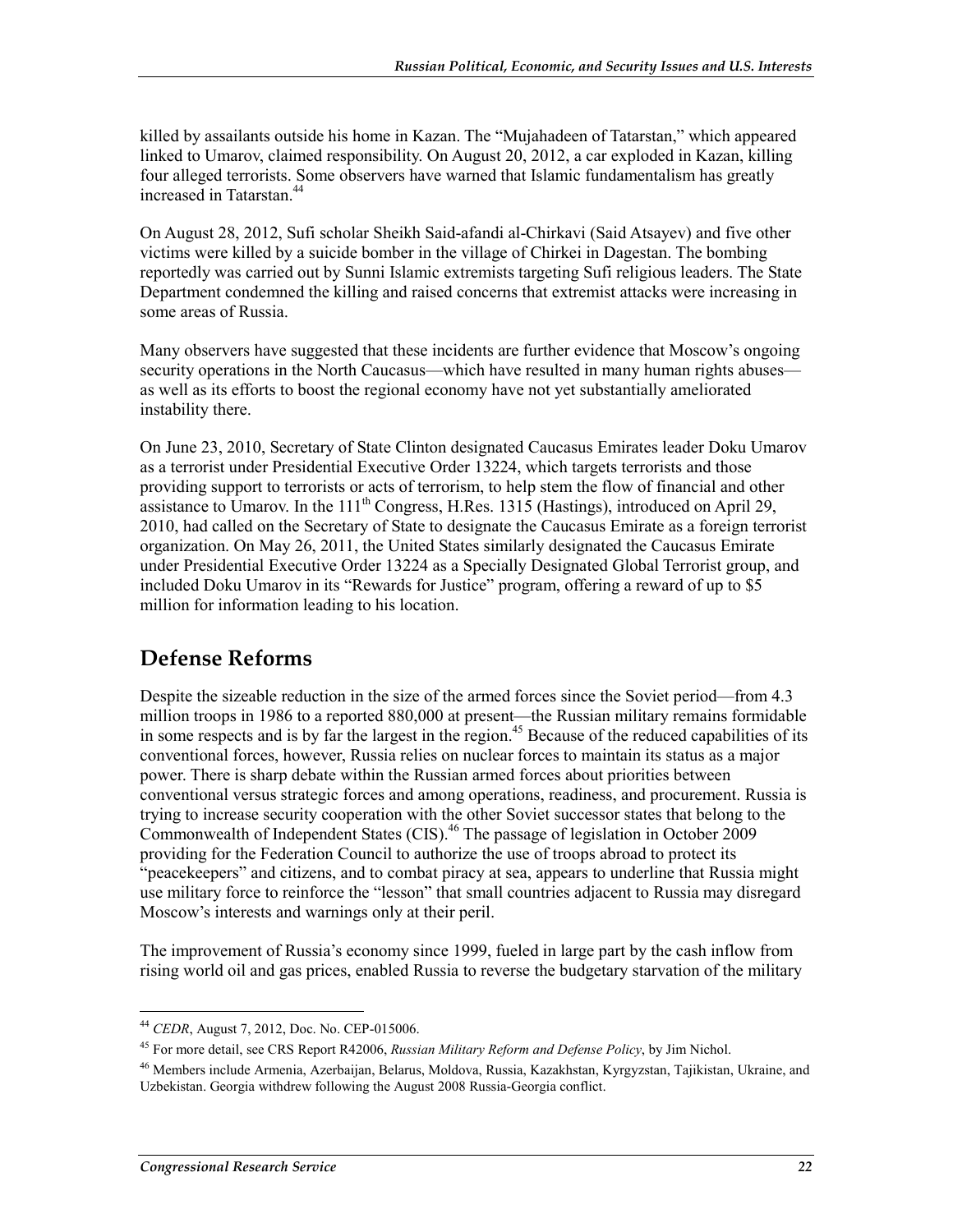killed by assailants outside his home in Kazan. The "Mujahadeen of Tatarstan," which appeared linked to Umarov, claimed responsibility. On August 20, 2012, a car exploded in Kazan, killing four alleged terrorists. Some observers have warned that Islamic fundamentalism has greatly increased in Tatarstan.<sup>44</sup>

On August 28, 2012, Sufi scholar Sheikh Said-afandi al-Chirkavi (Said Atsayev) and five other victims were killed by a suicide bomber in the village of Chirkei in Dagestan. The bombing reportedly was carried out by Sunni Islamic extremists targeting Sufi religious leaders. The State Department condemned the killing and raised concerns that extremist attacks were increasing in some areas of Russia.

Many observers have suggested that these incidents are further evidence that Moscow's ongoing security operations in the North Caucasus—which have resulted in many human rights abuses as well as its efforts to boost the regional economy have not yet substantially ameliorated instability there.

On June 23, 2010, Secretary of State Clinton designated Caucasus Emirates leader Doku Umarov as a terrorist under Presidential Executive Order 13224, which targets terrorists and those providing support to terrorists or acts of terrorism, to help stem the flow of financial and other assistance to Umarov. In the  $111<sup>th</sup>$  Congress, H.Res. 1315 (Hastings), introduced on April 29, 2010, had called on the Secretary of State to designate the Caucasus Emirate as a foreign terrorist organization. On May 26, 2011, the United States similarly designated the Caucasus Emirate under Presidential Executive Order 13224 as a Specially Designated Global Terrorist group, and included Doku Umarov in its "Rewards for Justice" program, offering a reward of up to \$5 million for information leading to his location.

### **Defense Reforms**

Despite the sizeable reduction in the size of the armed forces since the Soviet period—from 4.3 million troops in 1986 to a reported 880,000 at present—the Russian military remains formidable in some respects and is by far the largest in the region.<sup>45</sup> Because of the reduced capabilities of its conventional forces, however, Russia relies on nuclear forces to maintain its status as a major power. There is sharp debate within the Russian armed forces about priorities between conventional versus strategic forces and among operations, readiness, and procurement. Russia is trying to increase security cooperation with the other Soviet successor states that belong to the Commonwealth of Independent States (CIS).<sup>46</sup> The passage of legislation in October 2009 providing for the Federation Council to authorize the use of troops abroad to protect its "peacekeepers" and citizens, and to combat piracy at sea, appears to underline that Russia might use military force to reinforce the "lesson" that small countries adjacent to Russia may disregard Moscow's interests and warnings only at their peril.

The improvement of Russia's economy since 1999, fueled in large part by the cash inflow from rising world oil and gas prices, enabled Russia to reverse the budgetary starvation of the military

<sup>44</sup> *CEDR*, August 7, 2012, Doc. No. CEP-015006.

<sup>45</sup> For more detail, see CRS Report R42006, *Russian Military Reform and Defense Policy*, by Jim Nichol.

<sup>46</sup> Members include Armenia, Azerbaijan, Belarus, Moldova, Russia, Kazakhstan, Kyrgyzstan, Tajikistan, Ukraine, and Uzbekistan. Georgia withdrew following the August 2008 Russia-Georgia conflict.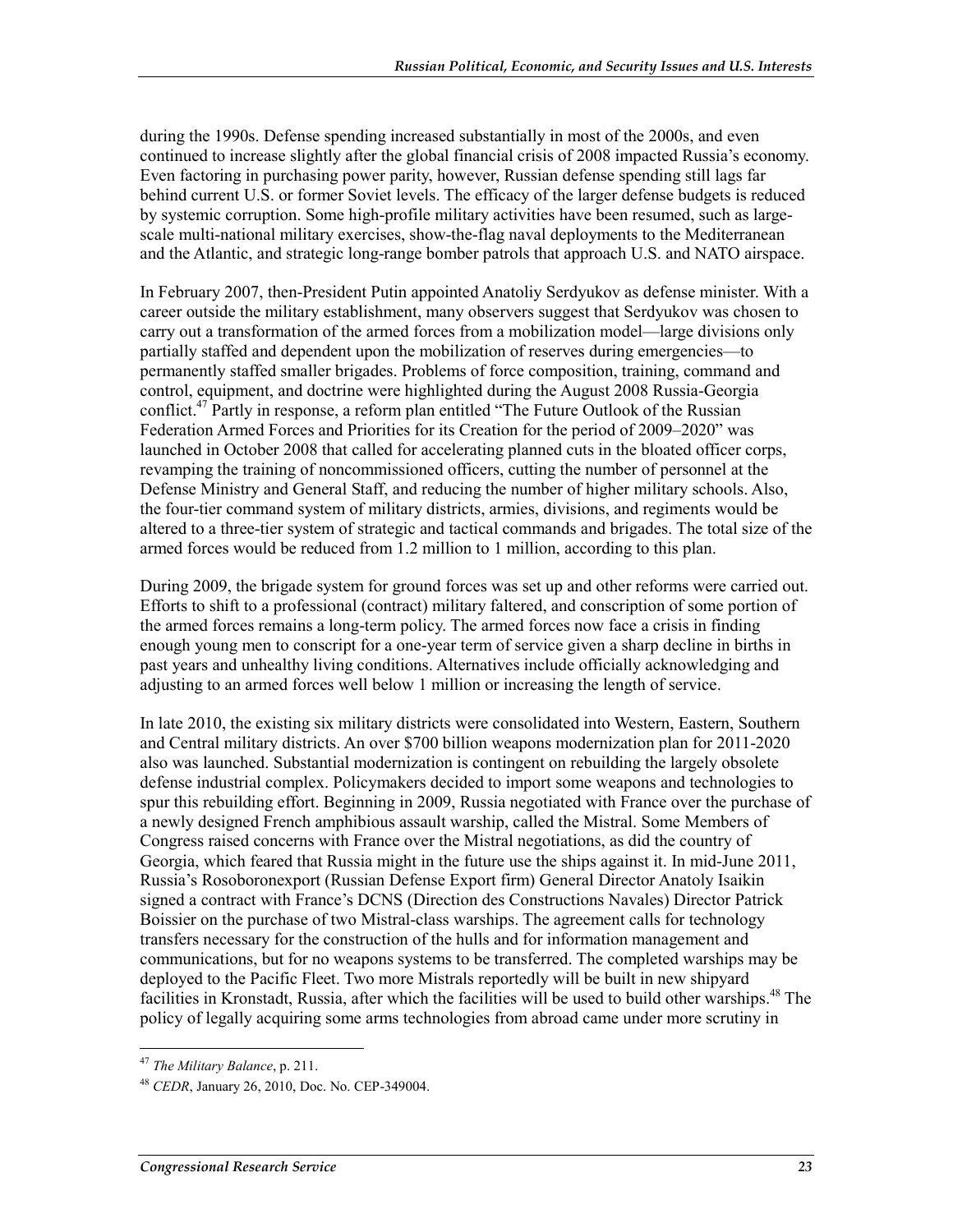during the 1990s. Defense spending increased substantially in most of the 2000s, and even continued to increase slightly after the global financial crisis of 2008 impacted Russia's economy. Even factoring in purchasing power parity, however, Russian defense spending still lags far behind current U.S. or former Soviet levels. The efficacy of the larger defense budgets is reduced by systemic corruption. Some high-profile military activities have been resumed, such as largescale multi-national military exercises, show-the-flag naval deployments to the Mediterranean and the Atlantic, and strategic long-range bomber patrols that approach U.S. and NATO airspace.

In February 2007, then-President Putin appointed Anatoliy Serdyukov as defense minister. With a career outside the military establishment, many observers suggest that Serdyukov was chosen to carry out a transformation of the armed forces from a mobilization model—large divisions only partially staffed and dependent upon the mobilization of reserves during emergencies—to permanently staffed smaller brigades. Problems of force composition, training, command and control, equipment, and doctrine were highlighted during the August 2008 Russia-Georgia conflict.<sup>47</sup> Partly in response, a reform plan entitled "The Future Outlook of the Russian Federation Armed Forces and Priorities for its Creation for the period of 2009–2020" was launched in October 2008 that called for accelerating planned cuts in the bloated officer corps, revamping the training of noncommissioned officers, cutting the number of personnel at the Defense Ministry and General Staff, and reducing the number of higher military schools. Also, the four-tier command system of military districts, armies, divisions, and regiments would be altered to a three-tier system of strategic and tactical commands and brigades. The total size of the armed forces would be reduced from 1.2 million to 1 million, according to this plan.

During 2009, the brigade system for ground forces was set up and other reforms were carried out. Efforts to shift to a professional (contract) military faltered, and conscription of some portion of the armed forces remains a long-term policy. The armed forces now face a crisis in finding enough young men to conscript for a one-year term of service given a sharp decline in births in past years and unhealthy living conditions. Alternatives include officially acknowledging and adjusting to an armed forces well below 1 million or increasing the length of service.

In late 2010, the existing six military districts were consolidated into Western, Eastern, Southern and Central military districts. An over \$700 billion weapons modernization plan for 2011-2020 also was launched. Substantial modernization is contingent on rebuilding the largely obsolete defense industrial complex. Policymakers decided to import some weapons and technologies to spur this rebuilding effort. Beginning in 2009, Russia negotiated with France over the purchase of a newly designed French amphibious assault warship, called the Mistral. Some Members of Congress raised concerns with France over the Mistral negotiations, as did the country of Georgia, which feared that Russia might in the future use the ships against it. In mid-June 2011, Russia's Rosoboronexport (Russian Defense Export firm) General Director Anatoly Isaikin signed a contract with France's DCNS (Direction des Constructions Navales) Director Patrick Boissier on the purchase of two Mistral-class warships. The agreement calls for technology transfers necessary for the construction of the hulls and for information management and communications, but for no weapons systems to be transferred. The completed warships may be deployed to the Pacific Fleet. Two more Mistrals reportedly will be built in new shipyard facilities in Kronstadt, Russia, after which the facilities will be used to build other warships.<sup>48</sup> The policy of legally acquiring some arms technologies from abroad came under more scrutiny in

<sup>47</sup> *The Military Balance*, p. 211.

<sup>48</sup> *CEDR*, January 26, 2010, Doc. No. CEP-349004.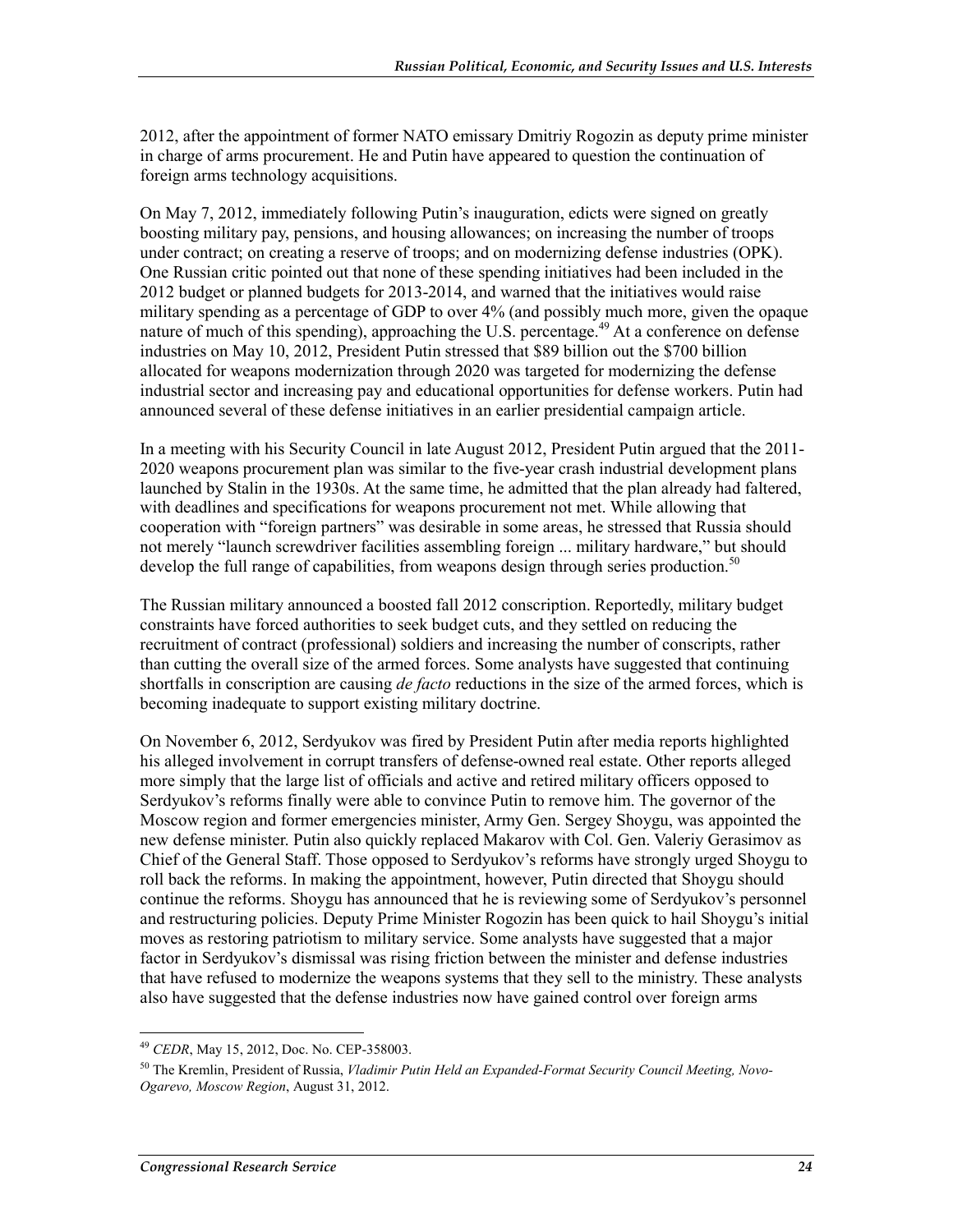2012, after the appointment of former NATO emissary Dmitriy Rogozin as deputy prime minister in charge of arms procurement. He and Putin have appeared to question the continuation of foreign arms technology acquisitions.

On May 7, 2012, immediately following Putin's inauguration, edicts were signed on greatly boosting military pay, pensions, and housing allowances; on increasing the number of troops under contract; on creating a reserve of troops; and on modernizing defense industries (OPK). One Russian critic pointed out that none of these spending initiatives had been included in the 2012 budget or planned budgets for 2013-2014, and warned that the initiatives would raise military spending as a percentage of GDP to over 4% (and possibly much more, given the opaque nature of much of this spending), approaching the U.S. percentage.<sup>49</sup> At a conference on defense industries on May 10, 2012, President Putin stressed that \$89 billion out the \$700 billion allocated for weapons modernization through 2020 was targeted for modernizing the defense industrial sector and increasing pay and educational opportunities for defense workers. Putin had announced several of these defense initiatives in an earlier presidential campaign article.

In a meeting with his Security Council in late August 2012, President Putin argued that the 2011- 2020 weapons procurement plan was similar to the five-year crash industrial development plans launched by Stalin in the 1930s. At the same time, he admitted that the plan already had faltered, with deadlines and specifications for weapons procurement not met. While allowing that cooperation with "foreign partners" was desirable in some areas, he stressed that Russia should not merely "launch screwdriver facilities assembling foreign ... military hardware," but should develop the full range of capabilities, from weapons design through series production.<sup>50</sup>

The Russian military announced a boosted fall 2012 conscription. Reportedly, military budget constraints have forced authorities to seek budget cuts, and they settled on reducing the recruitment of contract (professional) soldiers and increasing the number of conscripts, rather than cutting the overall size of the armed forces. Some analysts have suggested that continuing shortfalls in conscription are causing *de facto* reductions in the size of the armed forces, which is becoming inadequate to support existing military doctrine.

On November 6, 2012, Serdyukov was fired by President Putin after media reports highlighted his alleged involvement in corrupt transfers of defense-owned real estate. Other reports alleged more simply that the large list of officials and active and retired military officers opposed to Serdyukov's reforms finally were able to convince Putin to remove him. The governor of the Moscow region and former emergencies minister, Army Gen. Sergey Shoygu, was appointed the new defense minister. Putin also quickly replaced Makarov with Col. Gen. Valeriy Gerasimov as Chief of the General Staff. Those opposed to Serdyukov's reforms have strongly urged Shoygu to roll back the reforms. In making the appointment, however, Putin directed that Shoygu should continue the reforms. Shoygu has announced that he is reviewing some of Serdyukov's personnel and restructuring policies. Deputy Prime Minister Rogozin has been quick to hail Shoygu's initial moves as restoring patriotism to military service. Some analysts have suggested that a major factor in Serdyukov's dismissal was rising friction between the minister and defense industries that have refused to modernize the weapons systems that they sell to the ministry. These analysts also have suggested that the defense industries now have gained control over foreign arms

<sup>49</sup> *CEDR*, May 15, 2012, Doc. No. CEP-358003.

<sup>50</sup> The Kremlin, President of Russia, *Vladimir Putin Held an Expanded-Format Security Council Meeting, Novo-Ogarevo, Moscow Region*, August 31, 2012.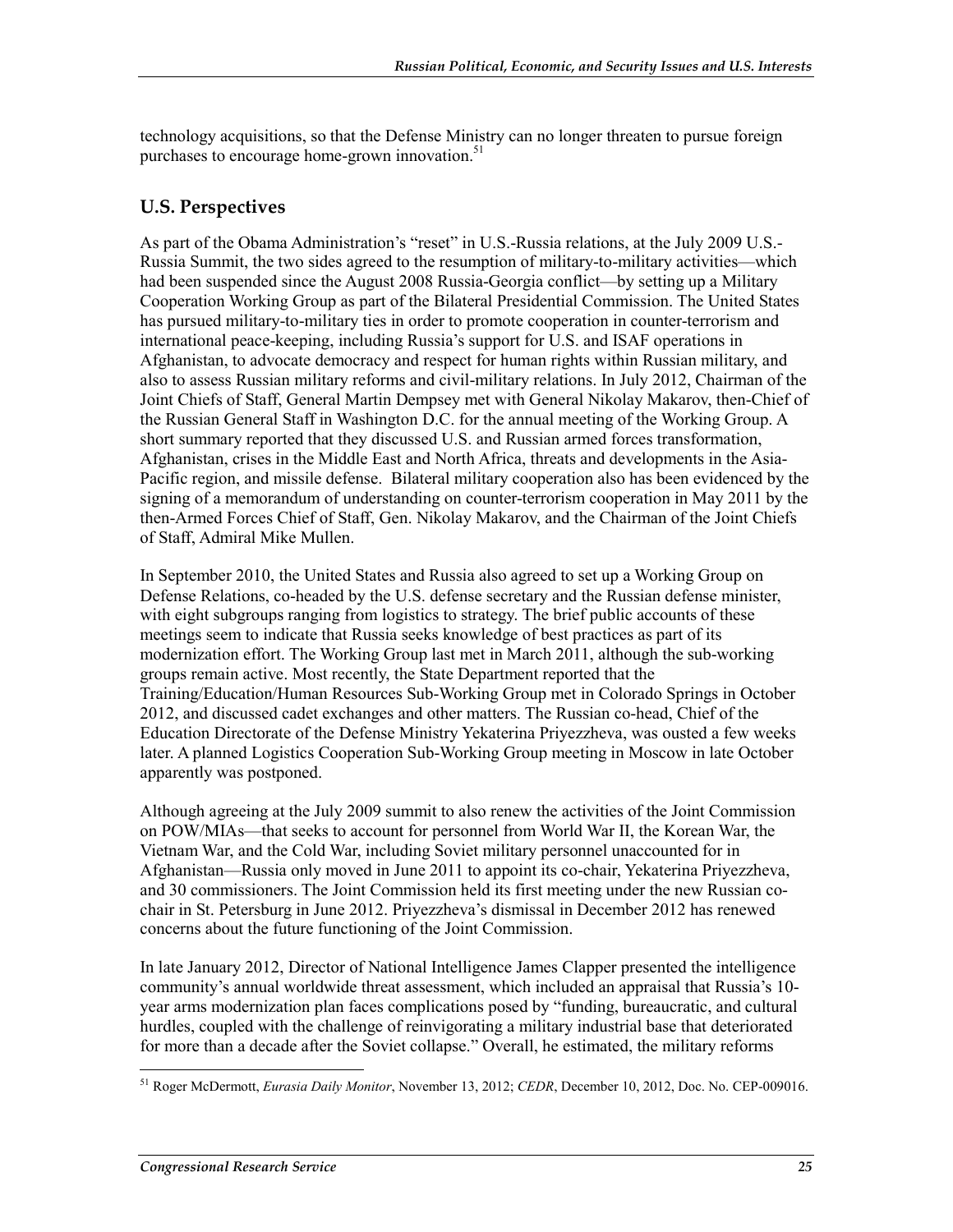technology acquisitions, so that the Defense Ministry can no longer threaten to pursue foreign purchases to encourage home-grown innovation. $51$ 

#### **U.S. Perspectives**

As part of the Obama Administration's "reset" in U.S.-Russia relations, at the July 2009 U.S.- Russia Summit, the two sides agreed to the resumption of military-to-military activities—which had been suspended since the August 2008 Russia-Georgia conflict—by setting up a Military Cooperation Working Group as part of the Bilateral Presidential Commission. The United States has pursued military-to-military ties in order to promote cooperation in counter-terrorism and international peace-keeping, including Russia's support for U.S. and ISAF operations in Afghanistan, to advocate democracy and respect for human rights within Russian military, and also to assess Russian military reforms and civil-military relations. In July 2012, Chairman of the Joint Chiefs of Staff, General Martin Dempsey met with General Nikolay Makarov, then-Chief of the Russian General Staff in Washington D.C. for the annual meeting of the Working Group. A short summary reported that they discussed U.S. and Russian armed forces transformation, Afghanistan, crises in the Middle East and North Africa, threats and developments in the Asia-Pacific region, and missile defense. Bilateral military cooperation also has been evidenced by the signing of a memorandum of understanding on counter-terrorism cooperation in May 2011 by the then-Armed Forces Chief of Staff, Gen. Nikolay Makarov, and the Chairman of the Joint Chiefs of Staff, Admiral Mike Mullen.

In September 2010, the United States and Russia also agreed to set up a Working Group on Defense Relations, co-headed by the U.S. defense secretary and the Russian defense minister, with eight subgroups ranging from logistics to strategy. The brief public accounts of these meetings seem to indicate that Russia seeks knowledge of best practices as part of its modernization effort. The Working Group last met in March 2011, although the sub-working groups remain active. Most recently, the State Department reported that the Training/Education/Human Resources Sub-Working Group met in Colorado Springs in October 2012, and discussed cadet exchanges and other matters. The Russian co-head, Chief of the Education Directorate of the Defense Ministry Yekaterina Priyezzheva, was ousted a few weeks later. A planned Logistics Cooperation Sub-Working Group meeting in Moscow in late October apparently was postponed.

Although agreeing at the July 2009 summit to also renew the activities of the Joint Commission on POW/MIAs—that seeks to account for personnel from World War II, the Korean War, the Vietnam War, and the Cold War, including Soviet military personnel unaccounted for in Afghanistan—Russia only moved in June 2011 to appoint its co-chair, Yekaterina Priyezzheva, and 30 commissioners. The Joint Commission held its first meeting under the new Russian cochair in St. Petersburg in June 2012. Priyezzheva's dismissal in December 2012 has renewed concerns about the future functioning of the Joint Commission.

In late January 2012, Director of National Intelligence James Clapper presented the intelligence community's annual worldwide threat assessment, which included an appraisal that Russia's 10 year arms modernization plan faces complications posed by "funding, bureaucratic, and cultural hurdles, coupled with the challenge of reinvigorating a military industrial base that deteriorated for more than a decade after the Soviet collapse." Overall, he estimated, the military reforms

<sup>&</sup>lt;u>.</u> 51 Roger McDermott, *Eurasia Daily Monitor*, November 13, 2012; *CEDR*, December 10, 2012, Doc. No. CEP-009016.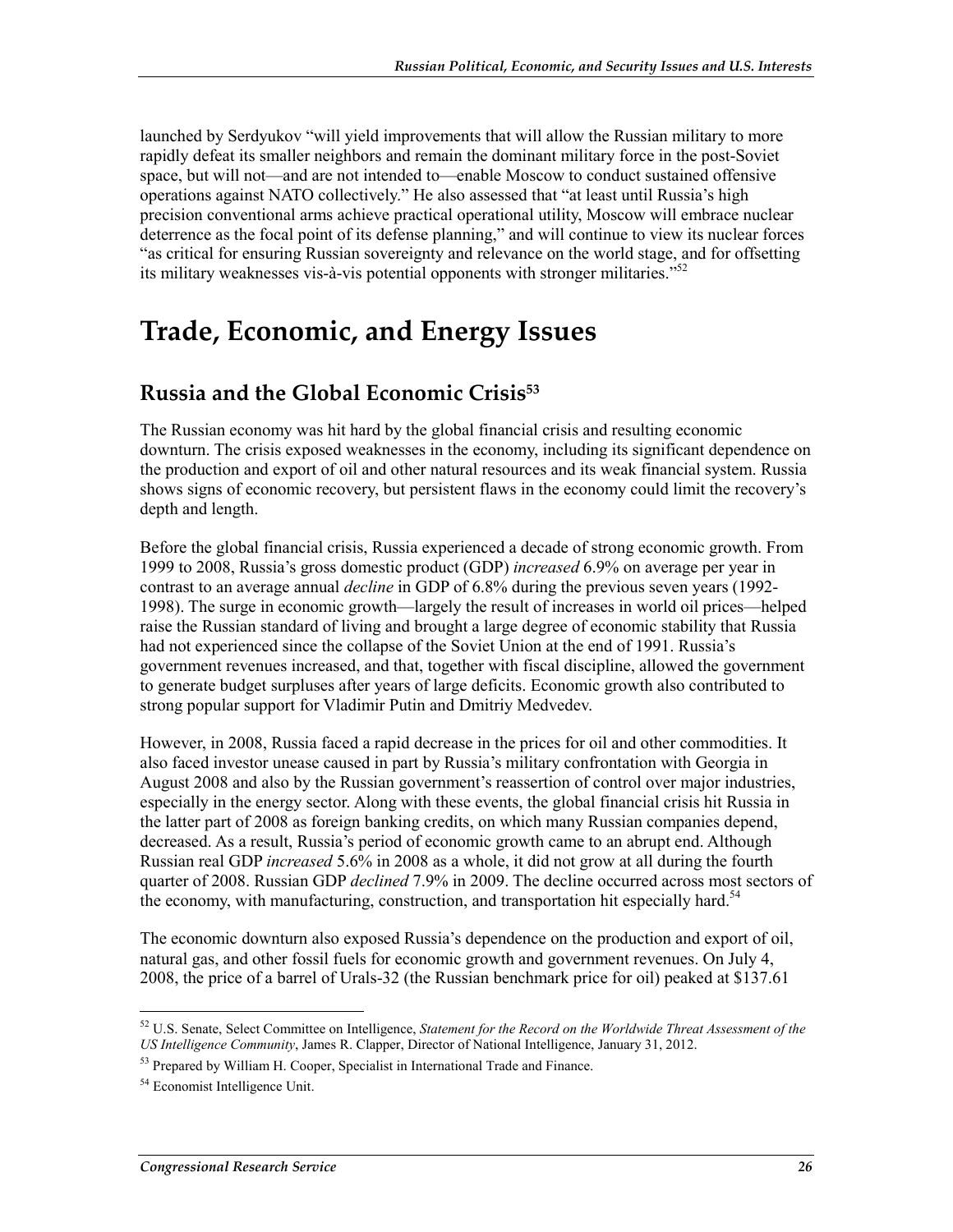launched by Serdyukov "will yield improvements that will allow the Russian military to more rapidly defeat its smaller neighbors and remain the dominant military force in the post-Soviet space, but will not—and are not intended to—enable Moscow to conduct sustained offensive operations against NATO collectively." He also assessed that "at least until Russia's high precision conventional arms achieve practical operational utility, Moscow will embrace nuclear deterrence as the focal point of its defense planning," and will continue to view its nuclear forces "as critical for ensuring Russian sovereignty and relevance on the world stage, and for offsetting its military weaknesses vis-à-vis potential opponents with stronger militaries.<sup>552</sup>

## **Trade, Economic, and Energy Issues**

### **Russia and the Global Economic Crisis53**

The Russian economy was hit hard by the global financial crisis and resulting economic downturn. The crisis exposed weaknesses in the economy, including its significant dependence on the production and export of oil and other natural resources and its weak financial system. Russia shows signs of economic recovery, but persistent flaws in the economy could limit the recovery's depth and length.

Before the global financial crisis, Russia experienced a decade of strong economic growth. From 1999 to 2008, Russia's gross domestic product (GDP) *increased* 6.9% on average per year in contrast to an average annual *decline* in GDP of 6.8% during the previous seven years (1992- 1998). The surge in economic growth—largely the result of increases in world oil prices—helped raise the Russian standard of living and brought a large degree of economic stability that Russia had not experienced since the collapse of the Soviet Union at the end of 1991. Russia's government revenues increased, and that, together with fiscal discipline, allowed the government to generate budget surpluses after years of large deficits. Economic growth also contributed to strong popular support for Vladimir Putin and Dmitriy Medvedev.

However, in 2008, Russia faced a rapid decrease in the prices for oil and other commodities. It also faced investor unease caused in part by Russia's military confrontation with Georgia in August 2008 and also by the Russian government's reassertion of control over major industries, especially in the energy sector. Along with these events, the global financial crisis hit Russia in the latter part of 2008 as foreign banking credits, on which many Russian companies depend, decreased. As a result, Russia's period of economic growth came to an abrupt end. Although Russian real GDP *increased* 5.6% in 2008 as a whole, it did not grow at all during the fourth quarter of 2008. Russian GDP *declined* 7.9% in 2009. The decline occurred across most sectors of the economy, with manufacturing, construction, and transportation hit especially hard.<sup>54</sup>

The economic downturn also exposed Russia's dependence on the production and export of oil, natural gas, and other fossil fuels for economic growth and government revenues. On July 4, 2008, the price of a barrel of Urals-32 (the Russian benchmark price for oil) peaked at \$137.61

<sup>1</sup> 52 U.S. Senate, Select Committee on Intelligence, *Statement for the Record on the Worldwide Threat Assessment of the US Intelligence Community*, James R. Clapper, Director of National Intelligence, January 31, 2012.

<sup>&</sup>lt;sup>53</sup> Prepared by William H. Cooper, Specialist in International Trade and Finance.

<sup>54</sup> Economist Intelligence Unit.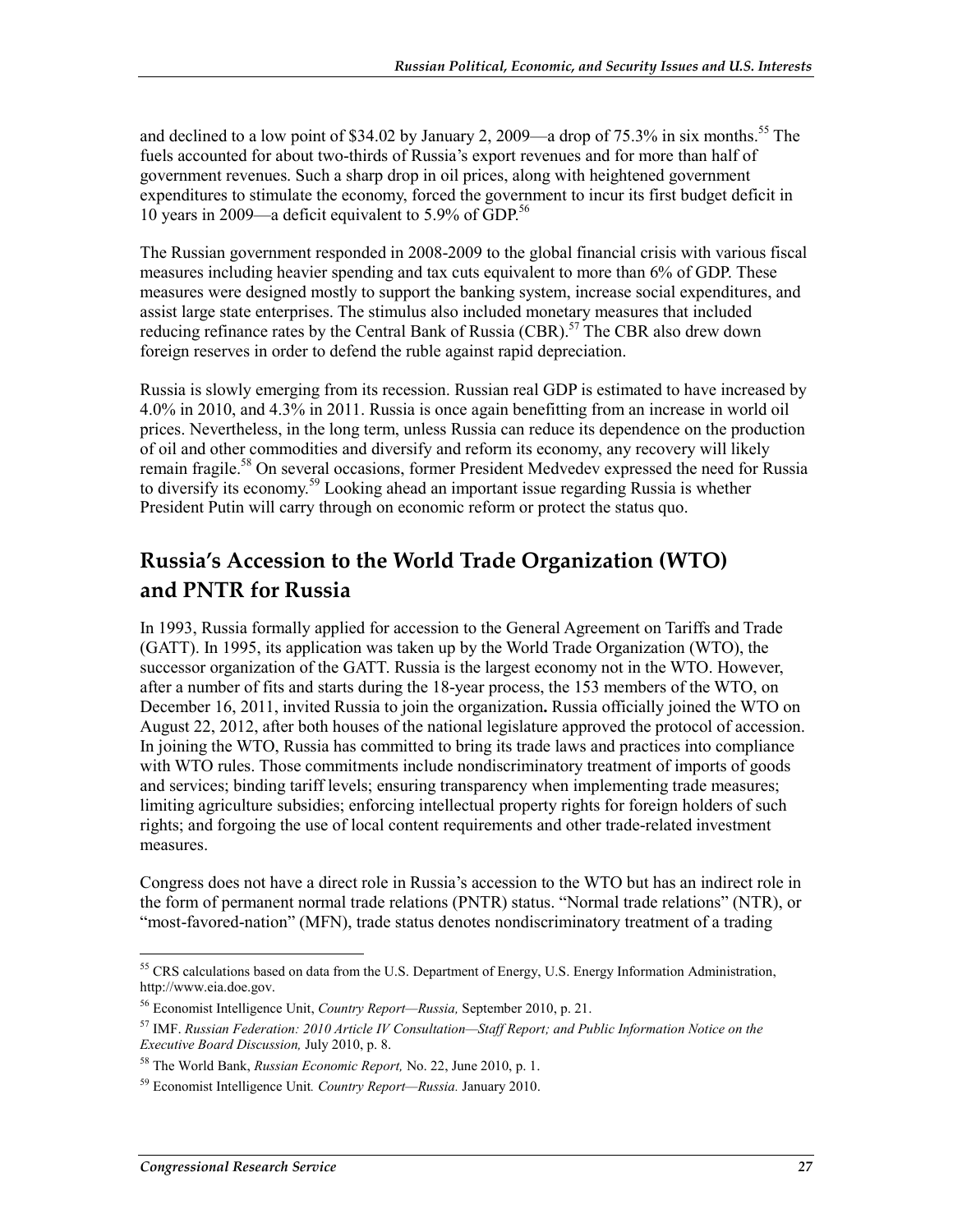and declined to a low point of \$34.02 by January 2, 2009—a drop of 75.3% in six months.<sup>55</sup> The fuels accounted for about two-thirds of Russia's export revenues and for more than half of government revenues. Such a sharp drop in oil prices, along with heightened government expenditures to stimulate the economy, forced the government to incur its first budget deficit in 10 years in 2009—a deficit equivalent to 5.9% of GDP.<sup>56</sup>

The Russian government responded in 2008-2009 to the global financial crisis with various fiscal measures including heavier spending and tax cuts equivalent to more than 6% of GDP. These measures were designed mostly to support the banking system, increase social expenditures, and assist large state enterprises. The stimulus also included monetary measures that included reducing refinance rates by the Central Bank of Russia (CBR).<sup>57</sup> The CBR also drew down foreign reserves in order to defend the ruble against rapid depreciation.

Russia is slowly emerging from its recession. Russian real GDP is estimated to have increased by 4.0% in 2010, and 4.3% in 2011. Russia is once again benefitting from an increase in world oil prices. Nevertheless, in the long term, unless Russia can reduce its dependence on the production of oil and other commodities and diversify and reform its economy, any recovery will likely remain fragile.<sup>58</sup> On several occasions, former President Medvedev expressed the need for Russia to diversify its economy.<sup>59</sup> Looking ahead an important issue regarding Russia is whether President Putin will carry through on economic reform or protect the status quo.

## **Russia's Accession to the World Trade Organization (WTO) and PNTR for Russia**

In 1993, Russia formally applied for accession to the General Agreement on Tariffs and Trade (GATT). In 1995, its application was taken up by the World Trade Organization (WTO), the successor organization of the GATT. Russia is the largest economy not in the WTO. However, after a number of fits and starts during the 18-year process, the 153 members of the WTO, on December 16, 2011, invited Russia to join the organization**.** Russia officially joined the WTO on August 22, 2012, after both houses of the national legislature approved the protocol of accession. In joining the WTO, Russia has committed to bring its trade laws and practices into compliance with WTO rules. Those commitments include nondiscriminatory treatment of imports of goods and services; binding tariff levels; ensuring transparency when implementing trade measures; limiting agriculture subsidies; enforcing intellectual property rights for foreign holders of such rights; and forgoing the use of local content requirements and other trade-related investment measures.

Congress does not have a direct role in Russia's accession to the WTO but has an indirect role in the form of permanent normal trade relations (PNTR) status. "Normal trade relations" (NTR), or "most-favored-nation" (MFN), trade status denotes nondiscriminatory treatment of a trading

 $55$  CRS calculations based on data from the U.S. Department of Energy, U.S. Energy Information Administration, http://www.eia.doe.gov.

<sup>56</sup> Economist Intelligence Unit, *Country Report—Russia,* September 2010, p. 21.

<sup>57</sup> IMF. *Russian Federation: 2010 Article IV Consultation—Staff Report; and Public Information Notice on the Executive Board Discussion,* July 2010, p. 8.

<sup>58</sup> The World Bank, *Russian Economic Report,* No. 22, June 2010, p. 1.

<sup>59</sup> Economist Intelligence Unit*. Country Report—Russia.* January 2010.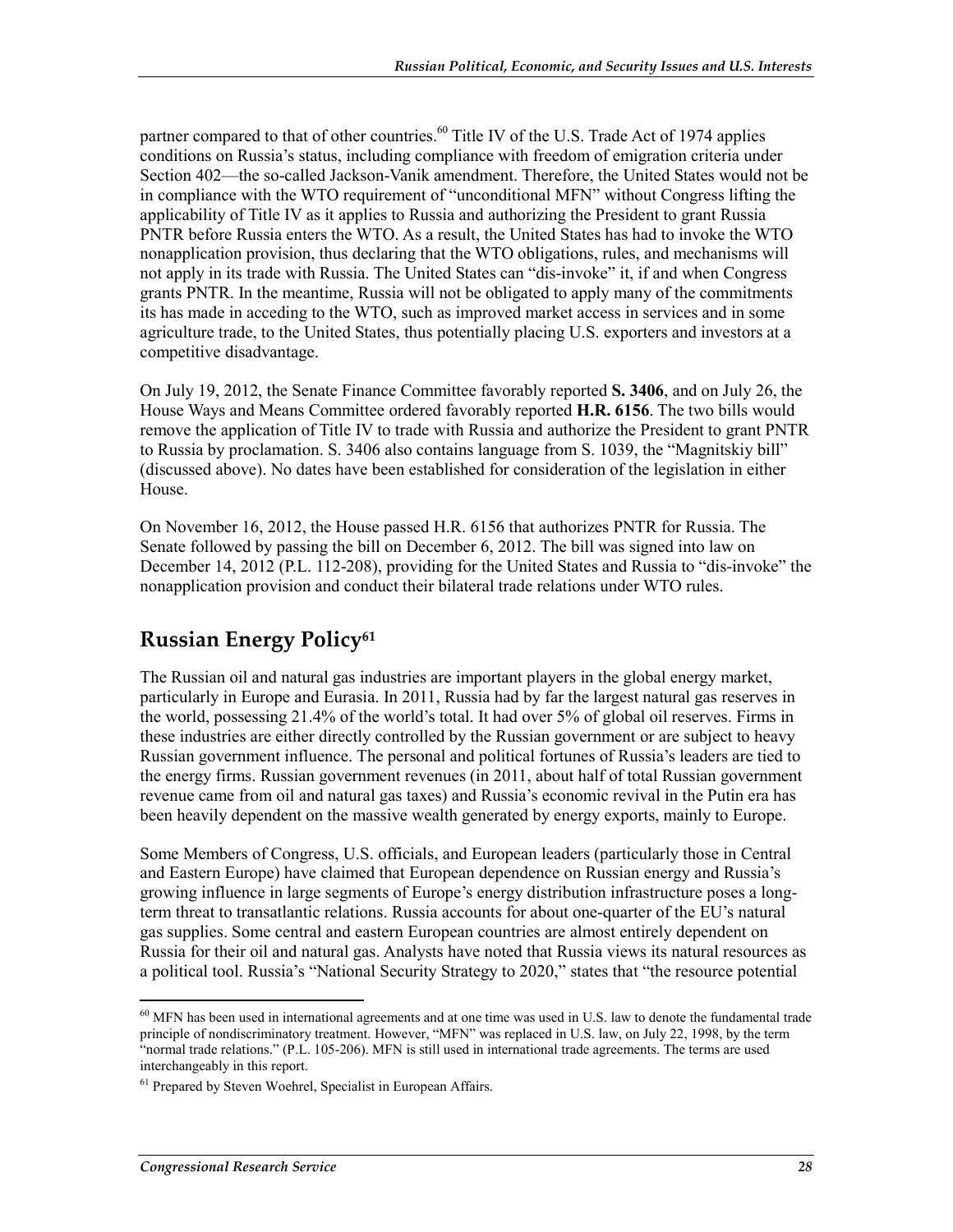partner compared to that of other countries.<sup>60</sup> Title IV of the U.S. Trade Act of 1974 applies conditions on Russia's status, including compliance with freedom of emigration criteria under Section 402—the so-called Jackson-Vanik amendment. Therefore, the United States would not be in compliance with the WTO requirement of "unconditional MFN" without Congress lifting the applicability of Title IV as it applies to Russia and authorizing the President to grant Russia PNTR before Russia enters the WTO. As a result, the United States has had to invoke the WTO nonapplication provision, thus declaring that the WTO obligations, rules, and mechanisms will not apply in its trade with Russia. The United States can "dis-invoke" it, if and when Congress grants PNTR. In the meantime, Russia will not be obligated to apply many of the commitments its has made in acceding to the WTO, such as improved market access in services and in some agriculture trade, to the United States, thus potentially placing U.S. exporters and investors at a competitive disadvantage.

On July 19, 2012, the Senate Finance Committee favorably reported **S. 3406**, and on July 26, the House Ways and Means Committee ordered favorably reported **H.R. 6156**. The two bills would remove the application of Title IV to trade with Russia and authorize the President to grant PNTR to Russia by proclamation. S. 3406 also contains language from S. 1039, the "Magnitskiy bill" (discussed above). No dates have been established for consideration of the legislation in either House.

On November 16, 2012, the House passed H.R. 6156 that authorizes PNTR for Russia. The Senate followed by passing the bill on December 6, 2012. The bill was signed into law on December 14, 2012 (P.L. 112-208), providing for the United States and Russia to "dis-invoke" the nonapplication provision and conduct their bilateral trade relations under WTO rules.

## **Russian Energy Policy<sup>61</sup>**

The Russian oil and natural gas industries are important players in the global energy market, particularly in Europe and Eurasia. In 2011, Russia had by far the largest natural gas reserves in the world, possessing 21.4% of the world's total. It had over 5% of global oil reserves. Firms in these industries are either directly controlled by the Russian government or are subject to heavy Russian government influence. The personal and political fortunes of Russia's leaders are tied to the energy firms. Russian government revenues (in 2011, about half of total Russian government revenue came from oil and natural gas taxes) and Russia's economic revival in the Putin era has been heavily dependent on the massive wealth generated by energy exports, mainly to Europe.

Some Members of Congress, U.S. officials, and European leaders (particularly those in Central and Eastern Europe) have claimed that European dependence on Russian energy and Russia's growing influence in large segments of Europe's energy distribution infrastructure poses a longterm threat to transatlantic relations. Russia accounts for about one-quarter of the EU's natural gas supplies. Some central and eastern European countries are almost entirely dependent on Russia for their oil and natural gas. Analysts have noted that Russia views its natural resources as a political tool. Russia's "National Security Strategy to 2020," states that "the resource potential

 $60$  MFN has been used in international agreements and at one time was used in U.S. law to denote the fundamental trade principle of nondiscriminatory treatment. However, "MFN" was replaced in U.S. law, on July 22, 1998, by the term "normal trade relations." (P.L. 105-206). MFN is still used in international trade agreements. The terms are used interchangeably in this report.

<sup>&</sup>lt;sup>61</sup> Prepared by Steven Woehrel, Specialist in European Affairs.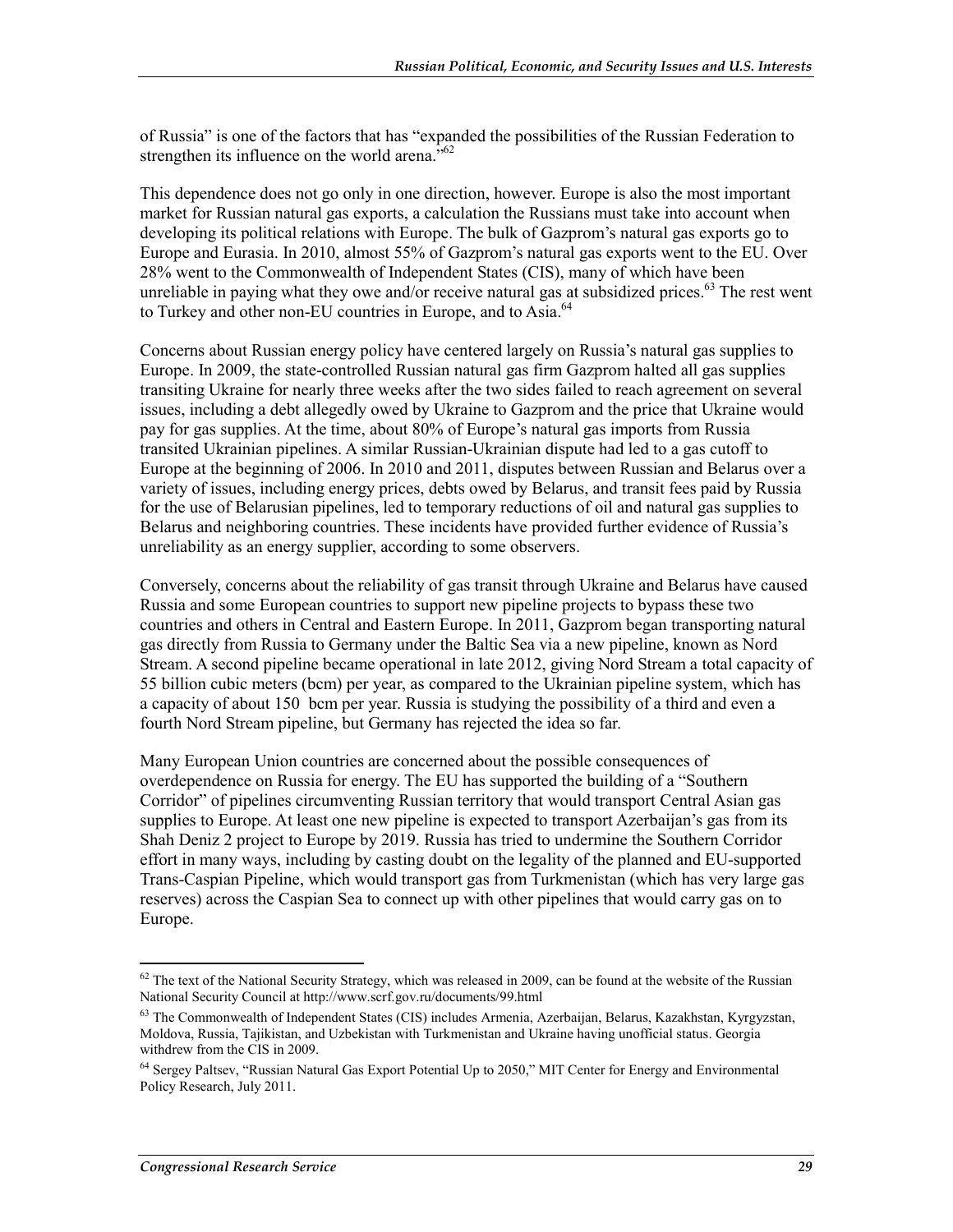of Russia" is one of the factors that has "expanded the possibilities of the Russian Federation to strengthen its influence on the world arena.<sup>562</sup>

This dependence does not go only in one direction, however. Europe is also the most important market for Russian natural gas exports, a calculation the Russians must take into account when developing its political relations with Europe. The bulk of Gazprom's natural gas exports go to Europe and Eurasia. In 2010, almost 55% of Gazprom's natural gas exports went to the EU. Over 28% went to the Commonwealth of Independent States (CIS), many of which have been unreliable in paying what they owe and/or receive natural gas at subsidized prices. $63$  The rest went to Turkey and other non-EU countries in Europe, and to Asia.<sup>64</sup>

Concerns about Russian energy policy have centered largely on Russia's natural gas supplies to Europe. In 2009, the state-controlled Russian natural gas firm Gazprom halted all gas supplies transiting Ukraine for nearly three weeks after the two sides failed to reach agreement on several issues, including a debt allegedly owed by Ukraine to Gazprom and the price that Ukraine would pay for gas supplies. At the time, about 80% of Europe's natural gas imports from Russia transited Ukrainian pipelines. A similar Russian-Ukrainian dispute had led to a gas cutoff to Europe at the beginning of 2006. In 2010 and 2011, disputes between Russian and Belarus over a variety of issues, including energy prices, debts owed by Belarus, and transit fees paid by Russia for the use of Belarusian pipelines, led to temporary reductions of oil and natural gas supplies to Belarus and neighboring countries. These incidents have provided further evidence of Russia's unreliability as an energy supplier, according to some observers.

Conversely, concerns about the reliability of gas transit through Ukraine and Belarus have caused Russia and some European countries to support new pipeline projects to bypass these two countries and others in Central and Eastern Europe. In 2011, Gazprom began transporting natural gas directly from Russia to Germany under the Baltic Sea via a new pipeline, known as Nord Stream. A second pipeline became operational in late 2012, giving Nord Stream a total capacity of 55 billion cubic meters (bcm) per year, as compared to the Ukrainian pipeline system, which has a capacity of about 150 bcm per year. Russia is studying the possibility of a third and even a fourth Nord Stream pipeline, but Germany has rejected the idea so far.

Many European Union countries are concerned about the possible consequences of overdependence on Russia for energy. The EU has supported the building of a "Southern Corridor" of pipelines circumventing Russian territory that would transport Central Asian gas supplies to Europe. At least one new pipeline is expected to transport Azerbaijan's gas from its Shah Deniz 2 project to Europe by 2019. Russia has tried to undermine the Southern Corridor effort in many ways, including by casting doubt on the legality of the planned and EU-supported Trans-Caspian Pipeline, which would transport gas from Turkmenistan (which has very large gas reserves) across the Caspian Sea to connect up with other pipelines that would carry gas on to Europe.

<sup>1</sup>  $62$  The text of the National Security Strategy, which was released in 2009, can be found at the website of the Russian National Security Council at http://www.scrf.gov.ru/documents/99.html

<sup>63</sup> The Commonwealth of Independent States (CIS) includes Armenia, Azerbaijan, Belarus, Kazakhstan, Kyrgyzstan, Moldova, Russia, Tajikistan, and Uzbekistan with Turkmenistan and Ukraine having unofficial status. Georgia withdrew from the CIS in 2009.

<sup>64</sup> Sergey Paltsev, "Russian Natural Gas Export Potential Up to 2050," MIT Center for Energy and Environmental Policy Research, July 2011.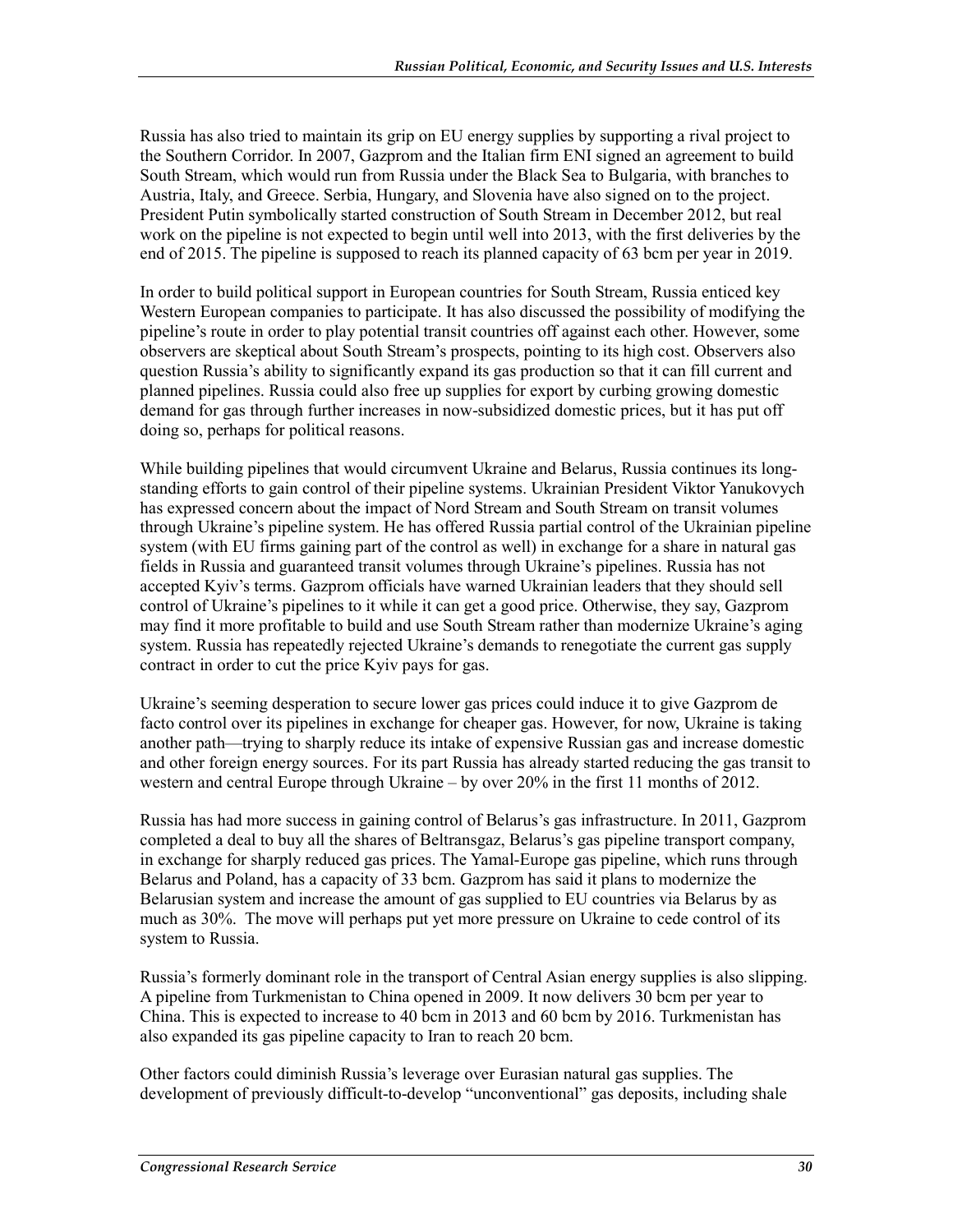Russia has also tried to maintain its grip on EU energy supplies by supporting a rival project to the Southern Corridor. In 2007, Gazprom and the Italian firm ENI signed an agreement to build South Stream, which would run from Russia under the Black Sea to Bulgaria, with branches to Austria, Italy, and Greece. Serbia, Hungary, and Slovenia have also signed on to the project. President Putin symbolically started construction of South Stream in December 2012, but real work on the pipeline is not expected to begin until well into 2013, with the first deliveries by the end of 2015. The pipeline is supposed to reach its planned capacity of 63 bcm per year in 2019.

In order to build political support in European countries for South Stream, Russia enticed key Western European companies to participate. It has also discussed the possibility of modifying the pipeline's route in order to play potential transit countries off against each other. However, some observers are skeptical about South Stream's prospects, pointing to its high cost. Observers also question Russia's ability to significantly expand its gas production so that it can fill current and planned pipelines. Russia could also free up supplies for export by curbing growing domestic demand for gas through further increases in now-subsidized domestic prices, but it has put off doing so, perhaps for political reasons.

While building pipelines that would circumvent Ukraine and Belarus, Russia continues its longstanding efforts to gain control of their pipeline systems. Ukrainian President Viktor Yanukovych has expressed concern about the impact of Nord Stream and South Stream on transit volumes through Ukraine's pipeline system. He has offered Russia partial control of the Ukrainian pipeline system (with EU firms gaining part of the control as well) in exchange for a share in natural gas fields in Russia and guaranteed transit volumes through Ukraine's pipelines. Russia has not accepted Kyiv's terms. Gazprom officials have warned Ukrainian leaders that they should sell control of Ukraine's pipelines to it while it can get a good price. Otherwise, they say, Gazprom may find it more profitable to build and use South Stream rather than modernize Ukraine's aging system. Russia has repeatedly rejected Ukraine's demands to renegotiate the current gas supply contract in order to cut the price Kyiv pays for gas.

Ukraine's seeming desperation to secure lower gas prices could induce it to give Gazprom de facto control over its pipelines in exchange for cheaper gas. However, for now, Ukraine is taking another path—trying to sharply reduce its intake of expensive Russian gas and increase domestic and other foreign energy sources. For its part Russia has already started reducing the gas transit to western and central Europe through Ukraine – by over 20% in the first 11 months of 2012.

Russia has had more success in gaining control of Belarus's gas infrastructure. In 2011, Gazprom completed a deal to buy all the shares of Beltransgaz, Belarus's gas pipeline transport company, in exchange for sharply reduced gas prices. The Yamal-Europe gas pipeline, which runs through Belarus and Poland, has a capacity of 33 bcm. Gazprom has said it plans to modernize the Belarusian system and increase the amount of gas supplied to EU countries via Belarus by as much as 30%. The move will perhaps put yet more pressure on Ukraine to cede control of its system to Russia.

Russia's formerly dominant role in the transport of Central Asian energy supplies is also slipping. A pipeline from Turkmenistan to China opened in 2009. It now delivers 30 bcm per year to China. This is expected to increase to 40 bcm in 2013 and 60 bcm by 2016. Turkmenistan has also expanded its gas pipeline capacity to Iran to reach 20 bcm.

Other factors could diminish Russia's leverage over Eurasian natural gas supplies. The development of previously difficult-to-develop "unconventional" gas deposits, including shale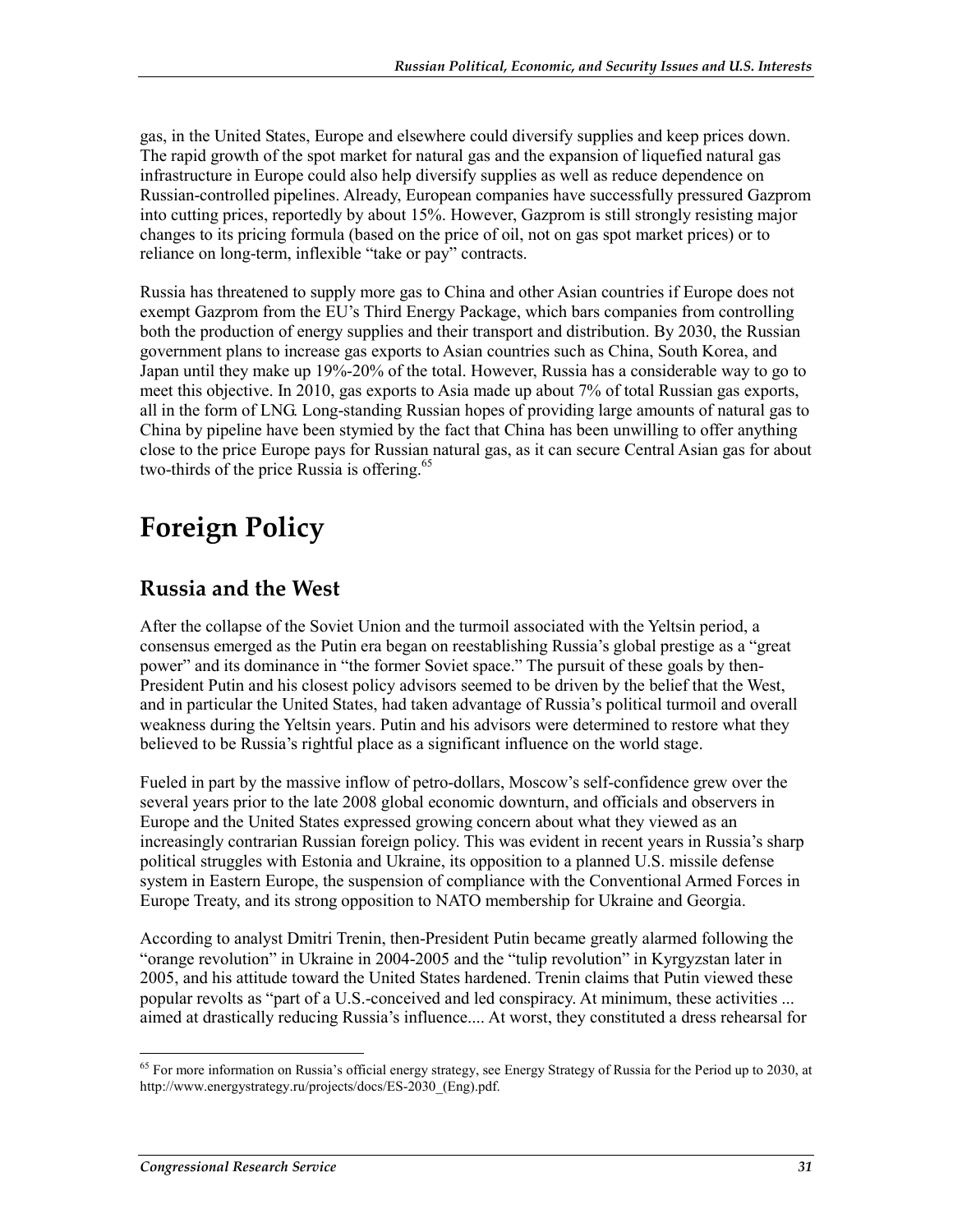gas, in the United States, Europe and elsewhere could diversify supplies and keep prices down. The rapid growth of the spot market for natural gas and the expansion of liquefied natural gas infrastructure in Europe could also help diversify supplies as well as reduce dependence on Russian-controlled pipelines. Already, European companies have successfully pressured Gazprom into cutting prices, reportedly by about 15%. However, Gazprom is still strongly resisting major changes to its pricing formula (based on the price of oil, not on gas spot market prices) or to reliance on long-term, inflexible "take or pay" contracts.

Russia has threatened to supply more gas to China and other Asian countries if Europe does not exempt Gazprom from the EU's Third Energy Package, which bars companies from controlling both the production of energy supplies and their transport and distribution. By 2030, the Russian government plans to increase gas exports to Asian countries such as China, South Korea, and Japan until they make up 19%-20% of the total. However, Russia has a considerable way to go to meet this objective. In 2010, gas exports to Asia made up about 7% of total Russian gas exports, all in the form of LNG. Long-standing Russian hopes of providing large amounts of natural gas to China by pipeline have been stymied by the fact that China has been unwilling to offer anything close to the price Europe pays for Russian natural gas, as it can secure Central Asian gas for about two-thirds of the price Russia is offering. $65$ 

## **Foreign Policy**

### **Russia and the West**

After the collapse of the Soviet Union and the turmoil associated with the Yeltsin period, a consensus emerged as the Putin era began on reestablishing Russia's global prestige as a "great power" and its dominance in "the former Soviet space." The pursuit of these goals by then-President Putin and his closest policy advisors seemed to be driven by the belief that the West, and in particular the United States, had taken advantage of Russia's political turmoil and overall weakness during the Yeltsin years. Putin and his advisors were determined to restore what they believed to be Russia's rightful place as a significant influence on the world stage.

Fueled in part by the massive inflow of petro-dollars, Moscow's self-confidence grew over the several years prior to the late 2008 global economic downturn, and officials and observers in Europe and the United States expressed growing concern about what they viewed as an increasingly contrarian Russian foreign policy. This was evident in recent years in Russia's sharp political struggles with Estonia and Ukraine, its opposition to a planned U.S. missile defense system in Eastern Europe, the suspension of compliance with the Conventional Armed Forces in Europe Treaty, and its strong opposition to NATO membership for Ukraine and Georgia.

According to analyst Dmitri Trenin, then-President Putin became greatly alarmed following the "orange revolution" in Ukraine in 2004-2005 and the "tulip revolution" in Kyrgyzstan later in 2005, and his attitude toward the United States hardened. Trenin claims that Putin viewed these popular revolts as "part of a U.S.-conceived and led conspiracy. At minimum, these activities ... aimed at drastically reducing Russia's influence.... At worst, they constituted a dress rehearsal for

<sup>1</sup>  $65$  For more information on Russia's official energy strategy, see Energy Strategy of Russia for the Period up to 2030, at http://www.energystrategy.ru/projects/docs/ES-2030 (Eng).pdf.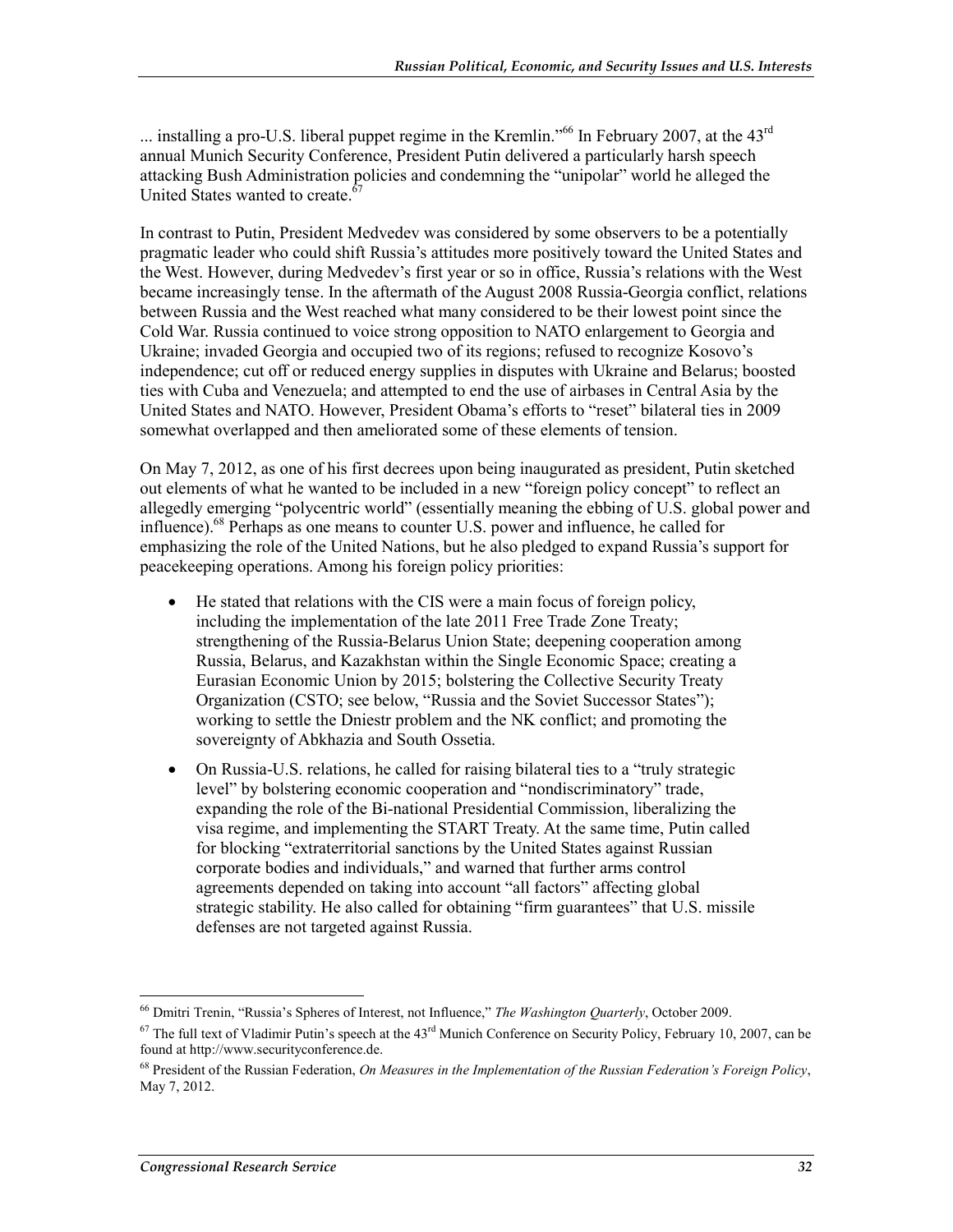$\ldots$  installing a pro-U.S. liberal puppet regime in the Kremlin."<sup>66</sup> In February 2007, at the 43<sup>rd</sup> annual Munich Security Conference, President Putin delivered a particularly harsh speech attacking Bush Administration policies and condemning the "unipolar" world he alleged the United States wanted to create.<sup>6</sup>

In contrast to Putin, President Medvedev was considered by some observers to be a potentially pragmatic leader who could shift Russia's attitudes more positively toward the United States and the West. However, during Medvedev's first year or so in office, Russia's relations with the West became increasingly tense. In the aftermath of the August 2008 Russia-Georgia conflict, relations between Russia and the West reached what many considered to be their lowest point since the Cold War. Russia continued to voice strong opposition to NATO enlargement to Georgia and Ukraine; invaded Georgia and occupied two of its regions; refused to recognize Kosovo's independence; cut off or reduced energy supplies in disputes with Ukraine and Belarus; boosted ties with Cuba and Venezuela; and attempted to end the use of airbases in Central Asia by the United States and NATO. However, President Obama's efforts to "reset" bilateral ties in 2009 somewhat overlapped and then ameliorated some of these elements of tension.

On May 7, 2012, as one of his first decrees upon being inaugurated as president, Putin sketched out elements of what he wanted to be included in a new "foreign policy concept" to reflect an allegedly emerging "polycentric world" (essentially meaning the ebbing of U.S. global power and influence).<sup>68</sup> Perhaps as one means to counter U.S. power and influence, he called for emphasizing the role of the United Nations, but he also pledged to expand Russia's support for peacekeeping operations. Among his foreign policy priorities:

- He stated that relations with the CIS were a main focus of foreign policy, including the implementation of the late 2011 Free Trade Zone Treaty; strengthening of the Russia-Belarus Union State; deepening cooperation among Russia, Belarus, and Kazakhstan within the Single Economic Space; creating a Eurasian Economic Union by 2015; bolstering the Collective Security Treaty Organization (CSTO; see below, "Russia and the Soviet Successor States"); working to settle the Dniestr problem and the NK conflict; and promoting the sovereignty of Abkhazia and South Ossetia.
- On Russia-U.S. relations, he called for raising bilateral ties to a "truly strategic level" by bolstering economic cooperation and "nondiscriminatory" trade, expanding the role of the Bi-national Presidential Commission, liberalizing the visa regime, and implementing the START Treaty. At the same time, Putin called for blocking "extraterritorial sanctions by the United States against Russian corporate bodies and individuals," and warned that further arms control agreements depended on taking into account "all factors" affecting global strategic stability. He also called for obtaining "firm guarantees" that U.S. missile defenses are not targeted against Russia.

<sup>66</sup> Dmitri Trenin, "Russia's Spheres of Interest, not Influence," *The Washington Quarterly*, October 2009.

<sup>&</sup>lt;sup>67</sup> The full text of Vladimir Putin's speech at the  $43<sup>rd</sup>$  Munich Conference on Security Policy, February 10, 2007, can be found at http://www.securityconference.de.

<sup>68</sup> President of the Russian Federation, *On Measures in the Implementation of the Russian Federation's Foreign Policy*, May 7, 2012.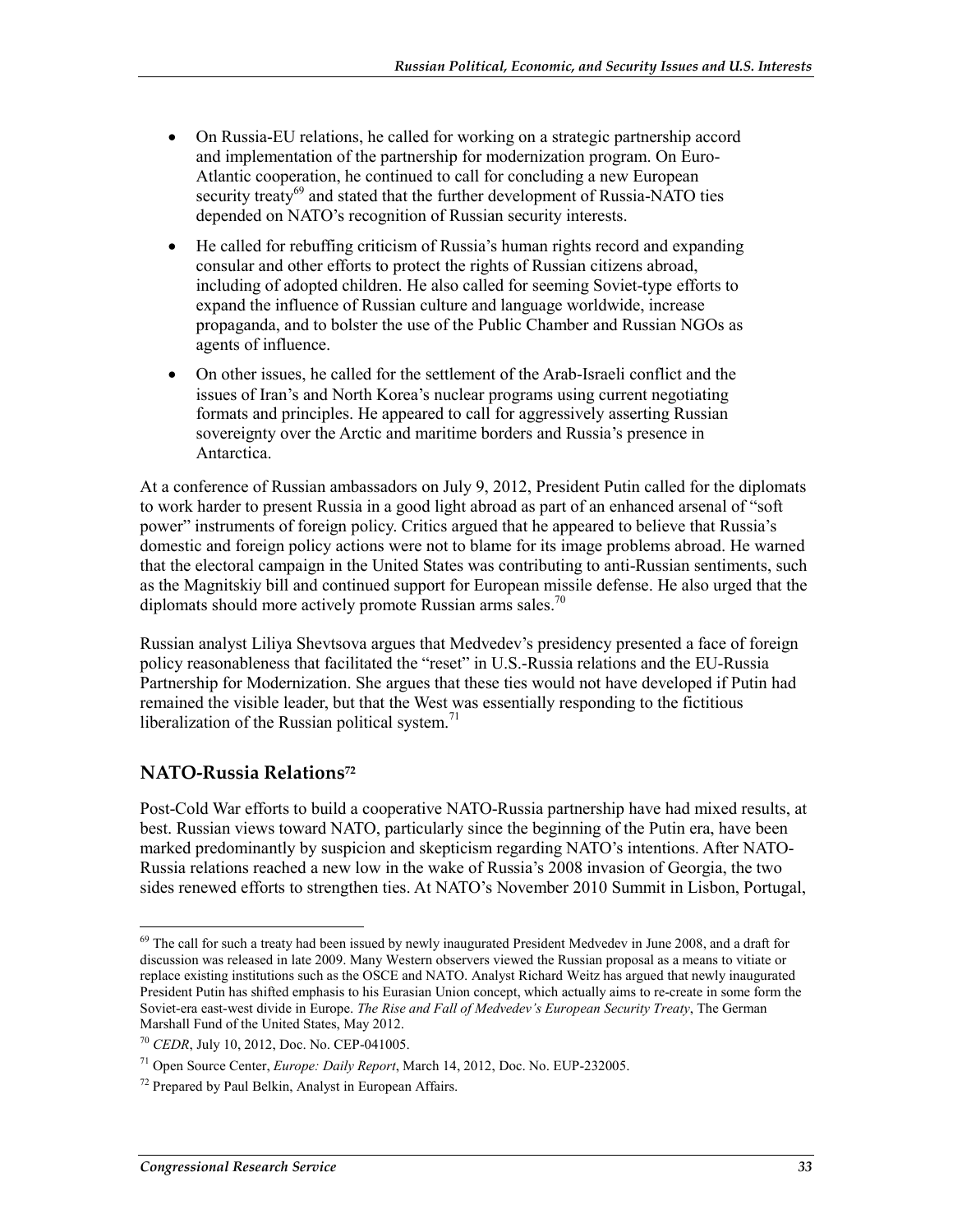- On Russia-EU relations, he called for working on a strategic partnership accord and implementation of the partnership for modernization program. On Euro-Atlantic cooperation, he continued to call for concluding a new European security treaty<sup>69</sup> and stated that the further development of Russia-NATO ties depended on NATO's recognition of Russian security interests.
- He called for rebuffing criticism of Russia's human rights record and expanding consular and other efforts to protect the rights of Russian citizens abroad, including of adopted children. He also called for seeming Soviet-type efforts to expand the influence of Russian culture and language worldwide, increase propaganda, and to bolster the use of the Public Chamber and Russian NGOs as agents of influence.
- On other issues, he called for the settlement of the Arab-Israeli conflict and the issues of Iran's and North Korea's nuclear programs using current negotiating formats and principles. He appeared to call for aggressively asserting Russian sovereignty over the Arctic and maritime borders and Russia's presence in Antarctica.

At a conference of Russian ambassadors on July 9, 2012, President Putin called for the diplomats to work harder to present Russia in a good light abroad as part of an enhanced arsenal of "soft power" instruments of foreign policy. Critics argued that he appeared to believe that Russia's domestic and foreign policy actions were not to blame for its image problems abroad. He warned that the electoral campaign in the United States was contributing to anti-Russian sentiments, such as the Magnitskiy bill and continued support for European missile defense. He also urged that the diplomats should more actively promote Russian arms sales.<sup>70</sup>

Russian analyst Liliya Shevtsova argues that Medvedev's presidency presented a face of foreign policy reasonableness that facilitated the "reset" in U.S.-Russia relations and the EU-Russia Partnership for Modernization. She argues that these ties would not have developed if Putin had remained the visible leader, but that the West was essentially responding to the fictitious liberalization of the Russian political system.<sup>71</sup>

#### **NATO-Russia Relations72**

1

Post-Cold War efforts to build a cooperative NATO-Russia partnership have had mixed results, at best. Russian views toward NATO, particularly since the beginning of the Putin era, have been marked predominantly by suspicion and skepticism regarding NATO's intentions. After NATO-Russia relations reached a new low in the wake of Russia's 2008 invasion of Georgia, the two sides renewed efforts to strengthen ties. At NATO's November 2010 Summit in Lisbon, Portugal,

 $69$  The call for such a treaty had been issued by newly inaugurated President Medvedev in June 2008, and a draft for discussion was released in late 2009. Many Western observers viewed the Russian proposal as a means to vitiate or replace existing institutions such as the OSCE and NATO. Analyst Richard Weitz has argued that newly inaugurated President Putin has shifted emphasis to his Eurasian Union concept, which actually aims to re-create in some form the Soviet-era east-west divide in Europe. *The Rise and Fall of Medvedev's European Security Treaty*, The German Marshall Fund of the United States, May 2012.

<sup>70</sup> *CEDR*, July 10, 2012, Doc. No. CEP-041005.

<sup>71</sup> Open Source Center, *Europe: Daily Report*, March 14, 2012, Doc. No. EUP-232005.

 $72$  Prepared by Paul Belkin, Analyst in European Affairs.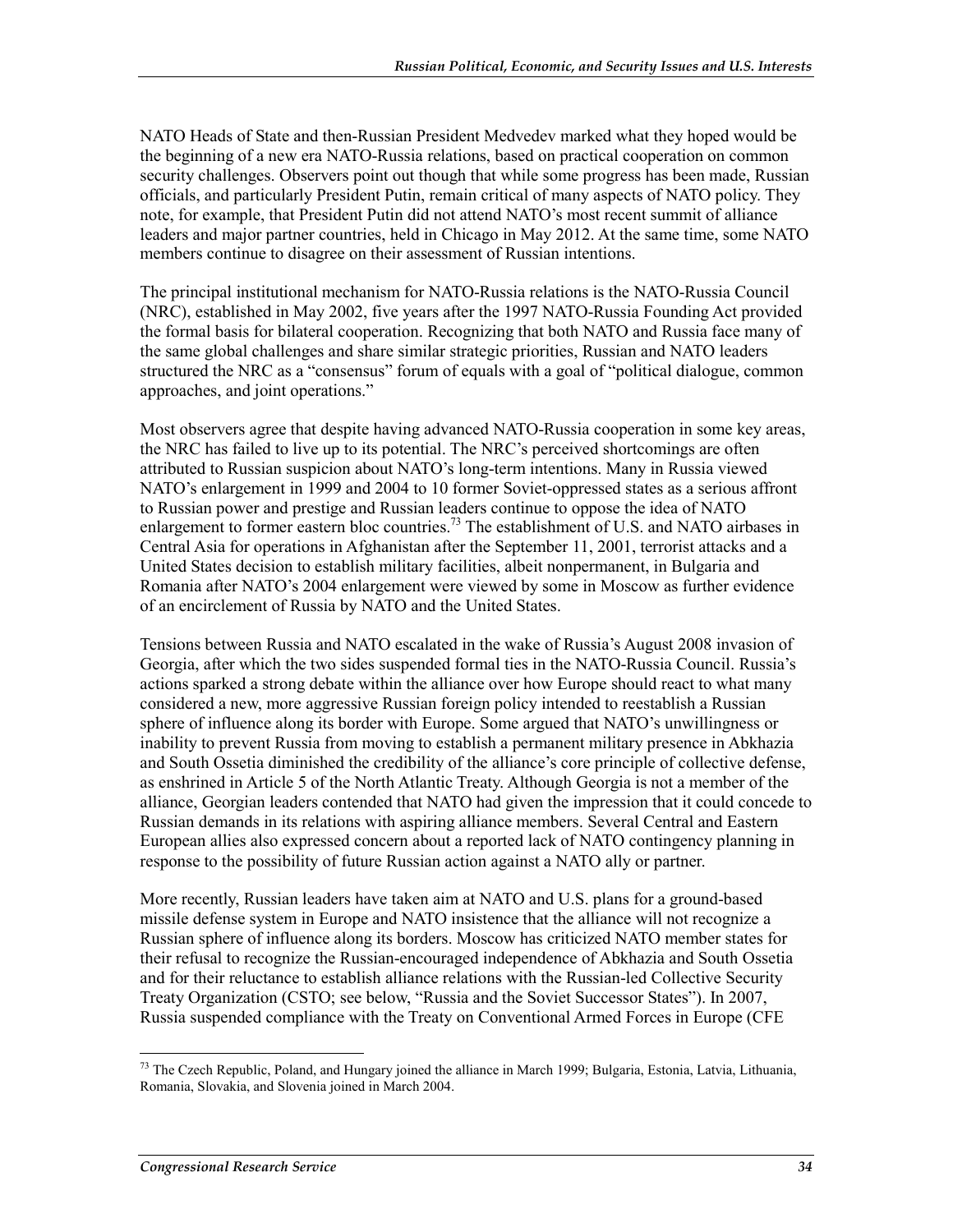NATO Heads of State and then-Russian President Medvedev marked what they hoped would be the beginning of a new era NATO-Russia relations, based on practical cooperation on common security challenges. Observers point out though that while some progress has been made, Russian officials, and particularly President Putin, remain critical of many aspects of NATO policy. They note, for example, that President Putin did not attend NATO's most recent summit of alliance leaders and major partner countries, held in Chicago in May 2012. At the same time, some NATO members continue to disagree on their assessment of Russian intentions.

The principal institutional mechanism for NATO-Russia relations is the NATO-Russia Council (NRC), established in May 2002, five years after the 1997 NATO-Russia Founding Act provided the formal basis for bilateral cooperation. Recognizing that both NATO and Russia face many of the same global challenges and share similar strategic priorities, Russian and NATO leaders structured the NRC as a "consensus" forum of equals with a goal of "political dialogue, common approaches, and joint operations."

Most observers agree that despite having advanced NATO-Russia cooperation in some key areas, the NRC has failed to live up to its potential. The NRC's perceived shortcomings are often attributed to Russian suspicion about NATO's long-term intentions. Many in Russia viewed NATO's enlargement in 1999 and 2004 to 10 former Soviet-oppressed states as a serious affront to Russian power and prestige and Russian leaders continue to oppose the idea of NATO enlargement to former eastern bloc countries.<sup>73</sup> The establishment of U.S. and NATO airbases in Central Asia for operations in Afghanistan after the September 11, 2001, terrorist attacks and a United States decision to establish military facilities, albeit nonpermanent, in Bulgaria and Romania after NATO's 2004 enlargement were viewed by some in Moscow as further evidence of an encirclement of Russia by NATO and the United States.

Tensions between Russia and NATO escalated in the wake of Russia's August 2008 invasion of Georgia, after which the two sides suspended formal ties in the NATO-Russia Council. Russia's actions sparked a strong debate within the alliance over how Europe should react to what many considered a new, more aggressive Russian foreign policy intended to reestablish a Russian sphere of influence along its border with Europe. Some argued that NATO's unwillingness or inability to prevent Russia from moving to establish a permanent military presence in Abkhazia and South Ossetia diminished the credibility of the alliance's core principle of collective defense, as enshrined in Article 5 of the North Atlantic Treaty. Although Georgia is not a member of the alliance, Georgian leaders contended that NATO had given the impression that it could concede to Russian demands in its relations with aspiring alliance members. Several Central and Eastern European allies also expressed concern about a reported lack of NATO contingency planning in response to the possibility of future Russian action against a NATO ally or partner.

More recently, Russian leaders have taken aim at NATO and U.S. plans for a ground-based missile defense system in Europe and NATO insistence that the alliance will not recognize a Russian sphere of influence along its borders. Moscow has criticized NATO member states for their refusal to recognize the Russian-encouraged independence of Abkhazia and South Ossetia and for their reluctance to establish alliance relations with the Russian-led Collective Security Treaty Organization (CSTO; see below, "Russia and the Soviet Successor States"). In 2007, Russia suspended compliance with the Treaty on Conventional Armed Forces in Europe (CFE

<sup>1</sup> <sup>73</sup> The Czech Republic, Poland, and Hungary joined the alliance in March 1999; Bulgaria, Estonia, Latvia, Lithuania, Romania, Slovakia, and Slovenia joined in March 2004.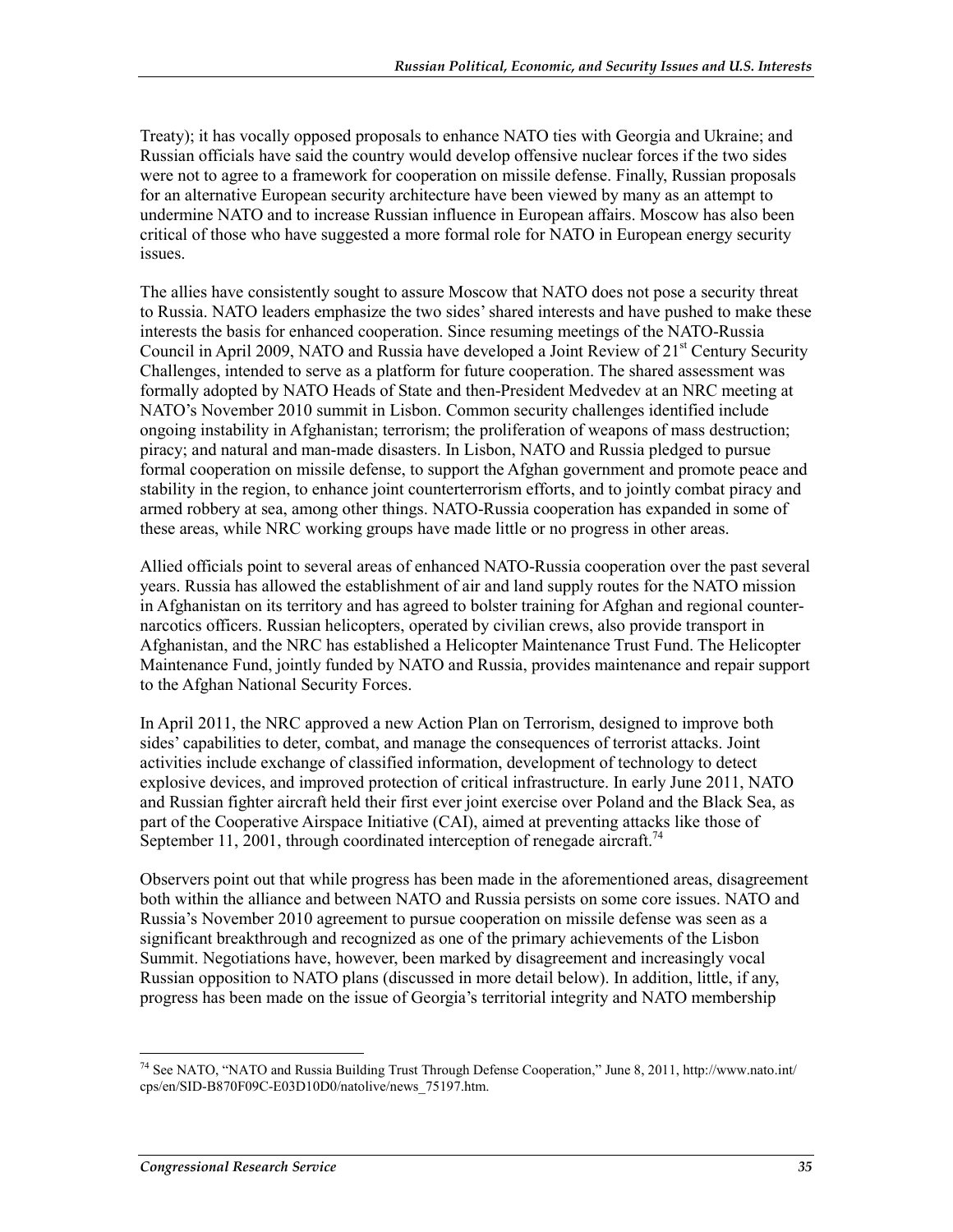Treaty); it has vocally opposed proposals to enhance NATO ties with Georgia and Ukraine; and Russian officials have said the country would develop offensive nuclear forces if the two sides were not to agree to a framework for cooperation on missile defense. Finally, Russian proposals for an alternative European security architecture have been viewed by many as an attempt to undermine NATO and to increase Russian influence in European affairs. Moscow has also been critical of those who have suggested a more formal role for NATO in European energy security issues.

The allies have consistently sought to assure Moscow that NATO does not pose a security threat to Russia. NATO leaders emphasize the two sides' shared interests and have pushed to make these interests the basis for enhanced cooperation. Since resuming meetings of the NATO-Russia Council in April 2009, NATO and Russia have developed a Joint Review of  $21<sup>st</sup>$  Century Security Challenges, intended to serve as a platform for future cooperation. The shared assessment was formally adopted by NATO Heads of State and then-President Medvedev at an NRC meeting at NATO's November 2010 summit in Lisbon. Common security challenges identified include ongoing instability in Afghanistan; terrorism; the proliferation of weapons of mass destruction; piracy; and natural and man-made disasters. In Lisbon, NATO and Russia pledged to pursue formal cooperation on missile defense, to support the Afghan government and promote peace and stability in the region, to enhance joint counterterrorism efforts, and to jointly combat piracy and armed robbery at sea, among other things. NATO-Russia cooperation has expanded in some of these areas, while NRC working groups have made little or no progress in other areas.

Allied officials point to several areas of enhanced NATO-Russia cooperation over the past several years. Russia has allowed the establishment of air and land supply routes for the NATO mission in Afghanistan on its territory and has agreed to bolster training for Afghan and regional counternarcotics officers. Russian helicopters, operated by civilian crews, also provide transport in Afghanistan, and the NRC has established a Helicopter Maintenance Trust Fund. The Helicopter Maintenance Fund, jointly funded by NATO and Russia, provides maintenance and repair support to the Afghan National Security Forces.

In April 2011, the NRC approved a new Action Plan on Terrorism, designed to improve both sides' capabilities to deter, combat, and manage the consequences of terrorist attacks. Joint activities include exchange of classified information, development of technology to detect explosive devices, and improved protection of critical infrastructure. In early June 2011, NATO and Russian fighter aircraft held their first ever joint exercise over Poland and the Black Sea, as part of the Cooperative Airspace Initiative (CAI), aimed at preventing attacks like those of September 11, 2001, through coordinated interception of renegade aircraft.<sup>74</sup>

Observers point out that while progress has been made in the aforementioned areas, disagreement both within the alliance and between NATO and Russia persists on some core issues. NATO and Russia's November 2010 agreement to pursue cooperation on missile defense was seen as a significant breakthrough and recognized as one of the primary achievements of the Lisbon Summit. Negotiations have, however, been marked by disagreement and increasingly vocal Russian opposition to NATO plans (discussed in more detail below). In addition, little, if any, progress has been made on the issue of Georgia's territorial integrity and NATO membership

<sup>1</sup> 74 See NATO, "NATO and Russia Building Trust Through Defense Cooperation," June 8, 2011, http://www.nato.int/ cps/en/SID-B870F09C-E03D10D0/natolive/news\_75197.htm.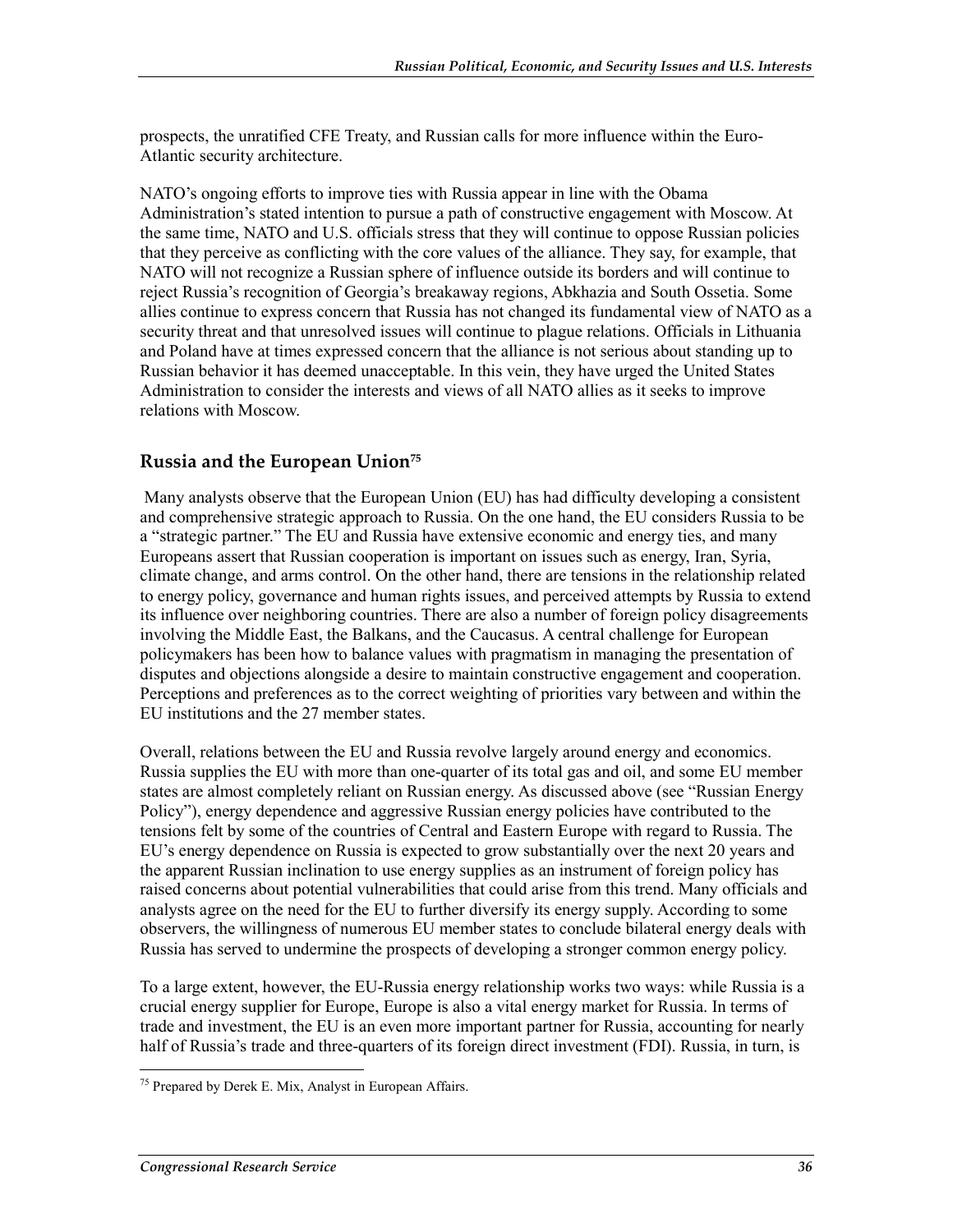prospects, the unratified CFE Treaty, and Russian calls for more influence within the Euro-Atlantic security architecture.

NATO's ongoing efforts to improve ties with Russia appear in line with the Obama Administration's stated intention to pursue a path of constructive engagement with Moscow. At the same time, NATO and U.S. officials stress that they will continue to oppose Russian policies that they perceive as conflicting with the core values of the alliance. They say, for example, that NATO will not recognize a Russian sphere of influence outside its borders and will continue to reject Russia's recognition of Georgia's breakaway regions, Abkhazia and South Ossetia. Some allies continue to express concern that Russia has not changed its fundamental view of NATO as a security threat and that unresolved issues will continue to plague relations. Officials in Lithuania and Poland have at times expressed concern that the alliance is not serious about standing up to Russian behavior it has deemed unacceptable. In this vein, they have urged the United States Administration to consider the interests and views of all NATO allies as it seeks to improve relations with Moscow.

#### **Russia and the European Union75**

 Many analysts observe that the European Union (EU) has had difficulty developing a consistent and comprehensive strategic approach to Russia. On the one hand, the EU considers Russia to be a "strategic partner." The EU and Russia have extensive economic and energy ties, and many Europeans assert that Russian cooperation is important on issues such as energy, Iran, Syria, climate change, and arms control. On the other hand, there are tensions in the relationship related to energy policy, governance and human rights issues, and perceived attempts by Russia to extend its influence over neighboring countries. There are also a number of foreign policy disagreements involving the Middle East, the Balkans, and the Caucasus. A central challenge for European policymakers has been how to balance values with pragmatism in managing the presentation of disputes and objections alongside a desire to maintain constructive engagement and cooperation. Perceptions and preferences as to the correct weighting of priorities vary between and within the EU institutions and the 27 member states.

Overall, relations between the EU and Russia revolve largely around energy and economics. Russia supplies the EU with more than one-quarter of its total gas and oil, and some EU member states are almost completely reliant on Russian energy. As discussed above (see "Russian Energy Policy"), energy dependence and aggressive Russian energy policies have contributed to the tensions felt by some of the countries of Central and Eastern Europe with regard to Russia. The EU's energy dependence on Russia is expected to grow substantially over the next 20 years and the apparent Russian inclination to use energy supplies as an instrument of foreign policy has raised concerns about potential vulnerabilities that could arise from this trend. Many officials and analysts agree on the need for the EU to further diversify its energy supply. According to some observers, the willingness of numerous EU member states to conclude bilateral energy deals with Russia has served to undermine the prospects of developing a stronger common energy policy.

To a large extent, however, the EU-Russia energy relationship works two ways: while Russia is a crucial energy supplier for Europe, Europe is also a vital energy market for Russia. In terms of trade and investment, the EU is an even more important partner for Russia, accounting for nearly half of Russia's trade and three-quarters of its foreign direct investment (FDI). Russia, in turn, is

<sup>&</sup>lt;u>.</u>  $75$  Prepared by Derek E. Mix, Analyst in European Affairs.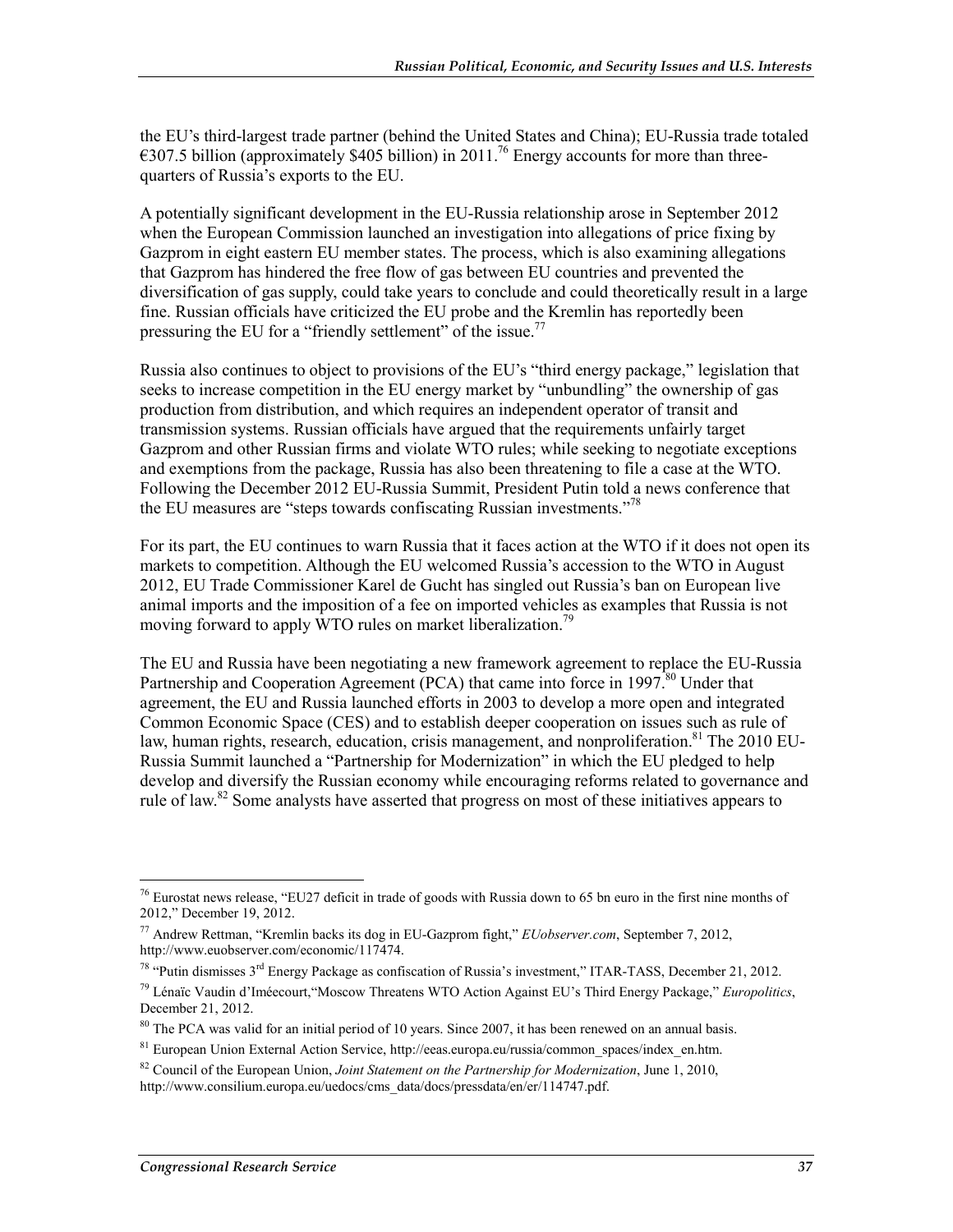the EU's third-largest trade partner (behind the United States and China); EU-Russia trade totaled  $\epsilon$ 307.5 billion (approximately \$405 billion) in 2011.<sup>76</sup> Energy accounts for more than threequarters of Russia's exports to the EU.

A potentially significant development in the EU-Russia relationship arose in September 2012 when the European Commission launched an investigation into allegations of price fixing by Gazprom in eight eastern EU member states. The process, which is also examining allegations that Gazprom has hindered the free flow of gas between EU countries and prevented the diversification of gas supply, could take years to conclude and could theoretically result in a large fine. Russian officials have criticized the EU probe and the Kremlin has reportedly been pressuring the EU for a "friendly settlement" of the issue.<sup>77</sup>

Russia also continues to object to provisions of the EU's "third energy package," legislation that seeks to increase competition in the EU energy market by "unbundling" the ownership of gas production from distribution, and which requires an independent operator of transit and transmission systems. Russian officials have argued that the requirements unfairly target Gazprom and other Russian firms and violate WTO rules; while seeking to negotiate exceptions and exemptions from the package, Russia has also been threatening to file a case at the WTO. Following the December 2012 EU-Russia Summit, President Putin told a news conference that the EU measures are "steps towards confiscating Russian investments."78

For its part, the EU continues to warn Russia that it faces action at the WTO if it does not open its markets to competition. Although the EU welcomed Russia's accession to the WTO in August 2012, EU Trade Commissioner Karel de Gucht has singled out Russia's ban on European live animal imports and the imposition of a fee on imported vehicles as examples that Russia is not moving forward to apply WTO rules on market liberalization.<sup>79</sup>

The EU and Russia have been negotiating a new framework agreement to replace the EU-Russia Partnership and Cooperation Agreement (PCA) that came into force in 1997.<sup>80</sup> Under that agreement, the EU and Russia launched efforts in 2003 to develop a more open and integrated Common Economic Space (CES) and to establish deeper cooperation on issues such as rule of law, human rights, research, education, crisis management, and nonproliferation.<sup>81</sup> The 2010 EU-Russia Summit launched a "Partnership for Modernization" in which the EU pledged to help develop and diversify the Russian economy while encouraging reforms related to governance and rule of law.<sup>82</sup> Some analysts have asserted that progress on most of these initiatives appears to

<u>.</u>

 $^{76}$  Eurostat news release, "EU27 deficit in trade of goods with Russia down to 65 bn euro in the first nine months of 2012," December 19, 2012.

<sup>77</sup> Andrew Rettman, "Kremlin backs its dog in EU-Gazprom fight," *EUobserver.com*, September 7, 2012, http://www.euobserver.com/economic/117474.

<sup>&</sup>lt;sup>78</sup> "Putin dismisses  $3^{rd}$  Energy Package as confiscation of Russia's investment," ITAR-TASS, December 21, 2012.

<sup>79</sup> Lénaïc Vaudin d'Iméecourt,"Moscow Threatens WTO Action Against EU's Third Energy Package," *Europolitics*, December 21, 2012.

<sup>&</sup>lt;sup>80</sup> The PCA was valid for an initial period of 10 years. Since 2007, it has been renewed on an annual basis.

<sup>81</sup> European Union External Action Service, http://eeas.europa.eu/russia/common\_spaces/index\_en.htm.

<sup>82</sup> Council of the European Union, *Joint Statement on the Partnership for Modernization*, June 1, 2010, http://www.consilium.europa.eu/uedocs/cms\_data/docs/pressdata/en/er/114747.pdf.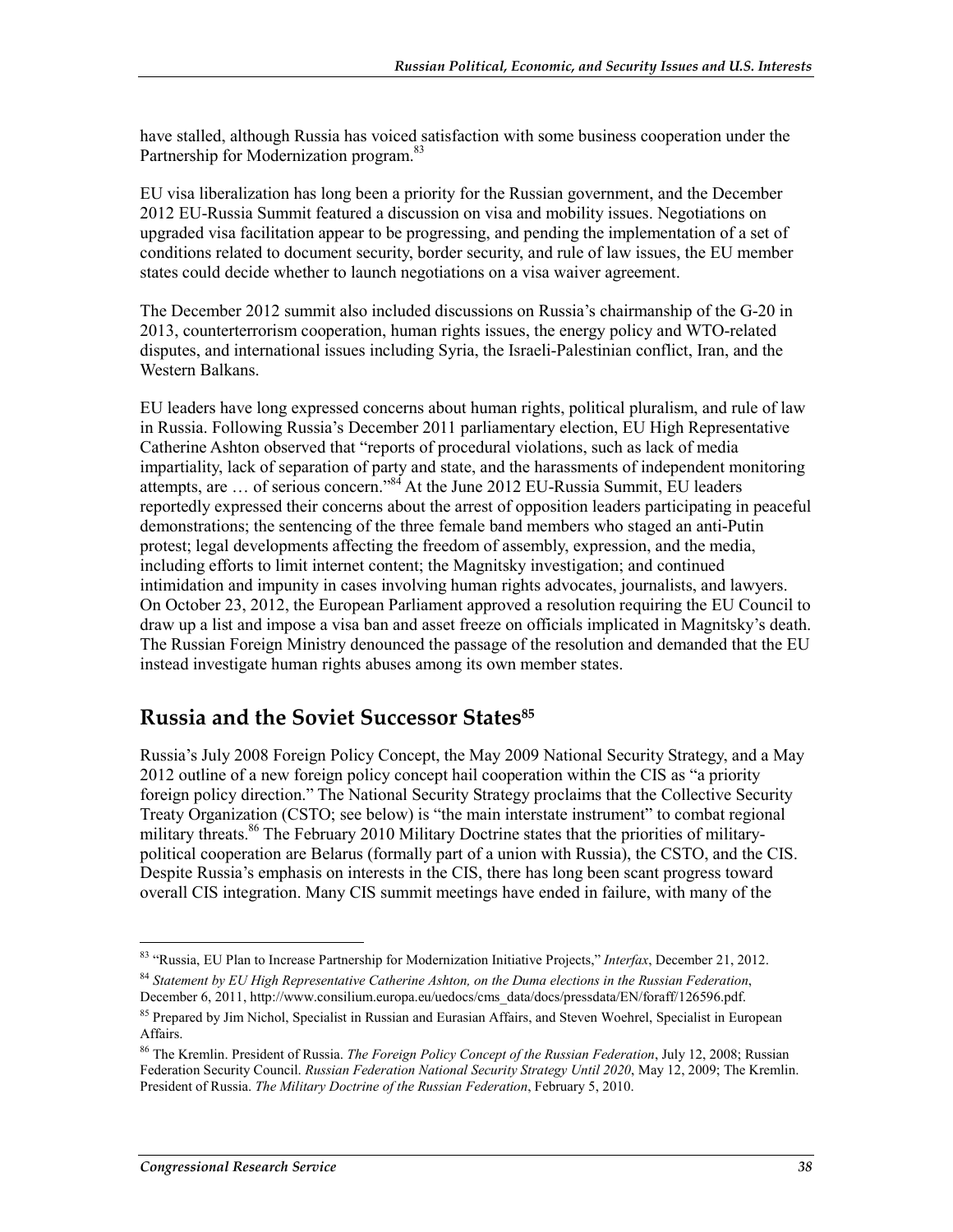have stalled, although Russia has voiced satisfaction with some business cooperation under the Partnership for Modernization program.<sup>83</sup>

EU visa liberalization has long been a priority for the Russian government, and the December 2012 EU-Russia Summit featured a discussion on visa and mobility issues. Negotiations on upgraded visa facilitation appear to be progressing, and pending the implementation of a set of conditions related to document security, border security, and rule of law issues, the EU member states could decide whether to launch negotiations on a visa waiver agreement.

The December 2012 summit also included discussions on Russia's chairmanship of the G-20 in 2013, counterterrorism cooperation, human rights issues, the energy policy and WTO-related disputes, and international issues including Syria, the Israeli-Palestinian conflict, Iran, and the Western Balkans.

EU leaders have long expressed concerns about human rights, political pluralism, and rule of law in Russia. Following Russia's December 2011 parliamentary election, EU High Representative Catherine Ashton observed that "reports of procedural violations, such as lack of media impartiality, lack of separation of party and state, and the harassments of independent monitoring attempts, are … of serious concern."84 At the June 2012 EU-Russia Summit, EU leaders reportedly expressed their concerns about the arrest of opposition leaders participating in peaceful demonstrations; the sentencing of the three female band members who staged an anti-Putin protest; legal developments affecting the freedom of assembly, expression, and the media, including efforts to limit internet content; the Magnitsky investigation; and continued intimidation and impunity in cases involving human rights advocates, journalists, and lawyers. On October 23, 2012, the European Parliament approved a resolution requiring the EU Council to draw up a list and impose a visa ban and asset freeze on officials implicated in Magnitsky's death. The Russian Foreign Ministry denounced the passage of the resolution and demanded that the EU instead investigate human rights abuses among its own member states.

### **Russia and the Soviet Successor States85**

Russia's July 2008 Foreign Policy Concept, the May 2009 National Security Strategy, and a May 2012 outline of a new foreign policy concept hail cooperation within the CIS as "a priority foreign policy direction." The National Security Strategy proclaims that the Collective Security Treaty Organization (CSTO; see below) is "the main interstate instrument" to combat regional military threats.<sup>86</sup> The February 2010 Military Doctrine states that the priorities of militarypolitical cooperation are Belarus (formally part of a union with Russia), the CSTO, and the CIS. Despite Russia's emphasis on interests in the CIS, there has long been scant progress toward overall CIS integration. Many CIS summit meetings have ended in failure, with many of the

<sup>83 &</sup>quot;Russia, EU Plan to Increase Partnership for Modernization Initiative Projects," *Interfax*, December 21, 2012.

<sup>84</sup> *Statement by EU High Representative Catherine Ashton, on the Duma elections in the Russian Federation*, December 6, 2011, http://www.consilium.europa.eu/uedocs/cms\_data/docs/pressdata/EN/foraff/126596.pdf.

<sup>&</sup>lt;sup>85</sup> Prepared by Jim Nichol, Specialist in Russian and Eurasian Affairs, and Steven Woehrel, Specialist in European Affairs.

<sup>86</sup> The Kremlin. President of Russia. *The Foreign Policy Concept of the Russian Federation*, July 12, 2008; Russian Federation Security Council. *Russian Federation National Security Strategy Until 2020*, May 12, 2009; The Kremlin. President of Russia. *The Military Doctrine of the Russian Federation*, February 5, 2010.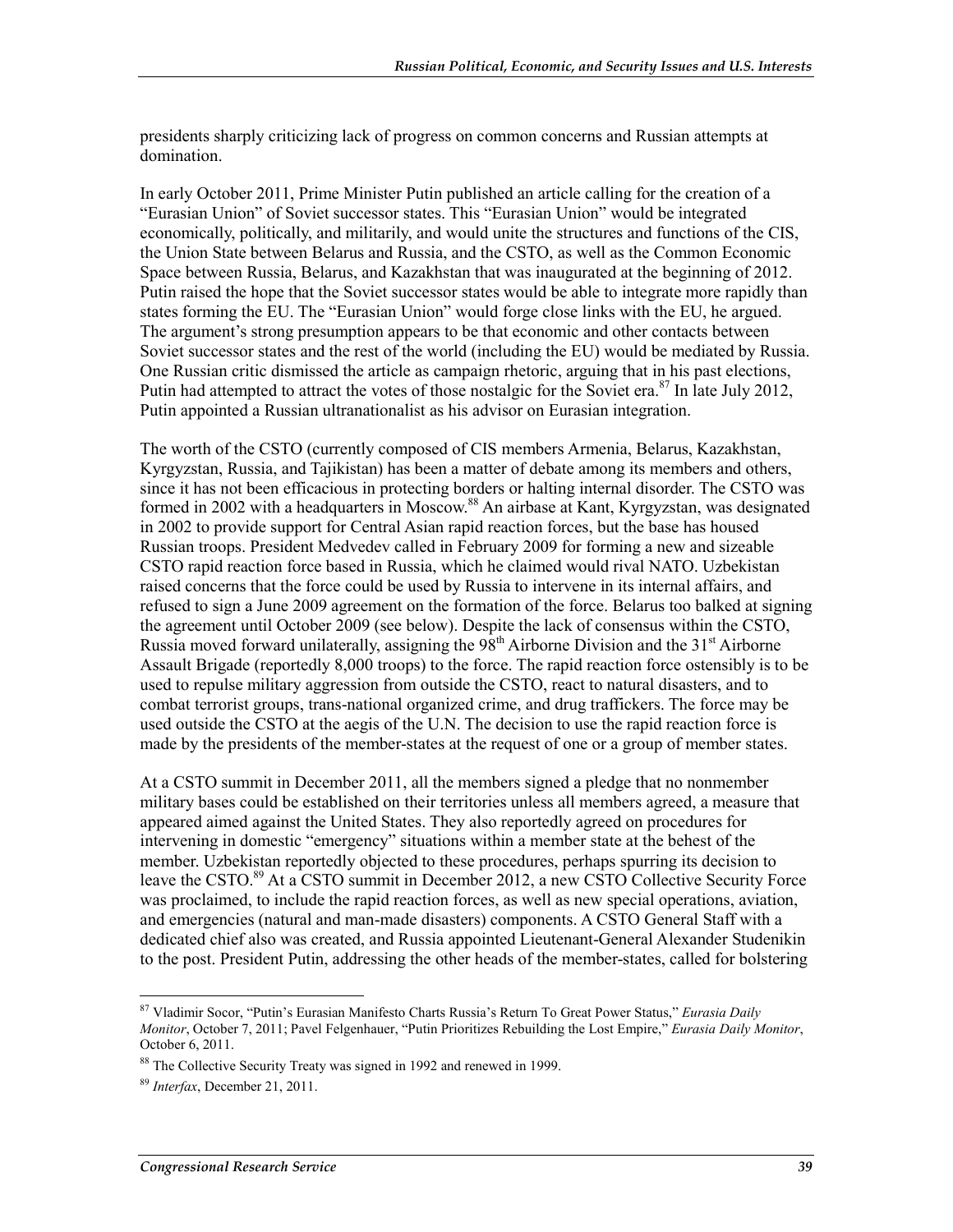presidents sharply criticizing lack of progress on common concerns and Russian attempts at domination.

In early October 2011, Prime Minister Putin published an article calling for the creation of a "Eurasian Union" of Soviet successor states. This "Eurasian Union" would be integrated economically, politically, and militarily, and would unite the structures and functions of the CIS, the Union State between Belarus and Russia, and the CSTO, as well as the Common Economic Space between Russia, Belarus, and Kazakhstan that was inaugurated at the beginning of 2012. Putin raised the hope that the Soviet successor states would be able to integrate more rapidly than states forming the EU. The "Eurasian Union" would forge close links with the EU, he argued. The argument's strong presumption appears to be that economic and other contacts between Soviet successor states and the rest of the world (including the EU) would be mediated by Russia. One Russian critic dismissed the article as campaign rhetoric, arguing that in his past elections, Putin had attempted to attract the votes of those nostalgic for the Soviet era.<sup>87</sup> In late July 2012, Putin appointed a Russian ultranationalist as his advisor on Eurasian integration.

The worth of the CSTO (currently composed of CIS members Armenia, Belarus, Kazakhstan, Kyrgyzstan, Russia, and Tajikistan) has been a matter of debate among its members and others, since it has not been efficacious in protecting borders or halting internal disorder. The CSTO was formed in 2002 with a headquarters in Moscow.<sup>88</sup> An airbase at Kant, Kyrgyzstan, was designated in 2002 to provide support for Central Asian rapid reaction forces, but the base has housed Russian troops. President Medvedev called in February 2009 for forming a new and sizeable CSTO rapid reaction force based in Russia, which he claimed would rival NATO. Uzbekistan raised concerns that the force could be used by Russia to intervene in its internal affairs, and refused to sign a June 2009 agreement on the formation of the force. Belarus too balked at signing the agreement until October 2009 (see below). Despite the lack of consensus within the CSTO, Russia moved forward unilaterally, assigning the  $98<sup>th</sup>$  Airborne Division and the  $31<sup>st</sup>$  Airborne Assault Brigade (reportedly 8,000 troops) to the force. The rapid reaction force ostensibly is to be used to repulse military aggression from outside the CSTO, react to natural disasters, and to combat terrorist groups, trans-national organized crime, and drug traffickers. The force may be used outside the CSTO at the aegis of the U.N. The decision to use the rapid reaction force is made by the presidents of the member-states at the request of one or a group of member states.

At a CSTO summit in December 2011, all the members signed a pledge that no nonmember military bases could be established on their territories unless all members agreed, a measure that appeared aimed against the United States. They also reportedly agreed on procedures for intervening in domestic "emergency" situations within a member state at the behest of the member. Uzbekistan reportedly objected to these procedures, perhaps spurring its decision to leave the CSTO.<sup>89</sup> At a CSTO summit in December 2012, a new CSTO Collective Security Force was proclaimed, to include the rapid reaction forces, as well as new special operations, aviation, and emergencies (natural and man-made disasters) components. A CSTO General Staff with a dedicated chief also was created, and Russia appointed Lieutenant-General Alexander Studenikin to the post. President Putin, addressing the other heads of the member-states, called for bolstering

<sup>87</sup> Vladimir Socor, "Putin's Eurasian Manifesto Charts Russia's Return To Great Power Status," *Eurasia Daily Monitor*, October 7, 2011; Pavel Felgenhauer, "Putin Prioritizes Rebuilding the Lost Empire," *Eurasia Daily Monitor*, October 6, 2011.

<sup>88</sup> The Collective Security Treaty was signed in 1992 and renewed in 1999.

<sup>89</sup> *Interfax*, December 21, 2011.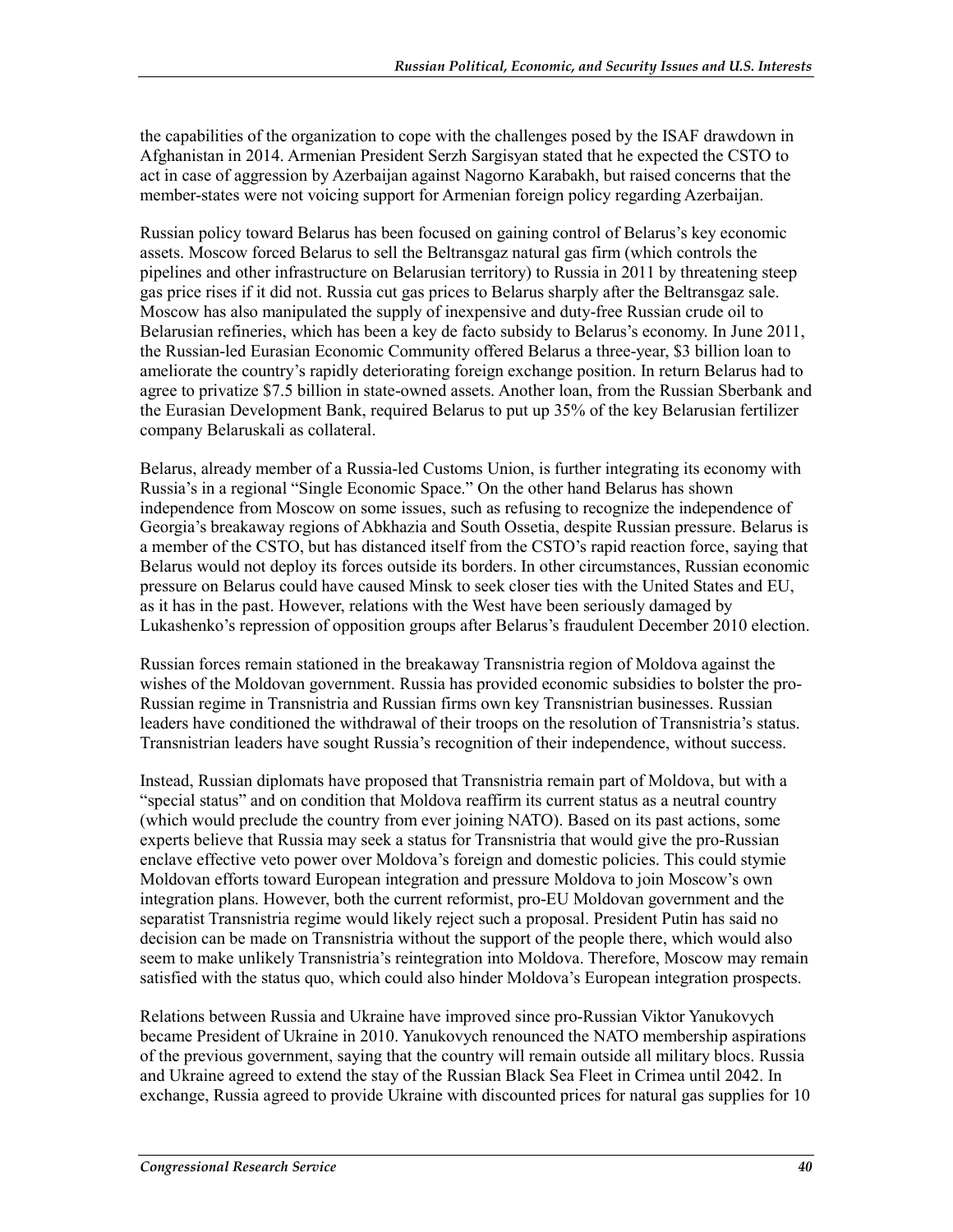the capabilities of the organization to cope with the challenges posed by the ISAF drawdown in Afghanistan in 2014. Armenian President Serzh Sargisyan stated that he expected the CSTO to act in case of aggression by Azerbaijan against Nagorno Karabakh, but raised concerns that the member-states were not voicing support for Armenian foreign policy regarding Azerbaijan.

Russian policy toward Belarus has been focused on gaining control of Belarus's key economic assets. Moscow forced Belarus to sell the Beltransgaz natural gas firm (which controls the pipelines and other infrastructure on Belarusian territory) to Russia in 2011 by threatening steep gas price rises if it did not. Russia cut gas prices to Belarus sharply after the Beltransgaz sale. Moscow has also manipulated the supply of inexpensive and duty-free Russian crude oil to Belarusian refineries, which has been a key de facto subsidy to Belarus's economy. In June 2011, the Russian-led Eurasian Economic Community offered Belarus a three-year, \$3 billion loan to ameliorate the country's rapidly deteriorating foreign exchange position. In return Belarus had to agree to privatize \$7.5 billion in state-owned assets. Another loan, from the Russian Sberbank and the Eurasian Development Bank, required Belarus to put up 35% of the key Belarusian fertilizer company Belaruskali as collateral.

Belarus, already member of a Russia-led Customs Union, is further integrating its economy with Russia's in a regional "Single Economic Space." On the other hand Belarus has shown independence from Moscow on some issues, such as refusing to recognize the independence of Georgia's breakaway regions of Abkhazia and South Ossetia, despite Russian pressure. Belarus is a member of the CSTO, but has distanced itself from the CSTO's rapid reaction force, saying that Belarus would not deploy its forces outside its borders. In other circumstances, Russian economic pressure on Belarus could have caused Minsk to seek closer ties with the United States and EU, as it has in the past. However, relations with the West have been seriously damaged by Lukashenko's repression of opposition groups after Belarus's fraudulent December 2010 election.

Russian forces remain stationed in the breakaway Transnistria region of Moldova against the wishes of the Moldovan government. Russia has provided economic subsidies to bolster the pro-Russian regime in Transnistria and Russian firms own key Transnistrian businesses. Russian leaders have conditioned the withdrawal of their troops on the resolution of Transnistria's status. Transnistrian leaders have sought Russia's recognition of their independence, without success.

Instead, Russian diplomats have proposed that Transnistria remain part of Moldova, but with a "special status" and on condition that Moldova reaffirm its current status as a neutral country (which would preclude the country from ever joining NATO). Based on its past actions, some experts believe that Russia may seek a status for Transnistria that would give the pro-Russian enclave effective veto power over Moldova's foreign and domestic policies. This could stymie Moldovan efforts toward European integration and pressure Moldova to join Moscow's own integration plans. However, both the current reformist, pro-EU Moldovan government and the separatist Transnistria regime would likely reject such a proposal. President Putin has said no decision can be made on Transnistria without the support of the people there, which would also seem to make unlikely Transnistria's reintegration into Moldova. Therefore, Moscow may remain satisfied with the status quo, which could also hinder Moldova's European integration prospects.

Relations between Russia and Ukraine have improved since pro-Russian Viktor Yanukovych became President of Ukraine in 2010. Yanukovych renounced the NATO membership aspirations of the previous government, saying that the country will remain outside all military blocs. Russia and Ukraine agreed to extend the stay of the Russian Black Sea Fleet in Crimea until 2042. In exchange, Russia agreed to provide Ukraine with discounted prices for natural gas supplies for 10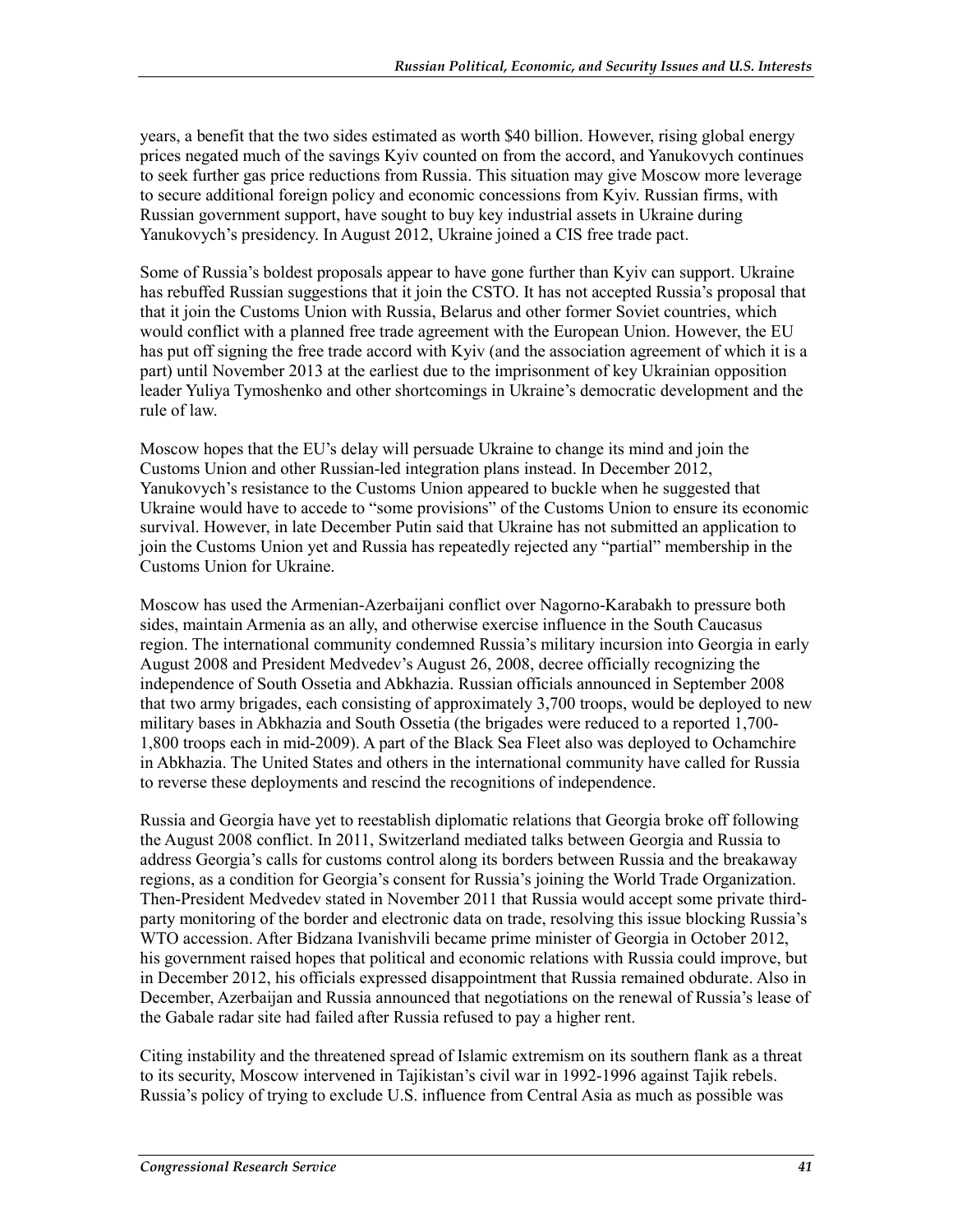years, a benefit that the two sides estimated as worth \$40 billion. However, rising global energy prices negated much of the savings Kyiv counted on from the accord, and Yanukovych continues to seek further gas price reductions from Russia. This situation may give Moscow more leverage to secure additional foreign policy and economic concessions from Kyiv. Russian firms, with Russian government support, have sought to buy key industrial assets in Ukraine during Yanukovych's presidency. In August 2012, Ukraine joined a CIS free trade pact.

Some of Russia's boldest proposals appear to have gone further than Kyiv can support. Ukraine has rebuffed Russian suggestions that it join the CSTO. It has not accepted Russia's proposal that that it join the Customs Union with Russia, Belarus and other former Soviet countries, which would conflict with a planned free trade agreement with the European Union. However, the EU has put off signing the free trade accord with Kyiv (and the association agreement of which it is a part) until November 2013 at the earliest due to the imprisonment of key Ukrainian opposition leader Yuliya Tymoshenko and other shortcomings in Ukraine's democratic development and the rule of law.

Moscow hopes that the EU's delay will persuade Ukraine to change its mind and join the Customs Union and other Russian-led integration plans instead. In December 2012, Yanukovych's resistance to the Customs Union appeared to buckle when he suggested that Ukraine would have to accede to "some provisions" of the Customs Union to ensure its economic survival. However, in late December Putin said that Ukraine has not submitted an application to join the Customs Union yet and Russia has repeatedly rejected any "partial" membership in the Customs Union for Ukraine.

Moscow has used the Armenian-Azerbaijani conflict over Nagorno-Karabakh to pressure both sides, maintain Armenia as an ally, and otherwise exercise influence in the South Caucasus region. The international community condemned Russia's military incursion into Georgia in early August 2008 and President Medvedev's August 26, 2008, decree officially recognizing the independence of South Ossetia and Abkhazia. Russian officials announced in September 2008 that two army brigades, each consisting of approximately 3,700 troops, would be deployed to new military bases in Abkhazia and South Ossetia (the brigades were reduced to a reported 1,700- 1,800 troops each in mid-2009). A part of the Black Sea Fleet also was deployed to Ochamchire in Abkhazia. The United States and others in the international community have called for Russia to reverse these deployments and rescind the recognitions of independence.

Russia and Georgia have yet to reestablish diplomatic relations that Georgia broke off following the August 2008 conflict. In 2011, Switzerland mediated talks between Georgia and Russia to address Georgia's calls for customs control along its borders between Russia and the breakaway regions, as a condition for Georgia's consent for Russia's joining the World Trade Organization. Then-President Medvedev stated in November 2011 that Russia would accept some private thirdparty monitoring of the border and electronic data on trade, resolving this issue blocking Russia's WTO accession. After Bidzana Ivanishvili became prime minister of Georgia in October 2012, his government raised hopes that political and economic relations with Russia could improve, but in December 2012, his officials expressed disappointment that Russia remained obdurate. Also in December, Azerbaijan and Russia announced that negotiations on the renewal of Russia's lease of the Gabale radar site had failed after Russia refused to pay a higher rent.

Citing instability and the threatened spread of Islamic extremism on its southern flank as a threat to its security, Moscow intervened in Tajikistan's civil war in 1992-1996 against Tajik rebels. Russia's policy of trying to exclude U.S. influence from Central Asia as much as possible was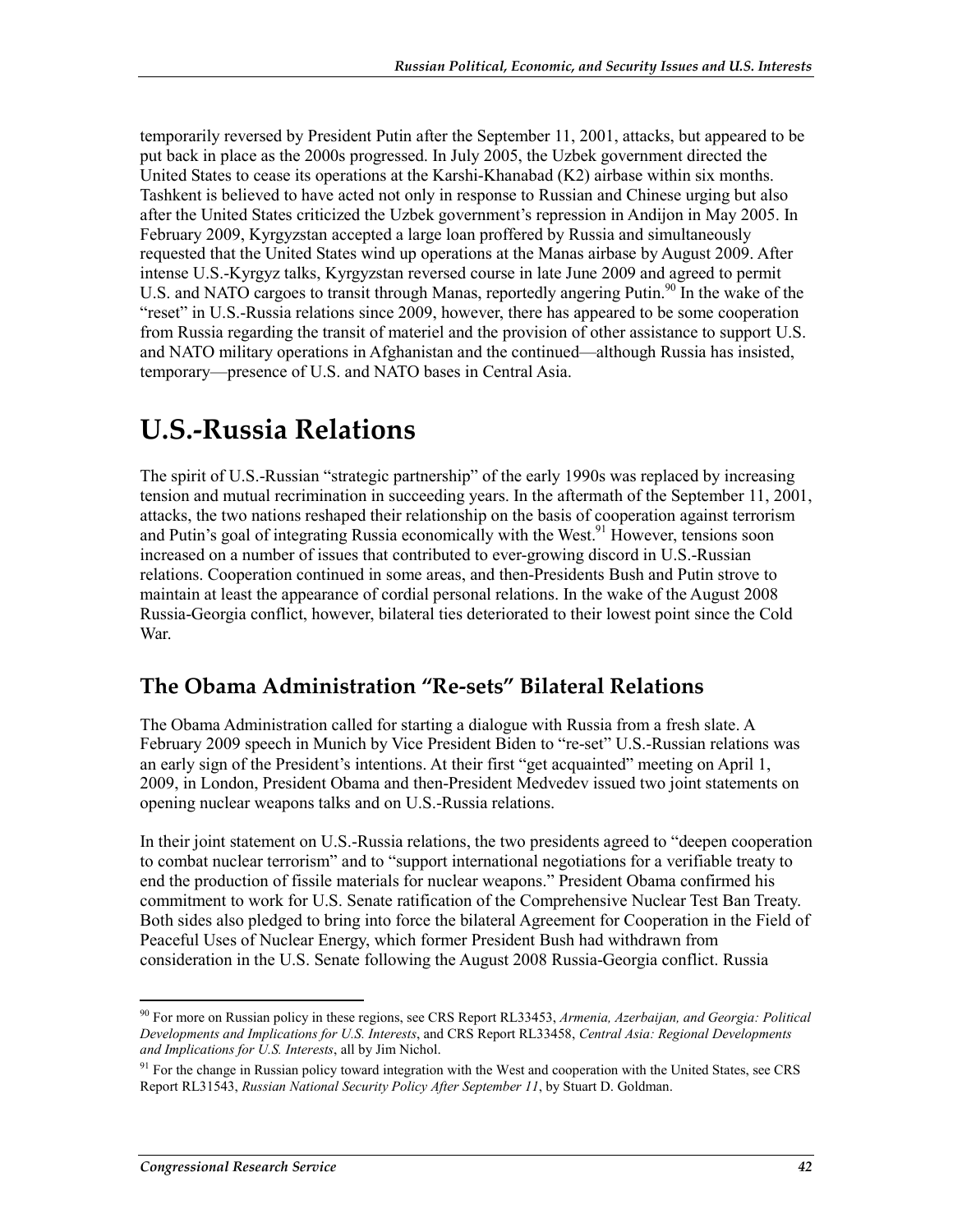temporarily reversed by President Putin after the September 11, 2001, attacks, but appeared to be put back in place as the 2000s progressed. In July 2005, the Uzbek government directed the United States to cease its operations at the Karshi-Khanabad (K2) airbase within six months. Tashkent is believed to have acted not only in response to Russian and Chinese urging but also after the United States criticized the Uzbek government's repression in Andijon in May 2005. In February 2009, Kyrgyzstan accepted a large loan proffered by Russia and simultaneously requested that the United States wind up operations at the Manas airbase by August 2009. After intense U.S.-Kyrgyz talks, Kyrgyzstan reversed course in late June 2009 and agreed to permit U.S. and NATO cargoes to transit through Manas, reportedly angering Putin.<sup>90</sup> In the wake of the "reset" in U.S.-Russia relations since 2009, however, there has appeared to be some cooperation from Russia regarding the transit of materiel and the provision of other assistance to support U.S. and NATO military operations in Afghanistan and the continued—although Russia has insisted, temporary—presence of U.S. and NATO bases in Central Asia.

# **U.S.-Russia Relations**

The spirit of U.S.-Russian "strategic partnership" of the early 1990s was replaced by increasing tension and mutual recrimination in succeeding years. In the aftermath of the September 11, 2001, attacks, the two nations reshaped their relationship on the basis of cooperation against terrorism and Putin's goal of integrating Russia economically with the West.<sup>91</sup> However, tensions soon increased on a number of issues that contributed to ever-growing discord in U.S.-Russian relations. Cooperation continued in some areas, and then-Presidents Bush and Putin strove to maintain at least the appearance of cordial personal relations. In the wake of the August 2008 Russia-Georgia conflict, however, bilateral ties deteriorated to their lowest point since the Cold War.

### **The Obama Administration "Re-sets" Bilateral Relations**

The Obama Administration called for starting a dialogue with Russia from a fresh slate. A February 2009 speech in Munich by Vice President Biden to "re-set" U.S.-Russian relations was an early sign of the President's intentions. At their first "get acquainted" meeting on April 1, 2009, in London, President Obama and then-President Medvedev issued two joint statements on opening nuclear weapons talks and on U.S.-Russia relations.

In their joint statement on U.S.-Russia relations, the two presidents agreed to "deepen cooperation to combat nuclear terrorism" and to "support international negotiations for a verifiable treaty to end the production of fissile materials for nuclear weapons." President Obama confirmed his commitment to work for U.S. Senate ratification of the Comprehensive Nuclear Test Ban Treaty. Both sides also pledged to bring into force the bilateral Agreement for Cooperation in the Field of Peaceful Uses of Nuclear Energy, which former President Bush had withdrawn from consideration in the U.S. Senate following the August 2008 Russia-Georgia conflict. Russia

<sup>90</sup> For more on Russian policy in these regions, see CRS Report RL33453, *Armenia, Azerbaijan, and Georgia: Political Developments and Implications for U.S. Interests*, and CRS Report RL33458, *Central Asia: Regional Developments and Implications for U.S. Interests*, all by Jim Nichol.

 $91$  For the change in Russian policy toward integration with the West and cooperation with the United States, see CRS Report RL31543, *Russian National Security Policy After September 11*, by Stuart D. Goldman.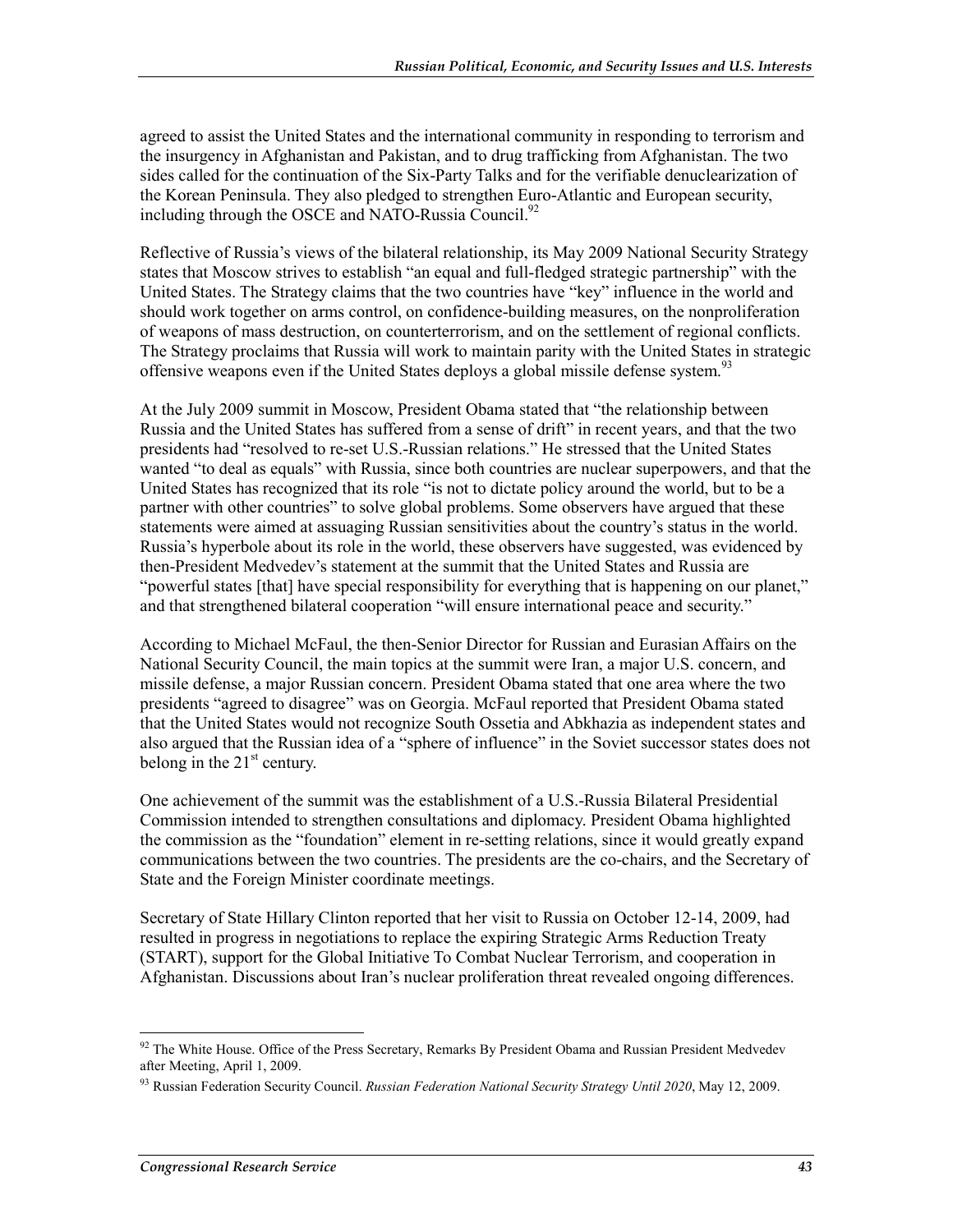agreed to assist the United States and the international community in responding to terrorism and the insurgency in Afghanistan and Pakistan, and to drug trafficking from Afghanistan. The two sides called for the continuation of the Six-Party Talks and for the verifiable denuclearization of the Korean Peninsula. They also pledged to strengthen Euro-Atlantic and European security, including through the OSCE and NATO-Russia Council. $92$ 

Reflective of Russia's views of the bilateral relationship, its May 2009 National Security Strategy states that Moscow strives to establish "an equal and full-fledged strategic partnership" with the United States. The Strategy claims that the two countries have "key" influence in the world and should work together on arms control, on confidence-building measures, on the nonproliferation of weapons of mass destruction, on counterterrorism, and on the settlement of regional conflicts. The Strategy proclaims that Russia will work to maintain parity with the United States in strategic offensive weapons even if the United States deploys a global missile defense system.<sup>93</sup>

At the July 2009 summit in Moscow, President Obama stated that "the relationship between Russia and the United States has suffered from a sense of drift" in recent years, and that the two presidents had "resolved to re-set U.S.-Russian relations." He stressed that the United States wanted "to deal as equals" with Russia, since both countries are nuclear superpowers, and that the United States has recognized that its role "is not to dictate policy around the world, but to be a partner with other countries" to solve global problems. Some observers have argued that these statements were aimed at assuaging Russian sensitivities about the country's status in the world. Russia's hyperbole about its role in the world, these observers have suggested, was evidenced by then-President Medvedev's statement at the summit that the United States and Russia are "powerful states [that] have special responsibility for everything that is happening on our planet," and that strengthened bilateral cooperation "will ensure international peace and security."

According to Michael McFaul, the then-Senior Director for Russian and Eurasian Affairs on the National Security Council, the main topics at the summit were Iran, a major U.S. concern, and missile defense, a major Russian concern. President Obama stated that one area where the two presidents "agreed to disagree" was on Georgia. McFaul reported that President Obama stated that the United States would not recognize South Ossetia and Abkhazia as independent states and also argued that the Russian idea of a "sphere of influence" in the Soviet successor states does not belong in the  $21<sup>st</sup>$  century.

One achievement of the summit was the establishment of a U.S.-Russia Bilateral Presidential Commission intended to strengthen consultations and diplomacy. President Obama highlighted the commission as the "foundation" element in re-setting relations, since it would greatly expand communications between the two countries. The presidents are the co-chairs, and the Secretary of State and the Foreign Minister coordinate meetings.

Secretary of State Hillary Clinton reported that her visit to Russia on October 12-14, 2009, had resulted in progress in negotiations to replace the expiring Strategic Arms Reduction Treaty (START), support for the Global Initiative To Combat Nuclear Terrorism, and cooperation in Afghanistan. Discussions about Iran's nuclear proliferation threat revealed ongoing differences.

<sup>&</sup>lt;sup>92</sup> The White House. Office of the Press Secretary, Remarks By President Obama and Russian President Medvedev after Meeting, April 1, 2009.

<sup>93</sup> Russian Federation Security Council. *Russian Federation National Security Strategy Until 2020*, May 12, 2009.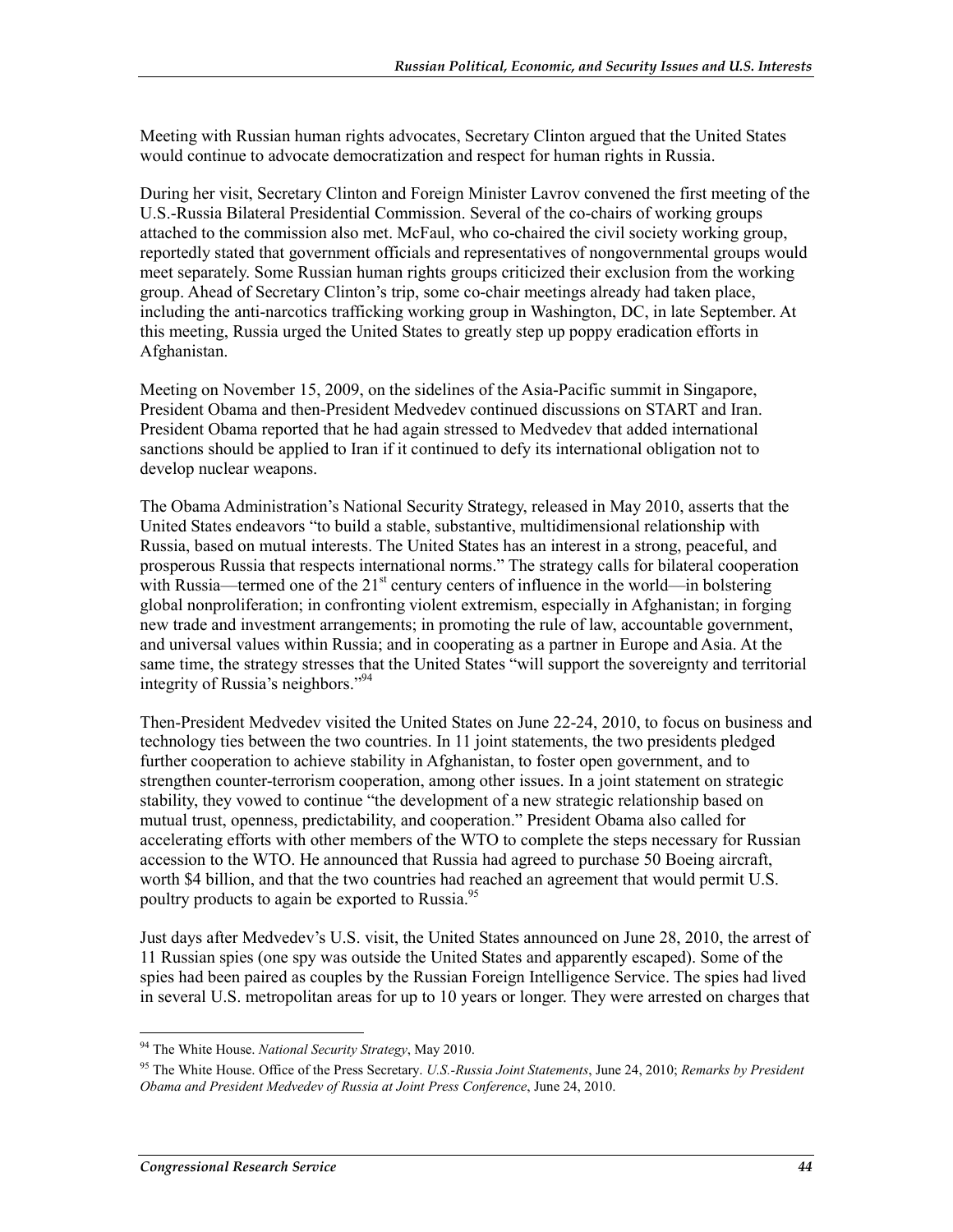Meeting with Russian human rights advocates, Secretary Clinton argued that the United States would continue to advocate democratization and respect for human rights in Russia.

During her visit, Secretary Clinton and Foreign Minister Lavrov convened the first meeting of the U.S.-Russia Bilateral Presidential Commission. Several of the co-chairs of working groups attached to the commission also met. McFaul, who co-chaired the civil society working group, reportedly stated that government officials and representatives of nongovernmental groups would meet separately. Some Russian human rights groups criticized their exclusion from the working group. Ahead of Secretary Clinton's trip, some co-chair meetings already had taken place, including the anti-narcotics trafficking working group in Washington, DC, in late September. At this meeting, Russia urged the United States to greatly step up poppy eradication efforts in Afghanistan.

Meeting on November 15, 2009, on the sidelines of the Asia-Pacific summit in Singapore, President Obama and then-President Medvedev continued discussions on START and Iran. President Obama reported that he had again stressed to Medvedev that added international sanctions should be applied to Iran if it continued to defy its international obligation not to develop nuclear weapons.

The Obama Administration's National Security Strategy, released in May 2010, asserts that the United States endeavors "to build a stable, substantive, multidimensional relationship with Russia, based on mutual interests. The United States has an interest in a strong, peaceful, and prosperous Russia that respects international norms." The strategy calls for bilateral cooperation with Russia—termed one of the  $21<sup>st</sup>$  century centers of influence in the world—in bolstering global nonproliferation; in confronting violent extremism, especially in Afghanistan; in forging new trade and investment arrangements; in promoting the rule of law, accountable government, and universal values within Russia; and in cooperating as a partner in Europe and Asia. At the same time, the strategy stresses that the United States "will support the sovereignty and territorial integrity of Russia's neighbors."94

Then-President Medvedev visited the United States on June 22-24, 2010, to focus on business and technology ties between the two countries. In 11 joint statements, the two presidents pledged further cooperation to achieve stability in Afghanistan, to foster open government, and to strengthen counter-terrorism cooperation, among other issues. In a joint statement on strategic stability, they vowed to continue "the development of a new strategic relationship based on mutual trust, openness, predictability, and cooperation." President Obama also called for accelerating efforts with other members of the WTO to complete the steps necessary for Russian accession to the WTO. He announced that Russia had agreed to purchase 50 Boeing aircraft, worth \$4 billion, and that the two countries had reached an agreement that would permit U.S. poultry products to again be exported to Russia.<sup>95</sup>

Just days after Medvedev's U.S. visit, the United States announced on June 28, 2010, the arrest of 11 Russian spies (one spy was outside the United States and apparently escaped). Some of the spies had been paired as couples by the Russian Foreign Intelligence Service. The spies had lived in several U.S. metropolitan areas for up to 10 years or longer. They were arrested on charges that

<sup>94</sup> The White House. *National Security Strategy*, May 2010.

<sup>95</sup> The White House. Office of the Press Secretary. *U.S.-Russia Joint Statements*, June 24, 2010; *Remarks by President Obama and President Medvedev of Russia at Joint Press Conference*, June 24, 2010.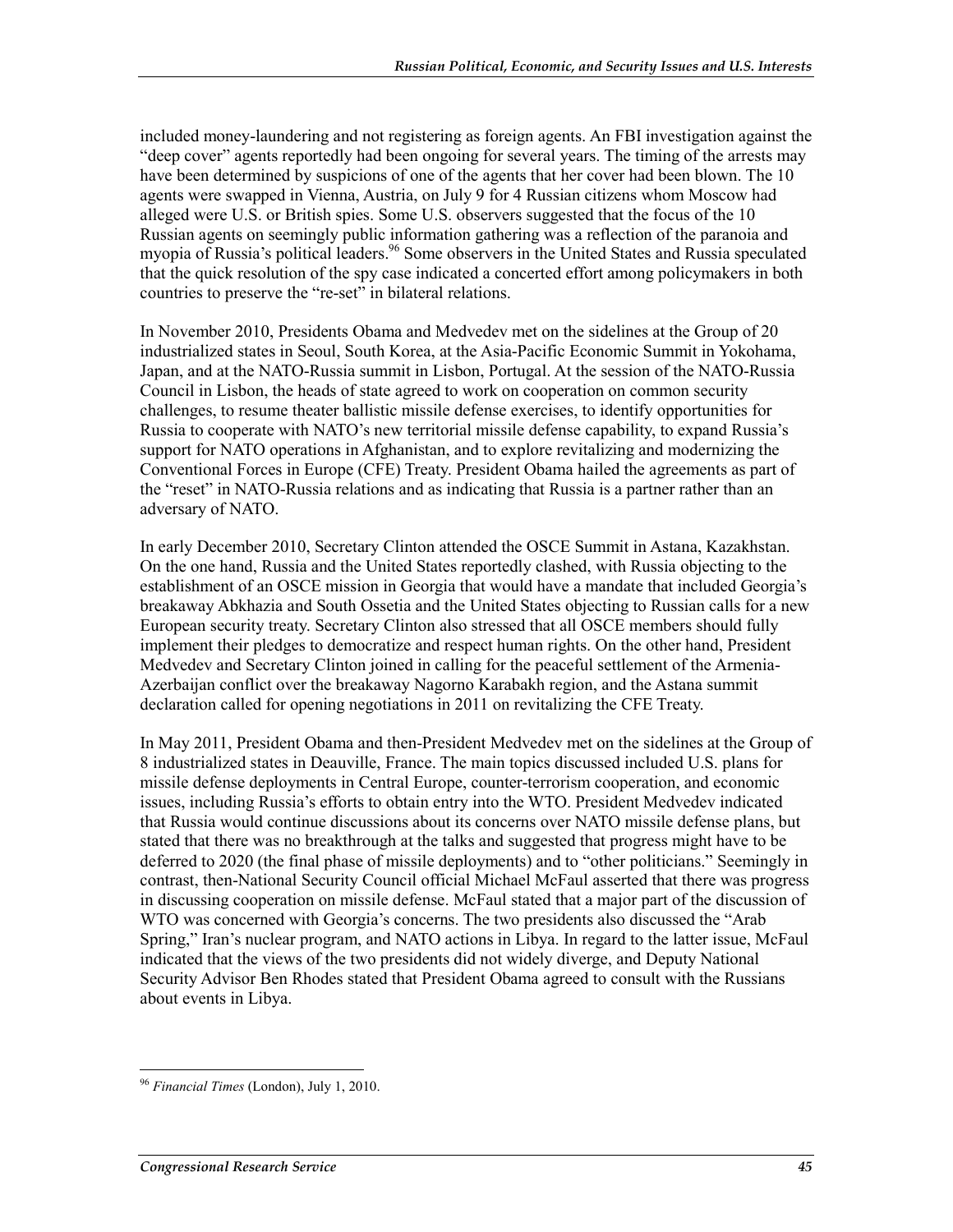included money-laundering and not registering as foreign agents. An FBI investigation against the "deep cover" agents reportedly had been ongoing for several years. The timing of the arrests may have been determined by suspicions of one of the agents that her cover had been blown. The 10 agents were swapped in Vienna, Austria, on July 9 for 4 Russian citizens whom Moscow had alleged were U.S. or British spies. Some U.S. observers suggested that the focus of the 10 Russian agents on seemingly public information gathering was a reflection of the paranoia and myopia of Russia's political leaders.<sup>96</sup> Some observers in the United States and Russia speculated that the quick resolution of the spy case indicated a concerted effort among policymakers in both countries to preserve the "re-set" in bilateral relations.

In November 2010, Presidents Obama and Medvedev met on the sidelines at the Group of 20 industrialized states in Seoul, South Korea, at the Asia-Pacific Economic Summit in Yokohama, Japan, and at the NATO-Russia summit in Lisbon, Portugal. At the session of the NATO-Russia Council in Lisbon, the heads of state agreed to work on cooperation on common security challenges, to resume theater ballistic missile defense exercises, to identify opportunities for Russia to cooperate with NATO's new territorial missile defense capability, to expand Russia's support for NATO operations in Afghanistan, and to explore revitalizing and modernizing the Conventional Forces in Europe (CFE) Treaty. President Obama hailed the agreements as part of the "reset" in NATO-Russia relations and as indicating that Russia is a partner rather than an adversary of NATO.

In early December 2010, Secretary Clinton attended the OSCE Summit in Astana, Kazakhstan. On the one hand, Russia and the United States reportedly clashed, with Russia objecting to the establishment of an OSCE mission in Georgia that would have a mandate that included Georgia's breakaway Abkhazia and South Ossetia and the United States objecting to Russian calls for a new European security treaty. Secretary Clinton also stressed that all OSCE members should fully implement their pledges to democratize and respect human rights. On the other hand, President Medvedev and Secretary Clinton joined in calling for the peaceful settlement of the Armenia-Azerbaijan conflict over the breakaway Nagorno Karabakh region, and the Astana summit declaration called for opening negotiations in 2011 on revitalizing the CFE Treaty.

In May 2011, President Obama and then-President Medvedev met on the sidelines at the Group of 8 industrialized states in Deauville, France. The main topics discussed included U.S. plans for missile defense deployments in Central Europe, counter-terrorism cooperation, and economic issues, including Russia's efforts to obtain entry into the WTO. President Medvedev indicated that Russia would continue discussions about its concerns over NATO missile defense plans, but stated that there was no breakthrough at the talks and suggested that progress might have to be deferred to 2020 (the final phase of missile deployments) and to "other politicians." Seemingly in contrast, then-National Security Council official Michael McFaul asserted that there was progress in discussing cooperation on missile defense. McFaul stated that a major part of the discussion of WTO was concerned with Georgia's concerns. The two presidents also discussed the "Arab Spring," Iran's nuclear program, and NATO actions in Libya. In regard to the latter issue, McFaul indicated that the views of the two presidents did not widely diverge, and Deputy National Security Advisor Ben Rhodes stated that President Obama agreed to consult with the Russians about events in Libya.

<sup>&</sup>lt;u>.</u> <sup>96</sup> *Financial Times* (London), July 1, 2010.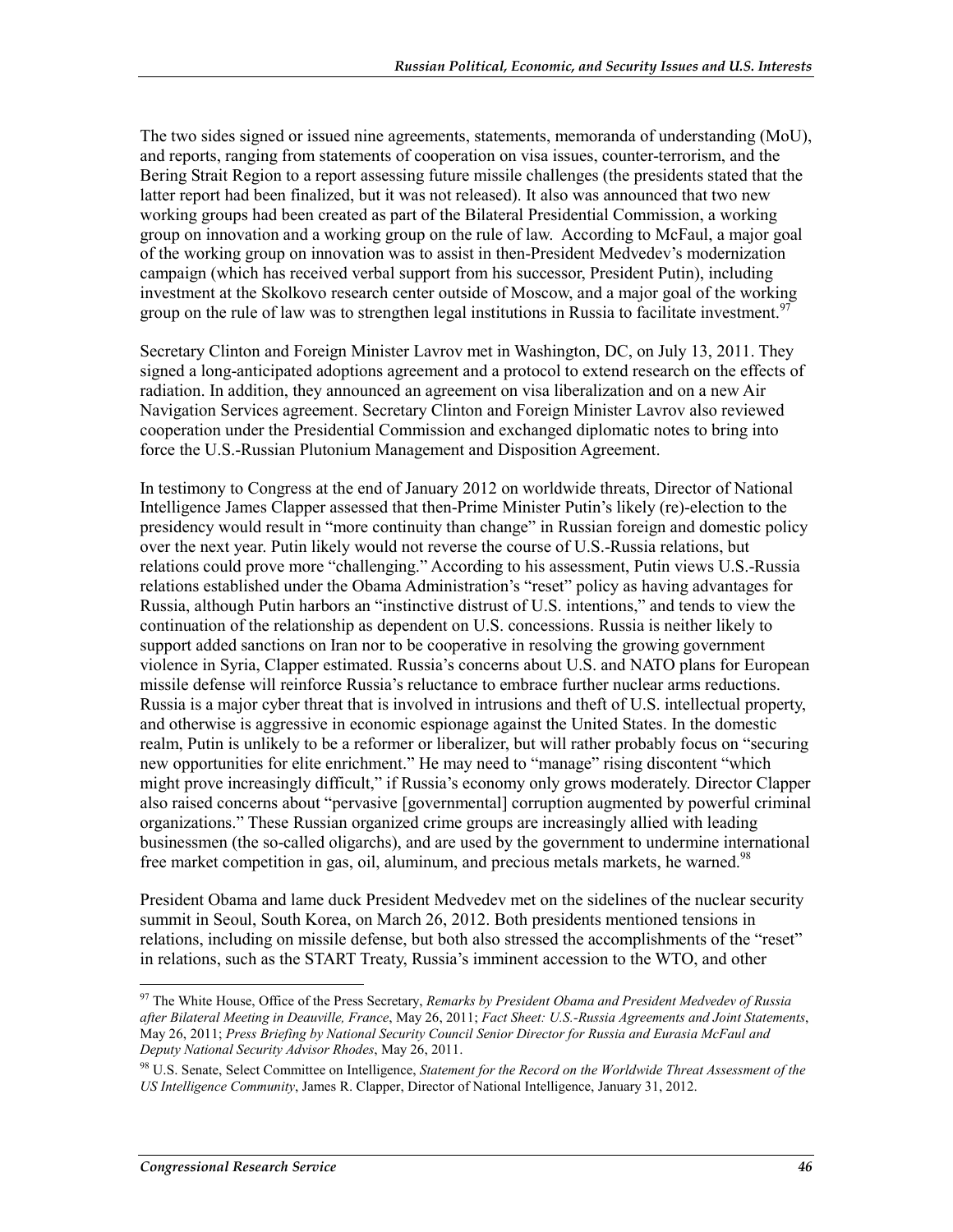The two sides signed or issued nine agreements, statements, memoranda of understanding (MoU), and reports, ranging from statements of cooperation on visa issues, counter-terrorism, and the Bering Strait Region to a report assessing future missile challenges (the presidents stated that the latter report had been finalized, but it was not released). It also was announced that two new working groups had been created as part of the Bilateral Presidential Commission, a working group on innovation and a working group on the rule of law. According to McFaul, a major goal of the working group on innovation was to assist in then-President Medvedev's modernization campaign (which has received verbal support from his successor, President Putin), including investment at the Skolkovo research center outside of Moscow, and a major goal of the working group on the rule of law was to strengthen legal institutions in Russia to facilitate investment.<sup>97</sup>

Secretary Clinton and Foreign Minister Lavrov met in Washington, DC, on July 13, 2011. They signed a long-anticipated adoptions agreement and a protocol to extend research on the effects of radiation. In addition, they announced an agreement on visa liberalization and on a new Air Navigation Services agreement. Secretary Clinton and Foreign Minister Lavrov also reviewed cooperation under the Presidential Commission and exchanged diplomatic notes to bring into force the U.S.-Russian Plutonium Management and Disposition Agreement.

In testimony to Congress at the end of January 2012 on worldwide threats, Director of National Intelligence James Clapper assessed that then-Prime Minister Putin's likely (re)-election to the presidency would result in "more continuity than change" in Russian foreign and domestic policy over the next year. Putin likely would not reverse the course of U.S.-Russia relations, but relations could prove more "challenging." According to his assessment, Putin views U.S.-Russia relations established under the Obama Administration's "reset" policy as having advantages for Russia, although Putin harbors an "instinctive distrust of U.S. intentions," and tends to view the continuation of the relationship as dependent on U.S. concessions. Russia is neither likely to support added sanctions on Iran nor to be cooperative in resolving the growing government violence in Syria, Clapper estimated. Russia's concerns about U.S. and NATO plans for European missile defense will reinforce Russia's reluctance to embrace further nuclear arms reductions. Russia is a major cyber threat that is involved in intrusions and theft of U.S. intellectual property, and otherwise is aggressive in economic espionage against the United States. In the domestic realm, Putin is unlikely to be a reformer or liberalizer, but will rather probably focus on "securing new opportunities for elite enrichment." He may need to "manage" rising discontent "which might prove increasingly difficult," if Russia's economy only grows moderately. Director Clapper also raised concerns about "pervasive [governmental] corruption augmented by powerful criminal organizations." These Russian organized crime groups are increasingly allied with leading businessmen (the so-called oligarchs), and are used by the government to undermine international free market competition in gas, oil, aluminum, and precious metals markets, he warned.<sup>98</sup>

President Obama and lame duck President Medvedev met on the sidelines of the nuclear security summit in Seoul, South Korea, on March 26, 2012. Both presidents mentioned tensions in relations, including on missile defense, but both also stressed the accomplishments of the "reset" in relations, such as the START Treaty, Russia's imminent accession to the WTO, and other

<sup>97</sup> The White House, Office of the Press Secretary, *Remarks by President Obama and President Medvedev of Russia after Bilateral Meeting in Deauville, France*, May 26, 2011; *Fact Sheet: U.S.-Russia Agreements and Joint Statements*, May 26, 2011; *Press Briefing by National Security Council Senior Director for Russia and Eurasia McFaul and Deputy National Security Advisor Rhodes*, May 26, 2011.

<sup>98</sup> U.S. Senate, Select Committee on Intelligence, *Statement for the Record on the Worldwide Threat Assessment of the US Intelligence Community*, James R. Clapper, Director of National Intelligence, January 31, 2012.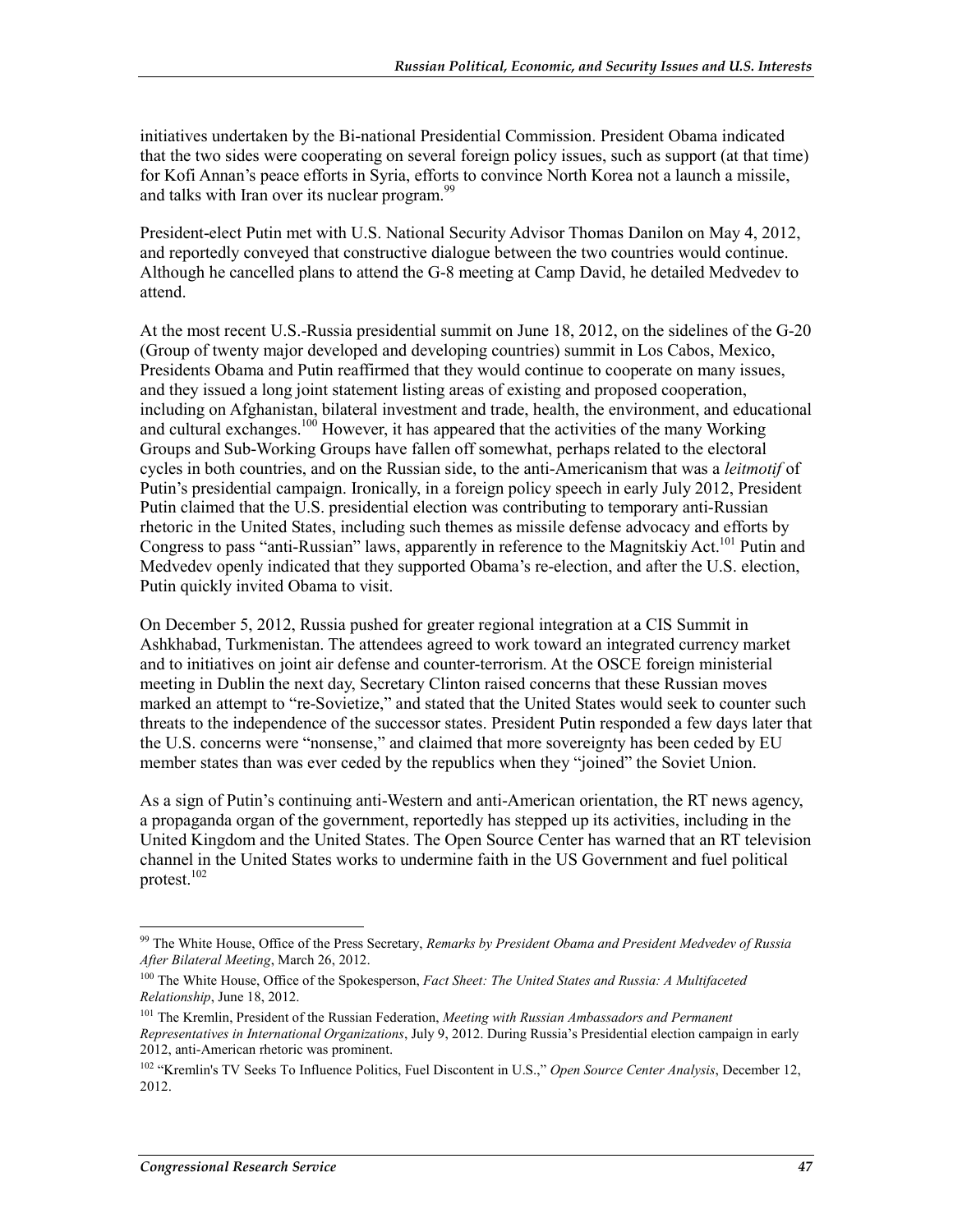initiatives undertaken by the Bi-national Presidential Commission. President Obama indicated that the two sides were cooperating on several foreign policy issues, such as support (at that time) for Kofi Annan's peace efforts in Syria, efforts to convince North Korea not a launch a missile, and talks with Iran over its nuclear program.<sup>99</sup>

President-elect Putin met with U.S. National Security Advisor Thomas Danilon on May 4, 2012, and reportedly conveyed that constructive dialogue between the two countries would continue. Although he cancelled plans to attend the G-8 meeting at Camp David, he detailed Medvedev to attend.

At the most recent U.S.-Russia presidential summit on June 18, 2012, on the sidelines of the G-20 (Group of twenty major developed and developing countries) summit in Los Cabos, Mexico, Presidents Obama and Putin reaffirmed that they would continue to cooperate on many issues, and they issued a long joint statement listing areas of existing and proposed cooperation, including on Afghanistan, bilateral investment and trade, health, the environment, and educational and cultural exchanges.<sup>100</sup> However, it has appeared that the activities of the many Working Groups and Sub-Working Groups have fallen off somewhat, perhaps related to the electoral cycles in both countries, and on the Russian side, to the anti-Americanism that was a *leitmotif* of Putin's presidential campaign. Ironically, in a foreign policy speech in early July 2012, President Putin claimed that the U.S. presidential election was contributing to temporary anti-Russian rhetoric in the United States, including such themes as missile defense advocacy and efforts by Congress to pass "anti-Russian" laws, apparently in reference to the Magnitskiy Act.<sup>101</sup> Putin and Medvedev openly indicated that they supported Obama's re-election, and after the U.S. election, Putin quickly invited Obama to visit.

On December 5, 2012, Russia pushed for greater regional integration at a CIS Summit in Ashkhabad, Turkmenistan. The attendees agreed to work toward an integrated currency market and to initiatives on joint air defense and counter-terrorism. At the OSCE foreign ministerial meeting in Dublin the next day, Secretary Clinton raised concerns that these Russian moves marked an attempt to "re-Sovietize," and stated that the United States would seek to counter such threats to the independence of the successor states. President Putin responded a few days later that the U.S. concerns were "nonsense," and claimed that more sovereignty has been ceded by EU member states than was ever ceded by the republics when they "joined" the Soviet Union.

As a sign of Putin's continuing anti-Western and anti-American orientation, the RT news agency, a propaganda organ of the government, reportedly has stepped up its activities, including in the United Kingdom and the United States. The Open Source Center has warned that an RT television channel in the United States works to undermine faith in the US Government and fuel political protest.<sup>102</sup>

<sup>99</sup> The White House, Office of the Press Secretary, *Remarks by President Obama and President Medvedev of Russia After Bilateral Meeting*, March 26, 2012.

<sup>100</sup> The White House, Office of the Spokesperson, *Fact Sheet: The United States and Russia: A Multifaceted Relationship*, June 18, 2012.

<sup>101</sup> The Kremlin, President of the Russian Federation, *Meeting with Russian Ambassadors and Permanent Representatives in International Organizations*, July 9, 2012. During Russia's Presidential election campaign in early 2012, anti-American rhetoric was prominent.

<sup>102 &</sup>quot;Kremlin's TV Seeks To Influence Politics, Fuel Discontent in U.S.," *Open Source Center Analysis*, December 12, 2012.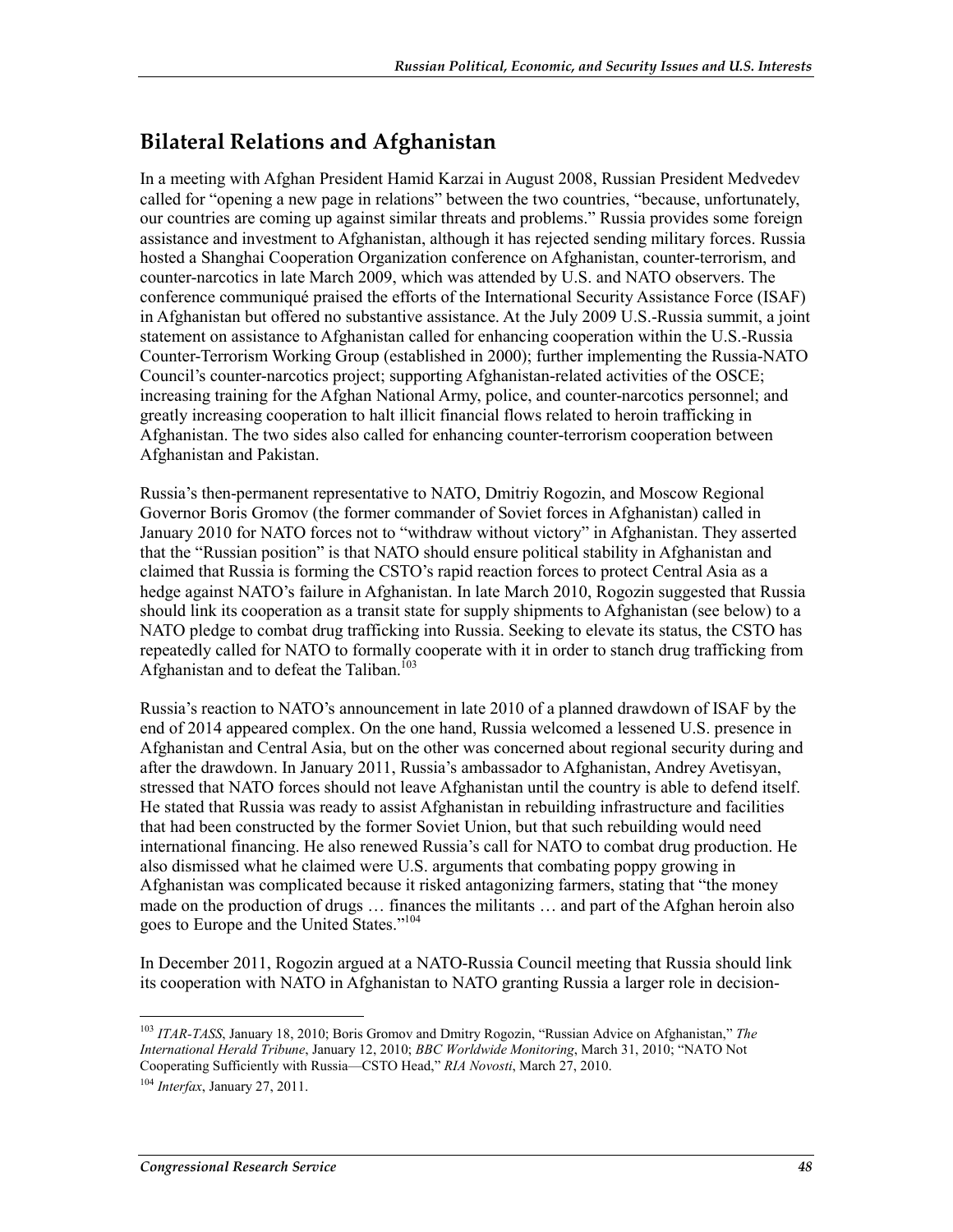# **Bilateral Relations and Afghanistan**

In a meeting with Afghan President Hamid Karzai in August 2008, Russian President Medvedev called for "opening a new page in relations" between the two countries, "because, unfortunately, our countries are coming up against similar threats and problems." Russia provides some foreign assistance and investment to Afghanistan, although it has rejected sending military forces. Russia hosted a Shanghai Cooperation Organization conference on Afghanistan, counter-terrorism, and counter-narcotics in late March 2009, which was attended by U.S. and NATO observers. The conference communiqué praised the efforts of the International Security Assistance Force (ISAF) in Afghanistan but offered no substantive assistance. At the July 2009 U.S.-Russia summit, a joint statement on assistance to Afghanistan called for enhancing cooperation within the U.S.-Russia Counter-Terrorism Working Group (established in 2000); further implementing the Russia-NATO Council's counter-narcotics project; supporting Afghanistan-related activities of the OSCE; increasing training for the Afghan National Army, police, and counter-narcotics personnel; and greatly increasing cooperation to halt illicit financial flows related to heroin trafficking in Afghanistan. The two sides also called for enhancing counter-terrorism cooperation between Afghanistan and Pakistan.

Russia's then-permanent representative to NATO, Dmitriy Rogozin, and Moscow Regional Governor Boris Gromov (the former commander of Soviet forces in Afghanistan) called in January 2010 for NATO forces not to "withdraw without victory" in Afghanistan. They asserted that the "Russian position" is that NATO should ensure political stability in Afghanistan and claimed that Russia is forming the CSTO's rapid reaction forces to protect Central Asia as a hedge against NATO's failure in Afghanistan. In late March 2010, Rogozin suggested that Russia should link its cooperation as a transit state for supply shipments to Afghanistan (see below) to a NATO pledge to combat drug trafficking into Russia. Seeking to elevate its status, the CSTO has repeatedly called for NATO to formally cooperate with it in order to stanch drug trafficking from Afghanistan and to defeat the Taliban.<sup>103</sup>

Russia's reaction to NATO's announcement in late 2010 of a planned drawdown of ISAF by the end of 2014 appeared complex. On the one hand, Russia welcomed a lessened U.S. presence in Afghanistan and Central Asia, but on the other was concerned about regional security during and after the drawdown. In January 2011, Russia's ambassador to Afghanistan, Andrey Avetisyan, stressed that NATO forces should not leave Afghanistan until the country is able to defend itself. He stated that Russia was ready to assist Afghanistan in rebuilding infrastructure and facilities that had been constructed by the former Soviet Union, but that such rebuilding would need international financing. He also renewed Russia's call for NATO to combat drug production. He also dismissed what he claimed were U.S. arguments that combating poppy growing in Afghanistan was complicated because it risked antagonizing farmers, stating that "the money made on the production of drugs … finances the militants … and part of the Afghan heroin also goes to Europe and the United States."104

In December 2011, Rogozin argued at a NATO-Russia Council meeting that Russia should link its cooperation with NATO in Afghanistan to NATO granting Russia a larger role in decision-

<sup>1</sup> <sup>103</sup> *ITAR-TASS*, January 18, 2010; Boris Gromov and Dmitry Rogozin, "Russian Advice on Afghanistan," *The International Herald Tribune*, January 12, 2010; *BBC Worldwide Monitoring*, March 31, 2010; "NATO Not Cooperating Sufficiently with Russia—CSTO Head," *RIA Novosti*, March 27, 2010.

<sup>104</sup> *Interfax*, January 27, 2011.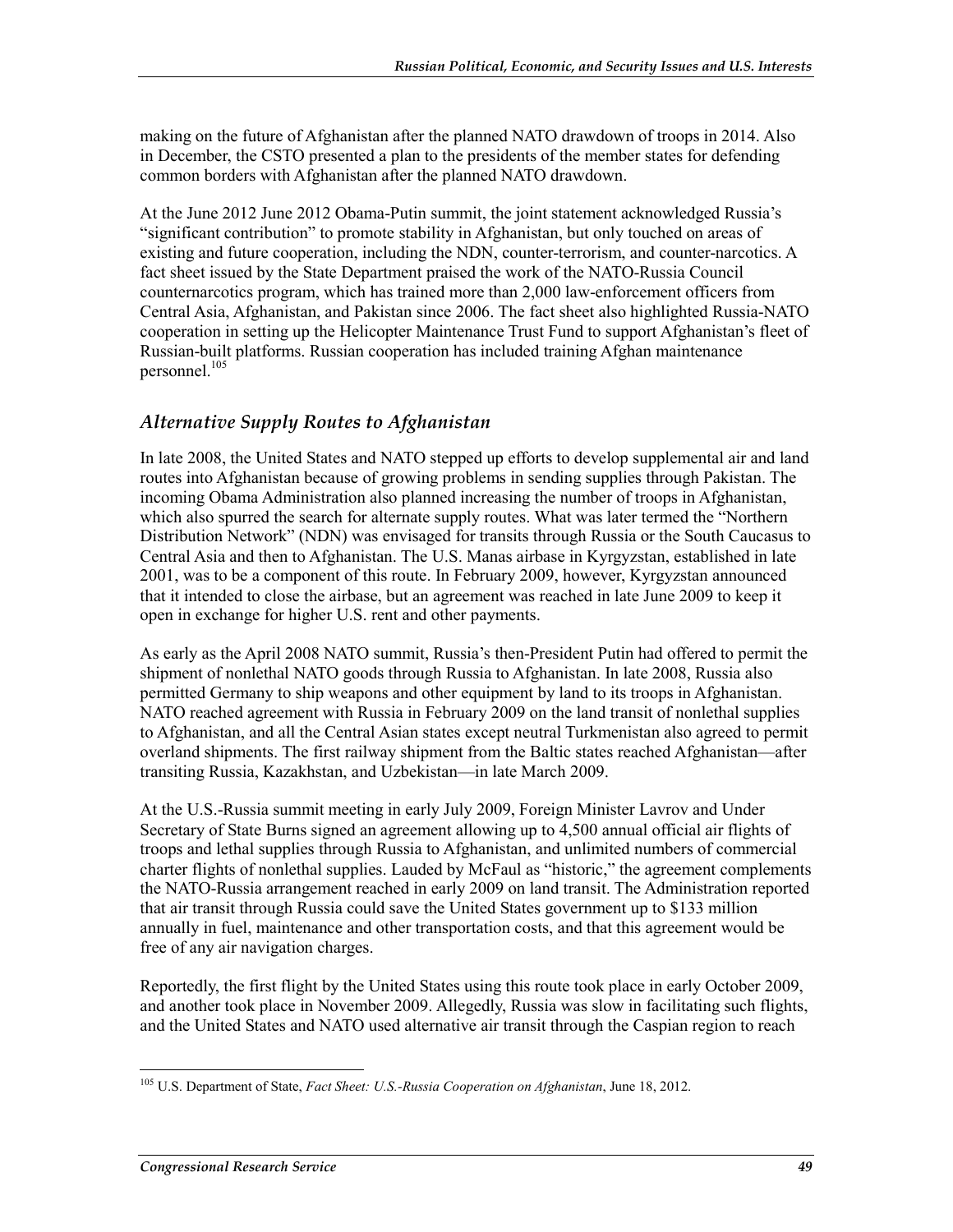making on the future of Afghanistan after the planned NATO drawdown of troops in 2014. Also in December, the CSTO presented a plan to the presidents of the member states for defending common borders with Afghanistan after the planned NATO drawdown.

At the June 2012 June 2012 Obama-Putin summit, the joint statement acknowledged Russia's "significant contribution" to promote stability in Afghanistan, but only touched on areas of existing and future cooperation, including the NDN, counter-terrorism, and counter-narcotics. A fact sheet issued by the State Department praised the work of the NATO-Russia Council counternarcotics program, which has trained more than 2,000 law-enforcement officers from Central Asia, Afghanistan, and Pakistan since 2006. The fact sheet also highlighted Russia-NATO cooperation in setting up the Helicopter Maintenance Trust Fund to support Afghanistan's fleet of Russian-built platforms. Russian cooperation has included training Afghan maintenance personnel.<sup>105</sup>

#### *Alternative Supply Routes to Afghanistan*

In late 2008, the United States and NATO stepped up efforts to develop supplemental air and land routes into Afghanistan because of growing problems in sending supplies through Pakistan. The incoming Obama Administration also planned increasing the number of troops in Afghanistan, which also spurred the search for alternate supply routes. What was later termed the "Northern Distribution Network" (NDN) was envisaged for transits through Russia or the South Caucasus to Central Asia and then to Afghanistan. The U.S. Manas airbase in Kyrgyzstan, established in late 2001, was to be a component of this route. In February 2009, however, Kyrgyzstan announced that it intended to close the airbase, but an agreement was reached in late June 2009 to keep it open in exchange for higher U.S. rent and other payments.

As early as the April 2008 NATO summit, Russia's then-President Putin had offered to permit the shipment of nonlethal NATO goods through Russia to Afghanistan. In late 2008, Russia also permitted Germany to ship weapons and other equipment by land to its troops in Afghanistan. NATO reached agreement with Russia in February 2009 on the land transit of nonlethal supplies to Afghanistan, and all the Central Asian states except neutral Turkmenistan also agreed to permit overland shipments. The first railway shipment from the Baltic states reached Afghanistan—after transiting Russia, Kazakhstan, and Uzbekistan—in late March 2009.

At the U.S.-Russia summit meeting in early July 2009, Foreign Minister Lavrov and Under Secretary of State Burns signed an agreement allowing up to 4,500 annual official air flights of troops and lethal supplies through Russia to Afghanistan, and unlimited numbers of commercial charter flights of nonlethal supplies. Lauded by McFaul as "historic," the agreement complements the NATO-Russia arrangement reached in early 2009 on land transit. The Administration reported that air transit through Russia could save the United States government up to \$133 million annually in fuel, maintenance and other transportation costs, and that this agreement would be free of any air navigation charges.

Reportedly, the first flight by the United States using this route took place in early October 2009, and another took place in November 2009. Allegedly, Russia was slow in facilitating such flights, and the United States and NATO used alternative air transit through the Caspian region to reach

<sup>&</sup>lt;u>.</u> 105 U.S. Department of State, *Fact Sheet: U.S.-Russia Cooperation on Afghanistan*, June 18, 2012.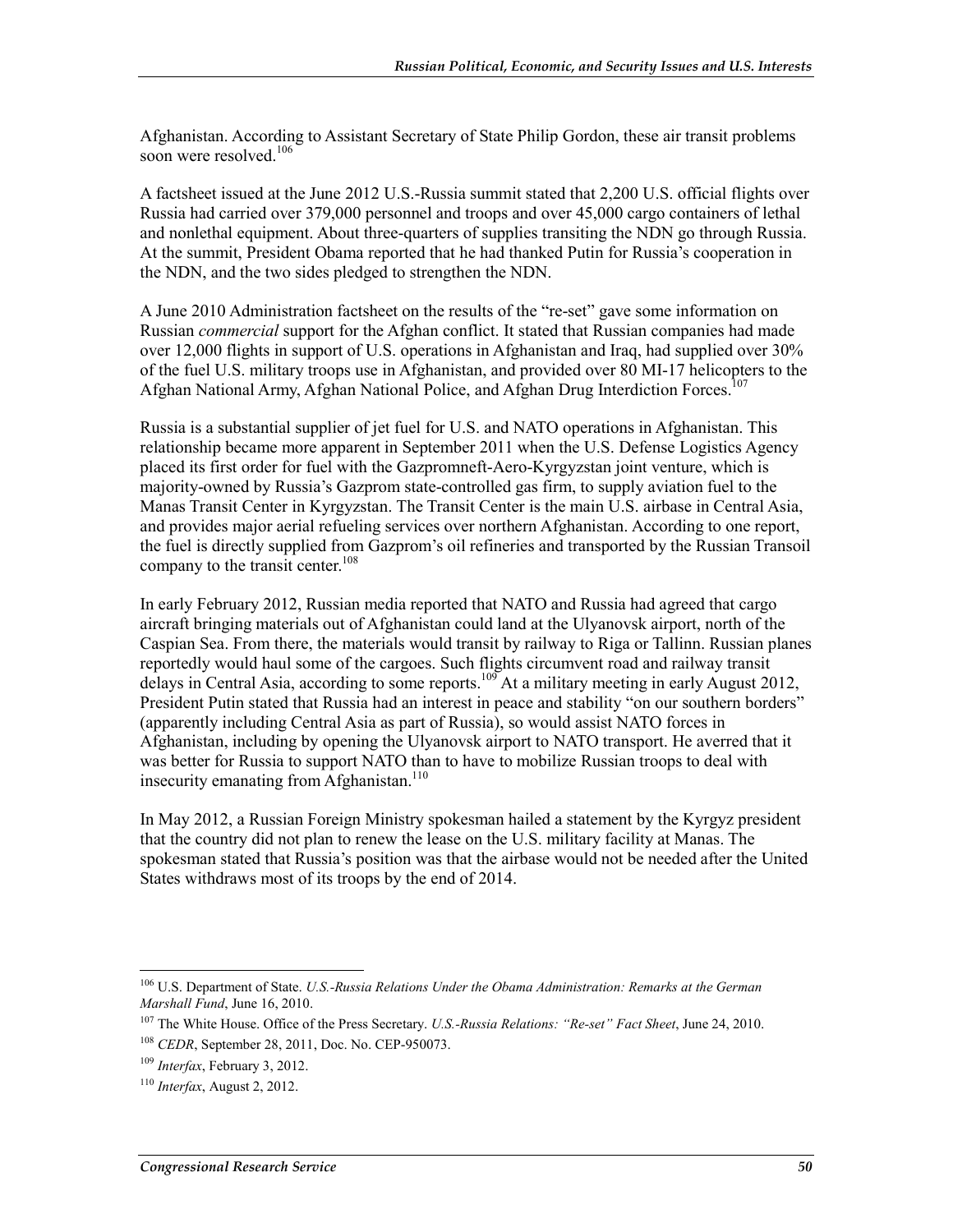Afghanistan. According to Assistant Secretary of State Philip Gordon, these air transit problems soon were resolved.<sup>106</sup>

A factsheet issued at the June 2012 U.S.-Russia summit stated that 2,200 U.S. official flights over Russia had carried over 379,000 personnel and troops and over 45,000 cargo containers of lethal and nonlethal equipment. About three-quarters of supplies transiting the NDN go through Russia. At the summit, President Obama reported that he had thanked Putin for Russia's cooperation in the NDN, and the two sides pledged to strengthen the NDN.

A June 2010 Administration factsheet on the results of the "re-set" gave some information on Russian *commercial* support for the Afghan conflict. It stated that Russian companies had made over 12,000 flights in support of U.S. operations in Afghanistan and Iraq, had supplied over 30% of the fuel U.S. military troops use in Afghanistan, and provided over 80 MI-17 helicopters to the Afghan National Army, Afghan National Police, and Afghan Drug Interdiction Forces.107

Russia is a substantial supplier of jet fuel for U.S. and NATO operations in Afghanistan. This relationship became more apparent in September 2011 when the U.S. Defense Logistics Agency placed its first order for fuel with the Gazpromneft-Aero-Kyrgyzstan joint venture, which is majority-owned by Russia's Gazprom state-controlled gas firm, to supply aviation fuel to the Manas Transit Center in Kyrgyzstan. The Transit Center is the main U.S. airbase in Central Asia, and provides major aerial refueling services over northern Afghanistan. According to one report, the fuel is directly supplied from Gazprom's oil refineries and transported by the Russian Transoil company to the transit center.<sup>108</sup>

In early February 2012, Russian media reported that NATO and Russia had agreed that cargo aircraft bringing materials out of Afghanistan could land at the Ulyanovsk airport, north of the Caspian Sea. From there, the materials would transit by railway to Riga or Tallinn. Russian planes reportedly would haul some of the cargoes. Such flights circumvent road and railway transit delays in Central Asia, according to some reports.109 At a military meeting in early August 2012, President Putin stated that Russia had an interest in peace and stability "on our southern borders" (apparently including Central Asia as part of Russia), so would assist NATO forces in Afghanistan, including by opening the Ulyanovsk airport to NATO transport. He averred that it was better for Russia to support NATO than to have to mobilize Russian troops to deal with insecurity emanating from Afghanistan.<sup>110</sup>

In May 2012, a Russian Foreign Ministry spokesman hailed a statement by the Kyrgyz president that the country did not plan to renew the lease on the U.S. military facility at Manas. The spokesman stated that Russia's position was that the airbase would not be needed after the United States withdraws most of its troops by the end of 2014.

<sup>1</sup> 106 U.S. Department of State. *U.S.-Russia Relations Under the Obama Administration: Remarks at the German Marshall Fund*, June 16, 2010.

<sup>107</sup> The White House. Office of the Press Secretary. *U.S.-Russia Relations: "Re-set" Fact Sheet*, June 24, 2010.

<sup>108</sup> *CEDR*, September 28, 2011, Doc. No. CEP-950073.

<sup>109</sup> *Interfax*, February 3, 2012.

<sup>110</sup> *Interfax*, August 2, 2012.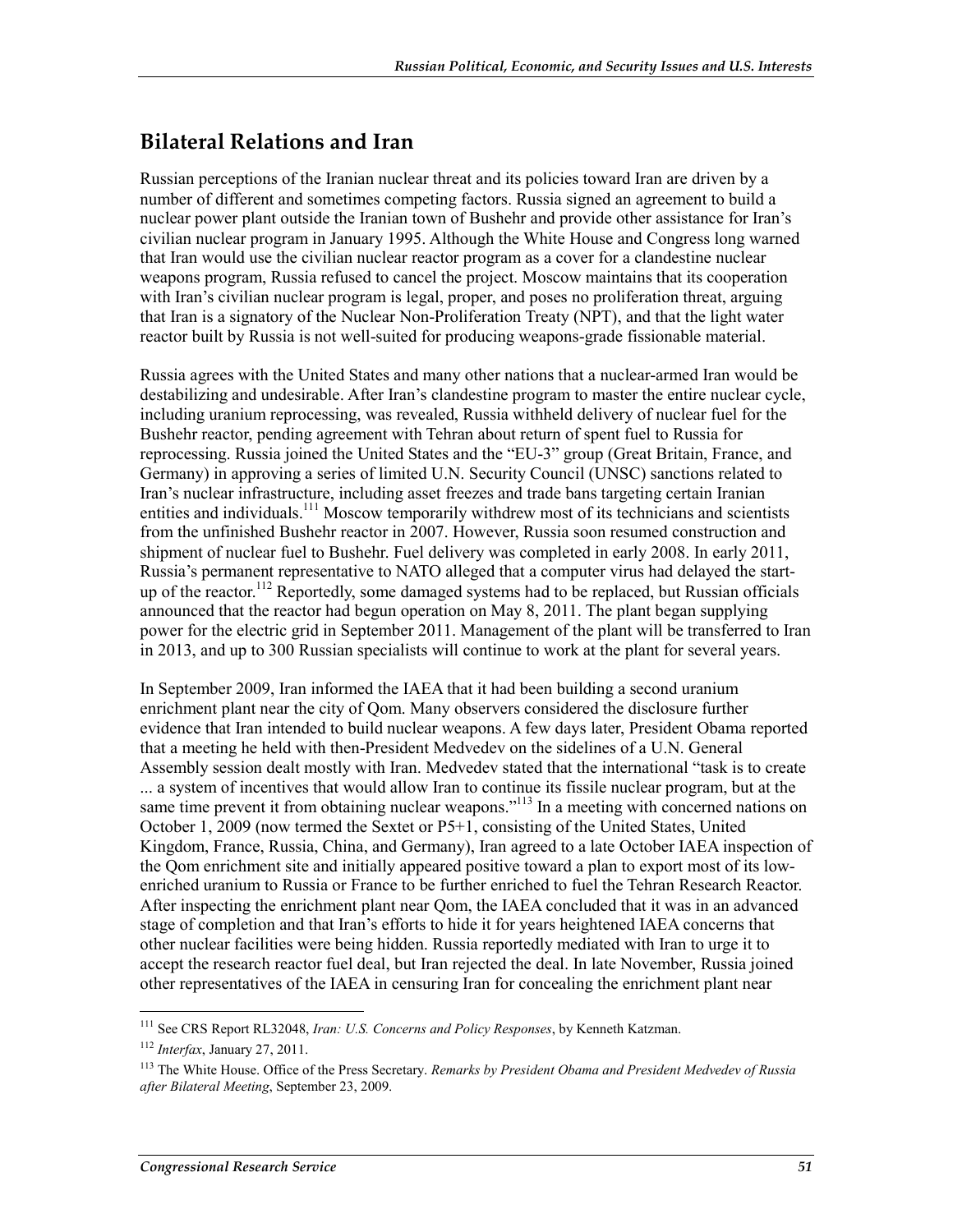### **Bilateral Relations and Iran**

Russian perceptions of the Iranian nuclear threat and its policies toward Iran are driven by a number of different and sometimes competing factors. Russia signed an agreement to build a nuclear power plant outside the Iranian town of Bushehr and provide other assistance for Iran's civilian nuclear program in January 1995. Although the White House and Congress long warned that Iran would use the civilian nuclear reactor program as a cover for a clandestine nuclear weapons program, Russia refused to cancel the project. Moscow maintains that its cooperation with Iran's civilian nuclear program is legal, proper, and poses no proliferation threat, arguing that Iran is a signatory of the Nuclear Non-Proliferation Treaty (NPT), and that the light water reactor built by Russia is not well-suited for producing weapons-grade fissionable material.

Russia agrees with the United States and many other nations that a nuclear-armed Iran would be destabilizing and undesirable. After Iran's clandestine program to master the entire nuclear cycle, including uranium reprocessing, was revealed, Russia withheld delivery of nuclear fuel for the Bushehr reactor, pending agreement with Tehran about return of spent fuel to Russia for reprocessing. Russia joined the United States and the "EU-3" group (Great Britain, France, and Germany) in approving a series of limited U.N. Security Council (UNSC) sanctions related to Iran's nuclear infrastructure, including asset freezes and trade bans targeting certain Iranian entities and individuals.<sup>111</sup> Moscow temporarily withdrew most of its technicians and scientists from the unfinished Bushehr reactor in 2007. However, Russia soon resumed construction and shipment of nuclear fuel to Bushehr. Fuel delivery was completed in early 2008. In early 2011, Russia's permanent representative to NATO alleged that a computer virus had delayed the startup of the reactor.<sup>112</sup> Reportedly, some damaged systems had to be replaced, but Russian officials announced that the reactor had begun operation on May 8, 2011. The plant began supplying power for the electric grid in September 2011. Management of the plant will be transferred to Iran in 2013, and up to 300 Russian specialists will continue to work at the plant for several years.

In September 2009, Iran informed the IAEA that it had been building a second uranium enrichment plant near the city of Qom. Many observers considered the disclosure further evidence that Iran intended to build nuclear weapons. A few days later, President Obama reported that a meeting he held with then-President Medvedev on the sidelines of a U.N. General Assembly session dealt mostly with Iran. Medvedev stated that the international "task is to create ... a system of incentives that would allow Iran to continue its fissile nuclear program, but at the same time prevent it from obtaining nuclear weapons."<sup>113</sup> In a meeting with concerned nations on October 1, 2009 (now termed the Sextet or P5+1, consisting of the United States, United Kingdom, France, Russia, China, and Germany), Iran agreed to a late October IAEA inspection of the Qom enrichment site and initially appeared positive toward a plan to export most of its lowenriched uranium to Russia or France to be further enriched to fuel the Tehran Research Reactor. After inspecting the enrichment plant near Qom, the IAEA concluded that it was in an advanced stage of completion and that Iran's efforts to hide it for years heightened IAEA concerns that other nuclear facilities were being hidden. Russia reportedly mediated with Iran to urge it to accept the research reactor fuel deal, but Iran rejected the deal. In late November, Russia joined other representatives of the IAEA in censuring Iran for concealing the enrichment plant near

<sup>111</sup> See CRS Report RL32048, *Iran: U.S. Concerns and Policy Responses*, by Kenneth Katzman.

<sup>112</sup> *Interfax*, January 27, 2011.

<sup>113</sup> The White House. Office of the Press Secretary. *Remarks by President Obama and President Medvedev of Russia after Bilateral Meeting*, September 23, 2009.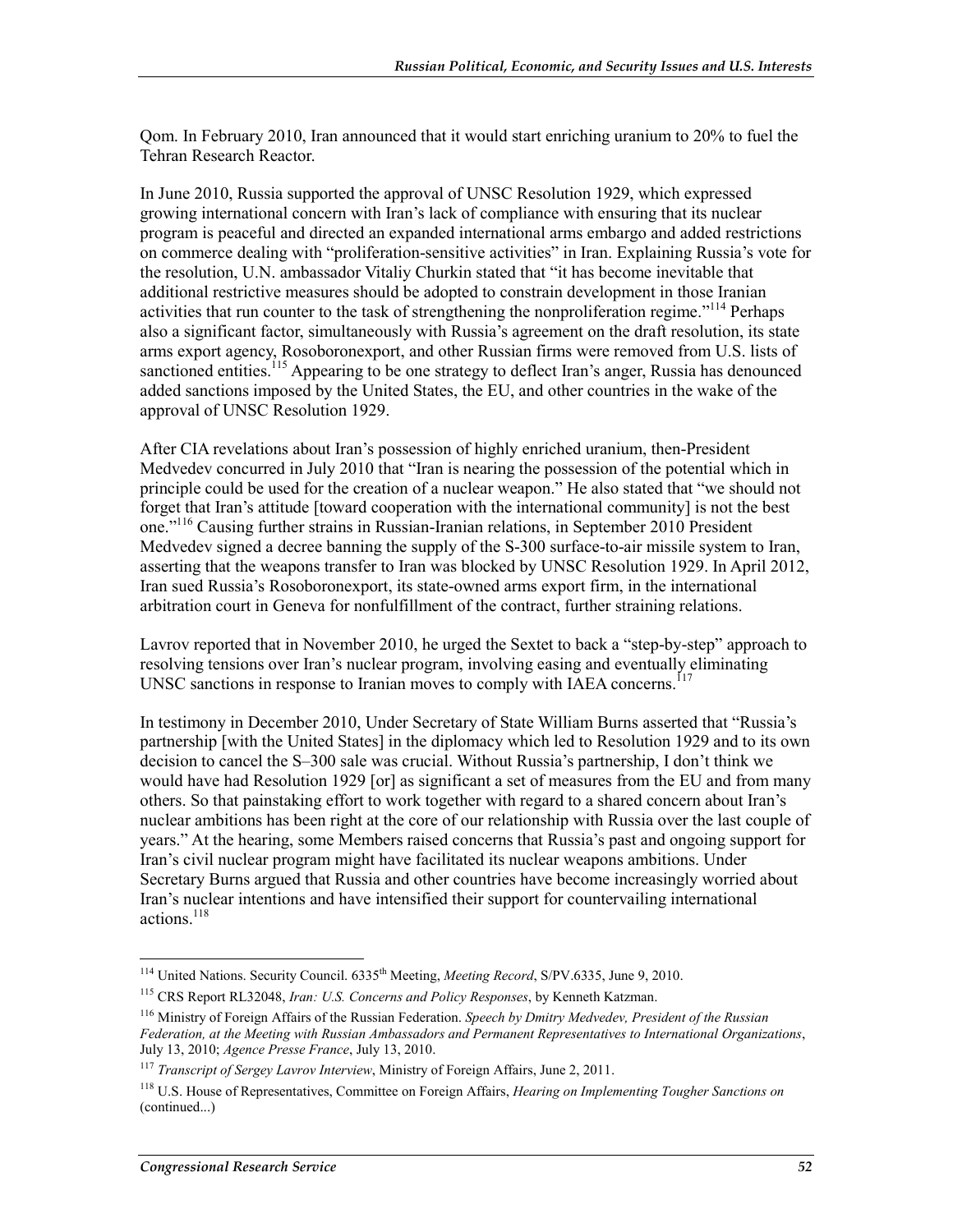Qom. In February 2010, Iran announced that it would start enriching uranium to 20% to fuel the Tehran Research Reactor.

In June 2010, Russia supported the approval of UNSC Resolution 1929, which expressed growing international concern with Iran's lack of compliance with ensuring that its nuclear program is peaceful and directed an expanded international arms embargo and added restrictions on commerce dealing with "proliferation-sensitive activities" in Iran. Explaining Russia's vote for the resolution, U.N. ambassador Vitaliy Churkin stated that "it has become inevitable that additional restrictive measures should be adopted to constrain development in those Iranian activities that run counter to the task of strengthening the nonproliferation regime."114 Perhaps also a significant factor, simultaneously with Russia's agreement on the draft resolution, its state arms export agency, Rosoboronexport, and other Russian firms were removed from U.S. lists of sanctioned entities.<sup>115</sup> Appearing to be one strategy to deflect Iran's anger, Russia has denounced added sanctions imposed by the United States, the EU, and other countries in the wake of the approval of UNSC Resolution 1929.

After CIA revelations about Iran's possession of highly enriched uranium, then-President Medvedev concurred in July 2010 that "Iran is nearing the possession of the potential which in principle could be used for the creation of a nuclear weapon." He also stated that "we should not forget that Iran's attitude [toward cooperation with the international community] is not the best one."116 Causing further strains in Russian-Iranian relations, in September 2010 President Medvedev signed a decree banning the supply of the S-300 surface-to-air missile system to Iran, asserting that the weapons transfer to Iran was blocked by UNSC Resolution 1929. In April 2012, Iran sued Russia's Rosoboronexport, its state-owned arms export firm, in the international arbitration court in Geneva for nonfulfillment of the contract, further straining relations.

Lavrov reported that in November 2010, he urged the Sextet to back a "step-by-step" approach to resolving tensions over Iran's nuclear program, involving easing and eventually eliminating UNSC sanctions in response to Iranian moves to comply with IAEA concerns.<sup>117</sup>

In testimony in December 2010, Under Secretary of State William Burns asserted that "Russia's partnership [with the United States] in the diplomacy which led to Resolution 1929 and to its own decision to cancel the S–300 sale was crucial. Without Russia's partnership, I don't think we would have had Resolution 1929 [or] as significant a set of measures from the EU and from many others. So that painstaking effort to work together with regard to a shared concern about Iran's nuclear ambitions has been right at the core of our relationship with Russia over the last couple of years." At the hearing, some Members raised concerns that Russia's past and ongoing support for Iran's civil nuclear program might have facilitated its nuclear weapons ambitions. Under Secretary Burns argued that Russia and other countries have become increasingly worried about Iran's nuclear intentions and have intensified their support for countervailing international actions.118

<sup>1</sup> <sup>114</sup> United Nations. Security Council. 6335<sup>th</sup> Meeting, *Meeting Record*, S/PV.6335, June 9, 2010.

<sup>115</sup> CRS Report RL32048, *Iran: U.S. Concerns and Policy Responses*, by Kenneth Katzman.

<sup>116</sup> Ministry of Foreign Affairs of the Russian Federation. *Speech by Dmitry Medvedev, President of the Russian Federation, at the Meeting with Russian Ambassadors and Permanent Representatives to International Organizations*, July 13, 2010; *Agence Presse France*, July 13, 2010.

<sup>117</sup> *Transcript of Sergey Lavrov Interview*, Ministry of Foreign Affairs, June 2, 2011.

<sup>118</sup> U.S. House of Representatives, Committee on Foreign Affairs, *Hearing on Implementing Tougher Sanctions on*  (continued...)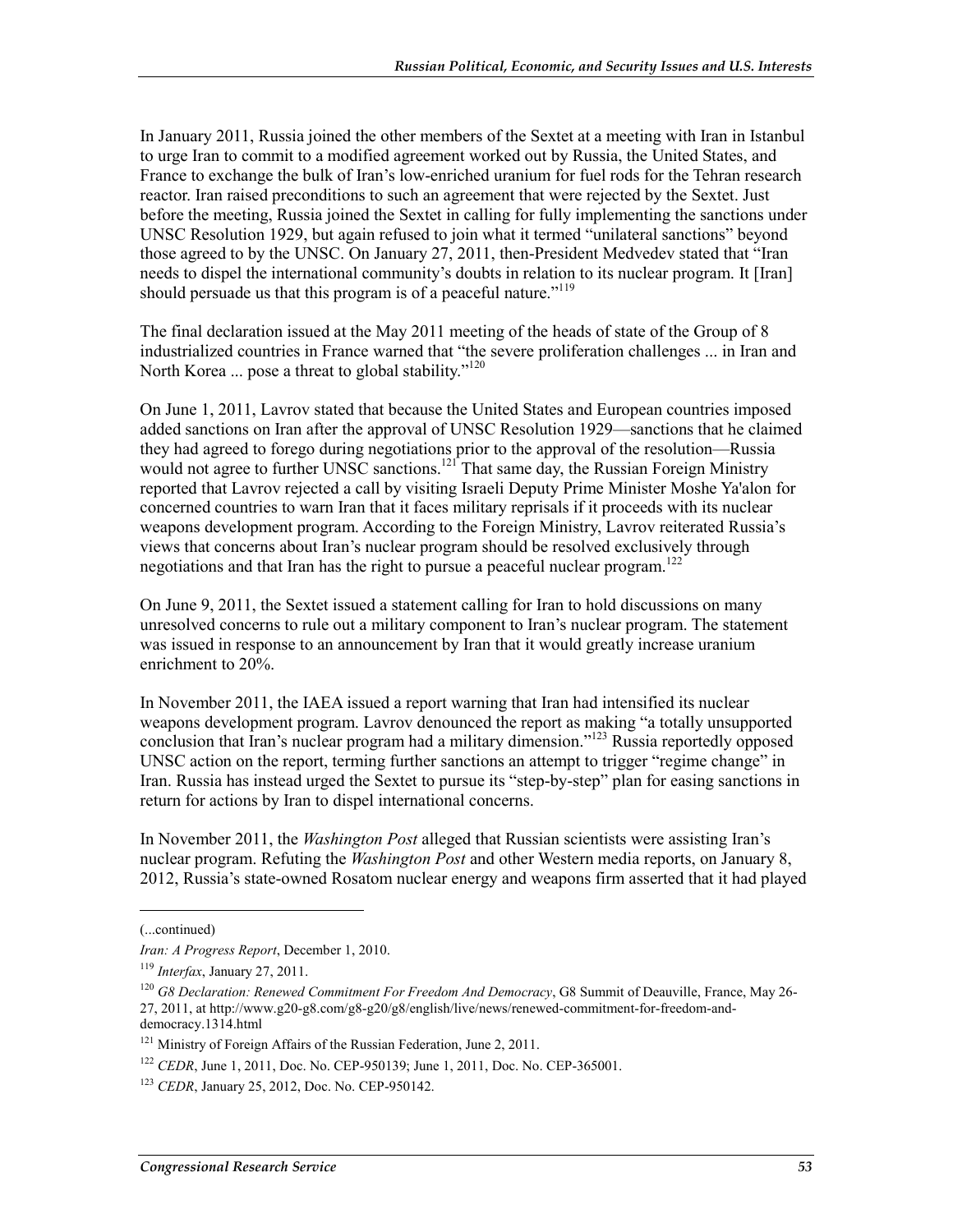In January 2011, Russia joined the other members of the Sextet at a meeting with Iran in Istanbul to urge Iran to commit to a modified agreement worked out by Russia, the United States, and France to exchange the bulk of Iran's low-enriched uranium for fuel rods for the Tehran research reactor. Iran raised preconditions to such an agreement that were rejected by the Sextet. Just before the meeting, Russia joined the Sextet in calling for fully implementing the sanctions under UNSC Resolution 1929, but again refused to join what it termed "unilateral sanctions" beyond those agreed to by the UNSC. On January 27, 2011, then-President Medvedev stated that "Iran needs to dispel the international community's doubts in relation to its nuclear program. It [Iran] should persuade us that this program is of a peaceful nature."<sup>119</sup>

The final declaration issued at the May 2011 meeting of the heads of state of the Group of 8 industrialized countries in France warned that "the severe proliferation challenges ... in Iran and North Korea ... pose a threat to global stability."<sup>120</sup>

On June 1, 2011, Lavrov stated that because the United States and European countries imposed added sanctions on Iran after the approval of UNSC Resolution 1929—sanctions that he claimed they had agreed to forego during negotiations prior to the approval of the resolution—Russia would not agree to further UNSC sanctions.<sup>121</sup> That same day, the Russian Foreign Ministry reported that Lavrov rejected a call by visiting Israeli Deputy Prime Minister Moshe Ya'alon for concerned countries to warn Iran that it faces military reprisals if it proceeds with its nuclear weapons development program. According to the Foreign Ministry, Lavrov reiterated Russia's views that concerns about Iran's nuclear program should be resolved exclusively through negotiations and that Iran has the right to pursue a peaceful nuclear program.<sup>122</sup>

On June 9, 2011, the Sextet issued a statement calling for Iran to hold discussions on many unresolved concerns to rule out a military component to Iran's nuclear program. The statement was issued in response to an announcement by Iran that it would greatly increase uranium enrichment to 20%.

In November 2011, the IAEA issued a report warning that Iran had intensified its nuclear weapons development program. Lavrov denounced the report as making "a totally unsupported conclusion that Iran's nuclear program had a military dimension."<sup>123</sup> Russia reportedly opposed UNSC action on the report, terming further sanctions an attempt to trigger "regime change" in Iran. Russia has instead urged the Sextet to pursue its "step-by-step" plan for easing sanctions in return for actions by Iran to dispel international concerns.

In November 2011, the *Washington Post* alleged that Russian scientists were assisting Iran's nuclear program. Refuting the *Washington Post* and other Western media reports, on January 8, 2012, Russia's state-owned Rosatom nuclear energy and weapons firm asserted that it had played

 $\overline{a}$ 

<sup>(...</sup>continued)

*Iran: A Progress Report*, December 1, 2010.

<sup>119</sup> *Interfax*, January 27, 2011.

<sup>120</sup> *G8 Declaration: Renewed Commitment For Freedom And Democracy*, G8 Summit of Deauville, France, May 26- 27, 2011, at http://www.g20-g8.com/g8-g20/g8/english/live/news/renewed-commitment-for-freedom-anddemocracy.1314.html

<sup>&</sup>lt;sup>121</sup> Ministry of Foreign Affairs of the Russian Federation, June 2, 2011.

<sup>122</sup> *CEDR*, June 1, 2011, Doc. No. CEP-950139; June 1, 2011, Doc. No. CEP-365001.

<sup>123</sup> *CEDR*, January 25, 2012, Doc. No. CEP-950142.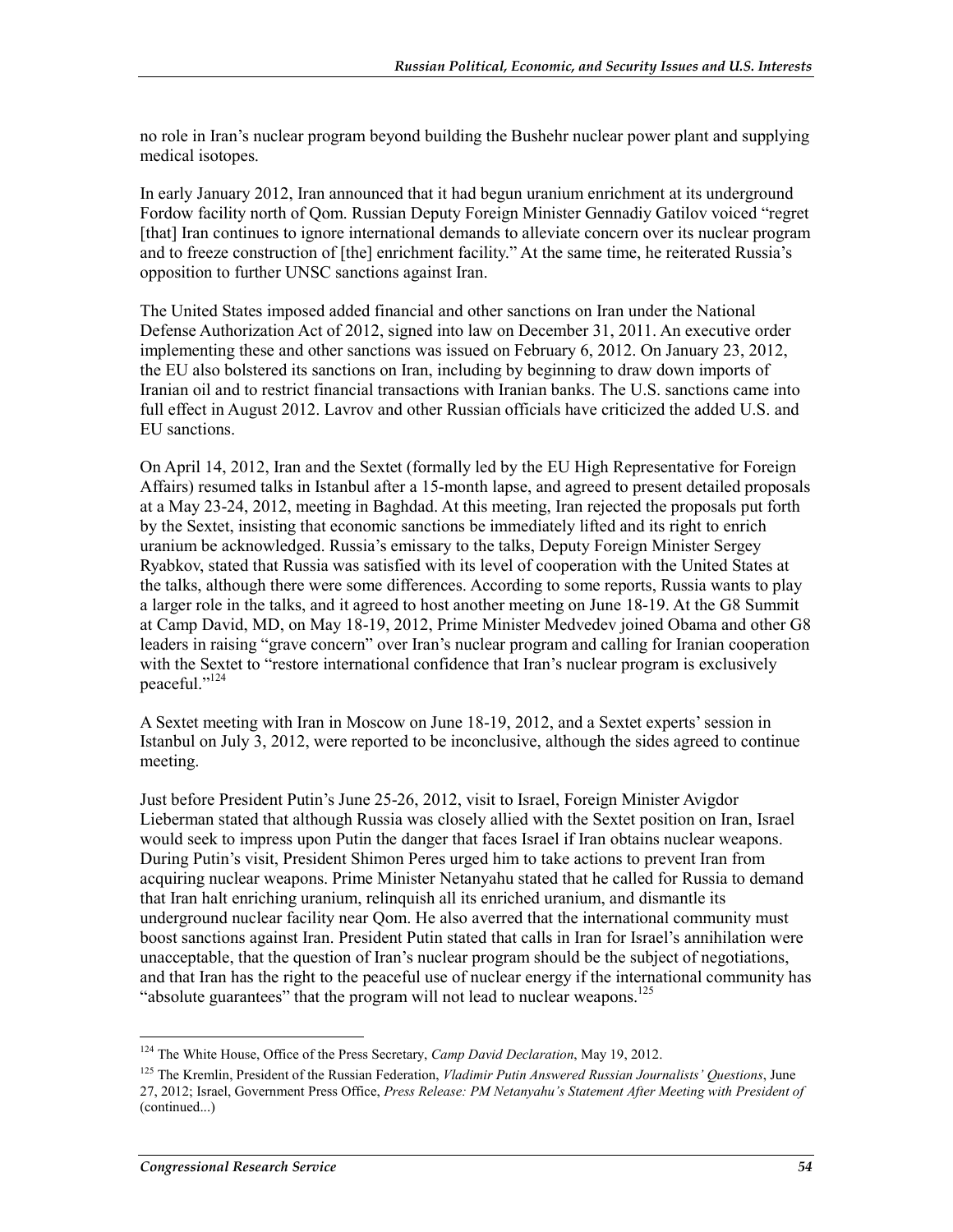no role in Iran's nuclear program beyond building the Bushehr nuclear power plant and supplying medical isotopes.

In early January 2012, Iran announced that it had begun uranium enrichment at its underground Fordow facility north of Qom. Russian Deputy Foreign Minister Gennadiy Gatilov voiced "regret [that] Iran continues to ignore international demands to alleviate concern over its nuclear program and to freeze construction of [the] enrichment facility." At the same time, he reiterated Russia's opposition to further UNSC sanctions against Iran.

The United States imposed added financial and other sanctions on Iran under the National Defense Authorization Act of 2012, signed into law on December 31, 2011. An executive order implementing these and other sanctions was issued on February 6, 2012. On January 23, 2012, the EU also bolstered its sanctions on Iran, including by beginning to draw down imports of Iranian oil and to restrict financial transactions with Iranian banks. The U.S. sanctions came into full effect in August 2012. Lavrov and other Russian officials have criticized the added U.S. and EU sanctions.

On April 14, 2012, Iran and the Sextet (formally led by the EU High Representative for Foreign Affairs) resumed talks in Istanbul after a 15-month lapse, and agreed to present detailed proposals at a May 23-24, 2012, meeting in Baghdad. At this meeting, Iran rejected the proposals put forth by the Sextet, insisting that economic sanctions be immediately lifted and its right to enrich uranium be acknowledged. Russia's emissary to the talks, Deputy Foreign Minister Sergey Ryabkov, stated that Russia was satisfied with its level of cooperation with the United States at the talks, although there were some differences. According to some reports, Russia wants to play a larger role in the talks, and it agreed to host another meeting on June 18-19. At the G8 Summit at Camp David, MD, on May 18-19, 2012, Prime Minister Medvedev joined Obama and other G8 leaders in raising "grave concern" over Iran's nuclear program and calling for Iranian cooperation with the Sextet to "restore international confidence that Iran's nuclear program is exclusively peaceful."<sup>124</sup>

A Sextet meeting with Iran in Moscow on June 18-19, 2012, and a Sextet experts' session in Istanbul on July 3, 2012, were reported to be inconclusive, although the sides agreed to continue meeting.

Just before President Putin's June 25-26, 2012, visit to Israel, Foreign Minister Avigdor Lieberman stated that although Russia was closely allied with the Sextet position on Iran, Israel would seek to impress upon Putin the danger that faces Israel if Iran obtains nuclear weapons. During Putin's visit, President Shimon Peres urged him to take actions to prevent Iran from acquiring nuclear weapons. Prime Minister Netanyahu stated that he called for Russia to demand that Iran halt enriching uranium, relinquish all its enriched uranium, and dismantle its underground nuclear facility near Qom. He also averred that the international community must boost sanctions against Iran. President Putin stated that calls in Iran for Israel's annihilation were unacceptable, that the question of Iran's nuclear program should be the subject of negotiations, and that Iran has the right to the peaceful use of nuclear energy if the international community has "absolute guarantees" that the program will not lead to nuclear weapons.<sup>125</sup>

<sup>124</sup> The White House, Office of the Press Secretary, *Camp David Declaration*, May 19, 2012.

<sup>125</sup> The Kremlin, President of the Russian Federation, *Vladimir Putin Answered Russian Journalists' Questions*, June 27, 2012; Israel, Government Press Office, *Press Release: PM Netanyahu's Statement After Meeting with President of*  (continued...)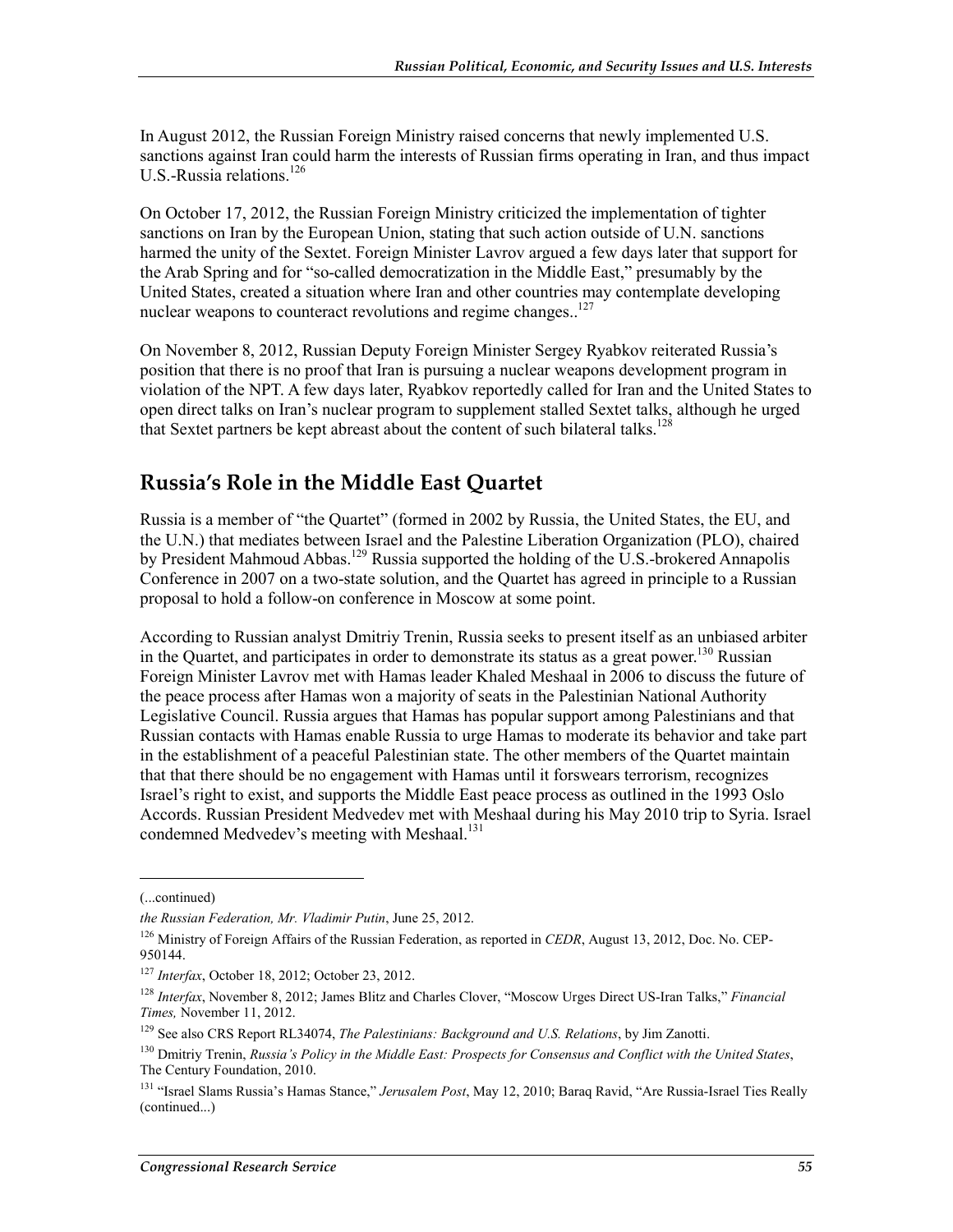In August 2012, the Russian Foreign Ministry raised concerns that newly implemented U.S. sanctions against Iran could harm the interests of Russian firms operating in Iran, and thus impact U.S.-Russia relations. $126$ 

On October 17, 2012, the Russian Foreign Ministry criticized the implementation of tighter sanctions on Iran by the European Union, stating that such action outside of U.N. sanctions harmed the unity of the Sextet. Foreign Minister Lavrov argued a few days later that support for the Arab Spring and for "so-called democratization in the Middle East," presumably by the United States, created a situation where Iran and other countries may contemplate developing nuclear weapons to counteract revolutions and regime changes..<sup>127</sup>

On November 8, 2012, Russian Deputy Foreign Minister Sergey Ryabkov reiterated Russia's position that there is no proof that Iran is pursuing a nuclear weapons development program in violation of the NPT. A few days later, Ryabkov reportedly called for Iran and the United States to open direct talks on Iran's nuclear program to supplement stalled Sextet talks, although he urged that Sextet partners be kept abreast about the content of such bilateral talks.<sup>128</sup>

### **Russia's Role in the Middle East Quartet**

Russia is a member of "the Quartet" (formed in 2002 by Russia, the United States, the EU, and the U.N.) that mediates between Israel and the Palestine Liberation Organization (PLO), chaired by President Mahmoud Abbas.<sup>129</sup> Russia supported the holding of the U.S.-brokered Annapolis Conference in 2007 on a two-state solution, and the Quartet has agreed in principle to a Russian proposal to hold a follow-on conference in Moscow at some point.

According to Russian analyst Dmitriy Trenin, Russia seeks to present itself as an unbiased arbiter in the Quartet, and participates in order to demonstrate its status as a great power.<sup>130</sup> Russian Foreign Minister Lavrov met with Hamas leader Khaled Meshaal in 2006 to discuss the future of the peace process after Hamas won a majority of seats in the Palestinian National Authority Legislative Council. Russia argues that Hamas has popular support among Palestinians and that Russian contacts with Hamas enable Russia to urge Hamas to moderate its behavior and take part in the establishment of a peaceful Palestinian state. The other members of the Quartet maintain that that there should be no engagement with Hamas until it forswears terrorism, recognizes Israel's right to exist, and supports the Middle East peace process as outlined in the 1993 Oslo Accords. Russian President Medvedev met with Meshaal during his May 2010 trip to Syria. Israel condemned Medvedev's meeting with Meshaal.<sup>131</sup>

 $\overline{a}$ 

<sup>(...</sup>continued)

*the Russian Federation, Mr. Vladimir Putin*, June 25, 2012.

<sup>&</sup>lt;sup>126</sup> Ministry of Foreign Affairs of the Russian Federation, as reported in *CEDR*, August 13, 2012, Doc. No. CEP-950144.

<sup>127</sup> *Interfax*, October 18, 2012; October 23, 2012.

<sup>128</sup> *Interfax*, November 8, 2012; James Blitz and Charles Clover, "Moscow Urges Direct US-Iran Talks," *Financial Times,* November 11, 2012.

<sup>129</sup> See also CRS Report RL34074, *The Palestinians: Background and U.S. Relations*, by Jim Zanotti.

<sup>130</sup> Dmitriy Trenin, *Russia's Policy in the Middle East: Prospects for Consensus and Conflict with the United States*, The Century Foundation, 2010.

<sup>131 &</sup>quot;Israel Slams Russia's Hamas Stance," *Jerusalem Post*, May 12, 2010; Baraq Ravid, "Are Russia-Israel Ties Really (continued...)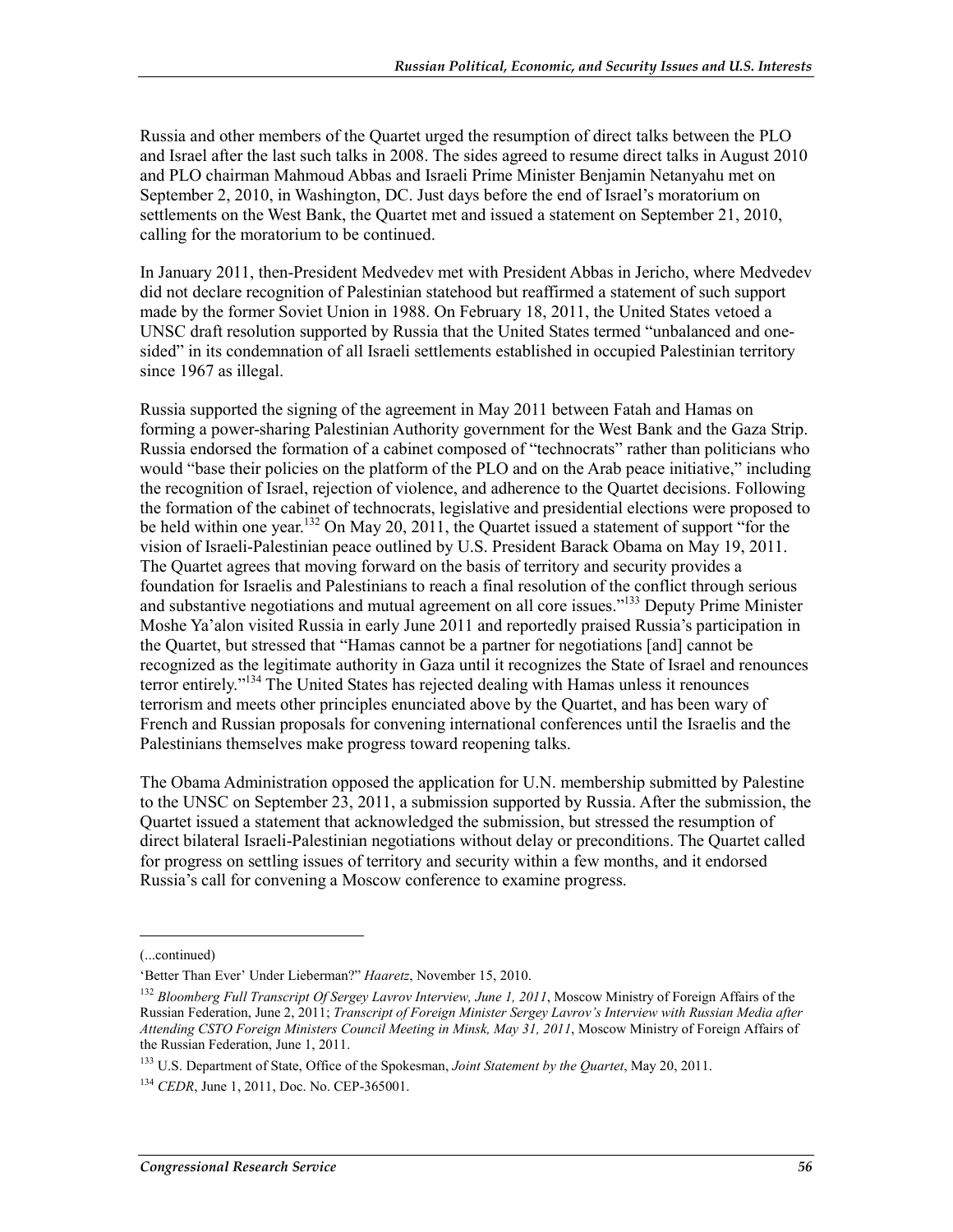Russia and other members of the Quartet urged the resumption of direct talks between the PLO and Israel after the last such talks in 2008. The sides agreed to resume direct talks in August 2010 and PLO chairman Mahmoud Abbas and Israeli Prime Minister Benjamin Netanyahu met on September 2, 2010, in Washington, DC. Just days before the end of Israel's moratorium on settlements on the West Bank, the Quartet met and issued a statement on September 21, 2010, calling for the moratorium to be continued.

In January 2011, then-President Medvedev met with President Abbas in Jericho, where Medvedev did not declare recognition of Palestinian statehood but reaffirmed a statement of such support made by the former Soviet Union in 1988. On February 18, 2011, the United States vetoed a UNSC draft resolution supported by Russia that the United States termed "unbalanced and onesided" in its condemnation of all Israeli settlements established in occupied Palestinian territory since 1967 as illegal.

Russia supported the signing of the agreement in May 2011 between Fatah and Hamas on forming a power-sharing Palestinian Authority government for the West Bank and the Gaza Strip. Russia endorsed the formation of a cabinet composed of "technocrats" rather than politicians who would "base their policies on the platform of the PLO and on the Arab peace initiative," including the recognition of Israel, rejection of violence, and adherence to the Quartet decisions. Following the formation of the cabinet of technocrats, legislative and presidential elections were proposed to be held within one year.<sup>132</sup> On May 20, 2011, the Quartet issued a statement of support "for the vision of Israeli-Palestinian peace outlined by U.S. President Barack Obama on May 19, 2011. The Quartet agrees that moving forward on the basis of territory and security provides a foundation for Israelis and Palestinians to reach a final resolution of the conflict through serious and substantive negotiations and mutual agreement on all core issues."133 Deputy Prime Minister Moshe Ya'alon visited Russia in early June 2011 and reportedly praised Russia's participation in the Quartet, but stressed that "Hamas cannot be a partner for negotiations [and] cannot be recognized as the legitimate authority in Gaza until it recognizes the State of Israel and renounces terror entirely.<sup>"134</sup> The United States has rejected dealing with Hamas unless it renounces terrorism and meets other principles enunciated above by the Quartet, and has been wary of French and Russian proposals for convening international conferences until the Israelis and the Palestinians themselves make progress toward reopening talks.

The Obama Administration opposed the application for U.N. membership submitted by Palestine to the UNSC on September 23, 2011, a submission supported by Russia. After the submission, the Quartet issued a statement that acknowledged the submission, but stressed the resumption of direct bilateral Israeli-Palestinian negotiations without delay or preconditions. The Quartet called for progress on settling issues of territory and security within a few months, and it endorsed Russia's call for convening a Moscow conference to examine progress.

1

133 U.S. Department of State, Office of the Spokesman, *Joint Statement by the Quartet*, May 20, 2011.

<sup>(...</sup>continued)

<sup>&#</sup>x27;Better Than Ever' Under Lieberman?" *Haaretz*, November 15, 2010.

<sup>132</sup> *Bloomberg Full Transcript Of Sergey Lavrov Interview, June 1, 2011*, Moscow Ministry of Foreign Affairs of the Russian Federation, June 2, 2011; *Transcript of Foreign Minister Sergey Lavrov's Interview with Russian Media after Attending CSTO Foreign Ministers Council Meeting in Minsk, May 31, 2011*, Moscow Ministry of Foreign Affairs of the Russian Federation, June 1, 2011.

<sup>&</sup>lt;sup>134</sup> *CEDR*, June 1, 2011, Doc. No. CEP-365001.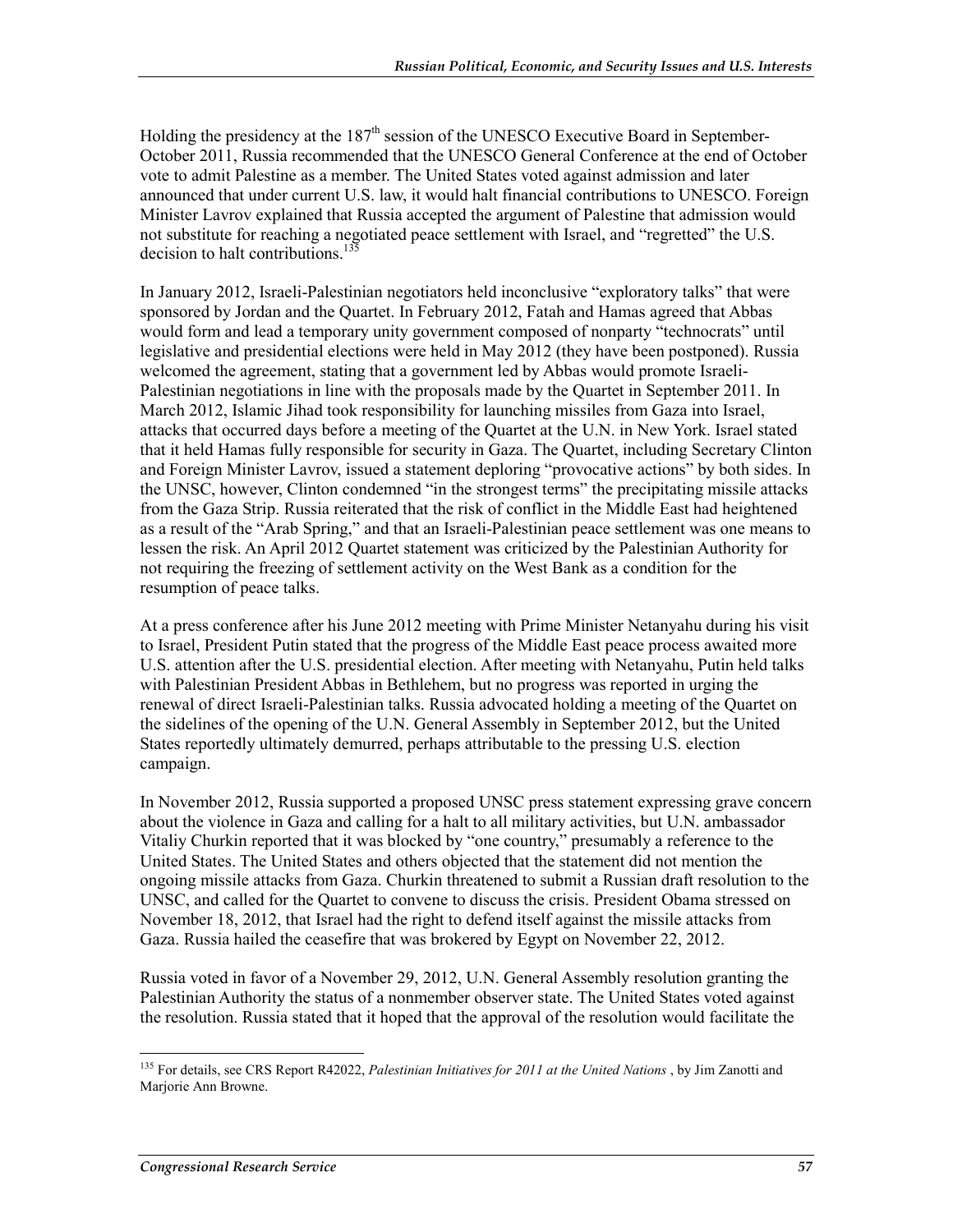Holding the presidency at the  $187<sup>th</sup>$  session of the UNESCO Executive Board in September-October 2011, Russia recommended that the UNESCO General Conference at the end of October vote to admit Palestine as a member. The United States voted against admission and later announced that under current U.S. law, it would halt financial contributions to UNESCO. Foreign Minister Lavrov explained that Russia accepted the argument of Palestine that admission would not substitute for reaching a negotiated peace settlement with Israel, and "regretted" the U.S. decision to halt contributions.<sup>135</sup>

In January 2012, Israeli-Palestinian negotiators held inconclusive "exploratory talks" that were sponsored by Jordan and the Quartet. In February 2012, Fatah and Hamas agreed that Abbas would form and lead a temporary unity government composed of nonparty "technocrats" until legislative and presidential elections were held in May 2012 (they have been postponed). Russia welcomed the agreement, stating that a government led by Abbas would promote Israeli-Palestinian negotiations in line with the proposals made by the Quartet in September 2011. In March 2012, Islamic Jihad took responsibility for launching missiles from Gaza into Israel, attacks that occurred days before a meeting of the Quartet at the U.N. in New York. Israel stated that it held Hamas fully responsible for security in Gaza. The Quartet, including Secretary Clinton and Foreign Minister Lavrov, issued a statement deploring "provocative actions" by both sides. In the UNSC, however, Clinton condemned "in the strongest terms" the precipitating missile attacks from the Gaza Strip. Russia reiterated that the risk of conflict in the Middle East had heightened as a result of the "Arab Spring," and that an Israeli-Palestinian peace settlement was one means to lessen the risk. An April 2012 Quartet statement was criticized by the Palestinian Authority for not requiring the freezing of settlement activity on the West Bank as a condition for the resumption of peace talks.

At a press conference after his June 2012 meeting with Prime Minister Netanyahu during his visit to Israel, President Putin stated that the progress of the Middle East peace process awaited more U.S. attention after the U.S. presidential election. After meeting with Netanyahu, Putin held talks with Palestinian President Abbas in Bethlehem, but no progress was reported in urging the renewal of direct Israeli-Palestinian talks. Russia advocated holding a meeting of the Quartet on the sidelines of the opening of the U.N. General Assembly in September 2012, but the United States reportedly ultimately demurred, perhaps attributable to the pressing U.S. election campaign.

In November 2012, Russia supported a proposed UNSC press statement expressing grave concern about the violence in Gaza and calling for a halt to all military activities, but U.N. ambassador Vitaliy Churkin reported that it was blocked by "one country," presumably a reference to the United States. The United States and others objected that the statement did not mention the ongoing missile attacks from Gaza. Churkin threatened to submit a Russian draft resolution to the UNSC, and called for the Quartet to convene to discuss the crisis. President Obama stressed on November 18, 2012, that Israel had the right to defend itself against the missile attacks from Gaza. Russia hailed the ceasefire that was brokered by Egypt on November 22, 2012.

Russia voted in favor of a November 29, 2012, U.N. General Assembly resolution granting the Palestinian Authority the status of a nonmember observer state. The United States voted against the resolution. Russia stated that it hoped that the approval of the resolution would facilitate the

<sup>1</sup> 135 For details, see CRS Report R42022, *Palestinian Initiatives for 2011 at the United Nations* , by Jim Zanotti and Marjorie Ann Browne.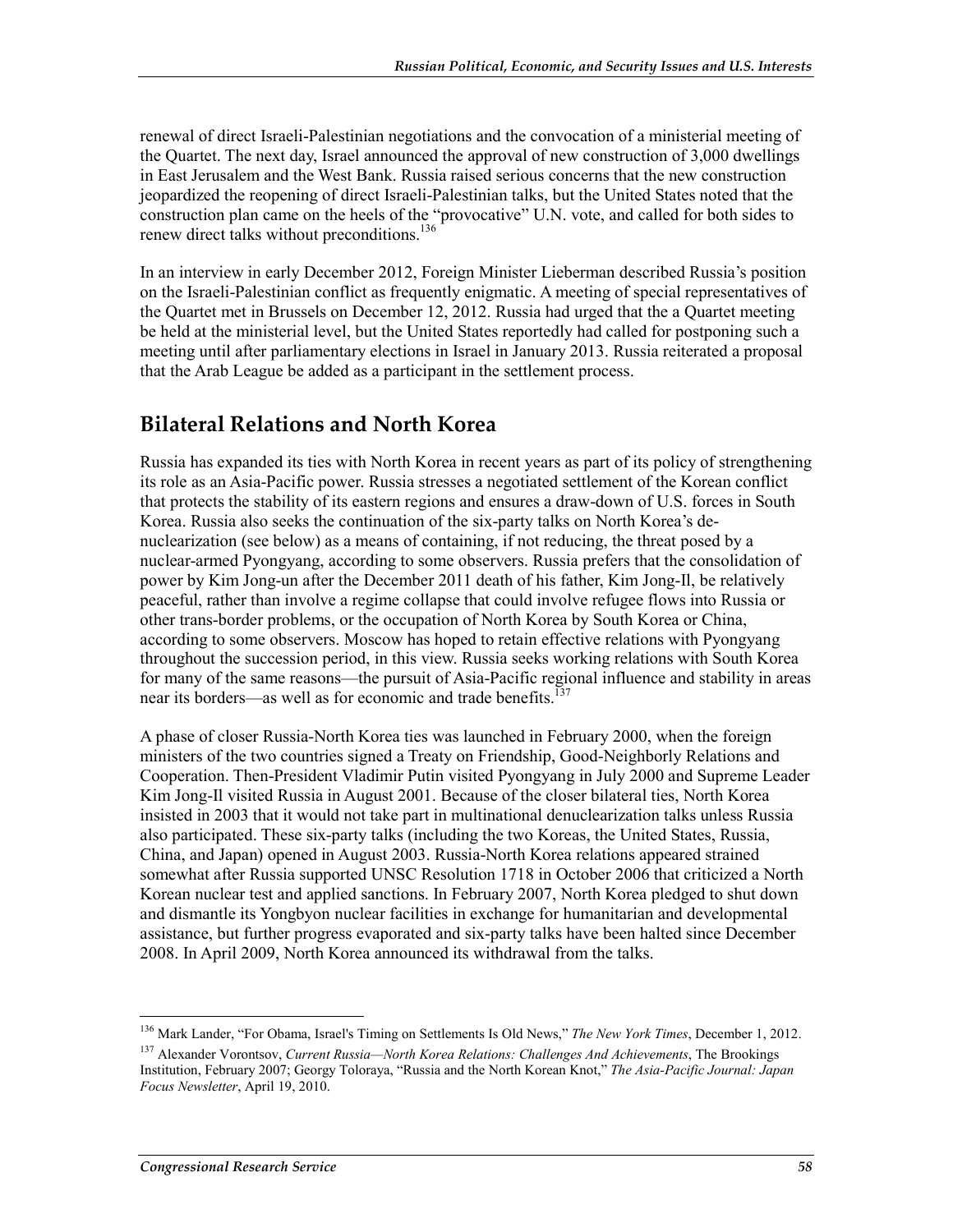renewal of direct Israeli-Palestinian negotiations and the convocation of a ministerial meeting of the Quartet. The next day, Israel announced the approval of new construction of 3,000 dwellings in East Jerusalem and the West Bank. Russia raised serious concerns that the new construction jeopardized the reopening of direct Israeli-Palestinian talks, but the United States noted that the construction plan came on the heels of the "provocative" U.N. vote, and called for both sides to renew direct talks without preconditions.<sup>136</sup>

In an interview in early December 2012, Foreign Minister Lieberman described Russia's position on the Israeli-Palestinian conflict as frequently enigmatic. A meeting of special representatives of the Quartet met in Brussels on December 12, 2012. Russia had urged that the a Quartet meeting be held at the ministerial level, but the United States reportedly had called for postponing such a meeting until after parliamentary elections in Israel in January 2013. Russia reiterated a proposal that the Arab League be added as a participant in the settlement process.

### **Bilateral Relations and North Korea**

Russia has expanded its ties with North Korea in recent years as part of its policy of strengthening its role as an Asia-Pacific power. Russia stresses a negotiated settlement of the Korean conflict that protects the stability of its eastern regions and ensures a draw-down of U.S. forces in South Korea. Russia also seeks the continuation of the six-party talks on North Korea's denuclearization (see below) as a means of containing, if not reducing, the threat posed by a nuclear-armed Pyongyang, according to some observers. Russia prefers that the consolidation of power by Kim Jong-un after the December 2011 death of his father, Kim Jong-Il, be relatively peaceful, rather than involve a regime collapse that could involve refugee flows into Russia or other trans-border problems, or the occupation of North Korea by South Korea or China, according to some observers. Moscow has hoped to retain effective relations with Pyongyang throughout the succession period, in this view. Russia seeks working relations with South Korea for many of the same reasons—the pursuit of Asia-Pacific regional influence and stability in areas near its borders—as well as for economic and trade benefits.<sup>137</sup>

A phase of closer Russia-North Korea ties was launched in February 2000, when the foreign ministers of the two countries signed a Treaty on Friendship, Good-Neighborly Relations and Cooperation. Then-President Vladimir Putin visited Pyongyang in July 2000 and Supreme Leader Kim Jong-Il visited Russia in August 2001. Because of the closer bilateral ties, North Korea insisted in 2003 that it would not take part in multinational denuclearization talks unless Russia also participated. These six-party talks (including the two Koreas, the United States, Russia, China, and Japan) opened in August 2003. Russia-North Korea relations appeared strained somewhat after Russia supported UNSC Resolution 1718 in October 2006 that criticized a North Korean nuclear test and applied sanctions. In February 2007, North Korea pledged to shut down and dismantle its Yongbyon nuclear facilities in exchange for humanitarian and developmental assistance, but further progress evaporated and six-party talks have been halted since December 2008. In April 2009, North Korea announced its withdrawal from the talks.

<sup>1</sup> 136 Mark Lander, "For Obama, Israel's Timing on Settlements Is Old News," *The New York Times*, December 1, 2012.

<sup>137</sup> Alexander Vorontsov, *Current Russia—North Korea Relations: Challenges And Achievements*, The Brookings Institution, February 2007; Georgy Toloraya, "Russia and the North Korean Knot," *The Asia-Pacific Journal: Japan Focus Newsletter*, April 19, 2010.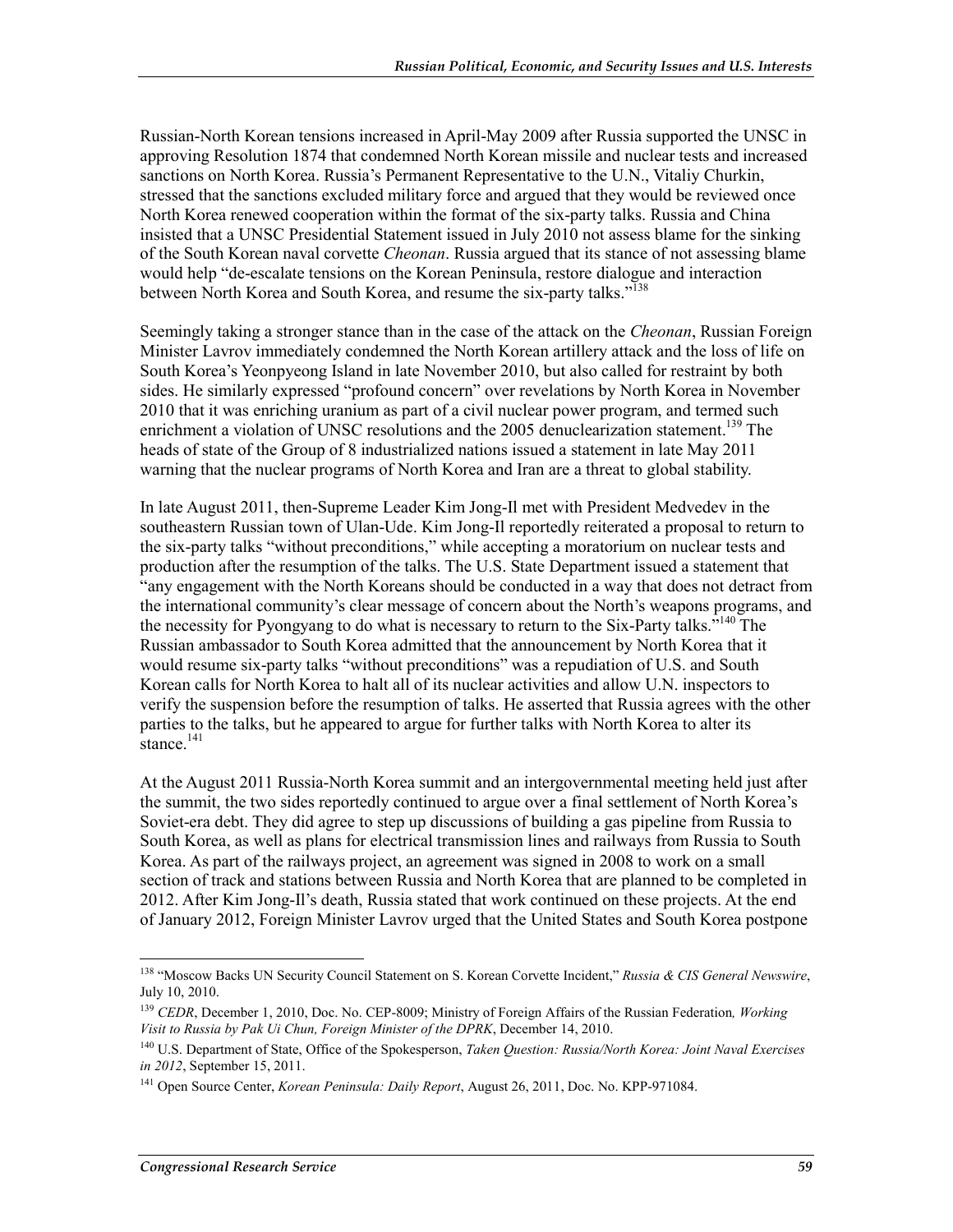Russian-North Korean tensions increased in April-May 2009 after Russia supported the UNSC in approving Resolution 1874 that condemned North Korean missile and nuclear tests and increased sanctions on North Korea. Russia's Permanent Representative to the U.N., Vitaliy Churkin, stressed that the sanctions excluded military force and argued that they would be reviewed once North Korea renewed cooperation within the format of the six-party talks. Russia and China insisted that a UNSC Presidential Statement issued in July 2010 not assess blame for the sinking of the South Korean naval corvette *Cheonan*. Russia argued that its stance of not assessing blame would help "de-escalate tensions on the Korean Peninsula, restore dialogue and interaction between North Korea and South Korea, and resume the six-party talks."<sup>138</sup>

Seemingly taking a stronger stance than in the case of the attack on the *Cheonan*, Russian Foreign Minister Lavrov immediately condemned the North Korean artillery attack and the loss of life on South Korea's Yeonpyeong Island in late November 2010, but also called for restraint by both sides. He similarly expressed "profound concern" over revelations by North Korea in November 2010 that it was enriching uranium as part of a civil nuclear power program, and termed such enrichment a violation of UNSC resolutions and the 2005 denuclearization statement.<sup>139</sup> The heads of state of the Group of 8 industrialized nations issued a statement in late May 2011 warning that the nuclear programs of North Korea and Iran are a threat to global stability.

In late August 2011, then-Supreme Leader Kim Jong-Il met with President Medvedev in the southeastern Russian town of Ulan-Ude. Kim Jong-Il reportedly reiterated a proposal to return to the six-party talks "without preconditions," while accepting a moratorium on nuclear tests and production after the resumption of the talks. The U.S. State Department issued a statement that "any engagement with the North Koreans should be conducted in a way that does not detract from the international community's clear message of concern about the North's weapons programs, and the necessity for Pyongyang to do what is necessary to return to the Six-Party talks.<sup>5140</sup> The Russian ambassador to South Korea admitted that the announcement by North Korea that it would resume six-party talks "without preconditions" was a repudiation of U.S. and South Korean calls for North Korea to halt all of its nuclear activities and allow U.N. inspectors to verify the suspension before the resumption of talks. He asserted that Russia agrees with the other parties to the talks, but he appeared to argue for further talks with North Korea to alter its  $\frac{1}{141}$ 

At the August 2011 Russia-North Korea summit and an intergovernmental meeting held just after the summit, the two sides reportedly continued to argue over a final settlement of North Korea's Soviet-era debt. They did agree to step up discussions of building a gas pipeline from Russia to South Korea, as well as plans for electrical transmission lines and railways from Russia to South Korea. As part of the railways project, an agreement was signed in 2008 to work on a small section of track and stations between Russia and North Korea that are planned to be completed in 2012. After Kim Jong-Il's death, Russia stated that work continued on these projects. At the end of January 2012, Foreign Minister Lavrov urged that the United States and South Korea postpone

<sup>138 &</sup>quot;Moscow Backs UN Security Council Statement on S. Korean Corvette Incident," *Russia & CIS General Newswire*, July 10, 2010.

<sup>139</sup> *CEDR*, December 1, 2010, Doc. No. CEP-8009; Ministry of Foreign Affairs of the Russian Federation*, Working Visit to Russia by Pak Ui Chun, Foreign Minister of the DPRK*, December 14, 2010.

<sup>140</sup> U.S. Department of State, Office of the Spokesperson, *Taken Question: Russia/North Korea: Joint Naval Exercises in 2012*, September 15, 2011.

<sup>141</sup> Open Source Center, *Korean Peninsula: Daily Report*, August 26, 2011, Doc. No. KPP-971084.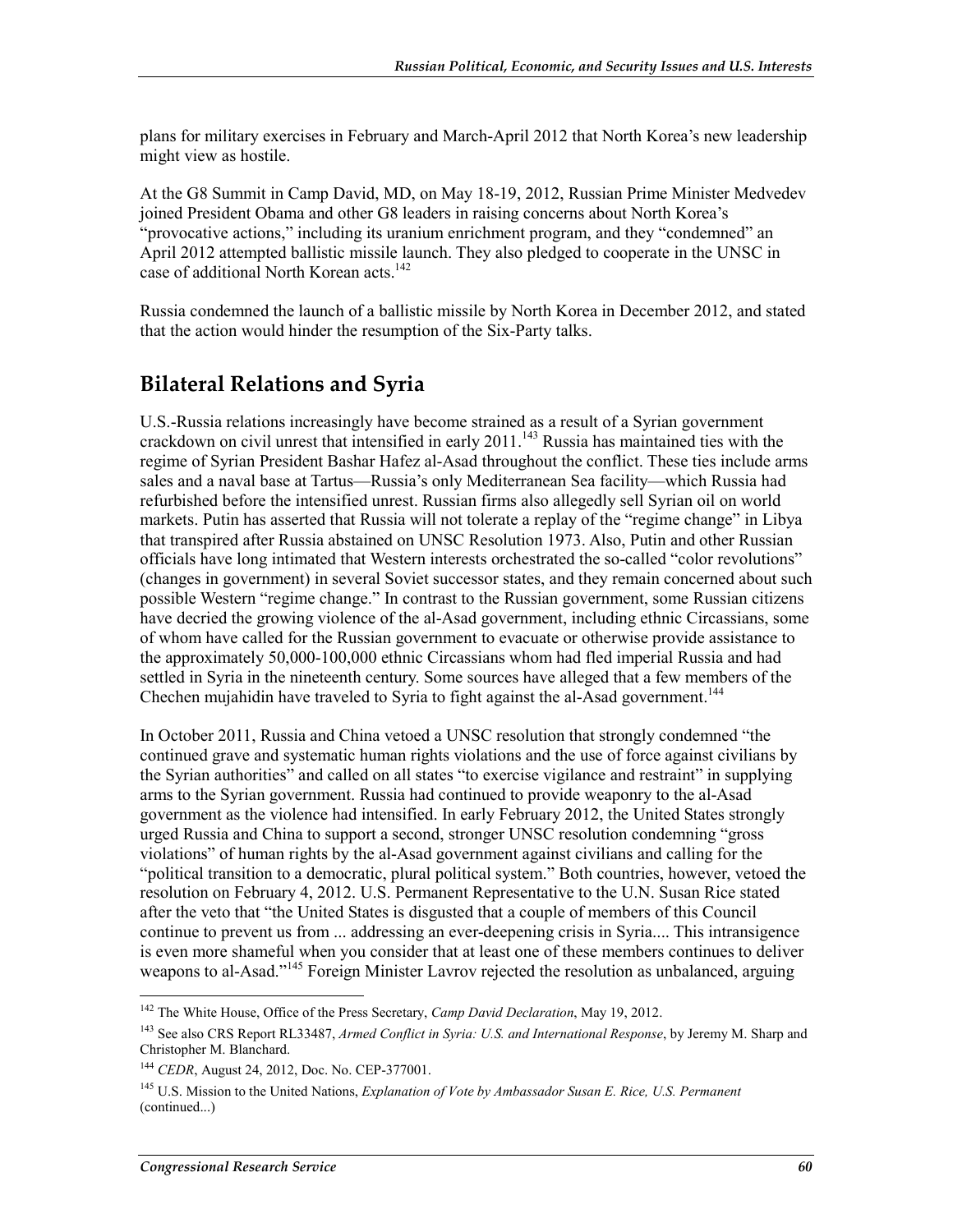plans for military exercises in February and March-April 2012 that North Korea's new leadership might view as hostile.

At the G8 Summit in Camp David, MD, on May 18-19, 2012, Russian Prime Minister Medvedev joined President Obama and other G8 leaders in raising concerns about North Korea's "provocative actions," including its uranium enrichment program, and they "condemned" an April 2012 attempted ballistic missile launch. They also pledged to cooperate in the UNSC in case of additional North Korean acts.<sup>142</sup>

Russia condemned the launch of a ballistic missile by North Korea in December 2012, and stated that the action would hinder the resumption of the Six-Party talks.

# **Bilateral Relations and Syria**

U.S.-Russia relations increasingly have become strained as a result of a Syrian government crackdown on civil unrest that intensified in early 2011.<sup>143</sup> Russia has maintained ties with the regime of Syrian President Bashar Hafez al-Asad throughout the conflict. These ties include arms sales and a naval base at Tartus—Russia's only Mediterranean Sea facility—which Russia had refurbished before the intensified unrest. Russian firms also allegedly sell Syrian oil on world markets. Putin has asserted that Russia will not tolerate a replay of the "regime change" in Libya that transpired after Russia abstained on UNSC Resolution 1973. Also, Putin and other Russian officials have long intimated that Western interests orchestrated the so-called "color revolutions" (changes in government) in several Soviet successor states, and they remain concerned about such possible Western "regime change." In contrast to the Russian government, some Russian citizens have decried the growing violence of the al-Asad government, including ethnic Circassians, some of whom have called for the Russian government to evacuate or otherwise provide assistance to the approximately 50,000-100,000 ethnic Circassians whom had fled imperial Russia and had settled in Syria in the nineteenth century. Some sources have alleged that a few members of the Chechen mujahidin have traveled to Syria to fight against the al-Asad government.<sup>144</sup>

In October 2011, Russia and China vetoed a UNSC resolution that strongly condemned "the continued grave and systematic human rights violations and the use of force against civilians by the Syrian authorities" and called on all states "to exercise vigilance and restraint" in supplying arms to the Syrian government. Russia had continued to provide weaponry to the al-Asad government as the violence had intensified. In early February 2012, the United States strongly urged Russia and China to support a second, stronger UNSC resolution condemning "gross violations" of human rights by the al-Asad government against civilians and calling for the "political transition to a democratic, plural political system." Both countries, however, vetoed the resolution on February 4, 2012. U.S. Permanent Representative to the U.N. Susan Rice stated after the veto that "the United States is disgusted that a couple of members of this Council continue to prevent us from ... addressing an ever-deepening crisis in Syria.... This intransigence is even more shameful when you consider that at least one of these members continues to deliver weapons to al-Asad."<sup>145</sup> Foreign Minister Lavrov rejected the resolution as unbalanced, arguing

<sup>1</sup> 142 The White House, Office of the Press Secretary, *Camp David Declaration*, May 19, 2012.

<sup>143</sup> See also CRS Report RL33487, *Armed Conflict in Syria: U.S. and International Response*, by Jeremy M. Sharp and Christopher M. Blanchard.

<sup>144</sup> *CEDR*, August 24, 2012, Doc. No. CEP-377001.

<sup>145</sup> U.S. Mission to the United Nations, *Explanation of Vote by Ambassador Susan E. Rice, U.S. Permanent*  (continued...)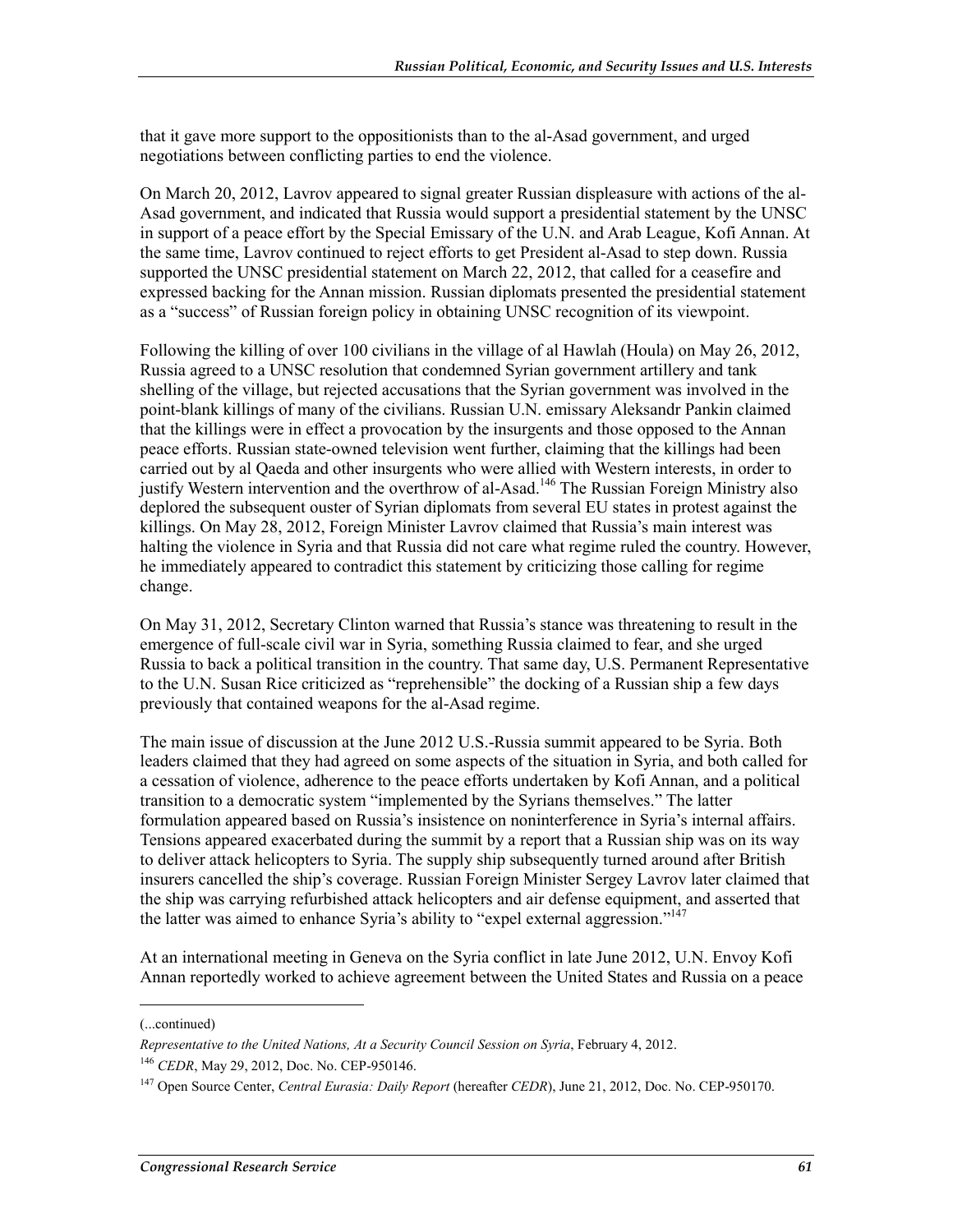that it gave more support to the oppositionists than to the al-Asad government, and urged negotiations between conflicting parties to end the violence.

On March 20, 2012, Lavrov appeared to signal greater Russian displeasure with actions of the al-Asad government, and indicated that Russia would support a presidential statement by the UNSC in support of a peace effort by the Special Emissary of the U.N. and Arab League, Kofi Annan. At the same time, Lavrov continued to reject efforts to get President al-Asad to step down. Russia supported the UNSC presidential statement on March 22, 2012, that called for a ceasefire and expressed backing for the Annan mission. Russian diplomats presented the presidential statement as a "success" of Russian foreign policy in obtaining UNSC recognition of its viewpoint.

Following the killing of over 100 civilians in the village of al Hawlah (Houla) on May 26, 2012, Russia agreed to a UNSC resolution that condemned Syrian government artillery and tank shelling of the village, but rejected accusations that the Syrian government was involved in the point-blank killings of many of the civilians. Russian U.N. emissary Aleksandr Pankin claimed that the killings were in effect a provocation by the insurgents and those opposed to the Annan peace efforts. Russian state-owned television went further, claiming that the killings had been carried out by al Qaeda and other insurgents who were allied with Western interests, in order to justify Western intervention and the overthrow of al-Asad.<sup>146</sup> The Russian Foreign Ministry also deplored the subsequent ouster of Syrian diplomats from several EU states in protest against the killings. On May 28, 2012, Foreign Minister Lavrov claimed that Russia's main interest was halting the violence in Syria and that Russia did not care what regime ruled the country. However, he immediately appeared to contradict this statement by criticizing those calling for regime change.

On May 31, 2012, Secretary Clinton warned that Russia's stance was threatening to result in the emergence of full-scale civil war in Syria, something Russia claimed to fear, and she urged Russia to back a political transition in the country. That same day, U.S. Permanent Representative to the U.N. Susan Rice criticized as "reprehensible" the docking of a Russian ship a few days previously that contained weapons for the al-Asad regime.

The main issue of discussion at the June 2012 U.S.-Russia summit appeared to be Syria. Both leaders claimed that they had agreed on some aspects of the situation in Syria, and both called for a cessation of violence, adherence to the peace efforts undertaken by Kofi Annan, and a political transition to a democratic system "implemented by the Syrians themselves." The latter formulation appeared based on Russia's insistence on noninterference in Syria's internal affairs. Tensions appeared exacerbated during the summit by a report that a Russian ship was on its way to deliver attack helicopters to Syria. The supply ship subsequently turned around after British insurers cancelled the ship's coverage. Russian Foreign Minister Sergey Lavrov later claimed that the ship was carrying refurbished attack helicopters and air defense equipment, and asserted that the latter was aimed to enhance Syria's ability to "expel external aggression."<sup>147</sup>

At an international meeting in Geneva on the Syria conflict in late June 2012, U.N. Envoy Kofi Annan reportedly worked to achieve agreement between the United States and Russia on a peace

<sup>(...</sup>continued)

*Representative to the United Nations, At a Security Council Session on Syria*, February 4, 2012.

<sup>146</sup> *CEDR*, May 29, 2012, Doc. No. CEP-950146.

<sup>147</sup> Open Source Center, *Central Eurasia: Daily Report* (hereafter *CEDR*), June 21, 2012, Doc. No. CEP-950170.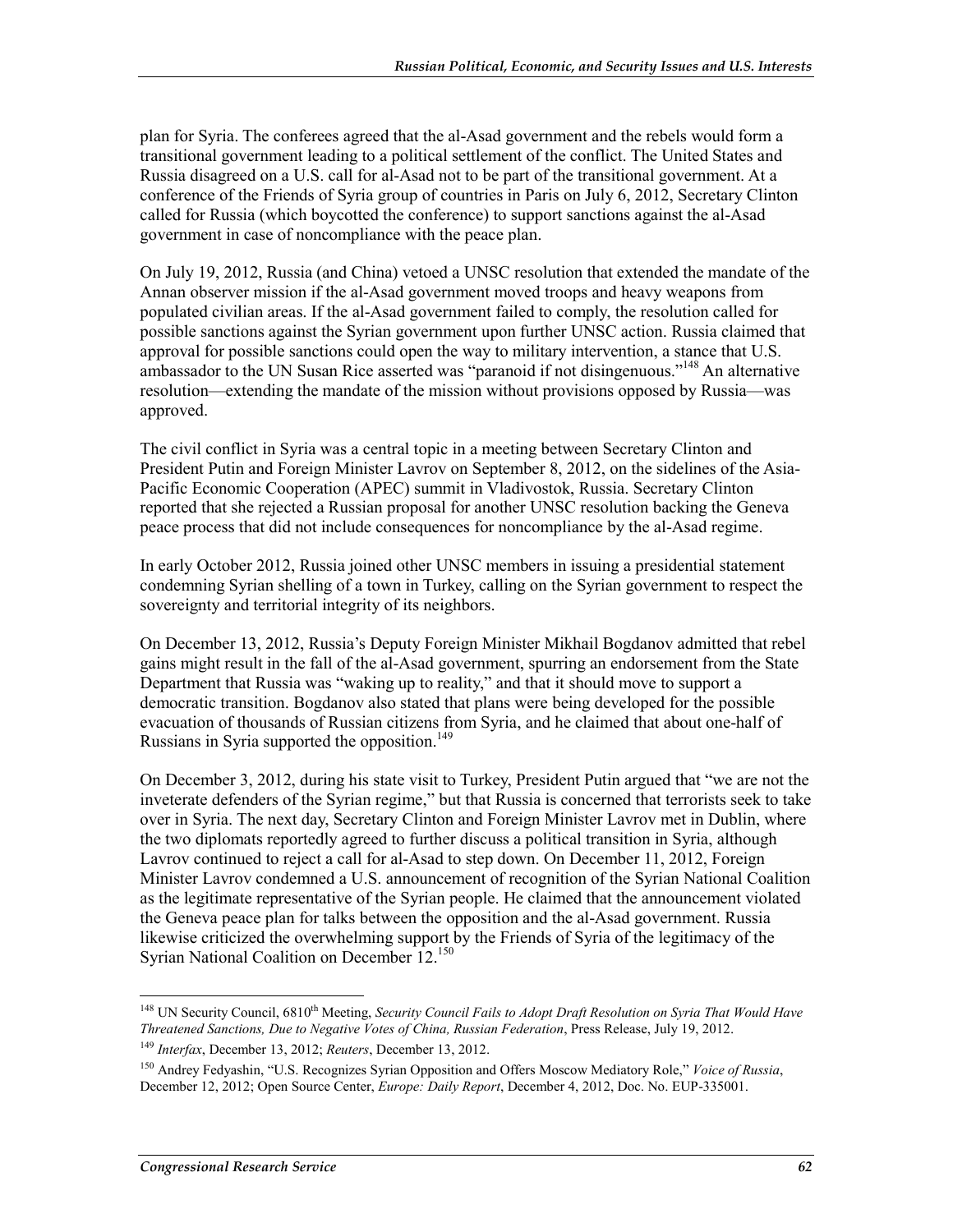plan for Syria. The conferees agreed that the al-Asad government and the rebels would form a transitional government leading to a political settlement of the conflict. The United States and Russia disagreed on a U.S. call for al-Asad not to be part of the transitional government. At a conference of the Friends of Syria group of countries in Paris on July 6, 2012, Secretary Clinton called for Russia (which boycotted the conference) to support sanctions against the al-Asad government in case of noncompliance with the peace plan.

On July 19, 2012, Russia (and China) vetoed a UNSC resolution that extended the mandate of the Annan observer mission if the al-Asad government moved troops and heavy weapons from populated civilian areas. If the al-Asad government failed to comply, the resolution called for possible sanctions against the Syrian government upon further UNSC action. Russia claimed that approval for possible sanctions could open the way to military intervention, a stance that U.S. ambassador to the UN Susan Rice asserted was "paranoid if not disingenuous."<sup>148</sup> An alternative resolution—extending the mandate of the mission without provisions opposed by Russia—was approved.

The civil conflict in Syria was a central topic in a meeting between Secretary Clinton and President Putin and Foreign Minister Lavrov on September 8, 2012, on the sidelines of the Asia-Pacific Economic Cooperation (APEC) summit in Vladivostok, Russia. Secretary Clinton reported that she rejected a Russian proposal for another UNSC resolution backing the Geneva peace process that did not include consequences for noncompliance by the al-Asad regime.

In early October 2012, Russia joined other UNSC members in issuing a presidential statement condemning Syrian shelling of a town in Turkey, calling on the Syrian government to respect the sovereignty and territorial integrity of its neighbors.

On December 13, 2012, Russia's Deputy Foreign Minister Mikhail Bogdanov admitted that rebel gains might result in the fall of the al-Asad government, spurring an endorsement from the State Department that Russia was "waking up to reality," and that it should move to support a democratic transition. Bogdanov also stated that plans were being developed for the possible evacuation of thousands of Russian citizens from Syria, and he claimed that about one-half of Russians in Syria supported the opposition.<sup>149</sup>

On December 3, 2012, during his state visit to Turkey, President Putin argued that "we are not the inveterate defenders of the Syrian regime," but that Russia is concerned that terrorists seek to take over in Syria. The next day, Secretary Clinton and Foreign Minister Lavrov met in Dublin, where the two diplomats reportedly agreed to further discuss a political transition in Syria, although Lavrov continued to reject a call for al-Asad to step down. On December 11, 2012, Foreign Minister Lavrov condemned a U.S. announcement of recognition of the Syrian National Coalition as the legitimate representative of the Syrian people. He claimed that the announcement violated the Geneva peace plan for talks between the opposition and the al-Asad government. Russia likewise criticized the overwhelming support by the Friends of Syria of the legitimacy of the Syrian National Coalition on December 12.<sup>150</sup>

<sup>1</sup> <sup>148</sup> UN Security Council, 6810<sup>th</sup> Meeting, *Security Council Fails to Adopt Draft Resolution on Syria That Would Have Threatened Sanctions, Due to Negative Votes of China, Russian Federation*, Press Release, July 19, 2012.

<sup>149</sup> *Interfax*, December 13, 2012; *Reuters*, December 13, 2012.

<sup>150</sup> Andrey Fedyashin, "U.S. Recognizes Syrian Opposition and Offers Moscow Mediatory Role," *Voice of Russia*, December 12, 2012; Open Source Center, *Europe: Daily Report*, December 4, 2012, Doc. No. EUP-335001.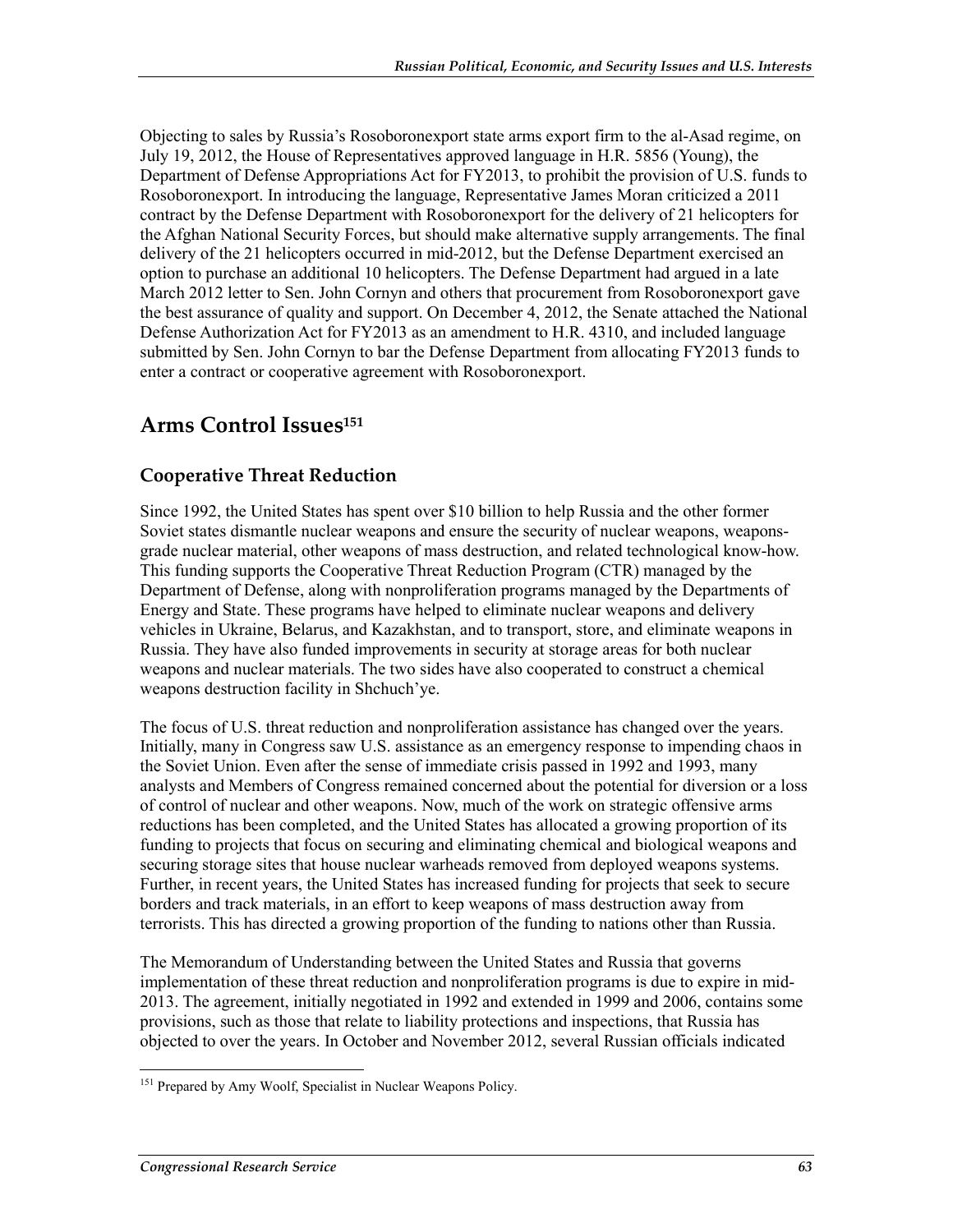Objecting to sales by Russia's Rosoboronexport state arms export firm to the al-Asad regime, on July 19, 2012, the House of Representatives approved language in H.R. 5856 (Young), the Department of Defense Appropriations Act for FY2013, to prohibit the provision of U.S. funds to Rosoboronexport. In introducing the language, Representative James Moran criticized a 2011 contract by the Defense Department with Rosoboronexport for the delivery of 21 helicopters for the Afghan National Security Forces, but should make alternative supply arrangements. The final delivery of the 21 helicopters occurred in mid-2012, but the Defense Department exercised an option to purchase an additional 10 helicopters. The Defense Department had argued in a late March 2012 letter to Sen. John Cornyn and others that procurement from Rosoboronexport gave the best assurance of quality and support. On December 4, 2012, the Senate attached the National Defense Authorization Act for FY2013 as an amendment to H.R. 4310, and included language submitted by Sen. John Cornyn to bar the Defense Department from allocating FY2013 funds to enter a contract or cooperative agreement with Rosoboronexport.

### Arms Control Issues<sup>151</sup>

#### **Cooperative Threat Reduction**

Since 1992, the United States has spent over \$10 billion to help Russia and the other former Soviet states dismantle nuclear weapons and ensure the security of nuclear weapons, weaponsgrade nuclear material, other weapons of mass destruction, and related technological know-how. This funding supports the Cooperative Threat Reduction Program (CTR) managed by the Department of Defense, along with nonproliferation programs managed by the Departments of Energy and State. These programs have helped to eliminate nuclear weapons and delivery vehicles in Ukraine, Belarus, and Kazakhstan, and to transport, store, and eliminate weapons in Russia. They have also funded improvements in security at storage areas for both nuclear weapons and nuclear materials. The two sides have also cooperated to construct a chemical weapons destruction facility in Shchuch'ye.

The focus of U.S. threat reduction and nonproliferation assistance has changed over the years. Initially, many in Congress saw U.S. assistance as an emergency response to impending chaos in the Soviet Union. Even after the sense of immediate crisis passed in 1992 and 1993, many analysts and Members of Congress remained concerned about the potential for diversion or a loss of control of nuclear and other weapons. Now, much of the work on strategic offensive arms reductions has been completed, and the United States has allocated a growing proportion of its funding to projects that focus on securing and eliminating chemical and biological weapons and securing storage sites that house nuclear warheads removed from deployed weapons systems. Further, in recent years, the United States has increased funding for projects that seek to secure borders and track materials, in an effort to keep weapons of mass destruction away from terrorists. This has directed a growing proportion of the funding to nations other than Russia.

The Memorandum of Understanding between the United States and Russia that governs implementation of these threat reduction and nonproliferation programs is due to expire in mid-2013. The agreement, initially negotiated in 1992 and extended in 1999 and 2006, contains some provisions, such as those that relate to liability protections and inspections, that Russia has objected to over the years. In October and November 2012, several Russian officials indicated

<sup>&</sup>lt;u>.</u> <sup>151</sup> Prepared by Amy Woolf, Specialist in Nuclear Weapons Policy.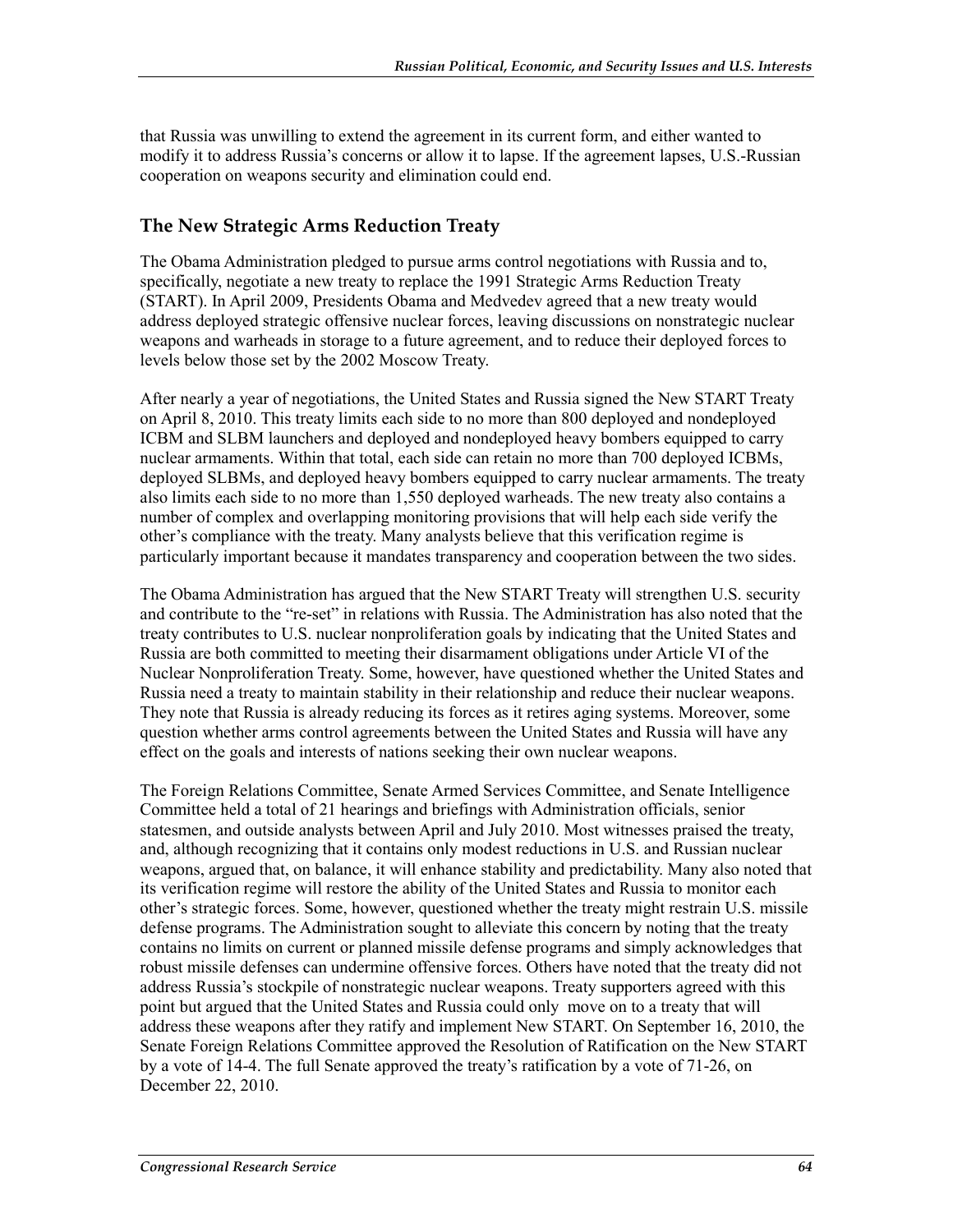that Russia was unwilling to extend the agreement in its current form, and either wanted to modify it to address Russia's concerns or allow it to lapse. If the agreement lapses, U.S.-Russian cooperation on weapons security and elimination could end.

#### **The New Strategic Arms Reduction Treaty**

The Obama Administration pledged to pursue arms control negotiations with Russia and to, specifically, negotiate a new treaty to replace the 1991 Strategic Arms Reduction Treaty (START). In April 2009, Presidents Obama and Medvedev agreed that a new treaty would address deployed strategic offensive nuclear forces, leaving discussions on nonstrategic nuclear weapons and warheads in storage to a future agreement, and to reduce their deployed forces to levels below those set by the 2002 Moscow Treaty.

After nearly a year of negotiations, the United States and Russia signed the New START Treaty on April 8, 2010. This treaty limits each side to no more than 800 deployed and nondeployed ICBM and SLBM launchers and deployed and nondeployed heavy bombers equipped to carry nuclear armaments. Within that total, each side can retain no more than 700 deployed ICBMs, deployed SLBMs, and deployed heavy bombers equipped to carry nuclear armaments. The treaty also limits each side to no more than 1,550 deployed warheads. The new treaty also contains a number of complex and overlapping monitoring provisions that will help each side verify the other's compliance with the treaty. Many analysts believe that this verification regime is particularly important because it mandates transparency and cooperation between the two sides.

The Obama Administration has argued that the New START Treaty will strengthen U.S. security and contribute to the "re-set" in relations with Russia. The Administration has also noted that the treaty contributes to U.S. nuclear nonproliferation goals by indicating that the United States and Russia are both committed to meeting their disarmament obligations under Article VI of the Nuclear Nonproliferation Treaty. Some, however, have questioned whether the United States and Russia need a treaty to maintain stability in their relationship and reduce their nuclear weapons. They note that Russia is already reducing its forces as it retires aging systems. Moreover, some question whether arms control agreements between the United States and Russia will have any effect on the goals and interests of nations seeking their own nuclear weapons.

The Foreign Relations Committee, Senate Armed Services Committee, and Senate Intelligence Committee held a total of 21 hearings and briefings with Administration officials, senior statesmen, and outside analysts between April and July 2010. Most witnesses praised the treaty, and, although recognizing that it contains only modest reductions in U.S. and Russian nuclear weapons, argued that, on balance, it will enhance stability and predictability. Many also noted that its verification regime will restore the ability of the United States and Russia to monitor each other's strategic forces. Some, however, questioned whether the treaty might restrain U.S. missile defense programs. The Administration sought to alleviate this concern by noting that the treaty contains no limits on current or planned missile defense programs and simply acknowledges that robust missile defenses can undermine offensive forces. Others have noted that the treaty did not address Russia's stockpile of nonstrategic nuclear weapons. Treaty supporters agreed with this point but argued that the United States and Russia could only move on to a treaty that will address these weapons after they ratify and implement New START. On September 16, 2010, the Senate Foreign Relations Committee approved the Resolution of Ratification on the New START by a vote of 14-4. The full Senate approved the treaty's ratification by a vote of 71-26, on December 22, 2010.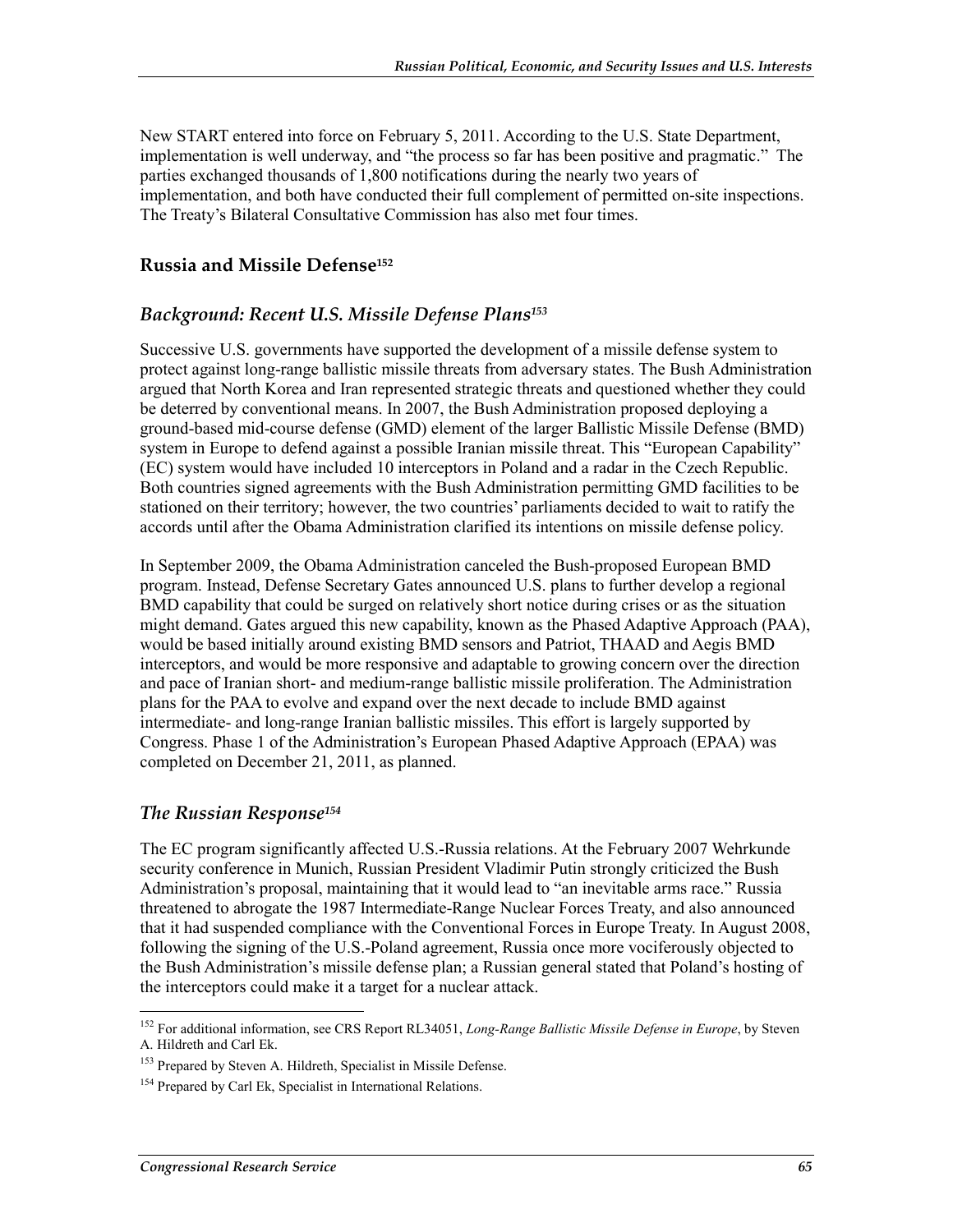New START entered into force on February 5, 2011. According to the U.S. State Department, implementation is well underway, and "the process so far has been positive and pragmatic." The parties exchanged thousands of 1,800 notifications during the nearly two years of implementation, and both have conducted their full complement of permitted on-site inspections. The Treaty's Bilateral Consultative Commission has also met four times.

#### **Russia and Missile Defense152**

#### *Background: Recent U.S. Missile Defense Plans153*

Successive U.S. governments have supported the development of a missile defense system to protect against long-range ballistic missile threats from adversary states. The Bush Administration argued that North Korea and Iran represented strategic threats and questioned whether they could be deterred by conventional means. In 2007, the Bush Administration proposed deploying a ground-based mid-course defense (GMD) element of the larger Ballistic Missile Defense (BMD) system in Europe to defend against a possible Iranian missile threat. This "European Capability" (EC) system would have included 10 interceptors in Poland and a radar in the Czech Republic. Both countries signed agreements with the Bush Administration permitting GMD facilities to be stationed on their territory; however, the two countries' parliaments decided to wait to ratify the accords until after the Obama Administration clarified its intentions on missile defense policy.

In September 2009, the Obama Administration canceled the Bush-proposed European BMD program. Instead, Defense Secretary Gates announced U.S. plans to further develop a regional BMD capability that could be surged on relatively short notice during crises or as the situation might demand. Gates argued this new capability, known as the Phased Adaptive Approach (PAA), would be based initially around existing BMD sensors and Patriot, THAAD and Aegis BMD interceptors, and would be more responsive and adaptable to growing concern over the direction and pace of Iranian short- and medium-range ballistic missile proliferation. The Administration plans for the PAA to evolve and expand over the next decade to include BMD against intermediate- and long-range Iranian ballistic missiles. This effort is largely supported by Congress. Phase 1 of the Administration's European Phased Adaptive Approach (EPAA) was completed on December 21, 2011, as planned.

#### *The Russian Response154*

The EC program significantly affected U.S.-Russia relations. At the February 2007 Wehrkunde security conference in Munich, Russian President Vladimir Putin strongly criticized the Bush Administration's proposal, maintaining that it would lead to "an inevitable arms race." Russia threatened to abrogate the 1987 Intermediate-Range Nuclear Forces Treaty, and also announced that it had suspended compliance with the Conventional Forces in Europe Treaty. In August 2008, following the signing of the U.S.-Poland agreement, Russia once more vociferously objected to the Bush Administration's missile defense plan; a Russian general stated that Poland's hosting of the interceptors could make it a target for a nuclear attack.

<sup>1</sup> 152 For additional information, see CRS Report RL34051, *Long-Range Ballistic Missile Defense in Europe*, by Steven A. Hildreth and Carl Ek.

<sup>153</sup> Prepared by Steven A. Hildreth, Specialist in Missile Defense.

<sup>&</sup>lt;sup>154</sup> Prepared by Carl Ek, Specialist in International Relations.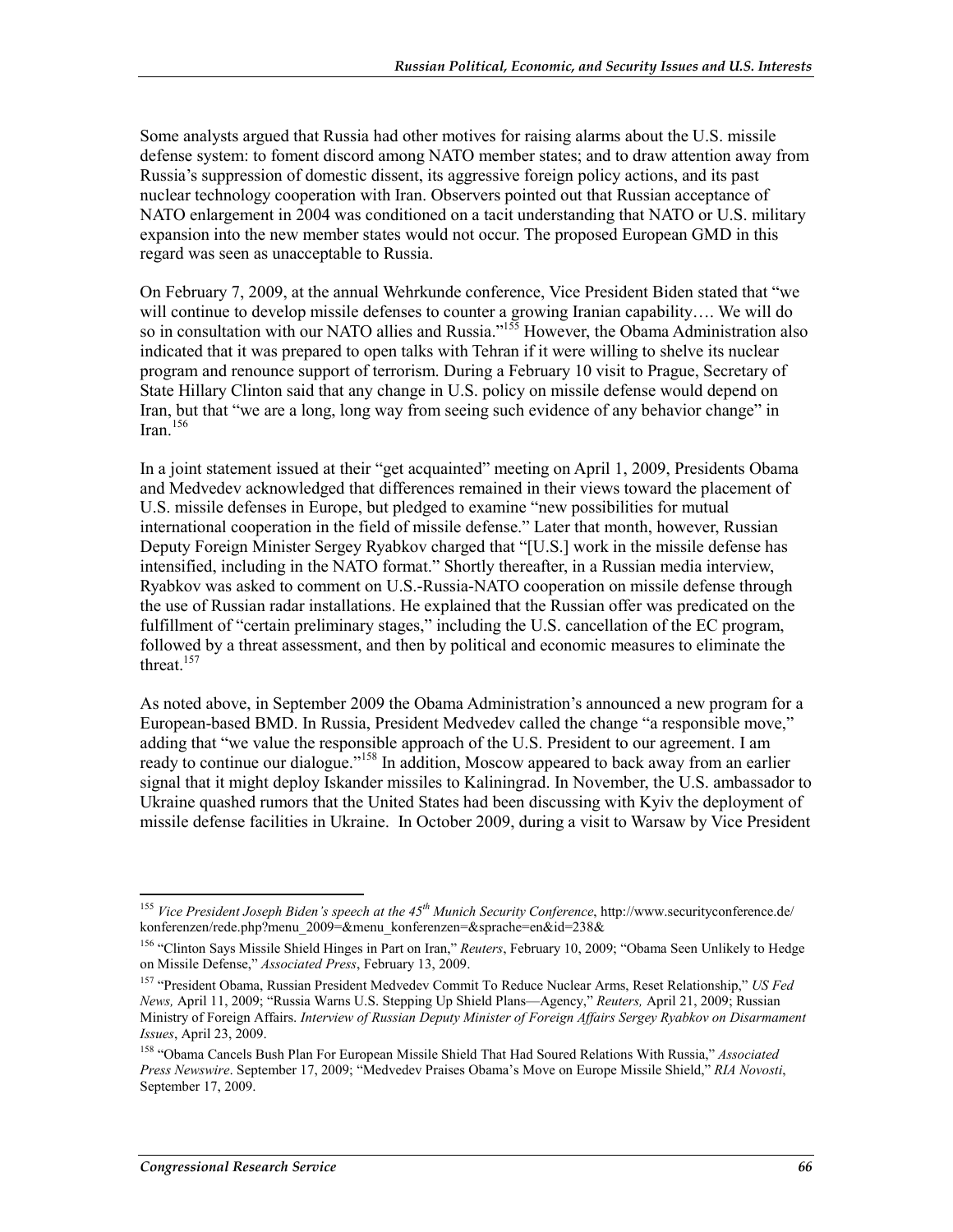Some analysts argued that Russia had other motives for raising alarms about the U.S. missile defense system: to foment discord among NATO member states; and to draw attention away from Russia's suppression of domestic dissent, its aggressive foreign policy actions, and its past nuclear technology cooperation with Iran. Observers pointed out that Russian acceptance of NATO enlargement in 2004 was conditioned on a tacit understanding that NATO or U.S. military expansion into the new member states would not occur. The proposed European GMD in this regard was seen as unacceptable to Russia.

On February 7, 2009, at the annual Wehrkunde conference, Vice President Biden stated that "we will continue to develop missile defenses to counter a growing Iranian capability…. We will do so in consultation with our NATO allies and Russia."<sup>155</sup> However, the Obama Administration also indicated that it was prepared to open talks with Tehran if it were willing to shelve its nuclear program and renounce support of terrorism. During a February 10 visit to Prague, Secretary of State Hillary Clinton said that any change in U.S. policy on missile defense would depend on Iran, but that "we are a long, long way from seeing such evidence of any behavior change" in Iran. $156$ 

In a joint statement issued at their "get acquainted" meeting on April 1, 2009, Presidents Obama and Medvedev acknowledged that differences remained in their views toward the placement of U.S. missile defenses in Europe, but pledged to examine "new possibilities for mutual international cooperation in the field of missile defense." Later that month, however, Russian Deputy Foreign Minister Sergey Ryabkov charged that "[U.S.] work in the missile defense has intensified, including in the NATO format." Shortly thereafter, in a Russian media interview, Ryabkov was asked to comment on U.S.-Russia-NATO cooperation on missile defense through the use of Russian radar installations. He explained that the Russian offer was predicated on the fulfillment of "certain preliminary stages," including the U.S. cancellation of the EC program, followed by a threat assessment, and then by political and economic measures to eliminate the threat. $157$ 

As noted above, in September 2009 the Obama Administration's announced a new program for a European-based BMD. In Russia, President Medvedev called the change "a responsible move," adding that "we value the responsible approach of the U.S. President to our agreement. I am ready to continue our dialogue."<sup>158</sup> In addition, Moscow appeared to back away from an earlier signal that it might deploy Iskander missiles to Kaliningrad. In November, the U.S. ambassador to Ukraine quashed rumors that the United States had been discussing with Kyiv the deployment of missile defense facilities in Ukraine. In October 2009, during a visit to Warsaw by Vice President

<u>.</u>

<sup>155</sup> *Vice President Joseph Biden's speech at the 45th Munich Security Conference*, http://www.securityconference.de/ konferenzen/rede.php?menu\_2009=&menu\_konferenzen=&sprache=en&id=238&

<sup>156 &</sup>quot;Clinton Says Missile Shield Hinges in Part on Iran," *Reuters*, February 10, 2009; "Obama Seen Unlikely to Hedge on Missile Defense," *Associated Press*, February 13, 2009.

<sup>157 &</sup>quot;President Obama, Russian President Medvedev Commit To Reduce Nuclear Arms, Reset Relationship," *US Fed News,* April 11, 2009; "Russia Warns U.S. Stepping Up Shield Plans—Agency," *Reuters,* April 21, 2009; Russian Ministry of Foreign Affairs. *Interview of Russian Deputy Minister of Foreign Affairs Sergey Ryabkov on Disarmament Issues*, April 23, 2009.

<sup>158 &</sup>quot;Obama Cancels Bush Plan For European Missile Shield That Had Soured Relations With Russia," *Associated Press Newswire*. September 17, 2009; "Medvedev Praises Obama's Move on Europe Missile Shield," *RIA Novosti*, September 17, 2009.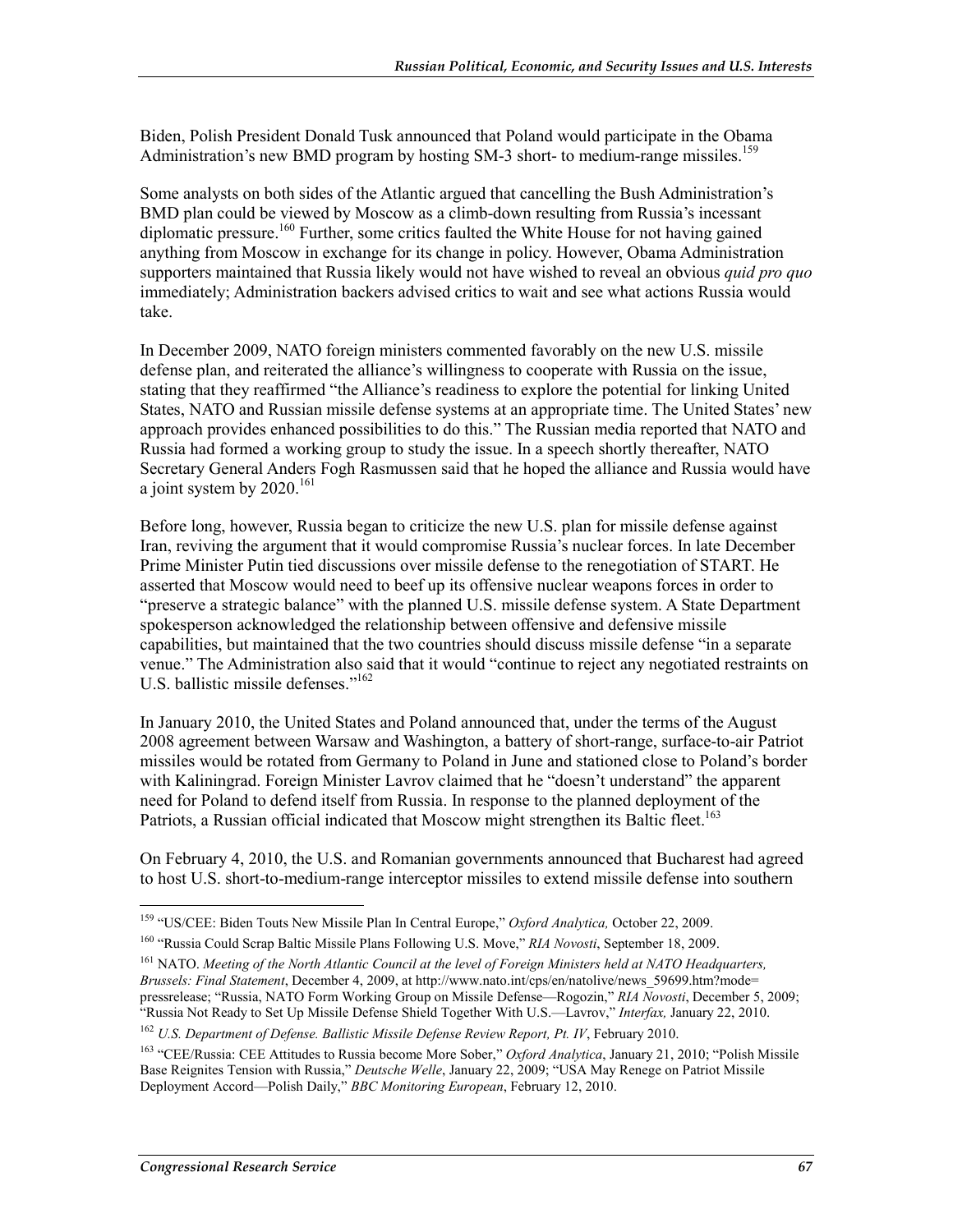Biden, Polish President Donald Tusk announced that Poland would participate in the Obama Administration's new BMD program by hosting SM-3 short- to medium-range missiles.<sup>159</sup>

Some analysts on both sides of the Atlantic argued that cancelling the Bush Administration's BMD plan could be viewed by Moscow as a climb-down resulting from Russia's incessant diplomatic pressure.<sup>160</sup> Further, some critics faulted the White House for not having gained anything from Moscow in exchange for its change in policy. However, Obama Administration supporters maintained that Russia likely would not have wished to reveal an obvious *quid pro quo* immediately; Administration backers advised critics to wait and see what actions Russia would take.

In December 2009, NATO foreign ministers commented favorably on the new U.S. missile defense plan, and reiterated the alliance's willingness to cooperate with Russia on the issue, stating that they reaffirmed "the Alliance's readiness to explore the potential for linking United States, NATO and Russian missile defense systems at an appropriate time. The United States' new approach provides enhanced possibilities to do this." The Russian media reported that NATO and Russia had formed a working group to study the issue. In a speech shortly thereafter, NATO Secretary General Anders Fogh Rasmussen said that he hoped the alliance and Russia would have a joint system by  $2020$ .<sup>161</sup>

Before long, however, Russia began to criticize the new U.S. plan for missile defense against Iran, reviving the argument that it would compromise Russia's nuclear forces. In late December Prime Minister Putin tied discussions over missile defense to the renegotiation of START. He asserted that Moscow would need to beef up its offensive nuclear weapons forces in order to "preserve a strategic balance" with the planned U.S. missile defense system. A State Department spokesperson acknowledged the relationship between offensive and defensive missile capabilities, but maintained that the two countries should discuss missile defense "in a separate venue." The Administration also said that it would "continue to reject any negotiated restraints on U.S. ballistic missile defenses."<sup>162</sup>

In January 2010, the United States and Poland announced that, under the terms of the August 2008 agreement between Warsaw and Washington, a battery of short-range, surface-to-air Patriot missiles would be rotated from Germany to Poland in June and stationed close to Poland's border with Kaliningrad. Foreign Minister Lavrov claimed that he "doesn't understand" the apparent need for Poland to defend itself from Russia. In response to the planned deployment of the Patriots, a Russian official indicated that Moscow might strengthen its Baltic fleet.<sup>163</sup>

On February 4, 2010, the U.S. and Romanian governments announced that Bucharest had agreed to host U.S. short-to-medium-range interceptor missiles to extend missile defense into southern

<sup>1</sup> 159 "US/CEE: Biden Touts New Missile Plan In Central Europe," *Oxford Analytica,* October 22, 2009.

<sup>160 &</sup>quot;Russia Could Scrap Baltic Missile Plans Following U.S. Move," *RIA Novosti*, September 18, 2009.

<sup>161</sup> NATO. *Meeting of the North Atlantic Council at the level of Foreign Ministers held at NATO Headquarters, Brussels: Final Statement*, December 4, 2009, at http://www.nato.int/cps/en/natolive/news\_59699.htm?mode= pressrelease; "Russia, NATO Form Working Group on Missile Defense—Rogozin," *RIA Novosti*, December 5, 2009; "Russia Not Ready to Set Up Missile Defense Shield Together With U.S.—Lavrov," *Interfax,* January 22, 2010.

<sup>162</sup> *U.S. Department of Defense. Ballistic Missile Defense Review Report, Pt. IV*, February 2010.

<sup>163 &</sup>quot;CEE/Russia: CEE Attitudes to Russia become More Sober," *Oxford Analytica*, January 21, 2010; "Polish Missile Base Reignites Tension with Russia," *Deutsche Welle*, January 22, 2009; "USA May Renege on Patriot Missile Deployment Accord—Polish Daily," *BBC Monitoring European*, February 12, 2010.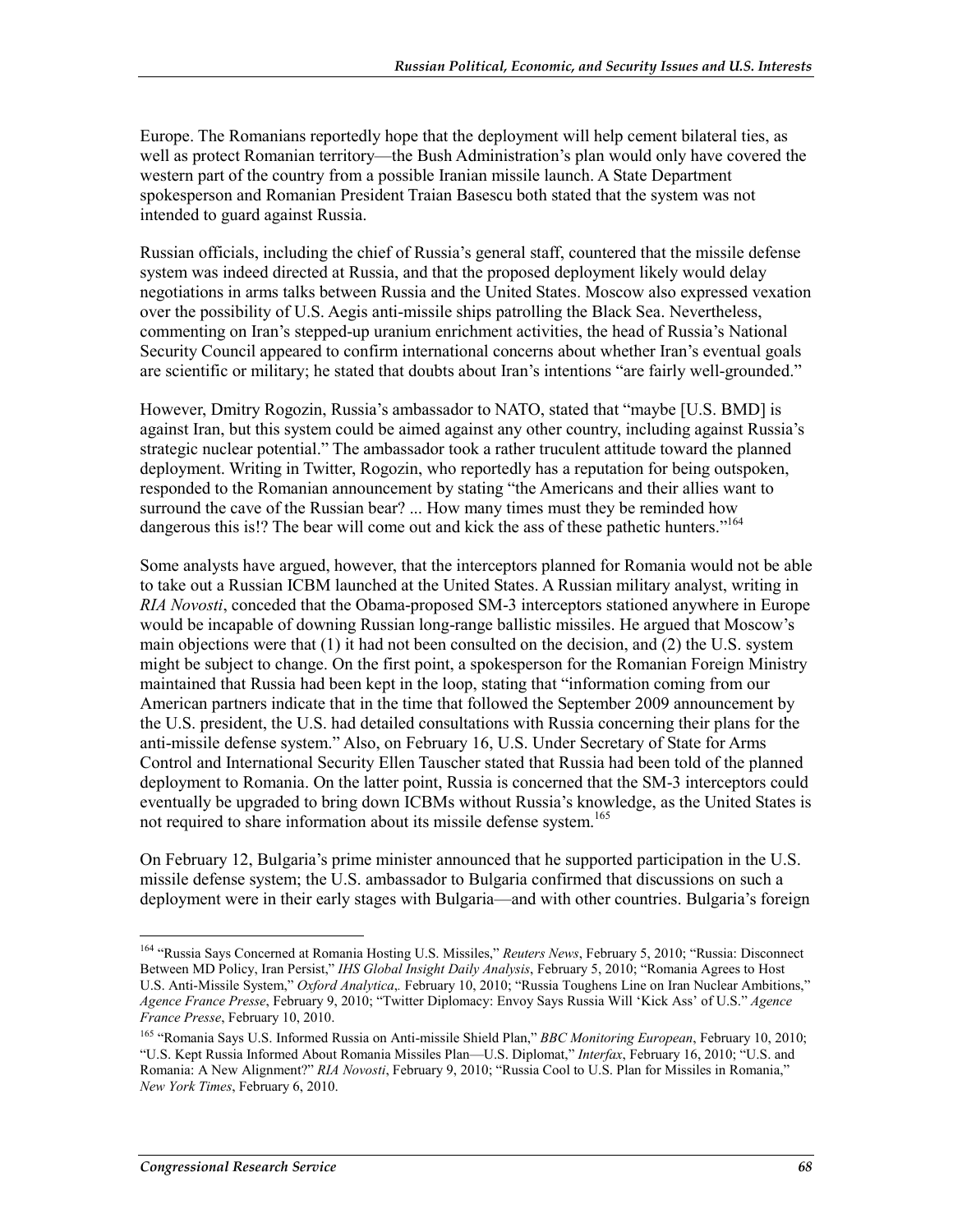Europe. The Romanians reportedly hope that the deployment will help cement bilateral ties, as well as protect Romanian territory—the Bush Administration's plan would only have covered the western part of the country from a possible Iranian missile launch. A State Department spokesperson and Romanian President Traian Basescu both stated that the system was not intended to guard against Russia.

Russian officials, including the chief of Russia's general staff, countered that the missile defense system was indeed directed at Russia, and that the proposed deployment likely would delay negotiations in arms talks between Russia and the United States. Moscow also expressed vexation over the possibility of U.S. Aegis anti-missile ships patrolling the Black Sea. Nevertheless, commenting on Iran's stepped-up uranium enrichment activities, the head of Russia's National Security Council appeared to confirm international concerns about whether Iran's eventual goals are scientific or military; he stated that doubts about Iran's intentions "are fairly well-grounded."

However, Dmitry Rogozin, Russia's ambassador to NATO, stated that "maybe [U.S. BMD] is against Iran, but this system could be aimed against any other country, including against Russia's strategic nuclear potential." The ambassador took a rather truculent attitude toward the planned deployment. Writing in Twitter, Rogozin, who reportedly has a reputation for being outspoken, responded to the Romanian announcement by stating "the Americans and their allies want to surround the cave of the Russian bear? ... How many times must they be reminded how dangerous this is!? The bear will come out and kick the ass of these pathetic hunters."<sup>164</sup>

Some analysts have argued, however, that the interceptors planned for Romania would not be able to take out a Russian ICBM launched at the United States. A Russian military analyst, writing in *RIA Novosti*, conceded that the Obama-proposed SM-3 interceptors stationed anywhere in Europe would be incapable of downing Russian long-range ballistic missiles. He argued that Moscow's main objections were that (1) it had not been consulted on the decision, and (2) the U.S. system might be subject to change. On the first point, a spokesperson for the Romanian Foreign Ministry maintained that Russia had been kept in the loop, stating that "information coming from our American partners indicate that in the time that followed the September 2009 announcement by the U.S. president, the U.S. had detailed consultations with Russia concerning their plans for the anti-missile defense system." Also, on February 16, U.S. Under Secretary of State for Arms Control and International Security Ellen Tauscher stated that Russia had been told of the planned deployment to Romania. On the latter point, Russia is concerned that the SM-3 interceptors could eventually be upgraded to bring down ICBMs without Russia's knowledge, as the United States is not required to share information about its missile defense system.<sup>165</sup>

On February 12, Bulgaria's prime minister announced that he supported participation in the U.S. missile defense system; the U.S. ambassador to Bulgaria confirmed that discussions on such a deployment were in their early stages with Bulgaria—and with other countries. Bulgaria's foreign

<sup>164 &</sup>quot;Russia Says Concerned at Romania Hosting U.S. Missiles," *Reuters News*, February 5, 2010; "Russia: Disconnect Between MD Policy, Iran Persist," *IHS Global Insight Daily Analysis*, February 5, 2010; "Romania Agrees to Host U.S. Anti-Missile System," *Oxford Analytica*,*.* February 10, 2010; "Russia Toughens Line on Iran Nuclear Ambitions," *Agence France Presse*, February 9, 2010; "Twitter Diplomacy: Envoy Says Russia Will 'Kick Ass' of U.S." *Agence France Presse*, February 10, 2010.

<sup>165 &</sup>quot;Romania Says U.S. Informed Russia on Anti-missile Shield Plan," *BBC Monitoring European*, February 10, 2010; "U.S. Kept Russia Informed About Romania Missiles Plan—U.S. Diplomat," *Interfax*, February 16, 2010; "U.S. and Romania: A New Alignment?" *RIA Novosti*, February 9, 2010; "Russia Cool to U.S. Plan for Missiles in Romania," *New York Times*, February 6, 2010.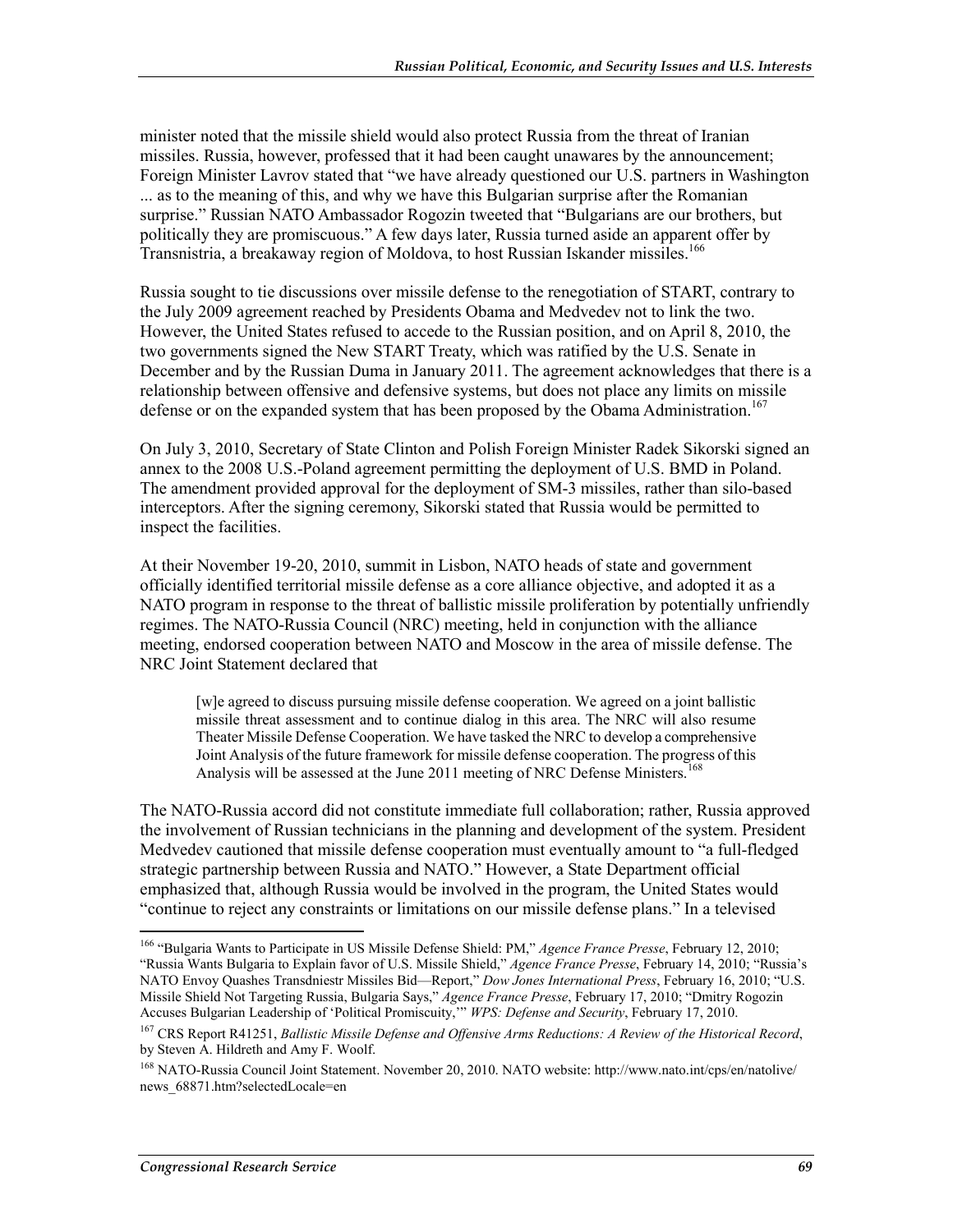minister noted that the missile shield would also protect Russia from the threat of Iranian missiles. Russia, however, professed that it had been caught unawares by the announcement; Foreign Minister Lavrov stated that "we have already questioned our U.S. partners in Washington ... as to the meaning of this, and why we have this Bulgarian surprise after the Romanian surprise." Russian NATO Ambassador Rogozin tweeted that "Bulgarians are our brothers, but politically they are promiscuous." A few days later, Russia turned aside an apparent offer by Transnistria, a breakaway region of Moldova, to host Russian Iskander missiles.<sup>166</sup>

Russia sought to tie discussions over missile defense to the renegotiation of START, contrary to the July 2009 agreement reached by Presidents Obama and Medvedev not to link the two. However, the United States refused to accede to the Russian position, and on April 8, 2010, the two governments signed the New START Treaty, which was ratified by the U.S. Senate in December and by the Russian Duma in January 2011. The agreement acknowledges that there is a relationship between offensive and defensive systems, but does not place any limits on missile defense or on the expanded system that has been proposed by the Obama Administration.<sup>167</sup>

On July 3, 2010, Secretary of State Clinton and Polish Foreign Minister Radek Sikorski signed an annex to the 2008 U.S.-Poland agreement permitting the deployment of U.S. BMD in Poland. The amendment provided approval for the deployment of SM-3 missiles, rather than silo-based interceptors. After the signing ceremony, Sikorski stated that Russia would be permitted to inspect the facilities.

At their November 19-20, 2010, summit in Lisbon, NATO heads of state and government officially identified territorial missile defense as a core alliance objective, and adopted it as a NATO program in response to the threat of ballistic missile proliferation by potentially unfriendly regimes. The NATO-Russia Council (NRC) meeting, held in conjunction with the alliance meeting, endorsed cooperation between NATO and Moscow in the area of missile defense. The NRC Joint Statement declared that

[w]e agreed to discuss pursuing missile defense cooperation. We agreed on a joint ballistic missile threat assessment and to continue dialog in this area. The NRC will also resume Theater Missile Defense Cooperation. We have tasked the NRC to develop a comprehensive Joint Analysis of the future framework for missile defense cooperation. The progress of this Analysis will be assessed at the June 2011 meeting of NRC Defense Ministers.<sup>16</sup>

The NATO-Russia accord did not constitute immediate full collaboration; rather, Russia approved the involvement of Russian technicians in the planning and development of the system. President Medvedev cautioned that missile defense cooperation must eventually amount to "a full-fledged strategic partnership between Russia and NATO." However, a State Department official emphasized that, although Russia would be involved in the program, the United States would "continue to reject any constraints or limitations on our missile defense plans." In a televised

<sup>166 &</sup>quot;Bulgaria Wants to Participate in US Missile Defense Shield: PM," *Agence France Presse*, February 12, 2010; "Russia Wants Bulgaria to Explain favor of U.S. Missile Shield," *Agence France Presse*, February 14, 2010; "Russia's NATO Envoy Quashes Transdniestr Missiles Bid—Report," *Dow Jones International Press*, February 16, 2010; "U.S. Missile Shield Not Targeting Russia, Bulgaria Says," *Agence France Presse*, February 17, 2010; "Dmitry Rogozin Accuses Bulgarian Leadership of 'Political Promiscuity,'" *WPS: Defense and Security*, February 17, 2010.

<sup>167</sup> CRS Report R41251, *Ballistic Missile Defense and Offensive Arms Reductions: A Review of the Historical Record*, by Steven A. Hildreth and Amy F. Woolf.

<sup>168</sup> NATO-Russia Council Joint Statement. November 20, 2010. NATO website: http://www.nato.int/cps/en/natolive/ news 68871.htm?selectedLocale=en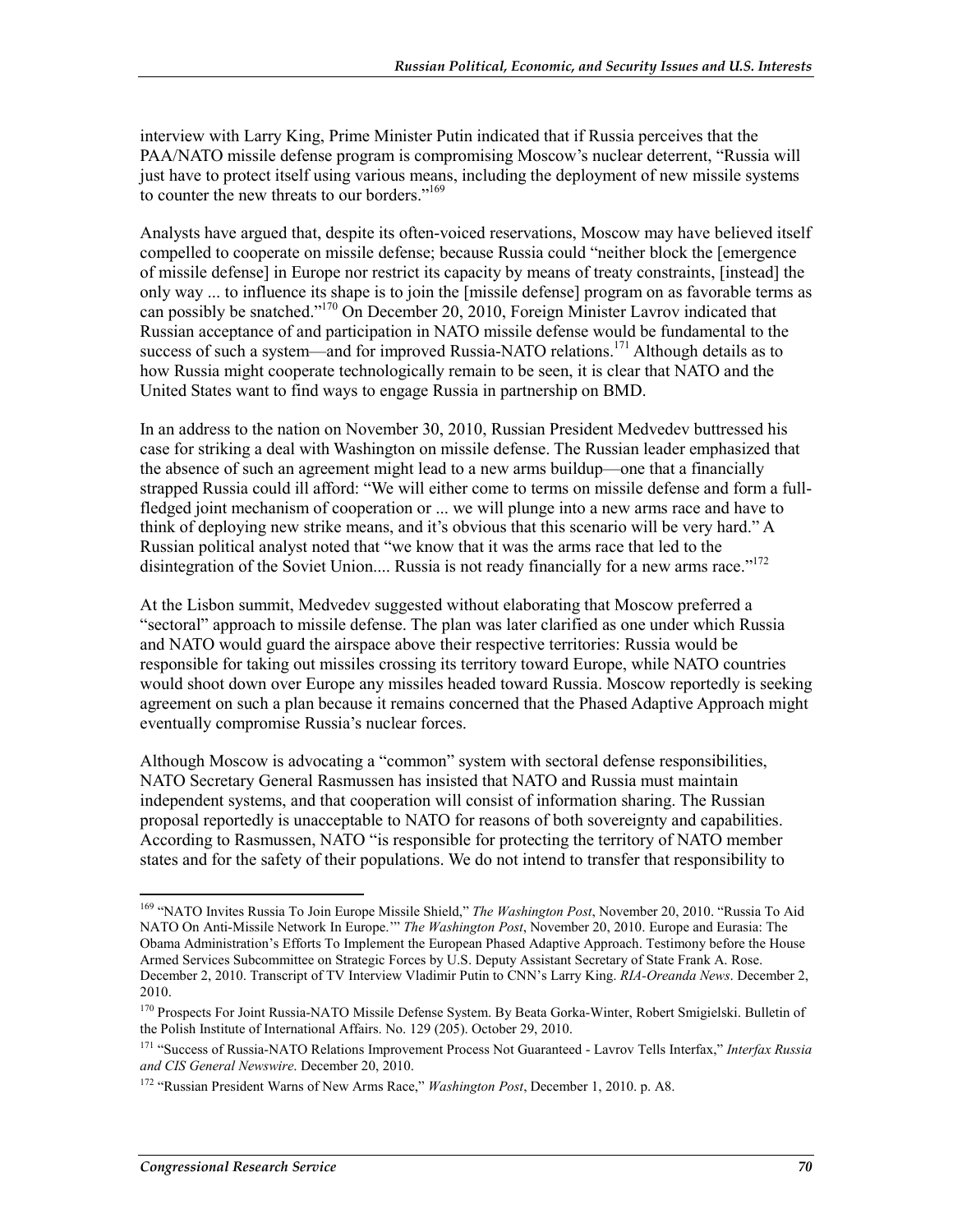interview with Larry King, Prime Minister Putin indicated that if Russia perceives that the PAA/NATO missile defense program is compromising Moscow's nuclear deterrent, "Russia will just have to protect itself using various means, including the deployment of new missile systems to counter the new threats to our borders."<sup>169</sup>

Analysts have argued that, despite its often-voiced reservations, Moscow may have believed itself compelled to cooperate on missile defense; because Russia could "neither block the [emergence of missile defense] in Europe nor restrict its capacity by means of treaty constraints, [instead] the only way ... to influence its shape is to join the [missile defense] program on as favorable terms as can possibly be snatched."170 On December 20, 2010, Foreign Minister Lavrov indicated that Russian acceptance of and participation in NATO missile defense would be fundamental to the success of such a system—and for improved Russia-NATO relations.<sup>171</sup> Although details as to how Russia might cooperate technologically remain to be seen, it is clear that NATO and the United States want to find ways to engage Russia in partnership on BMD.

In an address to the nation on November 30, 2010, Russian President Medvedev buttressed his case for striking a deal with Washington on missile defense. The Russian leader emphasized that the absence of such an agreement might lead to a new arms buildup—one that a financially strapped Russia could ill afford: "We will either come to terms on missile defense and form a fullfledged joint mechanism of cooperation or ... we will plunge into a new arms race and have to think of deploying new strike means, and it's obvious that this scenario will be very hard." A Russian political analyst noted that "we know that it was the arms race that led to the disintegration of the Soviet Union.... Russia is not ready financially for a new arms race."<sup>172</sup>

At the Lisbon summit, Medvedev suggested without elaborating that Moscow preferred a "sectoral" approach to missile defense. The plan was later clarified as one under which Russia and NATO would guard the airspace above their respective territories: Russia would be responsible for taking out missiles crossing its territory toward Europe, while NATO countries would shoot down over Europe any missiles headed toward Russia. Moscow reportedly is seeking agreement on such a plan because it remains concerned that the Phased Adaptive Approach might eventually compromise Russia's nuclear forces.

Although Moscow is advocating a "common" system with sectoral defense responsibilities, NATO Secretary General Rasmussen has insisted that NATO and Russia must maintain independent systems, and that cooperation will consist of information sharing. The Russian proposal reportedly is unacceptable to NATO for reasons of both sovereignty and capabilities. According to Rasmussen, NATO "is responsible for protecting the territory of NATO member states and for the safety of their populations. We do not intend to transfer that responsibility to

<sup>&</sup>lt;u>.</u> 169 "NATO Invites Russia To Join Europe Missile Shield," *The Washington Post*, November 20, 2010. "Russia To Aid NATO On Anti-Missile Network In Europe.'" *The Washington Post*, November 20, 2010. Europe and Eurasia: The Obama Administration's Efforts To Implement the European Phased Adaptive Approach. Testimony before the House Armed Services Subcommittee on Strategic Forces by U.S. Deputy Assistant Secretary of State Frank A. Rose. December 2, 2010. Transcript of TV Interview Vladimir Putin to CNN's Larry King. *RIA-Oreanda News*. December 2, 2010.

<sup>&</sup>lt;sup>170</sup> Prospects For Joint Russia-NATO Missile Defense System. By Beata Gorka-Winter, Robert Smigielski. Bulletin of the Polish Institute of International Affairs. No. 129 (205). October 29, 2010.

<sup>171 &</sup>quot;Success of Russia-NATO Relations Improvement Process Not Guaranteed - Lavrov Tells Interfax," *Interfax Russia and CIS General Newswire*. December 20, 2010.

<sup>172 &</sup>quot;Russian President Warns of New Arms Race," *Washington Post*, December 1, 2010. p. A8.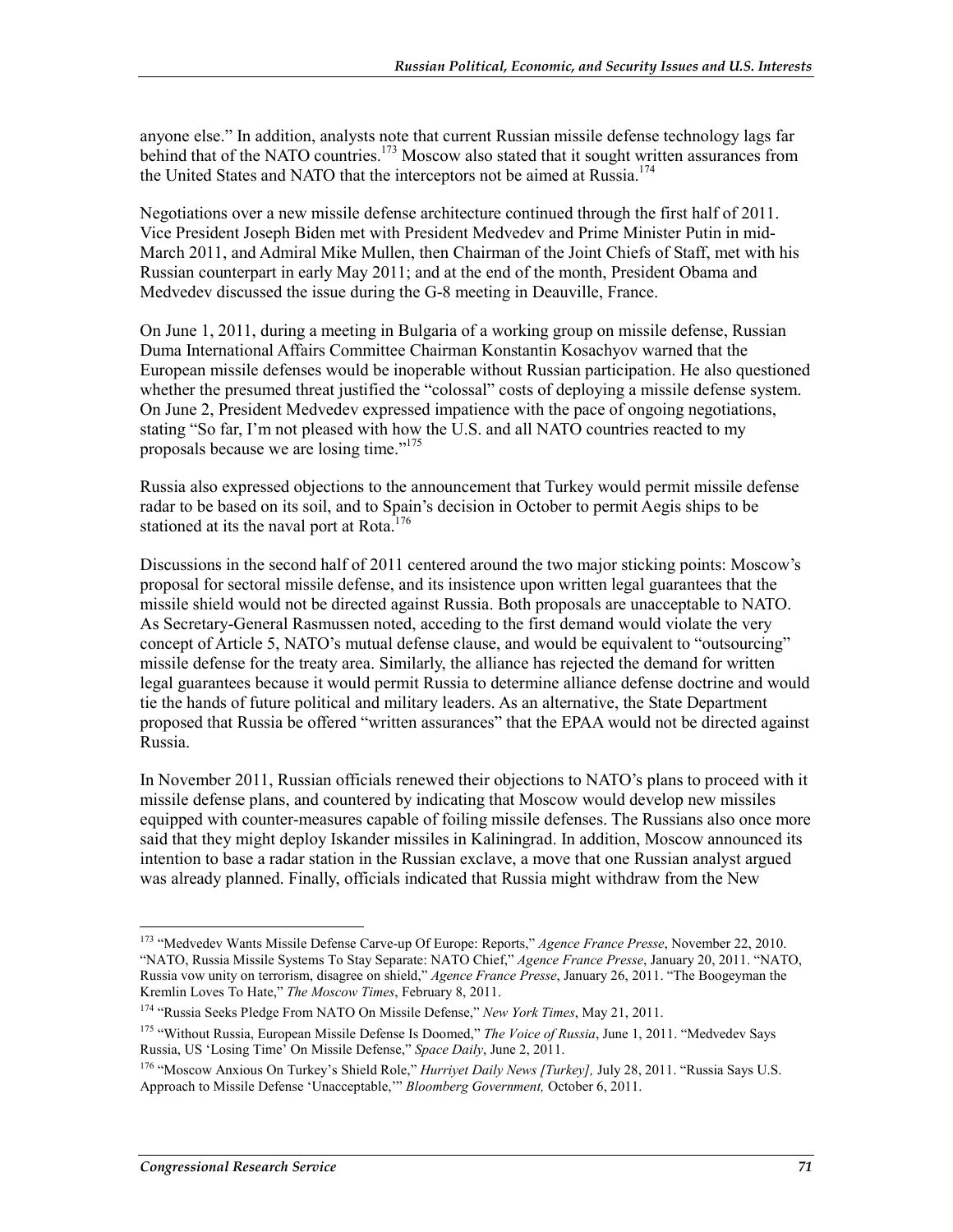anyone else." In addition, analysts note that current Russian missile defense technology lags far behind that of the NATO countries.<sup>173</sup> Moscow also stated that it sought written assurances from the United States and NATO that the interceptors not be aimed at Russia.<sup>174</sup>

Negotiations over a new missile defense architecture continued through the first half of 2011. Vice President Joseph Biden met with President Medvedev and Prime Minister Putin in mid-March 2011, and Admiral Mike Mullen, then Chairman of the Joint Chiefs of Staff, met with his Russian counterpart in early May 2011; and at the end of the month, President Obama and Medvedev discussed the issue during the G-8 meeting in Deauville, France.

On June 1, 2011, during a meeting in Bulgaria of a working group on missile defense, Russian Duma International Affairs Committee Chairman Konstantin Kosachyov warned that the European missile defenses would be inoperable without Russian participation. He also questioned whether the presumed threat justified the "colossal" costs of deploying a missile defense system. On June 2, President Medvedev expressed impatience with the pace of ongoing negotiations, stating "So far, I'm not pleased with how the U.S. and all NATO countries reacted to my proposals because we are losing time."175

Russia also expressed objections to the announcement that Turkey would permit missile defense radar to be based on its soil, and to Spain's decision in October to permit Aegis ships to be stationed at its the naval port at Rota.<sup>176</sup>

Discussions in the second half of 2011 centered around the two major sticking points: Moscow's proposal for sectoral missile defense, and its insistence upon written legal guarantees that the missile shield would not be directed against Russia. Both proposals are unacceptable to NATO. As Secretary-General Rasmussen noted, acceding to the first demand would violate the very concept of Article 5, NATO's mutual defense clause, and would be equivalent to "outsourcing" missile defense for the treaty area. Similarly, the alliance has rejected the demand for written legal guarantees because it would permit Russia to determine alliance defense doctrine and would tie the hands of future political and military leaders. As an alternative, the State Department proposed that Russia be offered "written assurances" that the EPAA would not be directed against Russia.

In November 2011, Russian officials renewed their objections to NATO's plans to proceed with it missile defense plans, and countered by indicating that Moscow would develop new missiles equipped with counter-measures capable of foiling missile defenses. The Russians also once more said that they might deploy Iskander missiles in Kaliningrad. In addition, Moscow announced its intention to base a radar station in the Russian exclave, a move that one Russian analyst argued was already planned. Finally, officials indicated that Russia might withdraw from the New

<sup>173 &</sup>quot;Medvedev Wants Missile Defense Carve-up Of Europe: Reports," *Agence France Presse*, November 22, 2010. "NATO, Russia Missile Systems To Stay Separate: NATO Chief," *Agence France Presse*, January 20, 2011. "NATO, Russia vow unity on terrorism, disagree on shield," *Agence France Presse*, January 26, 2011. "The Boogeyman the Kremlin Loves To Hate," *The Moscow Times*, February 8, 2011.

<sup>174 &</sup>quot;Russia Seeks Pledge From NATO On Missile Defense," *New York Times*, May 21, 2011.

<sup>&</sup>lt;sup>175</sup> "Without Russia, European Missile Defense Is Doomed," *The Voice of Russia*, June 1, 2011. "Medvedev Says Russia, US 'Losing Time' On Missile Defense," *Space Daily*, June 2, 2011.

<sup>176 &</sup>quot;Moscow Anxious On Turkey's Shield Role," *Hurriyet Daily News [Turkey],* July 28, 2011. "Russia Says U.S. Approach to Missile Defense 'Unacceptable,'" *Bloomberg Government,* October 6, 2011.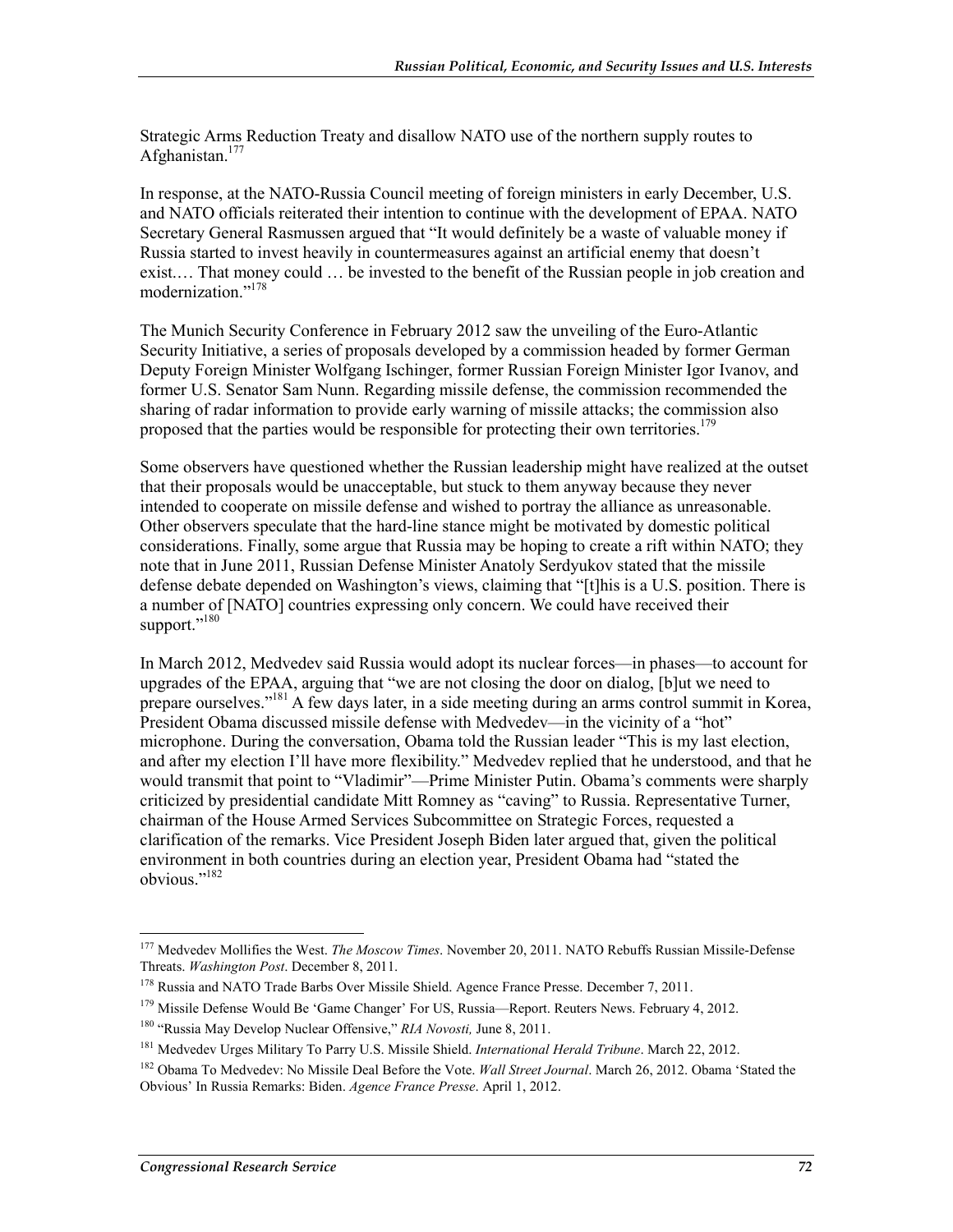Strategic Arms Reduction Treaty and disallow NATO use of the northern supply routes to Afghanistan.177

In response, at the NATO-Russia Council meeting of foreign ministers in early December, U.S. and NATO officials reiterated their intention to continue with the development of EPAA. NATO Secretary General Rasmussen argued that "It would definitely be a waste of valuable money if Russia started to invest heavily in countermeasures against an artificial enemy that doesn't exist.… That money could … be invested to the benefit of the Russian people in job creation and modernization."178

The Munich Security Conference in February 2012 saw the unveiling of the Euro-Atlantic Security Initiative, a series of proposals developed by a commission headed by former German Deputy Foreign Minister Wolfgang Ischinger, former Russian Foreign Minister Igor Ivanov, and former U.S. Senator Sam Nunn. Regarding missile defense, the commission recommended the sharing of radar information to provide early warning of missile attacks; the commission also proposed that the parties would be responsible for protecting their own territories.<sup>179</sup>

Some observers have questioned whether the Russian leadership might have realized at the outset that their proposals would be unacceptable, but stuck to them anyway because they never intended to cooperate on missile defense and wished to portray the alliance as unreasonable. Other observers speculate that the hard-line stance might be motivated by domestic political considerations. Finally, some argue that Russia may be hoping to create a rift within NATO; they note that in June 2011, Russian Defense Minister Anatoly Serdyukov stated that the missile defense debate depended on Washington's views, claiming that "[t]his is a U.S. position. There is a number of [NATO] countries expressing only concern. We could have received their support."<sup>180</sup>

In March 2012, Medvedev said Russia would adopt its nuclear forces—in phases—to account for upgrades of the EPAA, arguing that "we are not closing the door on dialog, [b]ut we need to prepare ourselves."181 A few days later, in a side meeting during an arms control summit in Korea, President Obama discussed missile defense with Medvedev—in the vicinity of a "hot" microphone. During the conversation, Obama told the Russian leader "This is my last election, and after my election I'll have more flexibility." Medvedev replied that he understood, and that he would transmit that point to "Vladimir"—Prime Minister Putin. Obama's comments were sharply criticized by presidential candidate Mitt Romney as "caving" to Russia. Representative Turner, chairman of the House Armed Services Subcommittee on Strategic Forces, requested a clarification of the remarks. Vice President Joseph Biden later argued that, given the political environment in both countries during an election year, President Obama had "stated the obvious."182

<sup>1</sup> 177 Medvedev Mollifies the West. *The Moscow Times*. November 20, 2011. NATO Rebuffs Russian Missile-Defense Threats. *Washington Post*. December 8, 2011.

<sup>&</sup>lt;sup>178</sup> Russia and NATO Trade Barbs Over Missile Shield. Agence France Presse. December 7, 2011.

<sup>&</sup>lt;sup>179</sup> Missile Defense Would Be 'Game Changer' For US, Russia—Report. Reuters News. February 4, 2012.

<sup>180 &</sup>quot;Russia May Develop Nuclear Offensive," *RIA Novosti,* June 8, 2011.

<sup>181</sup> Medvedev Urges Military To Parry U.S. Missile Shield. *International Herald Tribune*. March 22, 2012.

<sup>182</sup> Obama To Medvedev: No Missile Deal Before the Vote. *Wall Street Journal*. March 26, 2012. Obama 'Stated the Obvious' In Russia Remarks: Biden. *Agence France Presse*. April 1, 2012.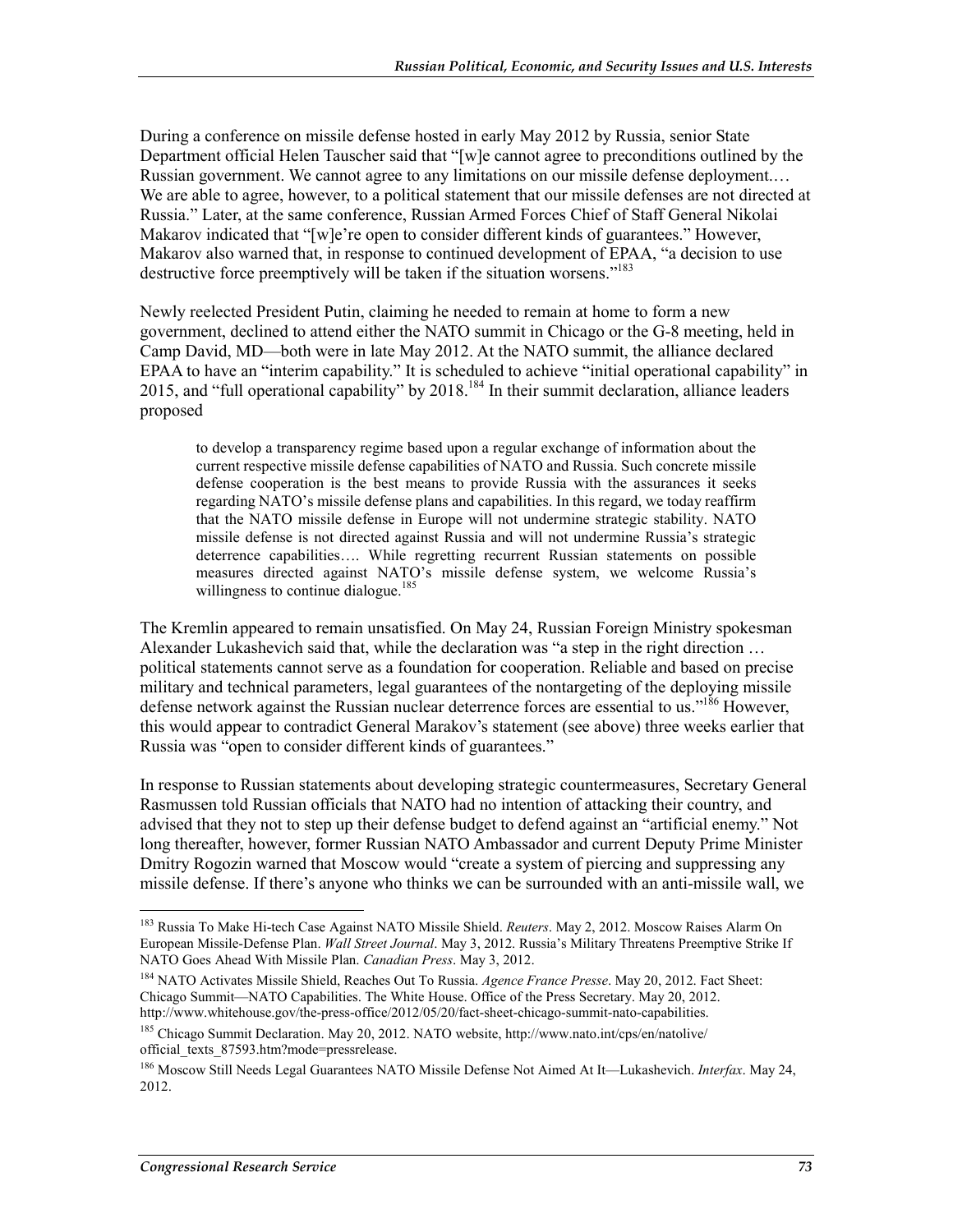During a conference on missile defense hosted in early May 2012 by Russia, senior State Department official Helen Tauscher said that "[w]e cannot agree to preconditions outlined by the Russian government. We cannot agree to any limitations on our missile defense deployment.… We are able to agree, however, to a political statement that our missile defenses are not directed at Russia." Later, at the same conference, Russian Armed Forces Chief of Staff General Nikolai Makarov indicated that "[w]e're open to consider different kinds of guarantees." However, Makarov also warned that, in response to continued development of EPAA, "a decision to use destructive force preemptively will be taken if the situation worsens."<sup>183</sup>

Newly reelected President Putin, claiming he needed to remain at home to form a new government, declined to attend either the NATO summit in Chicago or the G-8 meeting, held in Camp David, MD—both were in late May 2012. At the NATO summit, the alliance declared EPAA to have an "interim capability." It is scheduled to achieve "initial operational capability" in 2015, and "full operational capability" by 2018.<sup>184</sup> In their summit declaration, alliance leaders proposed

to develop a transparency regime based upon a regular exchange of information about the current respective missile defense capabilities of NATO and Russia. Such concrete missile defense cooperation is the best means to provide Russia with the assurances it seeks regarding NATO's missile defense plans and capabilities. In this regard, we today reaffirm that the NATO missile defense in Europe will not undermine strategic stability. NATO missile defense is not directed against Russia and will not undermine Russia's strategic deterrence capabilities…. While regretting recurrent Russian statements on possible measures directed against NATO's missile defense system, we welcome Russia's willingness to continue dialogue.<sup>185</sup>

The Kremlin appeared to remain unsatisfied. On May 24, Russian Foreign Ministry spokesman Alexander Lukashevich said that, while the declaration was "a step in the right direction … political statements cannot serve as a foundation for cooperation. Reliable and based on precise military and technical parameters, legal guarantees of the nontargeting of the deploying missile defense network against the Russian nuclear deterrence forces are essential to us."<sup>186</sup> However, this would appear to contradict General Marakov's statement (see above) three weeks earlier that Russia was "open to consider different kinds of guarantees."

In response to Russian statements about developing strategic countermeasures, Secretary General Rasmussen told Russian officials that NATO had no intention of attacking their country, and advised that they not to step up their defense budget to defend against an "artificial enemy." Not long thereafter, however, former Russian NATO Ambassador and current Deputy Prime Minister Dmitry Rogozin warned that Moscow would "create a system of piercing and suppressing any missile defense. If there's anyone who thinks we can be surrounded with an anti-missile wall, we

<sup>183</sup> Russia To Make Hi-tech Case Against NATO Missile Shield. *Reuters*. May 2, 2012. Moscow Raises Alarm On European Missile-Defense Plan. *Wall Street Journal*. May 3, 2012. Russia's Military Threatens Preemptive Strike If NATO Goes Ahead With Missile Plan. *Canadian Press*. May 3, 2012.

<sup>184</sup> NATO Activates Missile Shield, Reaches Out To Russia. *Agence France Presse*. May 20, 2012. Fact Sheet: Chicago Summit—NATO Capabilities. The White House. Office of the Press Secretary. May 20, 2012. http://www.whitehouse.gov/the-press-office/2012/05/20/fact-sheet-chicago-summit-nato-capabilities.

<sup>185</sup> Chicago Summit Declaration. May 20, 2012. NATO website, http://www.nato.int/cps/en/natolive/ official texts 87593.htm?mode=pressrelease.

<sup>186</sup> Moscow Still Needs Legal Guarantees NATO Missile Defense Not Aimed At It—Lukashevich. *Interfax*. May 24, 2012.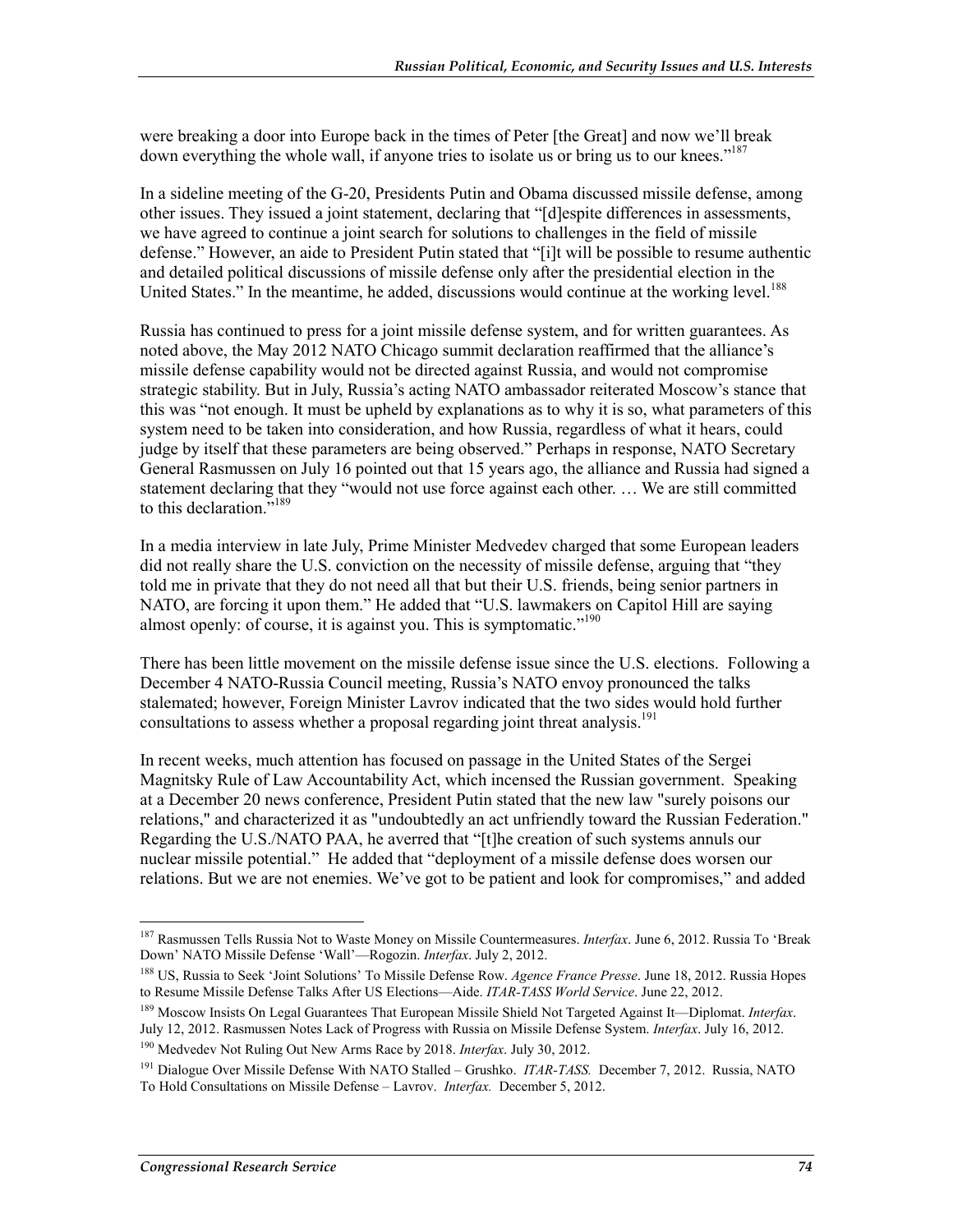were breaking a door into Europe back in the times of Peter [the Great] and now we'll break down everything the whole wall, if anyone tries to isolate us or bring us to our knees."<sup>187</sup>

In a sideline meeting of the G-20, Presidents Putin and Obama discussed missile defense, among other issues. They issued a joint statement, declaring that "[d]espite differences in assessments, we have agreed to continue a joint search for solutions to challenges in the field of missile defense." However, an aide to President Putin stated that "[i]t will be possible to resume authentic and detailed political discussions of missile defense only after the presidential election in the United States." In the meantime, he added, discussions would continue at the working level.<sup>188</sup>

Russia has continued to press for a joint missile defense system, and for written guarantees. As noted above, the May 2012 NATO Chicago summit declaration reaffirmed that the alliance's missile defense capability would not be directed against Russia, and would not compromise strategic stability. But in July, Russia's acting NATO ambassador reiterated Moscow's stance that this was "not enough. It must be upheld by explanations as to why it is so, what parameters of this system need to be taken into consideration, and how Russia, regardless of what it hears, could judge by itself that these parameters are being observed." Perhaps in response, NATO Secretary General Rasmussen on July 16 pointed out that 15 years ago, the alliance and Russia had signed a statement declaring that they "would not use force against each other. … We are still committed to this declaration.<sup>">189</sup>

In a media interview in late July, Prime Minister Medvedev charged that some European leaders did not really share the U.S. conviction on the necessity of missile defense, arguing that "they told me in private that they do not need all that but their U.S. friends, being senior partners in NATO, are forcing it upon them." He added that "U.S. lawmakers on Capitol Hill are saying almost openly: of course, it is against you. This is symptomatic."<sup>190</sup>

There has been little movement on the missile defense issue since the U.S. elections. Following a December 4 NATO-Russia Council meeting, Russia's NATO envoy pronounced the talks stalemated; however, Foreign Minister Lavrov indicated that the two sides would hold further consultations to assess whether a proposal regarding joint threat analysis.<sup>191</sup>

In recent weeks, much attention has focused on passage in the United States of the Sergei Magnitsky Rule of Law Accountability Act, which incensed the Russian government. Speaking at a December 20 news conference, President Putin stated that the new law "surely poisons our relations," and characterized it as "undoubtedly an act unfriendly toward the Russian Federation." Regarding the U.S./NATO PAA, he averred that "[t]he creation of such systems annuls our nuclear missile potential." He added that "deployment of a missile defense does worsen our relations. But we are not enemies. We've got to be patient and look for compromises," and added

<sup>1</sup> 187 Rasmussen Tells Russia Not to Waste Money on Missile Countermeasures. *Interfax*. June 6, 2012. Russia To 'Break Down' NATO Missile Defense 'Wall'—Rogozin. *Interfax*. July 2, 2012.

<sup>188</sup> US, Russia to Seek 'Joint Solutions' To Missile Defense Row. *Agence France Presse*. June 18, 2012. Russia Hopes to Resume Missile Defense Talks After US Elections—Aide. *ITAR-TASS World Service*. June 22, 2012.

<sup>189</sup> Moscow Insists On Legal Guarantees That European Missile Shield Not Targeted Against It—Diplomat. *Interfax*. July 12, 2012. Rasmussen Notes Lack of Progress with Russia on Missile Defense System. *Interfax*. July 16, 2012.

<sup>190</sup> Medvedev Not Ruling Out New Arms Race by 2018. *Interfax*. July 30, 2012.

<sup>191</sup> Dialogue Over Missile Defense With NATO Stalled – Grushko. *ITAR-TASS.* December 7, 2012. Russia, NATO To Hold Consultations on Missile Defense – Lavrov. *Interfax.* December 5, 2012.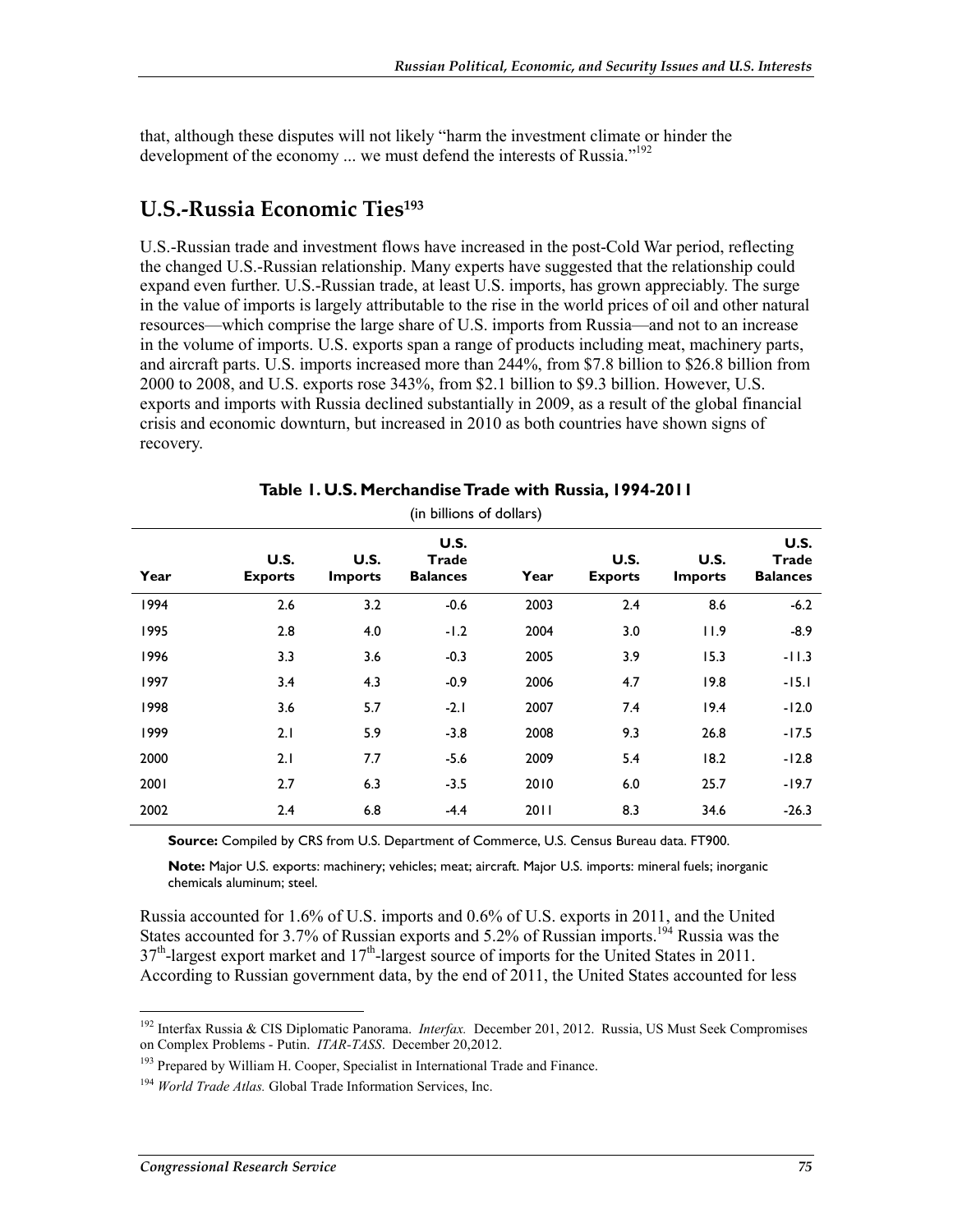that, although these disputes will not likely "harm the investment climate or hinder the development of the economy ... we must defend the interests of Russia."<sup>192</sup>

### **U.S.-Russia Economic Ties193**

U.S.-Russian trade and investment flows have increased in the post-Cold War period, reflecting the changed U.S.-Russian relationship. Many experts have suggested that the relationship could expand even further. U.S.-Russian trade, at least U.S. imports, has grown appreciably. The surge in the value of imports is largely attributable to the rise in the world prices of oil and other natural resources—which comprise the large share of U.S. imports from Russia—and not to an increase in the volume of imports. U.S. exports span a range of products including meat, machinery parts, and aircraft parts. U.S. imports increased more than 244%, from \$7.8 billion to \$26.8 billion from 2000 to 2008, and U.S. exports rose 343%, from \$2.1 billion to \$9.3 billion. However, U.S. exports and imports with Russia declined substantially in 2009, as a result of the global financial crisis and economic downturn, but increased in 2010 as both countries have shown signs of recovery.

| (in billions of dollars) |                               |                        |                                  |      |                        |                               |                                         |
|--------------------------|-------------------------------|------------------------|----------------------------------|------|------------------------|-------------------------------|-----------------------------------------|
| Year                     | <b>U.S.</b><br><b>Exports</b> | U.S.<br><b>Imports</b> | U.S.<br>Trade<br><b>Balances</b> | Year | U.S.<br><b>Exports</b> | <b>U.S.</b><br><b>Imports</b> | <b>U.S.</b><br>Trade<br><b>Balances</b> |
| 1994                     | 2.6                           | 3.2                    | $-0.6$                           | 2003 | 2.4                    | 8.6                           | $-6.2$                                  |
| 1995                     | 2.8                           | 4.0                    | $-1.2$                           | 2004 | 3.0                    | 11.9                          | $-8.9$                                  |
| 1996                     | 3.3                           | 3.6                    | $-0.3$                           | 2005 | 3.9                    | 15.3                          | $-11.3$                                 |
| 1997                     | 3.4                           | 4.3                    | $-0.9$                           | 2006 | 4.7                    | 19.8                          | $-15.1$                                 |
| 1998                     | 3.6                           | 5.7                    | $-2.1$                           | 2007 | 7.4                    | 19.4                          | $-12.0$                                 |
| 1999                     | 2.1                           | 5.9                    | $-3.8$                           | 2008 | 9.3                    | 26.8                          | $-17.5$                                 |
| 2000                     | 2.1                           | 7.7                    | $-5.6$                           | 2009 | 5.4                    | 18.2                          | $-12.8$                                 |
| 2001                     | 2.7                           | 6.3                    | $-3.5$                           | 2010 | 6.0                    | 25.7                          | $-19.7$                                 |
| 2002                     | 2.4                           | 6.8                    | $-4.4$                           | 2011 | 8.3                    | 34.6                          | $-26.3$                                 |

**Table 1. U.S. Merchandise Trade with Russia, 1994-2011**   $\ell$  billions of dollars  $\ell$ 

**Source:** Compiled by CRS from U.S. Department of Commerce, U.S. Census Bureau data. FT900.

**Note:** Major U.S. exports: machinery; vehicles; meat; aircraft. Major U.S. imports: mineral fuels; inorganic chemicals aluminum; steel.

Russia accounted for 1.6% of U.S. imports and 0.6% of U.S. exports in 2011, and the United States accounted for 3.7% of Russian exports and 5.2% of Russian imports.<sup>194</sup> Russia was the  $37<sup>th</sup>$ -largest export market and  $17<sup>th</sup>$ -largest source of imports for the United States in 2011. According to Russian government data, by the end of 2011, the United States accounted for less

<sup>192</sup> Interfax Russia & CIS Diplomatic Panorama. *Interfax.* December 201, 2012. Russia, US Must Seek Compromises on Complex Problems - Putin. *ITAR-TASS*. December 20,2012.

<sup>&</sup>lt;sup>193</sup> Prepared by William H. Cooper, Specialist in International Trade and Finance.

<sup>194</sup> *World Trade Atlas.* Global Trade Information Services, Inc.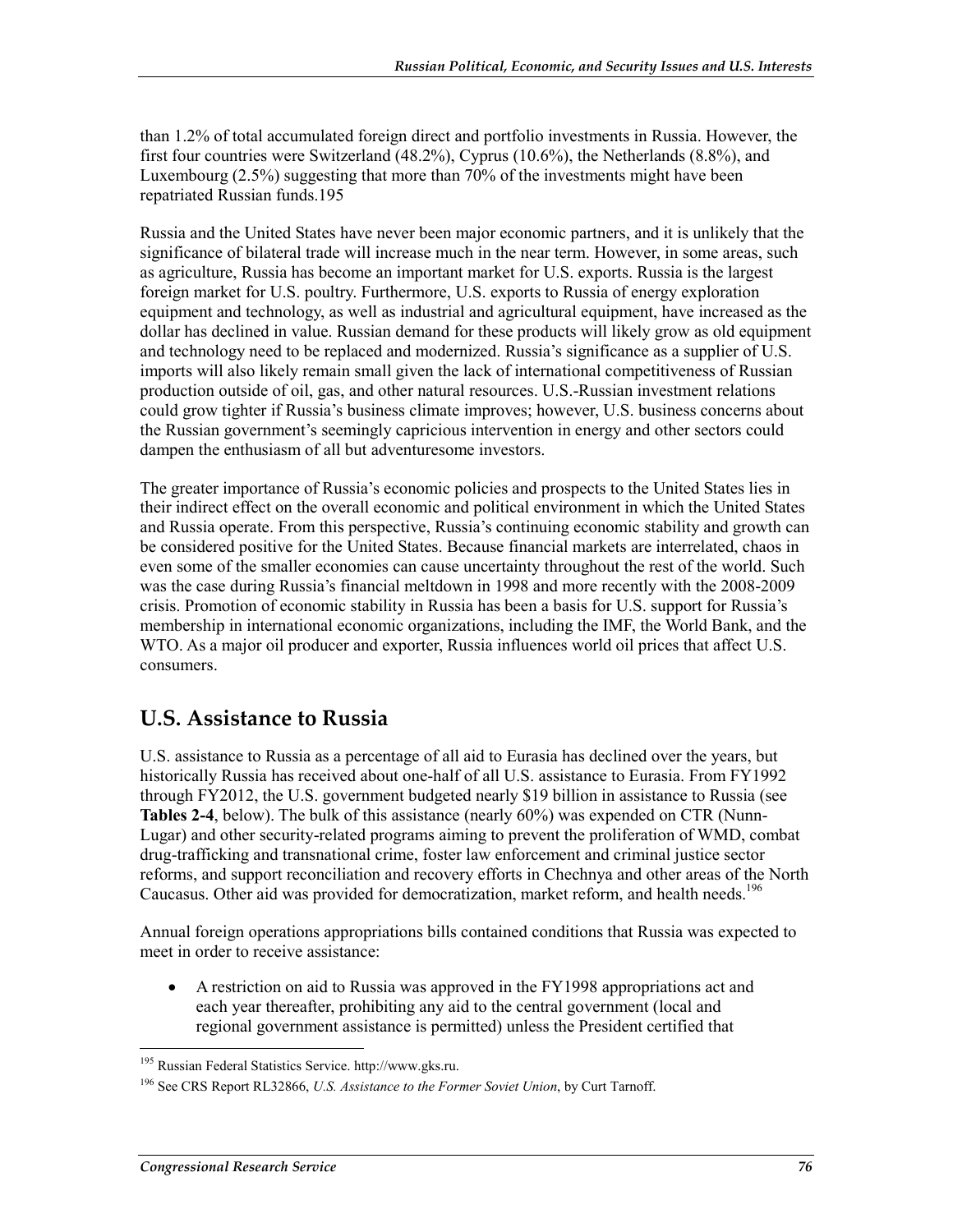than 1.2% of total accumulated foreign direct and portfolio investments in Russia. However, the first four countries were Switzerland (48.2%), Cyprus (10.6%), the Netherlands (8.8%), and Luxembourg  $(2.5\%)$  suggesting that more than 70% of the investments might have been repatriated Russian funds.195

Russia and the United States have never been major economic partners, and it is unlikely that the significance of bilateral trade will increase much in the near term. However, in some areas, such as agriculture, Russia has become an important market for U.S. exports. Russia is the largest foreign market for U.S. poultry. Furthermore, U.S. exports to Russia of energy exploration equipment and technology, as well as industrial and agricultural equipment, have increased as the dollar has declined in value. Russian demand for these products will likely grow as old equipment and technology need to be replaced and modernized. Russia's significance as a supplier of U.S. imports will also likely remain small given the lack of international competitiveness of Russian production outside of oil, gas, and other natural resources. U.S.-Russian investment relations could grow tighter if Russia's business climate improves; however, U.S. business concerns about the Russian government's seemingly capricious intervention in energy and other sectors could dampen the enthusiasm of all but adventuresome investors.

The greater importance of Russia's economic policies and prospects to the United States lies in their indirect effect on the overall economic and political environment in which the United States and Russia operate. From this perspective, Russia's continuing economic stability and growth can be considered positive for the United States. Because financial markets are interrelated, chaos in even some of the smaller economies can cause uncertainty throughout the rest of the world. Such was the case during Russia's financial meltdown in 1998 and more recently with the 2008-2009 crisis. Promotion of economic stability in Russia has been a basis for U.S. support for Russia's membership in international economic organizations, including the IMF, the World Bank, and the WTO. As a major oil producer and exporter, Russia influences world oil prices that affect U.S. consumers.

# **U.S. Assistance to Russia**

U.S. assistance to Russia as a percentage of all aid to Eurasia has declined over the years, but historically Russia has received about one-half of all U.S. assistance to Eurasia. From FY1992 through FY2012, the U.S. government budgeted nearly \$19 billion in assistance to Russia (see **Tables 2-4**, below). The bulk of this assistance (nearly 60%) was expended on CTR (Nunn-Lugar) and other security-related programs aiming to prevent the proliferation of WMD, combat drug-trafficking and transnational crime, foster law enforcement and criminal justice sector reforms, and support reconciliation and recovery efforts in Chechnya and other areas of the North Caucasus. Other aid was provided for democratization, market reform, and health needs.<sup>196</sup>

Annual foreign operations appropriations bills contained conditions that Russia was expected to meet in order to receive assistance:

• A restriction on aid to Russia was approved in the FY1998 appropriations act and each year thereafter, prohibiting any aid to the central government (local and regional government assistance is permitted) unless the President certified that

<sup>1</sup> 195 Russian Federal Statistics Service. http://www.gks.ru.

<sup>196</sup> See CRS Report RL32866, *U.S. Assistance to the Former Soviet Union*, by Curt Tarnoff.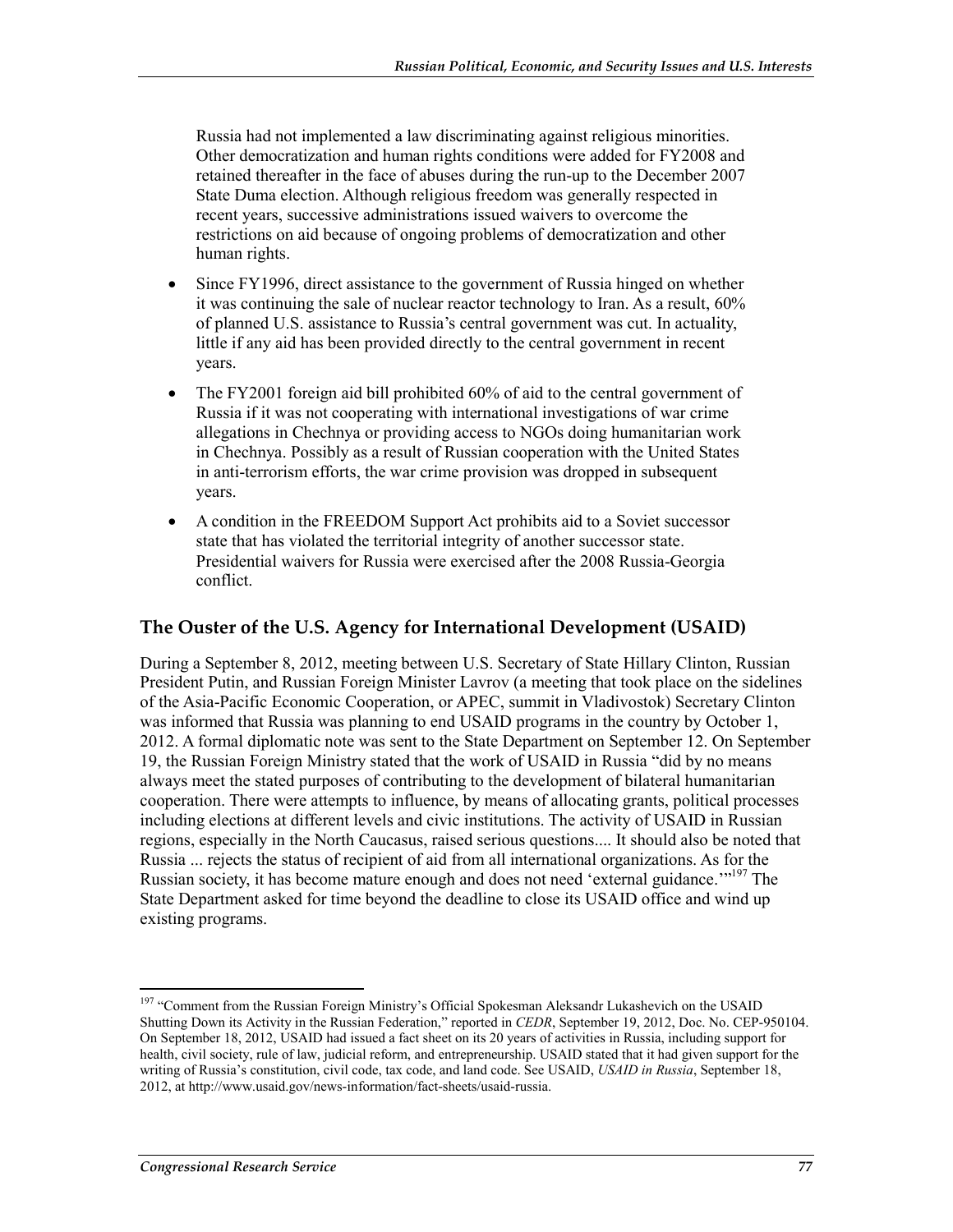Russia had not implemented a law discriminating against religious minorities. Other democratization and human rights conditions were added for FY2008 and retained thereafter in the face of abuses during the run-up to the December 2007 State Duma election. Although religious freedom was generally respected in recent years, successive administrations issued waivers to overcome the restrictions on aid because of ongoing problems of democratization and other human rights.

- Since FY1996, direct assistance to the government of Russia hinged on whether it was continuing the sale of nuclear reactor technology to Iran. As a result, 60% of planned U.S. assistance to Russia's central government was cut. In actuality, little if any aid has been provided directly to the central government in recent years.
- The FY2001 foreign aid bill prohibited 60% of aid to the central government of Russia if it was not cooperating with international investigations of war crime allegations in Chechnya or providing access to NGOs doing humanitarian work in Chechnya. Possibly as a result of Russian cooperation with the United States in anti-terrorism efforts, the war crime provision was dropped in subsequent years.
- A condition in the FREEDOM Support Act prohibits aid to a Soviet successor state that has violated the territorial integrity of another successor state. Presidential waivers for Russia were exercised after the 2008 Russia-Georgia conflict.

### **The Ouster of the U.S. Agency for International Development (USAID)**

During a September 8, 2012, meeting between U.S. Secretary of State Hillary Clinton, Russian President Putin, and Russian Foreign Minister Lavrov (a meeting that took place on the sidelines of the Asia-Pacific Economic Cooperation, or APEC, summit in Vladivostok) Secretary Clinton was informed that Russia was planning to end USAID programs in the country by October 1, 2012. A formal diplomatic note was sent to the State Department on September 12. On September 19, the Russian Foreign Ministry stated that the work of USAID in Russia "did by no means always meet the stated purposes of contributing to the development of bilateral humanitarian cooperation. There were attempts to influence, by means of allocating grants, political processes including elections at different levels and civic institutions. The activity of USAID in Russian regions, especially in the North Caucasus, raised serious questions.... It should also be noted that Russia ... rejects the status of recipient of aid from all international organizations. As for the Russian society, it has become mature enough and does not need 'external guidance.'"<sup>197</sup> The State Department asked for time beyond the deadline to close its USAID office and wind up existing programs.

<sup>1</sup> <sup>197</sup> "Comment from the Russian Foreign Ministry's Official Spokesman Aleksandr Lukashevich on the USAID Shutting Down its Activity in the Russian Federation," reported in *CEDR*, September 19, 2012, Doc. No. CEP-950104. On September 18, 2012, USAID had issued a fact sheet on its 20 years of activities in Russia, including support for health, civil society, rule of law, judicial reform, and entrepreneurship. USAID stated that it had given support for the writing of Russia's constitution, civil code, tax code, and land code. See USAID, *USAID in Russia*, September 18, 2012, at http://www.usaid.gov/news-information/fact-sheets/usaid-russia.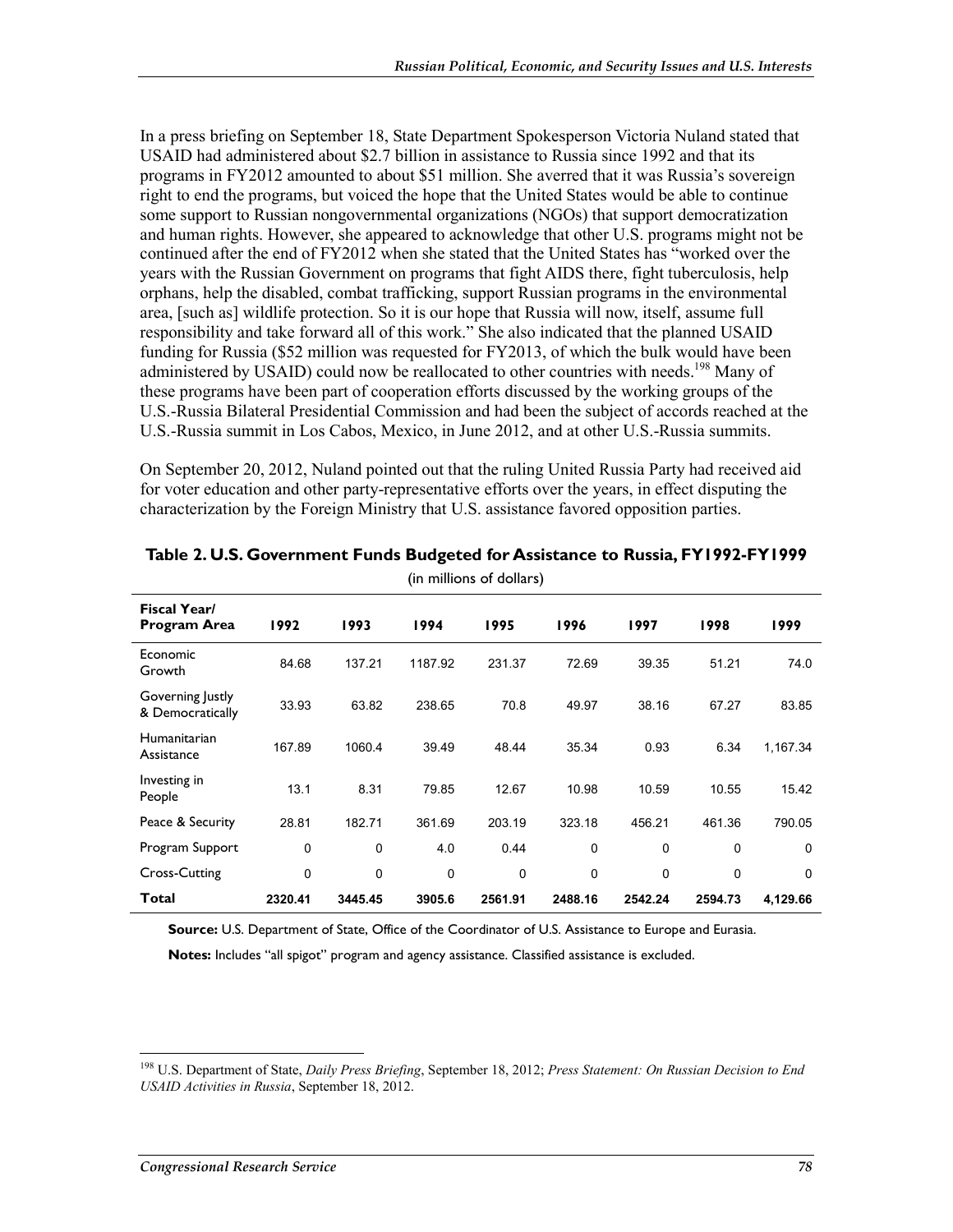In a press briefing on September 18, State Department Spokesperson Victoria Nuland stated that USAID had administered about \$2.7 billion in assistance to Russia since 1992 and that its programs in FY2012 amounted to about \$51 million. She averred that it was Russia's sovereign right to end the programs, but voiced the hope that the United States would be able to continue some support to Russian nongovernmental organizations (NGOs) that support democratization and human rights. However, she appeared to acknowledge that other U.S. programs might not be continued after the end of FY2012 when she stated that the United States has "worked over the years with the Russian Government on programs that fight AIDS there, fight tuberculosis, help orphans, help the disabled, combat trafficking, support Russian programs in the environmental area, [such as] wildlife protection. So it is our hope that Russia will now, itself, assume full responsibility and take forward all of this work." She also indicated that the planned USAID funding for Russia (\$52 million was requested for FY2013, of which the bulk would have been administered by USAID) could now be reallocated to other countries with needs.<sup>198</sup> Many of these programs have been part of cooperation efforts discussed by the working groups of the U.S.-Russia Bilateral Presidential Commission and had been the subject of accords reached at the U.S.-Russia summit in Los Cabos, Mexico, in June 2012, and at other U.S.-Russia summits.

On September 20, 2012, Nuland pointed out that the ruling United Russia Party had received aid for voter education and other party-representative efforts over the years, in effect disputing the characterization by the Foreign Ministry that U.S. assistance favored opposition parties.

| Fiscal Year/<br><b>Program Area</b>  | 1992    | 1993    | 1994    | 1995    | 1996    | 1997        | 1998    | 1999     |
|--------------------------------------|---------|---------|---------|---------|---------|-------------|---------|----------|
| Economic<br>Growth                   | 84.68   | 137.21  | 1187.92 | 231.37  | 72.69   | 39.35       | 51.21   | 74.0     |
| Governing Justly<br>& Democratically | 33.93   | 63.82   | 238.65  | 70.8    | 49.97   | 38.16       | 67.27   | 83.85    |
| Humanitarian<br>Assistance           | 167.89  | 1060.4  | 39.49   | 48.44   | 35.34   | 0.93        | 6.34    | 1,167.34 |
| Investing in<br>People               | 13.1    | 8.31    | 79.85   | 12.67   | 10.98   | 10.59       | 10.55   | 15.42    |
| Peace & Security                     | 28.81   | 182.71  | 361.69  | 203.19  | 323.18  | 456.21      | 461.36  | 790.05   |
| Program Support                      | 0       | 0       | 4.0     | 0.44    | 0       | 0           | 0       | 0        |
| <b>Cross-Cutting</b>                 | 0       | 0       | 0       | 0       | 0       | $\mathbf 0$ | 0       | 0        |
| Total                                | 2320.41 | 3445.45 | 3905.6  | 2561.91 | 2488.16 | 2542.24     | 2594.73 | 4,129.66 |

**Table 2. U.S. Government Funds Budgeted for Assistance to Russia, FY1992-FY1999**  (in millions of dollars)

**Source:** U.S. Department of State, Office of the Coordinator of U.S. Assistance to Europe and Eurasia.

**Notes:** Includes "all spigot" program and agency assistance. Classified assistance is excluded.

<sup>198</sup> U.S. Department of State, *Daily Press Briefing*, September 18, 2012; *Press Statement: On Russian Decision to End USAID Activities in Russia*, September 18, 2012.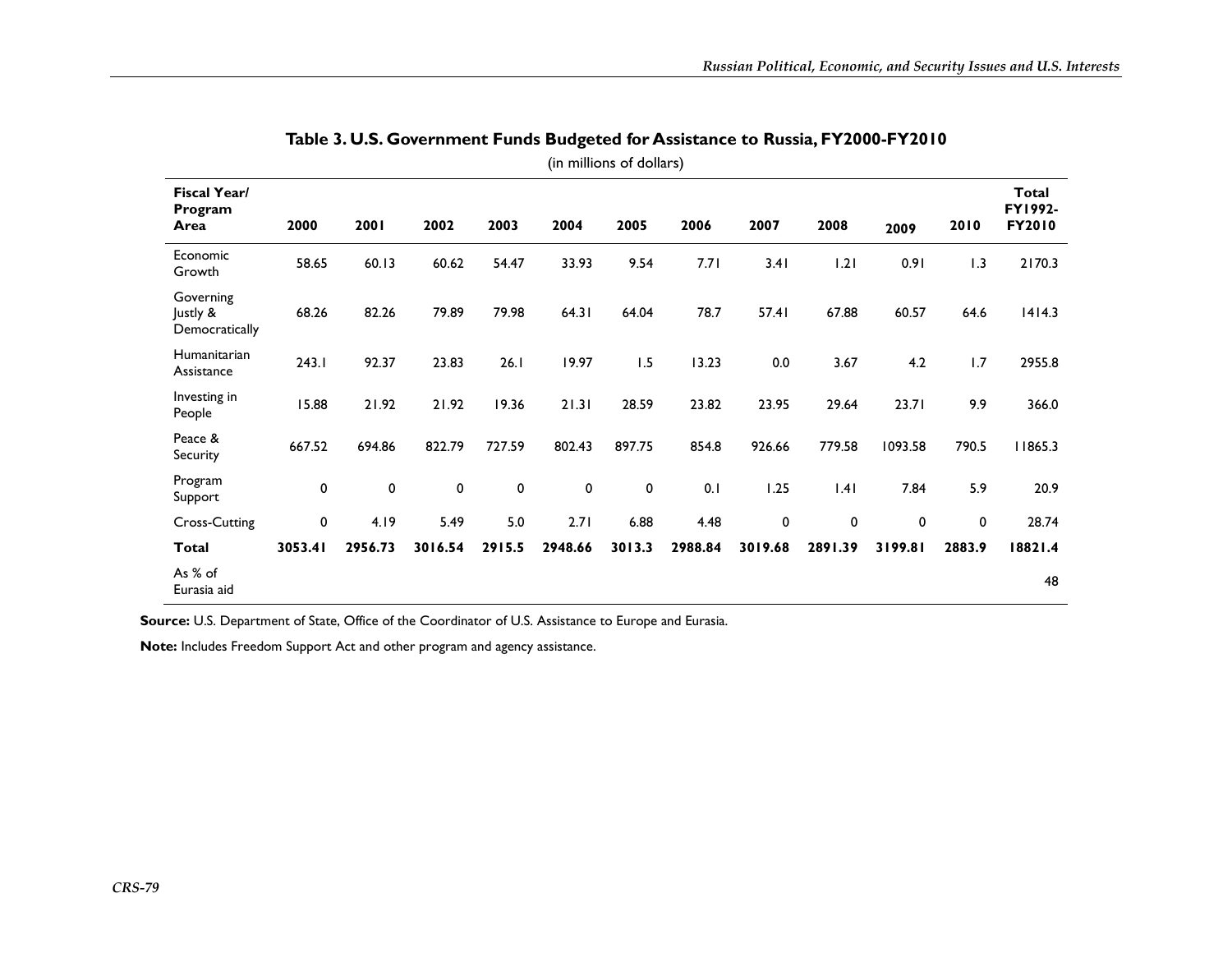| (in millions of dollars)                |         |             |         |             |         |        |         |         |         |         |        |                            |
|-----------------------------------------|---------|-------------|---------|-------------|---------|--------|---------|---------|---------|---------|--------|----------------------------|
| <b>Fiscal Year/</b><br>Program<br>Area  | 2000    | 2001        | 2002    | 2003        | 2004    | 2005   | 2006    | 2007    | 2008    | 2009    | 2010   | Total<br>FY1992-<br>FY2010 |
| Economic<br>Growth                      | 58.65   | 60.13       | 60.62   | 54.47       | 33.93   | 9.54   | 7.71    | 3.41    | 1.21    | 0.91    | 1.3    | 2170.3                     |
| Governing<br>Justly &<br>Democratically | 68.26   | 82.26       | 79.89   | 79.98       | 64.31   | 64.04  | 78.7    | 57.41   | 67.88   | 60.57   | 64.6   | 1414.3                     |
| Humanitarian<br>Assistance              | 243.1   | 92.37       | 23.83   | 26.1        | 19.97   | 1.5    | 13.23   | 0.0     | 3.67    | 4.2     | 1.7    | 2955.8                     |
| Investing in<br>People                  | 15.88   | 21.92       | 21.92   | 19.36       | 21.31   | 28.59  | 23.82   | 23.95   | 29.64   | 23.71   | 9.9    | 366.0                      |
| Peace &<br>Security                     | 667.52  | 694.86      | 822.79  | 727.59      | 802.43  | 897.75 | 854.8   | 926.66  | 779.58  | 1093.58 | 790.5  | 11865.3                    |
| Program<br>Support                      | 0       | $\mathbf 0$ | 0       | $\mathbf 0$ | 0       | 0      | 0.1     | 1.25    | .4      | 7.84    | 5.9    | 20.9                       |
| Cross-Cutting                           | 0       | 4.19        | 5.49    | 5.0         | 2.71    | 6.88   | 4.48    | 0       | 0       | 0       | 0      | 28.74                      |
| <b>Total</b>                            | 3053.41 | 2956.73     | 3016.54 | 2915.5      | 2948.66 | 3013.3 | 2988.84 | 3019.68 | 2891.39 | 3199.81 | 2883.9 | 18821.4                    |
| As % of<br>Eurasia aid                  |         |             |         |             |         |        |         |         |         |         |        | 48                         |

**Table 3. U.S. Government Funds Budgeted for Assistance to Russia, FY2000-FY2010** 

**Source:** U.S. Department of State, Office of the Coordinator of U.S. Assistance to Europe and Eurasia.

**Note:** Includes Freedom Support Act and other program and agency assistance.